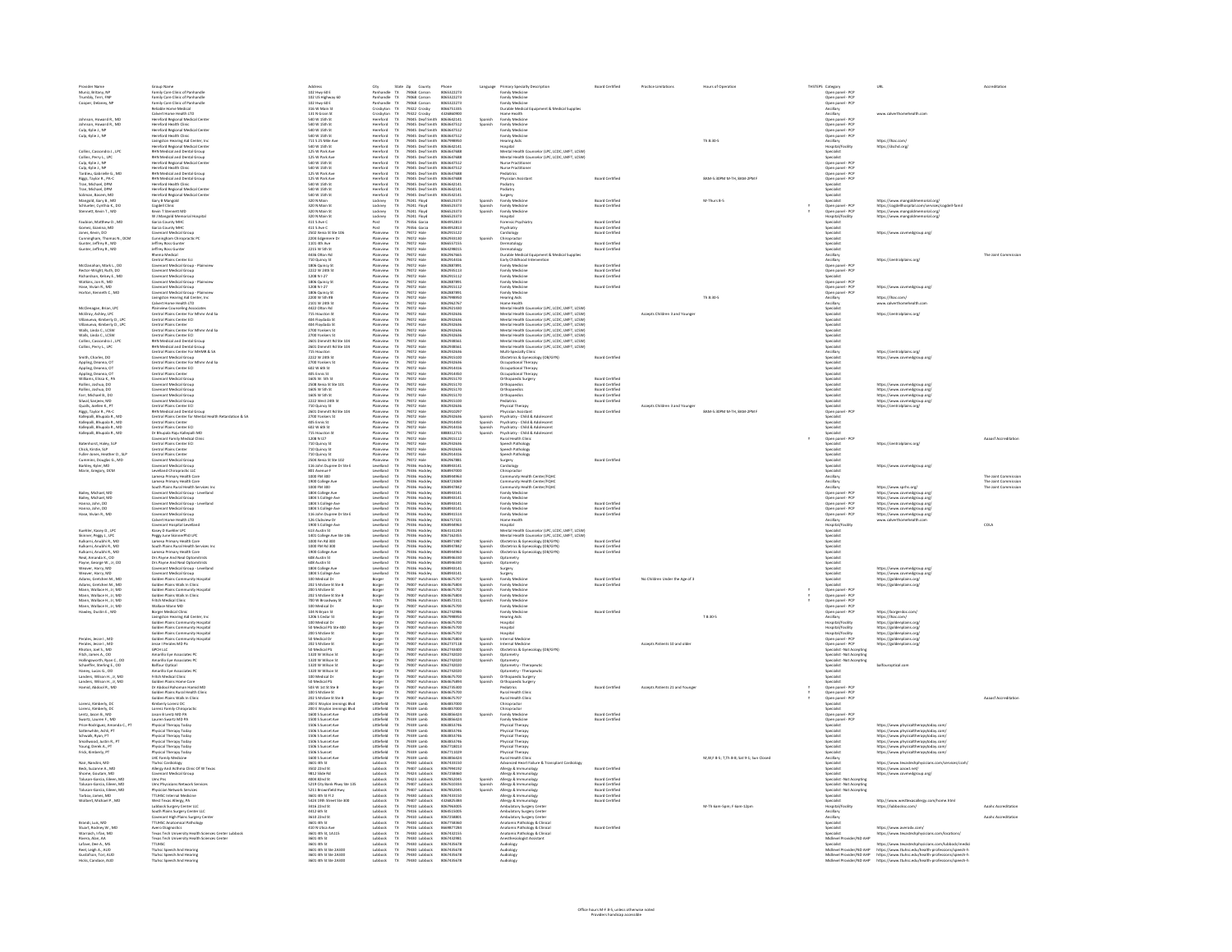| Provider Name                                                                                                                                                                                                  | Group Name<br>Family Care Clinic of Panhandle                                                                                                                                                                                                                | Address<br>102 Hwy 60 E                                                                                                                                                          |                                                                                                      |                                                                                                                       |                                                                                                                                   |                                                                                                                                                                               |                                                                                                                                                                                                                                                     |                                          | Language Primary Specialty Description<br>Family Medicine                                                                                                                                                                                                 |                                                                          |                                |                                                              | THSTEPS Category<br>Open panel - PCP<br>Open panel - PCP<br>Open panel - PCP<br>Ancillary<br>Ancillary<br>Open panel - PCP<br>Open panel - PCP<br>Open panel - PCP      | URI                                                                                                                                                                                                                 |                      |
|----------------------------------------------------------------------------------------------------------------------------------------------------------------------------------------------------------------|--------------------------------------------------------------------------------------------------------------------------------------------------------------------------------------------------------------------------------------------------------------|----------------------------------------------------------------------------------------------------------------------------------------------------------------------------------|------------------------------------------------------------------------------------------------------|-----------------------------------------------------------------------------------------------------------------------|-----------------------------------------------------------------------------------------------------------------------------------|-------------------------------------------------------------------------------------------------------------------------------------------------------------------------------|-----------------------------------------------------------------------------------------------------------------------------------------------------------------------------------------------------------------------------------------------------|------------------------------------------|-----------------------------------------------------------------------------------------------------------------------------------------------------------------------------------------------------------------------------------------------------------|--------------------------------------------------------------------------|--------------------------------|--------------------------------------------------------------|-------------------------------------------------------------------------------------------------------------------------------------------------------------------------|---------------------------------------------------------------------------------------------------------------------------------------------------------------------------------------------------------------------|----------------------|
| Muniz, Britany, NP<br>Trumbly, Terri, FNP                                                                                                                                                                      |                                                                                                                                                                                                                                                              |                                                                                                                                                                                  |                                                                                                      |                                                                                                                       |                                                                                                                                   |                                                                                                                                                                               |                                                                                                                                                                                                                                                     |                                          |                                                                                                                                                                                                                                                           |                                                                          |                                |                                                              |                                                                                                                                                                         |                                                                                                                                                                                                                     |                      |
| Cooper, Delaney, NP                                                                                                                                                                                            |                                                                                                                                                                                                                                                              |                                                                                                                                                                                  |                                                                                                      |                                                                                                                       |                                                                                                                                   |                                                                                                                                                                               |                                                                                                                                                                                                                                                     |                                          |                                                                                                                                                                                                                                                           |                                                                          |                                |                                                              |                                                                                                                                                                         |                                                                                                                                                                                                                     |                      |
|                                                                                                                                                                                                                | Family Care Clinic of Panhandle<br>Family Care Clinic of Panhandle<br>Family Care Clinic of Panhandle<br>Rushable Home Medical<br>Cabert Home Medical<br>Clinic Clinic<br>Galach Clinic<br>Hereford Health Clinic<br>Hereford Health Clinic<br>Hereford H    | 102 Hwy 60 E<br>102 US Highway 60<br>102 Hwy 60 E<br>316 W Main St<br>131 N Grain St<br>540 W 15th St<br>10 W 15th St                                                            |                                                                                                      |                                                                                                                       |                                                                                                                                   |                                                                                                                                                                               |                                                                                                                                                                                                                                                     |                                          | Family Medicine<br>Family Medicine<br>Family Medicine<br>Durable Medicial Equipment & Medical Suppl<br>Medicine<br>Hamily Medicine<br>Family Medicine<br>Family Medicine<br>Family Medicine<br>Henceinal<br>Hasing Aids<br>Henceinal<br>Henceinal         |                                                                          |                                |                                                              |                                                                                                                                                                         |                                                                                                                                                                                                                     |                      |
| Johnson, Howard R., MD                                                                                                                                                                                         |                                                                                                                                                                                                                                                              | 540 W 15th St                                                                                                                                                                    |                                                                                                      |                                                                                                                       |                                                                                                                                   |                                                                                                                                                                               |                                                                                                                                                                                                                                                     | Spanish                                  |                                                                                                                                                                                                                                                           |                                                                          |                                |                                                              |                                                                                                                                                                         |                                                                                                                                                                                                                     |                      |
| Johnson, Howard R., MD<br>Culp, Kylie J., NP<br>Culp, Kylie J., NP                                                                                                                                             |                                                                                                                                                                                                                                                              | 540 W 15th St                                                                                                                                                                    |                                                                                                      |                                                                                                                       |                                                                                                                                   |                                                                                                                                                                               |                                                                                                                                                                                                                                                     |                                          |                                                                                                                                                                                                                                                           |                                                                          |                                |                                                              | Open panel - PCP<br>Open panel - PCP<br>Open panel - PCP<br>Ancillary                                                                                                   |                                                                                                                                                                                                                     |                      |
|                                                                                                                                                                                                                |                                                                                                                                                                                                                                                              | 540 W 15th St<br>711 S 25 Mile Ave                                                                                                                                               |                                                                                                      |                                                                                                                       |                                                                                                                                   |                                                                                                                                                                               |                                                                                                                                                                                                                                                     |                                          |                                                                                                                                                                                                                                                           |                                                                          |                                | Th 8:30-5                                                    |                                                                                                                                                                         | https://lhac.com/                                                                                                                                                                                                   |                      |
|                                                                                                                                                                                                                | Hereford Regional Medical Center                                                                                                                                                                                                                             | 540 W 15th St                                                                                                                                                                    |                                                                                                      |                                                                                                                       |                                                                                                                                   |                                                                                                                                                                               |                                                                                                                                                                                                                                                     |                                          | Hospital                                                                                                                                                                                                                                                  |                                                                          |                                |                                                              | Hospital/Facility<br>Specialist<br>Specialist                                                                                                                           | https://dschd.org/                                                                                                                                                                                                  |                      |
| Collins, Cassondra J., LPC<br>Collins, Perry L. LPC                                                                                                                                                            | <b>RHN Medical and Dental Group</b><br><b>RHN Medical and Dental Group</b>                                                                                                                                                                                   | 125 W Park Ave<br>125 W Park Ave                                                                                                                                                 |                                                                                                      |                                                                                                                       |                                                                                                                                   | Hereford TX 79045 Deaf Smith 8063642141<br>Hereford TX 79045 Deaf Smith 8063647688<br>Hereford TX 79045 Deaf Smith 8063647688                                                 |                                                                                                                                                                                                                                                     |                                          | Mental Health Counselor (LPC, LCDC, LMFT, LCSW)<br>Mental Health Counselor (LPC, LCDC, LMFT, LCSW)                                                                                                                                                        |                                                                          |                                |                                                              |                                                                                                                                                                         |                                                                                                                                                                                                                     |                      |
| Collins, Perry L., UC<br>Culp, Kylie J., NP<br>Culp, Kylie J., NP<br>Tardieu, Gabrielle G., MD<br>Riggs, Taylor R., PA-C<br>Tran, Michael, DPM<br>Tran, Michael, DPM<br>Saimn, Basem, MD<br>Maneold Garv R. MD | <b>Hereford Regional Medical Cente</b><br>Hereford Health Clinic                                                                                                                                                                                             | 540 W 15th St                                                                                                                                                                    |                                                                                                      |                                                                                                                       |                                                                                                                                   | -<br>Hereford TX 79045 Deaf Smith 8063647512<br>Hereford TX 79045 Deaf Smith 8063647512<br>Hereford TX 79045 Deaf Smith 8063647688<br>Hereford TX 79045 Deaf Smith 8063647688 |                                                                                                                                                                                                                                                     |                                          | Mental Health Cour<br>Nurse Practitioner<br>Nurse Practitioner<br>Pediatrics<br>Physician Assistant<br>Pediatry<br>Sangery<br>Sanger                                                                                                                      |                                                                          |                                |                                                              | Specialist<br>Open panel - PCP<br>Open panel - PCP<br>Open panel - PCP<br>Specialist<br>Specialist<br>Specialist<br>Specialist<br>Specialist                            |                                                                                                                                                                                                                     |                      |
|                                                                                                                                                                                                                | -<br>RHN Medical and Dental Group<br>RHN Medical and Dental Group                                                                                                                                                                                            | San w 15th St<br>125 W Park Ave                                                                                                                                                  |                                                                                                      |                                                                                                                       |                                                                                                                                   |                                                                                                                                                                               |                                                                                                                                                                                                                                                     |                                          |                                                                                                                                                                                                                                                           |                                                                          |                                |                                                              |                                                                                                                                                                         |                                                                                                                                                                                                                     |                      |
|                                                                                                                                                                                                                |                                                                                                                                                                                                                                                              | 125 W Park Ave                                                                                                                                                                   |                                                                                                      |                                                                                                                       |                                                                                                                                   |                                                                                                                                                                               |                                                                                                                                                                                                                                                     |                                          |                                                                                                                                                                                                                                                           | <b>Board Certified</b>                                                   |                                | <b>SAM-5-30PM M-TH_SAM-2PM F</b>                             |                                                                                                                                                                         |                                                                                                                                                                                                                     |                      |
|                                                                                                                                                                                                                | env weatcar and Dental Group<br>Hereford Health Clinic<br>Hereford Regional Medical Center<br>Hereford Regional Medical Center                                                                                                                               | 125 W Park Av<br>540 W 15th St<br>540 W 15th St<br>540 W 15th St                                                                                                                 | Minister<br>Mereford<br>Mereford<br>Mereford                                                         |                                                                                                                       |                                                                                                                                   | 79045 Deal Smith 806364768<br>79045 Deal Smith 806364214<br>79045 Deal Smith 806364214<br>79045 Deal Smith 806354214                                                          |                                                                                                                                                                                                                                                     |                                          |                                                                                                                                                                                                                                                           |                                                                          |                                |                                                              |                                                                                                                                                                         |                                                                                                                                                                                                                     |                      |
|                                                                                                                                                                                                                |                                                                                                                                                                                                                                                              |                                                                                                                                                                                  |                                                                                                      |                                                                                                                       |                                                                                                                                   |                                                                                                                                                                               |                                                                                                                                                                                                                                                     |                                          |                                                                                                                                                                                                                                                           |                                                                          |                                |                                                              |                                                                                                                                                                         |                                                                                                                                                                                                                     |                      |
| Mangold, Gary B., MD<br>Schlueter, Cynthia K., DO                                                                                                                                                              | Gary B Mangold<br>Cogdell Clinic                                                                                                                                                                                                                             | 320 N Main<br>320 N Main St                                                                                                                                                      | Lockney<br>Lockney                                                                                   |                                                                                                                       | 79241 Floyd<br>79241 Floyd                                                                                                        |                                                                                                                                                                               | 8066523373<br>8066523373                                                                                                                                                                                                                            | Spanish<br>Spanish<br>Spanish            | Family Medicine<br>Family Medicine<br>Family Medicine                                                                                                                                                                                                     | <b>Board Certified</b><br><b>Board Certified</b>                         |                                | M-Thurs 8-5                                                  | Specialist                                                                                                                                                              | https://www.mangoldmemorial.org/<br>https://cogdellhospital.com/services/cogdell-fami<br>https://www.mangoldmemorial.org/                                                                                           |                      |
| Stennett, Kevin T., MD                                                                                                                                                                                         | Kevin T Stennett MD                                                                                                                                                                                                                                          | 320 N Main St                                                                                                                                                                    | Lockney                                                                                              |                                                                                                                       | 79241 Floyd                                                                                                                       |                                                                                                                                                                               | 8066523373                                                                                                                                                                                                                                          |                                          |                                                                                                                                                                                                                                                           |                                                                          |                                |                                                              | Open panel - PCP<br>Open panel - PCP                                                                                                                                    |                                                                                                                                                                                                                     |                      |
| Faubion, Matthew D., MD                                                                                                                                                                                        | W J Mangold Memorial Hospital<br>Garza County MHC                                                                                                                                                                                                            | 320 N Main St<br>411 S Ave C                                                                                                                                                     | Lockney                                                                                              |                                                                                                                       | 79241 Floyd<br>79356 Garza                                                                                                        |                                                                                                                                                                               | 8066523373<br>8064952813                                                                                                                                                                                                                            |                                          | Hospital<br>Forensic Psychiatry                                                                                                                                                                                                                           | <b>Board Certified</b>                                                   |                                |                                                              | Hospital/Facility<br>Specialist                                                                                                                                         | https://www.maneoldmemorial.org/                                                                                                                                                                                    |                      |
| Gomez, Gianina, MD                                                                                                                                                                                             | Garza County MHC                                                                                                                                                                                                                                             | 411 S Ave C                                                                                                                                                                      | Post<br>Post                                                                                         |                                                                                                                       | 79356 Garza                                                                                                                       |                                                                                                                                                                               | 8064952813                                                                                                                                                                                                                                          |                                          | Psychiatry                                                                                                                                                                                                                                                | <b>Board Certified</b>                                                   |                                |                                                              | <b>Specialist</b>                                                                                                                                                       |                                                                                                                                                                                                                     |                      |
| Jones, Kevin, DO                                                                                                                                                                                               | Covenant Medical Group                                                                                                                                                                                                                                       | 2502 Xenia St Ste 106                                                                                                                                                            | Plainview<br><b>Plainview</b>                                                                        |                                                                                                                       | 79072 Hale<br>79072 Hale                                                                                                          |                                                                                                                                                                               | 8062915122<br>8062933130                                                                                                                                                                                                                            |                                          | Cardiology                                                                                                                                                                                                                                                | Board Certified                                                          |                                |                                                              | Specialist                                                                                                                                                              | https://www.covmedaroup.org/                                                                                                                                                                                        |                      |
| Cunningham, Thomas N., DCM<br>Guntier, Jeffrey R., MD<br>Gunter, Jeffrey R., MD                                                                                                                                | Covenant Medical Group<br>Commigham Chiropractic PC<br>Jeffrey Ross Gunter<br>Jeffrey Ross Gunter<br>Ross Gunter<br>Contral Plains Center Ed<br>Covenant Medical Group<br>Covenant Medical Group<br>Covenant Medical Group<br>Covenant Medical Group<br>Cove | 2204 Edgemere Dr<br>1101 4th Ave                                                                                                                                                 | .<br>Plainview<br>Plainview                                                                          |                                                                                                                       | 79072 Hale<br>79072 Hale<br>79072 Hale<br>79072 Hale<br>79072 Hale<br>79072 Hale<br>79072 Hale<br>79072 Hale                      |                                                                                                                                                                               | 8066557155                                                                                                                                                                                                                                          | Spanish                                  | Cardiology<br>Chicopachov<br>Dematology<br>Dematology<br>Dematology<br>Early Chicopachov<br>Early Chicopachov<br>Family Medicine<br>Family Medicine<br>Family Medicine                                                                                    | <b>Board Certifies</b>                                                   |                                |                                                              | Specialist<br>Specialist<br>Specialist<br>Ancillary<br>Ancillary<br>Open panel - PCP<br>Specialist<br>Specialist<br>Open annual<br>PCP                                  |                                                                                                                                                                                                                     |                      |
|                                                                                                                                                                                                                |                                                                                                                                                                                                                                                              | 2215 W 5th St                                                                                                                                                                    |                                                                                                      |                                                                                                                       |                                                                                                                                   |                                                                                                                                                                               | 805429801                                                                                                                                                                                                                                           |                                          |                                                                                                                                                                                                                                                           |                                                                          |                                |                                                              |                                                                                                                                                                         |                                                                                                                                                                                                                     | The tojet Commission |
|                                                                                                                                                                                                                |                                                                                                                                                                                                                                                              | 2215 W 5th 5t<br>4436 Olton Rd<br>710 Quincy St<br>1206 Quincy St<br>2222 W 24th St<br>1208 N I-27                                                                               | Manview<br>Mainview<br>Mainview<br>Mainview<br>Mainview                                              |                                                                                                                       |                                                                                                                                   |                                                                                                                                                                               | 8064298015<br>8062967665<br>8062934416<br>8062935113<br>8062935113<br>8062915112                                                                                                                                                                    |                                          |                                                                                                                                                                                                                                                           |                                                                          |                                |                                                              |                                                                                                                                                                         | https://centralplains.org/                                                                                                                                                                                          |                      |
| McClanahan, Mark L., DO<br>Rector-Wright, Ruth, DO<br>Richardson, Kelsey E., MD                                                                                                                                |                                                                                                                                                                                                                                                              |                                                                                                                                                                                  |                                                                                                      |                                                                                                                       |                                                                                                                                   |                                                                                                                                                                               |                                                                                                                                                                                                                                                     |                                          |                                                                                                                                                                                                                                                           | pard Certifies                                                           |                                |                                                              |                                                                                                                                                                         |                                                                                                                                                                                                                     |                      |
|                                                                                                                                                                                                                |                                                                                                                                                                                                                                                              |                                                                                                                                                                                  |                                                                                                      |                                                                                                                       |                                                                                                                                   |                                                                                                                                                                               |                                                                                                                                                                                                                                                     |                                          |                                                                                                                                                                                                                                                           | <b>Board Certified</b><br>Board Certified                                |                                |                                                              |                                                                                                                                                                         |                                                                                                                                                                                                                     |                      |
| Watkins, Jon R., MD                                                                                                                                                                                            | Covenant Medical Group - Plainview                                                                                                                                                                                                                           | 1806 Quincy St<br>1208 N 1-27                                                                                                                                                    |                                                                                                      |                                                                                                                       | 79072 Hale                                                                                                                        |                                                                                                                                                                               | 8062887891                                                                                                                                                                                                                                          |                                          | Family Medicine                                                                                                                                                                                                                                           |                                                                          |                                |                                                              |                                                                                                                                                                         |                                                                                                                                                                                                                     |                      |
| Hase, Vivian R., MD<br>Horton, Kenneth C., MD                                                                                                                                                                  | Covenant Medical Group<br>Covenant Medical Group - Plainview                                                                                                                                                                                                 | 1806 Quincy St                                                                                                                                                                   | Plainview<br>Plainview<br>Plainview                                                                  | $\begin{array}{c} Tx\\ Tx\\ Tx \end{array}$                                                                           | 79072 Hale<br>79072 Hale                                                                                                          |                                                                                                                                                                               | 8062915112<br>8062887891                                                                                                                                                                                                                            |                                          | Family Medicine<br>Family Medicine                                                                                                                                                                                                                        | Board Certified                                                          |                                |                                                              | Open panel - PCP<br>Open panel - PCP<br>Open panel - PCP                                                                                                                | https://www.covmedgroup.org/                                                                                                                                                                                        |                      |
|                                                                                                                                                                                                                | Livingston Hearing Aid Center, Inc.                                                                                                                                                                                                                          | 2200 W 5th #B                                                                                                                                                                    | Plainview                                                                                            |                                                                                                                       | 79072 Hale                                                                                                                        |                                                                                                                                                                               | 8067998950                                                                                                                                                                                                                                          |                                          | <b>Hearing Aids</b><br>Home Health                                                                                                                                                                                                                        |                                                                          |                                | Th 8:30-5                                                    | Ancillary                                                                                                                                                               | https://lhac.com/<br>www.calverthomehealth.com                                                                                                                                                                      |                      |
| McClenagan, Brian, LPC                                                                                                                                                                                         | Calvert Home Health LTD<br><b>Plainview Counseling Associates</b>                                                                                                                                                                                            | 2101 W 24th St                                                                                                                                                                   | Plainview<br>Plainview                                                                               | $\begin{array}{l} \mathsf{TX} \\ \mathsf{TX} \\ \mathsf{TX} \\ \mathsf{TX} \end{array}$                               | 79072 Hale<br>79072 Hale                                                                                                          |                                                                                                                                                                               | 8062962767<br>8062921430                                                                                                                                                                                                                            |                                          | Mental Health Counselor (LPC, LCDC, LMFT, LCSW)                                                                                                                                                                                                           |                                                                          |                                |                                                              | Ancillary                                                                                                                                                               |                                                                                                                                                                                                                     |                      |
| McElroy, Ashley, LPC                                                                                                                                                                                           | Central Plains Center For Mhmr And Sa                                                                                                                                                                                                                        | 4422 Olton Rd<br>715 Houston St                                                                                                                                                  | Plainview                                                                                            |                                                                                                                       | 79072 Hale                                                                                                                        |                                                                                                                                                                               | 8062932636                                                                                                                                                                                                                                          |                                          | Mental Health Counselor (LPC, LCDC, LMFT, LCSW)                                                                                                                                                                                                           |                                                                          | Accepts Children 3 and Younge  |                                                              | Specialist<br>Specialist                                                                                                                                                | https://centralplains.org/                                                                                                                                                                                          |                      |
| McElroy, Ashley, LPC<br>Villanuava, Kimberly D., LPC<br>Villanuava, Kimberly D., LPC<br>Walls, Linda C., LCSW<br>Walls, Linda C., LCSW<br>Collins, Cassondra J., LPC<br>Collins, Cassondra J., LPC             | Central Plains Center For Mhmr And Sa<br>Central Plains Center EC<br>Central Plains Center<br>For Maria Plains Center<br>For Minim And Sa<br>Central Plains Center EC<br>RHM Medical and Dental Group<br>RHM Medical and Dental Group<br>Central Plain       | 715 Houston St<br>404 Floydada St<br>404 Floydada St<br>2700 Yonkers St<br>2700 Yonkers St<br>2601 Dimmitt Rd Ste 104<br>2601 Dimmitt Rd Ste 104<br>2715 Houston                 | Plainview<br>Plainview<br>Plainview<br>Plainview<br>Plainview<br>Plainview<br>Plainview<br>Plainview | $\begin{array}{c}\n\overrightarrow{D} \\ \overrightarrow{D} \\ \overrightarrow{D} \\ \overrightarrow{D}\n\end{array}$ | 79072 Hale<br>79072 Hale<br>79072 Hale<br>79072 Hale<br>79072 Hale<br>79072 Hale<br>79072 Hale                                    |                                                                                                                                                                               | 8062932636<br>8062932636<br>8062932636<br>8062932636<br>8062933561<br>8062933561<br>8062932636<br>0062932636                                                                                                                                        |                                          | Mental Health Counseler (UC, LCDC, MFT, LCSM)<br>Mental Health Counseler (UC, LCDC, LMFT, LCSM)<br>Mental Health Counseler (UC, LCDC, LMFT, LCSM)<br>Mental Health Counseler (UC, LCDC, LMFT, LCSM)<br>Mental Health Counseler (UC, LC                    |                                                                          |                                |                                                              | specialist<br>Specialist<br>Specialist<br>Specialist<br>Specialist<br>Specialist<br>Ancillary                                                                           |                                                                                                                                                                                                                     |                      |
|                                                                                                                                                                                                                |                                                                                                                                                                                                                                                              |                                                                                                                                                                                  |                                                                                                      |                                                                                                                       |                                                                                                                                   |                                                                                                                                                                               |                                                                                                                                                                                                                                                     |                                          |                                                                                                                                                                                                                                                           |                                                                          |                                |                                                              |                                                                                                                                                                         |                                                                                                                                                                                                                     |                      |
|                                                                                                                                                                                                                |                                                                                                                                                                                                                                                              |                                                                                                                                                                                  |                                                                                                      |                                                                                                                       |                                                                                                                                   |                                                                                                                                                                               |                                                                                                                                                                                                                                                     |                                          |                                                                                                                                                                                                                                                           |                                                                          |                                |                                                              |                                                                                                                                                                         |                                                                                                                                                                                                                     |                      |
|                                                                                                                                                                                                                |                                                                                                                                                                                                                                                              |                                                                                                                                                                                  |                                                                                                      |                                                                                                                       |                                                                                                                                   |                                                                                                                                                                               |                                                                                                                                                                                                                                                     |                                          |                                                                                                                                                                                                                                                           |                                                                          |                                |                                                              |                                                                                                                                                                         |                                                                                                                                                                                                                     |                      |
|                                                                                                                                                                                                                |                                                                                                                                                                                                                                                              |                                                                                                                                                                                  |                                                                                                      |                                                                                                                       |                                                                                                                                   |                                                                                                                                                                               |                                                                                                                                                                                                                                                     |                                          |                                                                                                                                                                                                                                                           |                                                                          |                                |                                                              |                                                                                                                                                                         | https://centralplains.org/                                                                                                                                                                                          |                      |
| Smith, Charles, DO                                                                                                                                                                                             | Covenant Medical Group<br>Central Plains Center For Mhmr And Sa                                                                                                                                                                                              | 2222 W 24th St<br>2700 Yonkers St                                                                                                                                                | Plainview<br>Plainview                                                                               | $T\!X$                                                                                                                | 79072 Hale<br>79072 Hale                                                                                                          |                                                                                                                                                                               | 8062915100<br>8062932636                                                                                                                                                                                                                            |                                          | Obstetrics & Gynecology (OB/GYN)                                                                                                                                                                                                                          | <b>Board Certified</b>                                                   |                                |                                                              | Specialist                                                                                                                                                              | https://www.covmedgroup.org/                                                                                                                                                                                        |                      |
| Appling, Deanna, OT<br>Appling, Deanna, OT                                                                                                                                                                     | Central Plains Center ECI                                                                                                                                                                                                                                    | 602 W 6th St                                                                                                                                                                     | Plainview                                                                                            | $\frac{\text{TX}}{\text{TX}}$                                                                                         | 79072 Hale                                                                                                                        |                                                                                                                                                                               | 8062914416                                                                                                                                                                                                                                          |                                          | Occupational Therapy<br>Occupational Therapy                                                                                                                                                                                                              |                                                                          |                                |                                                              | Specialist<br>Specialist                                                                                                                                                |                                                                                                                                                                                                                     |                      |
| Appling, Deanna, OT<br>Williams, Elissa K., PA                                                                                                                                                                 | Central Plains Center<br>Covenant Medical Group                                                                                                                                                                                                              | 405 Ennis St<br>1605 W. 5th St                                                                                                                                                   | Plainview<br>Plainview                                                                               | $\begin{array}{l} \mathsf{TX} \\ \mathsf{TX} \\ \mathsf{TX} \\ \mathsf{TX} \end{array}$                               | 79072 Hale<br>79072 Hale                                                                                                          |                                                                                                                                                                               | 8062914450<br>8062915170                                                                                                                                                                                                                            |                                          | Occupational Therapy<br>Orthopaedic Surgery                                                                                                                                                                                                               | Board Certified                                                          |                                |                                                              | Specialist<br>Specialist<br>Specialist<br>Specialist                                                                                                                    |                                                                                                                                                                                                                     |                      |
| Rollins, Joshua, DC                                                                                                                                                                                            | Covenant Medical Group                                                                                                                                                                                                                                       | 2508 Xenia St Ste 101                                                                                                                                                            | Plainview                                                                                            |                                                                                                                       | 79072 Hale                                                                                                                        |                                                                                                                                                                               | 8062915170                                                                                                                                                                                                                                          |                                          | Orthopaedics                                                                                                                                                                                                                                              | <b>Board Certified</b>                                                   |                                |                                                              |                                                                                                                                                                         | https://www.covmederoup.org                                                                                                                                                                                         |                      |
| Rollins, Joshua, DO                                                                                                                                                                                            | Covenant Medical Group                                                                                                                                                                                                                                       | 1605 W 5th St                                                                                                                                                                    | Plainview                                                                                            |                                                                                                                       | 79072 Hale                                                                                                                        |                                                                                                                                                                               | 8062915170                                                                                                                                                                                                                                          |                                          | Orthopaedics                                                                                                                                                                                                                                              | Board Certified                                                          |                                |                                                              |                                                                                                                                                                         | https://www.covineagroup.org/<br>https://www.covinedgroup.org/<br>https://www.covinedgroup.org/<br>https://www.covinedgroup.org/<br>https://centralplains.org/                                                      |                      |
| Frame, Johnua, DO<br>Farr, Michael B., DO<br>Silwal, Sanjeev, MD<br>Qualls, Joellen K., PT<br>Riggs, Taylor R., PA-C                                                                                           | <b>Covenant Medical Group</b><br>Covenant Medical Group                                                                                                                                                                                                      | 1605 W 5th 5t<br>1605 W 5th 5t<br>2222 West 24th 5t<br>710 Quincy 5t<br>2601 Dimmitt Rd 5te 104<br>2700 Yonkers 5t<br>2700 Yonkers 5t                                            | rumview<br>Plainview<br>Plainview<br>Plainview<br>Plainview                                          | $\begin{array}{c}\n\overline{x} \\ \overline{x} \\ \overline{x} \\ \overline{x} \\ \overline{x}\n\end{array}$         |                                                                                                                                   |                                                                                                                                                                               |                                                                                                                                                                                                                                                     |                                          |                                                                                                                                                                                                                                                           | Board Certified<br>Board Certified                                       |                                |                                                              | specialist<br>Specialist<br>Specialist<br>Open panel - PCP<br>Consider                                                                                                  |                                                                                                                                                                                                                     |                      |
|                                                                                                                                                                                                                |                                                                                                                                                                                                                                                              |                                                                                                                                                                                  |                                                                                                      |                                                                                                                       |                                                                                                                                   |                                                                                                                                                                               |                                                                                                                                                                                                                                                     |                                          |                                                                                                                                                                                                                                                           | Board Certified                                                          |                                | Accepts Children 3 and Younger<br>BAM-5:30PM M-TH, BAM-2PM F |                                                                                                                                                                         |                                                                                                                                                                                                                     |                      |
|                                                                                                                                                                                                                |                                                                                                                                                                                                                                                              |                                                                                                                                                                                  |                                                                                                      |                                                                                                                       |                                                                                                                                   |                                                                                                                                                                               |                                                                                                                                                                                                                                                     |                                          |                                                                                                                                                                                                                                                           |                                                                          |                                |                                                              |                                                                                                                                                                         |                                                                                                                                                                                                                     |                      |
| Kalepali, Bhupala R., MD<br>Kalepali, Bhupala R., MD<br>Kalepali, Bhupala R., MD                                                                                                                               | Covenant Medical Group<br>Central Plains Center ECI<br>RHN Medical and Dental Group<br>Central Plains Center for Mental Health Retardation & SA<br>Central Plains Center<br>Central Plains Center ECI                                                        | 405 Ennis St<br>602 W 6th St                                                                                                                                                     | Plainview<br>Plainview<br>Plainview                                                                  |                                                                                                                       | 79072 Hale<br>79072 Hale<br>79072 Hale<br>79072 Hale<br>79072 Hale<br>79072 Hale<br>79072 Hale                                    |                                                                                                                                                                               | $\begin{array}{r} 8062915170 \\ 8062915170 \\ 8062915100 \\ 8062932636 \\ 8062932636 \\ 8062910297 \\ 8062932636 \\ 80629144450 \\ 8062914416 \\ 8062914416 \\ \end{array}$                                                                         | Spanish<br>Spanish<br>Spanish            | Orthopaedics<br>Chrispaedics<br>Pediatrics<br>Physical Therapy<br>Physical Assistant<br>Psychiatry - Child & Adolescent<br>Psychiatry - Child & Adolescent<br>Psychiatry - Child & Adolescent<br>Psychiatry - Child & Adolescent<br>Revolutions - Child & |                                                                          |                                |                                                              | .<br>Specialist<br>Specialist                                                                                                                                           |                                                                                                                                                                                                                     |                      |
| Kalepali, Bhupala R., MD                                                                                                                                                                                       | Dr Bhupala Raju Kallepalli MD                                                                                                                                                                                                                                | 715 Houston St<br>1208 N 127                                                                                                                                                     | Plainview                                                                                            | TX                                                                                                                    | 79072 Hale                                                                                                                        |                                                                                                                                                                               | 8888312715                                                                                                                                                                                                                                          | Spanish                                  | Psychiatry - Child & Adolescent                                                                                                                                                                                                                           |                                                                          |                                |                                                              | Specialist                                                                                                                                                              |                                                                                                                                                                                                                     |                      |
| Batenhorst, Haley, SLP                                                                                                                                                                                         | Covenant Family Medical Clinic<br>Central Plains Center ECI                                                                                                                                                                                                  |                                                                                                                                                                                  | Plainview<br>Plainview                                                                               | $\begin{array}{c} \mathsf{TX} \\ \mathsf{TX} \\ \mathsf{TX} \end{array}$                                              | 79072 Hale<br>79072 Hale                                                                                                          |                                                                                                                                                                               | 8062915112<br>8062932636                                                                                                                                                                                                                            |                                          | <b>Rural Health Clinic</b><br>Speech Pathology                                                                                                                                                                                                            |                                                                          |                                |                                                              | Open panel - PCP<br>Specialist                                                                                                                                          | https://centralplains.org/                                                                                                                                                                                          | Aaaasf Accreditation |
| Chick, Kirstie, SLP                                                                                                                                                                                            | Central Plains Center                                                                                                                                                                                                                                        | 710 Quincy St<br>710 Quincy St                                                                                                                                                   | Plainview                                                                                            |                                                                                                                       | 79072 Hale                                                                                                                        |                                                                                                                                                                               | 8062932636                                                                                                                                                                                                                                          |                                          | Speech Pathology                                                                                                                                                                                                                                          |                                                                          |                                |                                                              | Specialist                                                                                                                                                              |                                                                                                                                                                                                                     |                      |
| Fuller-Jones, Heather D., SLP<br>Cummins, Douglas G., MD                                                                                                                                                       | Central Plains Center<br>Covenant Medical Group                                                                                                                                                                                                              | 710 Quincy St<br>2504 Xenia St Ste 102                                                                                                                                           | Plainview<br>Plainview                                                                               |                                                                                                                       | TX 79072 Hale<br>TX 79072 Hale<br>TX 79336 Hockley                                                                                |                                                                                                                                                                               | 8062914416<br>8062967881                                                                                                                                                                                                                            |                                          | Speech Pathology                                                                                                                                                                                                                                          | Board Certified                                                          |                                |                                                              | Specialist<br>Specialist<br>Specialist                                                                                                                                  |                                                                                                                                                                                                                     |                      |
| Barkley, Kyler, MD                                                                                                                                                                                             | Covenant Medical Group                                                                                                                                                                                                                                       | 116 John Dupree Dr Ste B                                                                                                                                                         | Levelland                                                                                            |                                                                                                                       |                                                                                                                                   |                                                                                                                                                                               | 8068943141                                                                                                                                                                                                                                          |                                          | Speech Pathology<br>Surgery<br>Cardiology<br>Cardiology<br>Community Health Center/FQHC<br>Community Health Center/FQHC<br>Community Health Center/FQHC<br>Family Medicine<br>Family Medicine<br>Family Medicine<br>Family Medicine                       |                                                                          |                                |                                                              |                                                                                                                                                                         | https://www.covmedaroup.org/                                                                                                                                                                                        |                      |
| Marin, Gregory, DCM                                                                                                                                                                                            | Covenant weeser Group<br>Core Camera Primary Health Care<br>Lamesa Primary Health Care<br>South Plains Rural Health Services In<br>South Plains Rural Health Services In                                                                                     | 116 John Dupree D<br>801 Avenue F<br>1000 FM 300<br>1000 FM 300<br>1804 College Ave<br>1804 College Ave<br>1804 S College Ave<br>1804 S College Ave<br>1804 S College Ave        | Levelland<br>Levelland<br>Levelland<br>Levelland                                                     |                                                                                                                       | 79336 Hockey<br>79336 Hockley<br>79336 Hockley<br>79336 Hockley<br>79336 Hockley                                                  |                                                                                                                                                                               | 0009943141<br>0068947000<br>0068944963<br>0068947842<br>0068943141<br>0068943141                                                                                                                                                                    |                                          |                                                                                                                                                                                                                                                           |                                                                          |                                |                                                              | specialist<br>Specialist<br>Ancillary<br>Ancillary<br>Ancillary                                                                                                         |                                                                                                                                                                                                                     |                      |
|                                                                                                                                                                                                                |                                                                                                                                                                                                                                                              |                                                                                                                                                                                  |                                                                                                      |                                                                                                                       |                                                                                                                                   |                                                                                                                                                                               |                                                                                                                                                                                                                                                     |                                          |                                                                                                                                                                                                                                                           |                                                                          |                                |                                                              |                                                                                                                                                                         |                                                                                                                                                                                                                     |                      |
| Bailey, Michael, MC                                                                                                                                                                                            |                                                                                                                                                                                                                                                              |                                                                                                                                                                                  |                                                                                                      |                                                                                                                       |                                                                                                                                   |                                                                                                                                                                               |                                                                                                                                                                                                                                                     |                                          |                                                                                                                                                                                                                                                           |                                                                          |                                |                                                              |                                                                                                                                                                         | https://www.sprhs.org/                                                                                                                                                                                              |                      |
| Bailey, Michael, MD<br>Hanna, John, DO                                                                                                                                                                         | Covenant Medical Group - Levelland<br>Covenant Medical Group<br>Covenant Medical Group - Levelland                                                                                                                                                           |                                                                                                                                                                                  | Levelland<br>Levelland<br>Levelland                                                                  |                                                                                                                       | 79336 Hockley<br>79336 Hockley<br>79336 Hockley                                                                                   |                                                                                                                                                                               | 8068943141<br>8068943141                                                                                                                                                                                                                            |                                          |                                                                                                                                                                                                                                                           |                                                                          |                                |                                                              | Open panel - PCF<br>Open panel - PCF<br>Open panel - PCF                                                                                                                | https://www.covmedgroup.org/<br>https://www.covmedgroup.org/<br>https://www.covmedgroup.org/                                                                                                                        |                      |
| Hanna, John, DO                                                                                                                                                                                                | Covenant Medical Group                                                                                                                                                                                                                                       | 1804 S College Ave                                                                                                                                                               | Levelland                                                                                            |                                                                                                                       | 79336 Hockley                                                                                                                     |                                                                                                                                                                               | 8068943141                                                                                                                                                                                                                                          |                                          | Family Medicine                                                                                                                                                                                                                                           | <b>Board Certifier</b><br><b>Board Certified</b>                         |                                |                                                              | Open panel - PCF                                                                                                                                                        | https://www.covmedgroup.org                                                                                                                                                                                         |                      |
| Hase, Vivian R., MD                                                                                                                                                                                            | Covenant Medical Group                                                                                                                                                                                                                                       | 116 John Dupree Dr Ste E                                                                                                                                                         | Levelland                                                                                            | $\frac{\text{Tx}}{\text{Tx}}$                                                                                         | 79336 Hockley                                                                                                                     |                                                                                                                                                                               | 8068941514                                                                                                                                                                                                                                          |                                          | Family Medicine                                                                                                                                                                                                                                           | <b>Board Certified</b>                                                   |                                |                                                              | Open panel - PCF                                                                                                                                                        | https://www.covmedgroup.org                                                                                                                                                                                         |                      |
|                                                                                                                                                                                                                | Calvert Home Health LTD<br>Covenant Hospital Levelland                                                                                                                                                                                                       | 126 Clubview Dr<br>1900 S College Ave                                                                                                                                            | Levelland<br>Levelland                                                                               | $\frac{\text{Tx}}{\text{Tx}}$                                                                                         | 79336 Hockley<br>79336 Hockley                                                                                                    |                                                                                                                                                                               | 8066757321<br>8068944963                                                                                                                                                                                                                            |                                          | Home Health<br>Hospital                                                                                                                                                                                                                                   |                                                                          |                                |                                                              | Ancillary<br>Hospital/Facility                                                                                                                                          | www.calverthomehealth.com                                                                                                                                                                                           | COLA                 |
| Kuehler, Kasey D., LPC                                                                                                                                                                                         | Kasey D Kuehler LPC                                                                                                                                                                                                                                          | 613 Austin St                                                                                                                                                                    | Levelland                                                                                            |                                                                                                                       | 79336 Hockley                                                                                                                     |                                                                                                                                                                               | 8064141244                                                                                                                                                                                                                                          |                                          | Mental Health Counselor (LPC, LCDC, LMFT, LCSW)                                                                                                                                                                                                           |                                                                          |                                |                                                              | Specialist                                                                                                                                                              |                                                                                                                                                                                                                     |                      |
| Skinner, Peggy J., LPC<br>Kulkarni, Anubhi R., MD<br>Kulkarni, Anubhi R., MD                                                                                                                                   | <b>Veggy June SkinnerPhD LPC</b><br>esa Primary Health Care                                                                                                                                                                                                  | 1401 College Ave Ste 146<br>1000 Fm Rd 300                                                                                                                                       | Levelland<br>Levelland                                                                               | $\begin{array}{c} \mathsf{TX} \\ \mathsf{TX} \\ \mathsf{TX} \\ \mathsf{TX} \end{array}$                               | 79336 Hockley<br>79336 Hockley                                                                                                    |                                                                                                                                                                               | 8067162455<br>8068971987                                                                                                                                                                                                                            |                                          | Mental Health Counselor (LPC, LCDC, LMFT, LCSW                                                                                                                                                                                                            | Board Certifies                                                          |                                |                                                              | Specialist<br>Specialist<br>Specialist<br>Specialist<br>Specialist<br>Specialist<br>Specialist<br>Specialist<br>Specialist<br>Specialist                                |                                                                                                                                                                                                                     |                      |
|                                                                                                                                                                                                                | South Plains Rural Health Services Inc                                                                                                                                                                                                                       | 1000 FM 84 300                                                                                                                                                                   | <b>Lovelland</b>                                                                                     |                                                                                                                       | 79336 Horkley                                                                                                                     |                                                                                                                                                                               | 8068947842                                                                                                                                                                                                                                          | <i><b>Snanich</b></i>                    | Mental Health Counselor (LPC, LCD)<br>Obstetrics & Gynecology (O8/GYN)<br>Obstetrics & Gynecology (O8/GYN)<br>Obstetrics & Gynecology (O8/GYN)<br>Optometry<br>Optometry                                                                                  | <b>Board Certifier</b>                                                   |                                |                                                              |                                                                                                                                                                         |                                                                                                                                                                                                                     |                      |
| Nukarni, Amusri R., MD<br>Kulkarni, Anubhi R., MD<br>Neal, Amanda K., OD<br>Payne, George W., Jr, OD                                                                                                           | soum Piams Kurai Healm Service<br>Lamesa Primary Health Care<br>Drs Payne And Neal Optomitrists<br>Drs Payne And Neal Optomitrists                                                                                                                           | 1000 FM Rd 300<br>1900 College Ave<br>608 Austin St<br>608 Austin St<br>1804 College Ave<br>1804 S College Ave<br>100 Medical Dr<br>202 S McGee St Ste B<br>202 S McGee St Ste B | Levelland<br>Levelland<br>Levelland<br>Levelland                                                     |                                                                                                                       | 79336 Hockley<br>79336 Hockley<br>79336 Hockley<br>79336 Hockley                                                                  |                                                                                                                                                                               | 8068944963<br>8068946330<br>8068946330<br>8068943141                                                                                                                                                                                                | spanish<br>Spanish<br>Spanish<br>Spanish |                                                                                                                                                                                                                                                           | <b>Board Certifier</b>                                                   |                                |                                                              |                                                                                                                                                                         |                                                                                                                                                                                                                     |                      |
|                                                                                                                                                                                                                |                                                                                                                                                                                                                                                              |                                                                                                                                                                                  |                                                                                                      |                                                                                                                       |                                                                                                                                   |                                                                                                                                                                               |                                                                                                                                                                                                                                                     |                                          |                                                                                                                                                                                                                                                           |                                                                          |                                |                                                              |                                                                                                                                                                         |                                                                                                                                                                                                                     |                      |
| Weaver, Harry, MD                                                                                                                                                                                              | Covenant Medical Group - Levelland<br>Covenant Medical Group                                                                                                                                                                                                 |                                                                                                                                                                                  |                                                                                                      |                                                                                                                       |                                                                                                                                   | 79336 Hockley 8068943141<br>79336 Hockley 8068943141<br>79007 Hutchinson 8064675707<br>79007 Hutchinson 8064675804                                                            |                                                                                                                                                                                                                                                     |                                          | Surgery<br>Surgery<br>Family Medicine<br>Family Medicine                                                                                                                                                                                                  |                                                                          |                                |                                                              |                                                                                                                                                                         | https://www.covmedgroup.org/<br>https://www.covmedgroup.org/<br>https://goldenplains.org/<br>https://goldenplains.org/                                                                                              |                      |
| Weaver, Harry, MD<br>Adams, Gretchen M., MD<br>Adams, Gretchen M., MD                                                                                                                                          |                                                                                                                                                                                                                                                              |                                                                                                                                                                                  |                                                                                                      |                                                                                                                       |                                                                                                                                   |                                                                                                                                                                               |                                                                                                                                                                                                                                                     |                                          |                                                                                                                                                                                                                                                           | <b>Board Certified</b>                                                   | No Children Under the Age of 3 |                                                              |                                                                                                                                                                         |                                                                                                                                                                                                                     |                      |
|                                                                                                                                                                                                                | Golden Plains Community Hospital<br>Golden Plains Walk In Clinic                                                                                                                                                                                             |                                                                                                                                                                                  |                                                                                                      |                                                                                                                       |                                                                                                                                   |                                                                                                                                                                               |                                                                                                                                                                                                                                                     | Spanish<br>Spanish                       |                                                                                                                                                                                                                                                           | <b>Board Certifier</b>                                                   |                                |                                                              |                                                                                                                                                                         |                                                                                                                                                                                                                     |                      |
| Mann, Wallace H., Jr, MD<br>Mann, Wallace H., Jr, MD                                                                                                                                                           | Golden Plains Community Hospital<br>Golden Plains Walk In Clinic                                                                                                                                                                                             | 200 S McGee St<br>202 S McGee St Ste B                                                                                                                                           |                                                                                                      | Tx                                                                                                                    |                                                                                                                                   | 79007 Hutchinson 8064675702<br>79007 Hutchinson 8064675804                                                                                                                    |                                                                                                                                                                                                                                                     | Spanish<br>Spanish                       | Family Medicine<br>Family Medicine                                                                                                                                                                                                                        |                                                                          |                                |                                                              | Open panel - PCP<br>Open panel - PCP<br>Open panel - PCP                                                                                                                |                                                                                                                                                                                                                     |                      |
| Mann, Wallace H., Jr, MD<br>Mann Wallane H - M. MD                                                                                                                                                             | Fritch Medical Clinic<br>Wallare Mann MD                                                                                                                                                                                                                     | 700 W Broadway St<br>100 Medical Dr.                                                                                                                                             | Levelland<br>Levelland<br>Borger<br>Borger<br>Borger<br>Borger<br>Fritch                             | TX                                                                                                                    |                                                                                                                                   | 79036 Hutchinson 8068572311                                                                                                                                                   |                                                                                                                                                                                                                                                     | Spanish                                  | Family Medicine                                                                                                                                                                                                                                           |                                                                          |                                |                                                              |                                                                                                                                                                         |                                                                                                                                                                                                                     |                      |
| Hawley, Dustin E., MD                                                                                                                                                                                          |                                                                                                                                                                                                                                                              | 104 N Royan St                                                                                                                                                                   |                                                                                                      |                                                                                                                       |                                                                                                                                   |                                                                                                                                                                               |                                                                                                                                                                                                                                                     |                                          |                                                                                                                                                                                                                                                           | <b>Board Certified</b>                                                   |                                |                                                              |                                                                                                                                                                         |                                                                                                                                                                                                                     |                      |
|                                                                                                                                                                                                                | Wallace Mann MD<br>Borger Medical Clinic<br>Borger Medical Clinic<br>Livingston Hearing Aid Center, Inc<br>Golden Plains Community Hospital<br>Golden Plains Community Hospital<br>Golden Plains Community Hospital<br>Golden Plains Communi                 | 2065 Cedar S<br>100 Medical D                                                                                                                                                    | Borger<br>Borger<br>Borger<br>Borger<br>Borger<br>Borger                                             |                                                                                                                       |                                                                                                                                   |                                                                                                                                                                               | TX 7905 Hurchisson 806857311<br>TX 79007 Hurchisson 8062473310<br>TX 79007 Hurchisson 806274286<br>TX 79007 Hurchisson 8067988650<br>TX 79007 Hurchisson 8064675700<br>TX 79007 Hurchisson 8064675702<br>TX 79007 Hurchisson 8064675702<br>TX 79007 |                                          | Family Medicine<br>Family Medicine<br>Hearing Aids<br>Hospital                                                                                                                                                                                            |                                                                          |                                | T830-5                                                       | Open panel - PCP<br>Open panel - PCP<br>Ancillary<br>Hospital/Facility<br>Hospital/Facility<br>Hospital/Facility<br>Open panel - PCP<br>Open panel - PCP                | https://borgerdoc.com/<br>https://lhac.com/<br>https://goldenplains.org/<br>https://goldenplains.org/<br>https://goldenplains.org/<br>https://goldenplains.org/<br>https://goldenplains.org/                        |                      |
|                                                                                                                                                                                                                |                                                                                                                                                                                                                                                              |                                                                                                                                                                                  |                                                                                                      |                                                                                                                       |                                                                                                                                   |                                                                                                                                                                               |                                                                                                                                                                                                                                                     |                                          |                                                                                                                                                                                                                                                           |                                                                          |                                |                                                              |                                                                                                                                                                         |                                                                                                                                                                                                                     |                      |
| Perales, Jesse L, MD                                                                                                                                                                                           |                                                                                                                                                                                                                                                              | 100 Medical Df<br>50 Medical Plz Ste 400<br>200 S McGee St<br>50 Medical Dr                                                                                                      |                                                                                                      |                                                                                                                       |                                                                                                                                   |                                                                                                                                                                               |                                                                                                                                                                                                                                                     |                                          | Hospital<br>Internal Medicine                                                                                                                                                                                                                             |                                                                          |                                |                                                              |                                                                                                                                                                         |                                                                                                                                                                                                                     |                      |
|                                                                                                                                                                                                                | Jesse I Perales MD Pa                                                                                                                                                                                                                                        | 202 S McGee St                                                                                                                                                                   |                                                                                                      |                                                                                                                       |                                                                                                                                   |                                                                                                                                                                               |                                                                                                                                                                                                                                                     |                                          |                                                                                                                                                                                                                                                           |                                                                          | Accepts Patients 10 and older  |                                                              |                                                                                                                                                                         | https://goldenplains.org/                                                                                                                                                                                           |                      |
| Perales, Jesse L., MD<br>Rhoton, Joel S., MD<br>Fitch, James A., OD                                                                                                                                            | GPCH LLC<br>Amarillo Eye Associates PC                                                                                                                                                                                                                       | O Medical Plz<br>1320 W Wilson St                                                                                                                                                |                                                                                                      |                                                                                                                       |                                                                                                                                   | 79007 Hutchinson 8062737118<br>79007 Hutchinson 8062743400                                                                                                                    |                                                                                                                                                                                                                                                     | Spanish<br>Spanish<br>Spanish            | Internal Medicine<br>Obstetrics & Gynecology (OB/GYN)                                                                                                                                                                                                     |                                                                          |                                |                                                              | Open panel - PCP<br>Specialist - Not Accepting                                                                                                                          |                                                                                                                                                                                                                     |                      |
| Hollingsworth, Ryan C., OD                                                                                                                                                                                     | Amarillo Eye Associates PC                                                                                                                                                                                                                                   | 1320 W Wilson St                                                                                                                                                                 | Borger<br>Borger<br>Borger<br>Borger                                                                 |                                                                                                                       |                                                                                                                                   | 79007 Hutchinson 8062742020<br>79007 Hutchinson 8062742020                                                                                                                    |                                                                                                                                                                                                                                                     | Spanish                                  | Optometry<br>Optometry                                                                                                                                                                                                                                    |                                                                          |                                |                                                              | Specialist - Not Accepting<br>Specialist - Not Accepting                                                                                                                |                                                                                                                                                                                                                     |                      |
| Schaeffer, Sterling E., OD<br>Haney, Lucas G., OD                                                                                                                                                              | <b>Balfour Optical</b><br>Amarillo Eve Associates PC                                                                                                                                                                                                         | 1320 W Wilson St<br>1320 W Wilson St                                                                                                                                             |                                                                                                      |                                                                                                                       |                                                                                                                                   | 79007 Hutchinson 8062742020<br>79007 Hutchinson 8062742020                                                                                                                    |                                                                                                                                                                                                                                                     |                                          | Optometry - Therapeutic<br>Optometry - Therapeutic                                                                                                                                                                                                        |                                                                          |                                |                                                              | Specialist<br>Specialist                                                                                                                                                | balfouroptical.com                                                                                                                                                                                                  |                      |
| Landers, Wilson H., Jr. MD                                                                                                                                                                                     | Fritch Medical Clinic                                                                                                                                                                                                                                        | 100 Medical Dr                                                                                                                                                                   | Borger<br>Borger<br>Borger<br>Borger                                                                 |                                                                                                                       |                                                                                                                                   | 79007 Hutchinson 8064675700                                                                                                                                                   |                                                                                                                                                                                                                                                     | Spanish                                  | Orthopaedic Surgery                                                                                                                                                                                                                                       |                                                                          |                                |                                                              | Specialist                                                                                                                                                              |                                                                                                                                                                                                                     |                      |
| Landers, Wilson H., Jr. MD<br>Hamid, Abdool R., MD                                                                                                                                                             | Golden Plains Home Care                                                                                                                                                                                                                                      | 50 Medical Plz<br>503 W 1st St Ste B                                                                                                                                             |                                                                                                      |                                                                                                                       |                                                                                                                                   | 79007 Hutchinson 8064675894                                                                                                                                                   |                                                                                                                                                                                                                                                     | Spanish                                  | Orthopaedic Surgery                                                                                                                                                                                                                                       | <b>Board Certified</b>                                                   | Arrents Patients 21 and Vounes |                                                              | Specialist                                                                                                                                                              |                                                                                                                                                                                                                     |                      |
|                                                                                                                                                                                                                | Golden Plains Home Care<br>Or Abdool Rohoman Hamid MD<br>Golden Plains Rural Health Clinic<br>Golden Plains Walk In Clinic<br>Kimberly Lowera DC<br>Lorenz Family Chiropractic<br>Lason B Lentz MD PA<br>Nuveical Thereane Torday<br>Bluerical Therean       |                                                                                                                                                                                  | borger<br>Borger<br>Borger<br>Littlefield<br>Littlefield<br>Littlefield<br>Littlefield               |                                                                                                                       |                                                                                                                                   | 79007 Hutchinson 8062735300<br>79007 Hutchinson 8062735300<br>79007 Hutchinson 8064675700                                                                                     |                                                                                                                                                                                                                                                     |                                          | Orthopaedic Surger<br>Pediatrics<br>Rural Health Clinic<br>Rural Health Clinic<br>Chiropractor<br>Chiropractor<br>Family Medicine<br>Family Medicine<br>Family Medicine<br>Family Medicine                                                                |                                                                          |                                |                                                              | Specialist<br>Open panel - PCP<br>Open panel - PCP<br>Open panel - PCP<br>Specialist<br>Open panel - PCP<br>Open panel - PCP<br>Georgine                                |                                                                                                                                                                                                                     |                      |
|                                                                                                                                                                                                                |                                                                                                                                                                                                                                                              | 202 S McGee St Ste B                                                                                                                                                             |                                                                                                      |                                                                                                                       |                                                                                                                                   |                                                                                                                                                                               |                                                                                                                                                                                                                                                     |                                          |                                                                                                                                                                                                                                                           |                                                                          |                                |                                                              |                                                                                                                                                                         |                                                                                                                                                                                                                     |                      |
|                                                                                                                                                                                                                |                                                                                                                                                                                                                                                              |                                                                                                                                                                                  |                                                                                                      |                                                                                                                       |                                                                                                                                   |                                                                                                                                                                               |                                                                                                                                                                                                                                                     |                                          |                                                                                                                                                                                                                                                           |                                                                          |                                |                                                              |                                                                                                                                                                         |                                                                                                                                                                                                                     |                      |
| Lorenz, Kimberly, DC<br>Lorenz, Kimberly, DC<br>Lentz, Jason B., MD<br>Swartz, Lauren F., MD                                                                                                                   |                                                                                                                                                                                                                                                              | 202 S McGee's Scenar<br>200 E Waylon Jennings Blvd<br>200 E Waylon Jennings Blvd<br>1600 S Sunset Ave<br>1505 Sunset Ave                                                         |                                                                                                      |                                                                                                                       | 79007 Hutche<br>79339 Lamb<br>79339 Lamb<br>79339 Lamb<br>79339 Lamb                                                              |                                                                                                                                                                               | a264675701<br>8064857000<br>8064857000<br>8063856424<br>8063856424<br>8063856424                                                                                                                                                                    | Spanish                                  |                                                                                                                                                                                                                                                           | <b>Board Certifier</b><br>Board Certifier                                |                                |                                                              |                                                                                                                                                                         |                                                                                                                                                                                                                     |                      |
| Price-Rodriguez, Amanda C., P1                                                                                                                                                                                 | Physical Therapy Today                                                                                                                                                                                                                                       | 1506 S Sunset Ave                                                                                                                                                                | Littlefield                                                                                          |                                                                                                                       | 79339 Lamb                                                                                                                        |                                                                                                                                                                               | 8063853746                                                                                                                                                                                                                                          |                                          | Physical Therapy                                                                                                                                                                                                                                          |                                                                          |                                |                                                              |                                                                                                                                                                         | https://www.physicaltherapytoday.com/                                                                                                                                                                               |                      |
| Satterwhite, Ashli, PT<br>Schwalk, Ryan, PT                                                                                                                                                                    | Physical Therapy Today<br>Physical Therapy Today                                                                                                                                                                                                             | 1506 S Sunset Ave<br>1506 S Sunset Ave                                                                                                                                           | Littlefield<br>Littlefield                                                                           | $\begin{array}{c} TX \\ TX \\ TX \end{array}$                                                                         | 79339 Lamb<br>79339 Lamb                                                                                                          |                                                                                                                                                                               | 8063853746<br>8063853746                                                                                                                                                                                                                            |                                          | <b>Physical Therapy</b><br>Physical Therapy                                                                                                                                                                                                               |                                                                          |                                |                                                              | Specialist<br>Specialist<br>Specialist                                                                                                                                  | https://www.physicaltherapytoday.com<br>https://www.physicaltherapytoday.com                                                                                                                                        |                      |
| Smallwood, Justin R., PT                                                                                                                                                                                       | Physical Therapy Today                                                                                                                                                                                                                                       | 1506 S Sunset Ave                                                                                                                                                                | Littlefield                                                                                          |                                                                                                                       | 79339 Lamb                                                                                                                        |                                                                                                                                                                               | 8063853746                                                                                                                                                                                                                                          |                                          | Physical Therapy                                                                                                                                                                                                                                          |                                                                          |                                |                                                              |                                                                                                                                                                         | https://www.physicaltherapytoday.com/                                                                                                                                                                               |                      |
| Young, Derek A., PT<br>Frick, Kimberly, PT                                                                                                                                                                     | Physical Therapy Today<br>Physical Therapy Today                                                                                                                                                                                                             | 1506 S Sunset Ave<br>1506 S Sunset                                                                                                                                               | Littlefield<br>Littlefield                                                                           | $\begin{array}{c} TX \\ TX \\ TX \end{array}$                                                                         | 79339 Lamb<br>79339 Lamb                                                                                                          |                                                                                                                                                                               | 8067718013<br>8067711029                                                                                                                                                                                                                            |                                          | Physical Therapy<br>Physical Therapy                                                                                                                                                                                                                      |                                                                          |                                |                                                              | Specialist<br>Specialist<br>Specialist<br>Ancillary                                                                                                                     | https://www.physicaltherapytoday.com<br>https://www.physicaltherapytoday.com                                                                                                                                        |                      |
|                                                                                                                                                                                                                | LHC Family Medicine                                                                                                                                                                                                                                          | 1600 S Sunset Ave                                                                                                                                                                | Littlefield                                                                                          |                                                                                                                       | TX 79339 Lamb                                                                                                                     |                                                                                                                                                                               | 8063856424                                                                                                                                                                                                                                          |                                          | <b>Rural Health Clini</b>                                                                                                                                                                                                                                 |                                                                          |                                | M.W.F 8-5: T.Th 8-8: Sat 9-1: Sun Closed                     |                                                                                                                                                                         |                                                                                                                                                                                                                     |                      |
| Nair, Nandini, MD<br>Beck, Suzanne A., MD<br>Shome, Goutam, MD<br>Talusan-García, Elisen, MD<br>Talusan-García, Elisen, MD<br>Talusan-García, Elisen, MD<br>Tarbox, James, MD<br>Wolhart Michael P MD          | Truhsc Cardiology<br>Truhsc Cardiology<br>Allergy And Asthma Clinic Of W Texas<br>Covenant Medical Group                                                                                                                                                     | <b>D</b> drb. 1088<br><b>3502226458</b>                                                                                                                                          | Lubbock<br>Lubbock<br>Lubbock                                                                        |                                                                                                                       | 79339 Lamb<br>79430 Lubbock<br>79407 Lubbock<br>79424 Lubbock<br>79407 Lubbock<br>79407 Lubbock<br>79407 Lubbock<br>79407 Lubbock |                                                                                                                                                                               | 8057433150                                                                                                                                                                                                                                          |                                          | Rural Health Clinic<br>Advanced Heart Failure & Transplant Cardiology<br>Allergy & Immunology<br>Allergy & Immunology<br>Allergy & Immunology<br>Allergy & Immunology<br>Allergy & Immunology<br>Allergy & Immunology<br>Allergy & Immunology<br>Allergy  | <b>Board Certifier</b>                                                   |                                |                                                              | Ancillary<br>Specialist<br>Specialist<br>Specialist -Not Accepting<br>Specialist -Not Accepting<br>Specialist -Not Accepting<br>Specialist -Not Accepting<br>Specialist | https://www.texastechphysicians.com/services/<br>https://www.aacwt.net/<br>https://www.covmederoup.org/                                                                                                             |                      |
|                                                                                                                                                                                                                |                                                                                                                                                                                                                                                              | <b>0812 Slide Rd</b>                                                                                                                                                             |                                                                                                      |                                                                                                                       |                                                                                                                                   |                                                                                                                                                                               | 8067994192                                                                                                                                                                                                                                          |                                          |                                                                                                                                                                                                                                                           |                                                                          |                                |                                                              |                                                                                                                                                                         | dgroup.org/                                                                                                                                                                                                         |                      |
|                                                                                                                                                                                                                | Covernant www.car Group<br>Umc Physicians Network Services<br>Physician Network Services<br>TTUHSC Internal Medicine                                                                                                                                         | vasz siloe no<br>4004 82nd St<br>5219 City Bank Pkwy Ste 135<br>5316 Brown Fold Univers                                                                                          | Lubbock<br>Lubbock<br>Lubbock<br>Lubbock                                                             |                                                                                                                       |                                                                                                                                   |                                                                                                                                                                               | 8067258460<br>8067852045<br>8067610334<br>8067852045<br>8067433150                                                                                                                                                                                  |                                          |                                                                                                                                                                                                                                                           | Board Certified<br>Board Certified<br>Board Certified<br>Board Certified |                                |                                                              |                                                                                                                                                                         |                                                                                                                                                                                                                     |                      |
|                                                                                                                                                                                                                |                                                                                                                                                                                                                                                              |                                                                                                                                                                                  |                                                                                                      |                                                                                                                       |                                                                                                                                   |                                                                                                                                                                               |                                                                                                                                                                                                                                                     | Spanish<br>Spanish<br>Spanish            |                                                                                                                                                                                                                                                           |                                                                          |                                |                                                              |                                                                                                                                                                         |                                                                                                                                                                                                                     |                      |
|                                                                                                                                                                                                                |                                                                                                                                                                                                                                                              | 5211 Brownfield Hwy<br>3601 4th St Fl 2                                                                                                                                          |                                                                                                      |                                                                                                                       |                                                                                                                                   |                                                                                                                                                                               |                                                                                                                                                                                                                                                     |                                          |                                                                                                                                                                                                                                                           |                                                                          |                                |                                                              |                                                                                                                                                                         |                                                                                                                                                                                                                     |                      |
| Wolbert, Michael P., MD                                                                                                                                                                                        | West Texas Allergy, PA                                                                                                                                                                                                                                       | 5424 19th Street Ste 300<br>3416 22nd St                                                                                                                                         | Lubbock<br>Lubbock                                                                                   | $T\times$                                                                                                             | 79407 Lubbock                                                                                                                     | 79410 Lubbock                                                                                                                                                                 | 4326825384<br>8067963005                                                                                                                                                                                                                            |                                          | Allergy & Immunology<br>Ambulatory Surgery Cente                                                                                                                                                                                                          | <b>Board Certified</b>                                                   |                                | M-Th 6am-Spm; F 6am-12pm                                     | Specialist<br>Hospital/Facility                                                                                                                                         | http://www.westtexasallergy.com/home.html<br>https://lubbocksc.com/                                                                                                                                                 | Aaahc Accreditation  |
|                                                                                                                                                                                                                |                                                                                                                                                                                                                                                              |                                                                                                                                                                                  |                                                                                                      |                                                                                                                       |                                                                                                                                   | 79416 Lubbock                                                                                                                                                                 | 8064515005                                                                                                                                                                                                                                          |                                          | Ambulatory Surgery Center                                                                                                                                                                                                                                 |                                                                          |                                |                                                              | Ancillary                                                                                                                                                               |                                                                                                                                                                                                                     |                      |
|                                                                                                                                                                                                                |                                                                                                                                                                                                                                                              | 4412 6th St                                                                                                                                                                      | Lubbock                                                                                              |                                                                                                                       |                                                                                                                                   |                                                                                                                                                                               |                                                                                                                                                                                                                                                     |                                          |                                                                                                                                                                                                                                                           |                                                                          |                                |                                                              |                                                                                                                                                                         |                                                                                                                                                                                                                     |                      |
|                                                                                                                                                                                                                | Lubbock Surgery Center LLC<br>South Plains Surgery Center LLC<br>Covenant High Plains Surgery Center                                                                                                                                                         | 3610 22nd St                                                                                                                                                                     | Lubbock                                                                                              | Tx                                                                                                                    | 79410 Lubbock                                                                                                                     |                                                                                                                                                                               | 8067258801                                                                                                                                                                                                                                          |                                          | Ambulatory Surgery Cente                                                                                                                                                                                                                                  |                                                                          |                                |                                                              | Ancillary                                                                                                                                                               |                                                                                                                                                                                                                     | Aaahc Accreditation  |
| Brandi, Luis, MD<br>Stuart, Rodney W., MD                                                                                                                                                                      | <b>TTUHSC Anatomical Pathology</b>                                                                                                                                                                                                                           | 3601 4th St<br>410 N Utica Ave                                                                                                                                                   | Lubbock<br>Lubbock                                                                                   | $\n  Tx\n$                                                                                                            | 79430 Lubbock<br>79416 Lubbock                                                                                                    |                                                                                                                                                                               | 8067758360<br>8669877284                                                                                                                                                                                                                            |                                          | Anatomic Pathology & Clinical<br>Anatomic Pathology & Clinical                                                                                                                                                                                            | Board Certified                                                          |                                |                                                              | Specialist<br>eecialist                                                                                                                                                 | https://www.averodx.com/                                                                                                                                                                                            |                      |
| Warraich, Irfan, MD                                                                                                                                                                                            | <i><b>Avero Diagnostics</b></i><br>Texas Tech University Health Sciences Center Lubbock                                                                                                                                                                      | 3601 4th St. 1A115                                                                                                                                                               | Lubbock                                                                                              |                                                                                                                       | 79430 Lubbock                                                                                                                     |                                                                                                                                                                               | 8067432155                                                                                                                                                                                                                                          |                                          | Anatomic Pathology & Clinical                                                                                                                                                                                                                             |                                                                          |                                |                                                              | <b>Specialist</b>                                                                                                                                                       | https://www.texastechohysicians.com/locations/                                                                                                                                                                      |                      |
|                                                                                                                                                                                                                | .<br>Fexas Tech University Health Sciences Center<br>ITUHSC                                                                                                                                                                                                  |                                                                                                                                                                                  |                                                                                                      |                                                                                                                       |                                                                                                                                   |                                                                                                                                                                               | 8067432981<br>8067435678                                                                                                                                                                                                                            |                                          |                                                                                                                                                                                                                                                           |                                                                          |                                |                                                              | .<br>Airliaupi Pr                                                                                                                                                       | https://www.teyasterholzysicians.com/lubbock/medic                                                                                                                                                                  |                      |
| Warrach, Irlan, MD<br>Rivera, Alan, AA<br>Lafave, Dee A., MS<br>Reel, Leigh A., AUD<br>Gustafsen, Tori, AUD<br>Hicks, Candace, AUD                                                                             | TTUHSC<br>Ttuhsc Speech And Hearing<br>Ttuhsc Speech And Hearing<br>Ttuhsc Speech And Hearing                                                                                                                                                                | 3601 401 56, 24115<br>3601 4th St<br>3601 4th St<br>3601 4th St Ste 2A300<br>3601 4th St Ste 2A300<br>3601 4th St Ste 2A300                                                      | Lubbock<br>Lubbock<br>Lubbock<br>Lubbock<br>Lubbock                                                  |                                                                                                                       | 1X 79430 Lubbock<br>TX 79430 Lubbock<br>TX 79430 Lubbock<br>TX 79430 Lubbock<br>TX 79430 Lubbock                                  |                                                                                                                                                                               | 8067435678<br>8067435678<br>8067435678                                                                                                                                                                                                              |                                          | Anatomic Pathology & Clin<br>Anesthesiologist Assistant<br>Audiology<br>Audiology<br>Audiology<br>Audiology                                                                                                                                               |                                                                          |                                |                                                              | Midlevel Provider/ND AHP<br>Specialist<br>Midlevel Provider/ND AHP<br>Midlevel Provider/ND AHP<br>Midlevel Provider/ND AHP                                              | nsspary www.wassassesmerpsiciais.com/lubbock/meat<br>https://www.ttuhsc.edu/health-professions/speech-h<br>https://www.ttuhsc.edu/health-professions/speech-h<br>https://www.ttuhsc.edu/health-professions/speech-h |                      |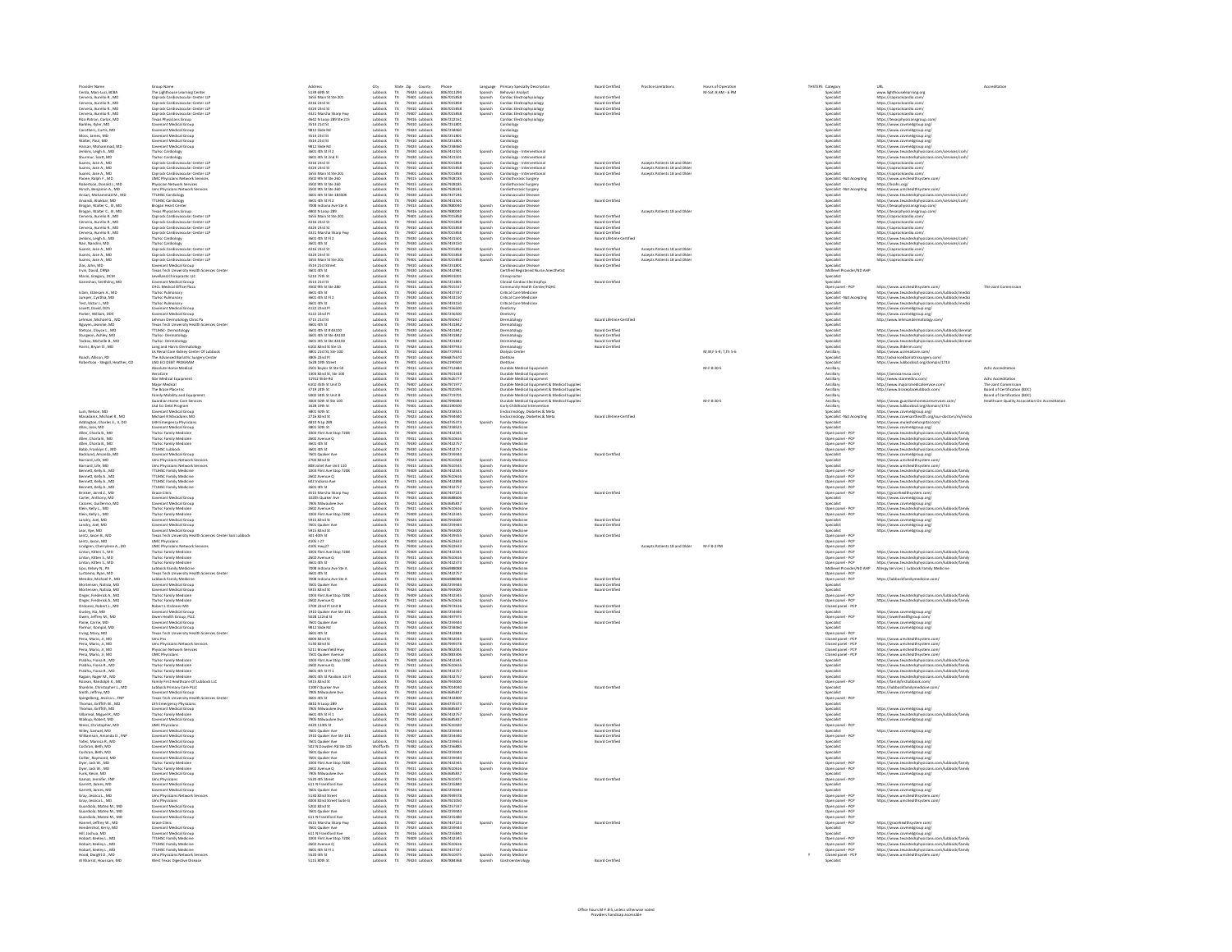| Provider Name                                                                                                                                                                                                                                                                                                   | Group Name<br>The Lighthouse Learning Center                                                                                                                                                                                                                                                        | Address                                                                                                                                                                      | City                                                                                            |                                                                                                                                                                           | Phone                                                                                          |                                                     |                                                                                                                                                                                                                                            | <b>Board Certified</b>                                | <b>Practice Limitations</b>                                    | tours of Operatio      | THSTEPS Category |                                                                                                                                                        | URL                                                                                                                                                                                                                                                                                |                                                                                     |
|-----------------------------------------------------------------------------------------------------------------------------------------------------------------------------------------------------------------------------------------------------------------------------------------------------------------|-----------------------------------------------------------------------------------------------------------------------------------------------------------------------------------------------------------------------------------------------------------------------------------------------------|------------------------------------------------------------------------------------------------------------------------------------------------------------------------------|-------------------------------------------------------------------------------------------------|---------------------------------------------------------------------------------------------------------------------------------------------------------------------------|------------------------------------------------------------------------------------------------|-----------------------------------------------------|--------------------------------------------------------------------------------------------------------------------------------------------------------------------------------------------------------------------------------------------|-------------------------------------------------------|----------------------------------------------------------------|------------------------|------------------|--------------------------------------------------------------------------------------------------------------------------------------------------------|------------------------------------------------------------------------------------------------------------------------------------------------------------------------------------------------------------------------------------------------------------------------------------|-------------------------------------------------------------------------------------|
| Cerda, Mari-Luci, BCBA<br>Cervera, Aurelio R., MD                                                                                                                                                                                                                                                               | Caprock Cardiovascular Center LLP                                                                                                                                                                                                                                                                   | 5139 69th St<br>1655 Main St Ste 201                                                                                                                                         | Lubbock                                                                                         | State Zip County<br>TX 79424 Lubbock<br>TX 79401 Lubbock                                                                                                                  | 8067011294<br>8067015858                                                                       | Spanish                                             | Language Primary Specialty Description<br>Spanish Behavior Analyst<br>Cardiac Electrophysiology                                                                                                                                            | <b>Board Certified</b>                                |                                                                | M-Sat: 8 AM - 6 PM     |                  | Specialist<br>Specialist                                                                                                                               | www.lighthouselearning.org<br>https://caprockcardio.com                                                                                                                                                                                                                            |                                                                                     |
|                                                                                                                                                                                                                                                                                                                 |                                                                                                                                                                                                                                                                                                     |                                                                                                                                                                              | Libback                                                                                         |                                                                                                                                                                           | 8057015858                                                                                     |                                                     |                                                                                                                                                                                                                                            | <b>Board Certified</b>                                |                                                                |                        |                  |                                                                                                                                                        |                                                                                                                                                                                                                                                                                    |                                                                                     |
|                                                                                                                                                                                                                                                                                                                 |                                                                                                                                                                                                                                                                                                     | 4316 23rd St<br>4324 23rd St                                                                                                                                                 |                                                                                                 |                                                                                                                                                                           | 8057015858                                                                                     | Spanish<br>Spanish<br>Spanish                       |                                                                                                                                                                                                                                            | <b>Board Certifier</b>                                |                                                                |                        |                  |                                                                                                                                                        | https://caprocleardio.com/<br>https://caprocleardio.com/<br>https://caprocleardio.com/                                                                                                                                                                                             |                                                                                     |
| Cervera, Aurelio R., MD<br>Cervera, Aurelio R., MD<br>Cervera, Aurelio R., MD<br>Rizo Patron, Carlos, MD                                                                                                                                                                                                        | Caprock Cardiovascular Center LLP<br>Caprock Cardiovascular Center LLP<br>Caprock Cardiovascular Center LLP<br>Caprock Cardiovascular Center LLP<br>Texas Physicians Group<br>Covenant Medical Group<br>Covenant Medical Group<br>Covenant Medical                                                  | 4324 23rd St<br>4321 Marsha Sharp Fwy<br>4642 N Loop 289 Ste 215<br>3514 21st St<br>9812 Slide Rd<br>3514 21st St<br>2514 21st St<br>2514 21st St                            |                                                                                                 | 79401 Lubbock<br>79410 Lubbock<br>79407 Lubbock<br>79407 Lubbock<br>79410 Lubbock<br>79424 Lubbock<br>79410 Lubbock<br>79410 Lubbock<br>79410 Lubbock                     | 8057015858<br>8067222161                                                                       |                                                     | Cardiac Electrophysiology<br>Cardiac Electrophysiology<br>Cardiac Electrophysiology<br>Cardiac Electrophysiology<br>Cardiac Electrophysiology<br>Cardiology<br>Cardiology<br>Cardiology<br>Cardiology<br>Cardiology                        | <b>Board Certifies</b>                                |                                                                |                        |                  | specialist<br>Specialist<br>Specialist<br>Specialist<br>Specialist<br>Specialist<br>Specialist<br>Specialist                                           |                                                                                                                                                                                                                                                                                    |                                                                                     |
| Rea Patron, Carlos, MI<br>Barkley, Kyler, MD<br>Carothers, Curtis, MD<br>Moss, James, MD<br>Walter, Paul, MD                                                                                                                                                                                                    |                                                                                                                                                                                                                                                                                                     |                                                                                                                                                                              |                                                                                                 |                                                                                                                                                                           | 8067222161<br>8067251801<br>8067258460<br>8067251801                                           |                                                     |                                                                                                                                                                                                                                            |                                                       |                                                                |                        |                  |                                                                                                                                                        | https://caprockcardio.com/<br>https://texasphysicaregroup.com<br>https://www.covmedgroup.org/<br>https://www.covmedgroup.org/<br>https://www.covmedgroup.org/<br>https://www.covmedgroup.org/<br>https://www.covmedgroup.org/                                                      |                                                                                     |
|                                                                                                                                                                                                                                                                                                                 |                                                                                                                                                                                                                                                                                                     |                                                                                                                                                                              | Lubbock<br>Lubbock<br>Lubbock<br>Lubbock                                                        |                                                                                                                                                                           |                                                                                                |                                                     |                                                                                                                                                                                                                                            |                                                       |                                                                |                        |                  |                                                                                                                                                        |                                                                                                                                                                                                                                                                                    |                                                                                     |
|                                                                                                                                                                                                                                                                                                                 |                                                                                                                                                                                                                                                                                                     |                                                                                                                                                                              |                                                                                                 |                                                                                                                                                                           |                                                                                                |                                                     |                                                                                                                                                                                                                                            |                                                       |                                                                |                        |                  |                                                                                                                                                        |                                                                                                                                                                                                                                                                                    |                                                                                     |
| Hassan, Mohammad, MD                                                                                                                                                                                                                                                                                            | Covenant Medical Group                                                                                                                                                                                                                                                                              | 9812 Slide Rd                                                                                                                                                                | Lubbock                                                                                         | 79424 Lubbock                                                                                                                                                             | 8067258460                                                                                     |                                                     | Cardiology                                                                                                                                                                                                                                 |                                                       |                                                                |                        |                  | Specialist                                                                                                                                             | https://www.covmedgroup.org/                                                                                                                                                                                                                                                       |                                                                                     |
| Jenkins, Leigh A., MD                                                                                                                                                                                                                                                                                           |                                                                                                                                                                                                                                                                                                     | 3601 4th St Fl 2                                                                                                                                                             |                                                                                                 |                                                                                                                                                                           | 8067431501                                                                                     | Spanish                                             |                                                                                                                                                                                                                                            |                                                       |                                                                |                        |                  | Specialist                                                                                                                                             | https://www.texastechphysicians.com/services/ccvh                                                                                                                                                                                                                                  |                                                                                     |
| Shurmur, Scott, MD                                                                                                                                                                                                                                                                                              | <b>Ttuhsc Cardiology</b><br>Ttuhsc Cardiology                                                                                                                                                                                                                                                       | 3601 4th St 2nd F                                                                                                                                                            | Lubback<br>Lubback                                                                              | 79430 Lubbock<br>79430 Lubbock                                                                                                                                            | 8067431501                                                                                     |                                                     | Cardiology - Interventional<br>Cardiology - Interventional                                                                                                                                                                                 |                                                       |                                                                |                        |                  | Specialist                                                                                                                                             | https://www.texastechphysicians.com/services/ccvh                                                                                                                                                                                                                                  |                                                                                     |
| Suarez, Jose A., MD<br>Suarez, Jose A., MD                                                                                                                                                                                                                                                                      | Caprock Cardiovascular Center LLP                                                                                                                                                                                                                                                                   | 4316 23rd St<br>4324 23rd St                                                                                                                                                 | Lubbock                                                                                         | TX 79410 Lubbock                                                                                                                                                          | 8067015858<br>8067015858                                                                       | Spanish                                             | Cardiology - Interventional<br>Cardiology - Interventional<br>Cardiology - Interventional<br>Cardiothorasic Surgery                                                                                                                        | <b>Board Certified</b><br><b>Board Certified</b>      | Accepts Patients 18 and Older<br>Accepts Patients 18 and Older |                        |                  | Specialist<br>Specialist                                                                                                                               | https://caprockcardio.com/                                                                                                                                                                                                                                                         |                                                                                     |
|                                                                                                                                                                                                                                                                                                                 | Caprock Cardiovascular Center LLP<br>Caprock Cardiovascular Center LLP<br>UMC Physicians Network Services                                                                                                                                                                                           | 1655 Main St Ste 201                                                                                                                                                         | Lubbock<br>Lubbock<br>Lubbock                                                                   | 79410 Lubbock<br>79401 Lubbock<br>79415 Lubbock                                                                                                                           | 8067015858                                                                                     | Spanish<br>Spanish<br>Spanish                       |                                                                                                                                                                                                                                            | <b>Board Certified</b>                                | <b>Accepts Patients 18 and Olde</b>                            |                        |                  | <b>Specialist</b>                                                                                                                                      | https://caprockcardio.com/<br>https://caprockcardio.com                                                                                                                                                                                                                            |                                                                                     |
| Suarez, Jose A., MD<br>Paone, Ralph F., MD                                                                                                                                                                                                                                                                      |                                                                                                                                                                                                                                                                                                     | 3502 9th St Ste 260                                                                                                                                                          |                                                                                                 |                                                                                                                                                                           | 8067928185                                                                                     |                                                     |                                                                                                                                                                                                                                            |                                                       |                                                                |                        |                  | Specialist - Not Accepting                                                                                                                             | https://www.umchealths                                                                                                                                                                                                                                                             |                                                                                     |
| Padentson, Donald J., MD<br>Hirsch, Benjamin A., MD<br>Ansari, Mohammad M., MD                                                                                                                                                                                                                                  | <b>UNIC Priyacians Network Services</b><br>Physician Network Services<br>Umc Physicians Network Services<br>TTUHSC Cardiology<br>TTUHSC Cardiology                                                                                                                                                  | 3502 9th St Ste 260<br>3502 9th St Ste 260<br>3502 9th St Ste 260<br>3601 4th St Ste 1835<br>3601 4th St Fl 2                                                                | Lubbock<br>Lubbock<br>Lubbock<br>Lubbock<br>Lubbock<br>Lubbock<br>Lubbock                       | 79415 Lubbock<br>79415 Lubbock<br>79415 Lubbock<br>79430 Lubbock<br>79416 Lubbock<br>79416 Lubbock<br>79416 Lubbock<br>79416 Lubbock                                      | 8067928185<br>8067928185<br>8067928185<br>8067437246                                           |                                                     | Cardiothorasic Surgery<br>Cardiothorasic Surgery<br>Cardiovascular Disease                                                                                                                                                                 | <b>Board Certified</b>                                |                                                                |                        |                  |                                                                                                                                                        | ntsps://www.umcnewansysom.com/<br>https://bsahs.org/<br>https://www.umchealthsystem.com/<br>https://www.texastechphysicians.com/services/ccvh/<br>https://www.texastechphysicians.com/services/ccvh/                                                                               |                                                                                     |
|                                                                                                                                                                                                                                                                                                                 |                                                                                                                                                                                                                                                                                                     |                                                                                                                                                                              |                                                                                                 |                                                                                                                                                                           |                                                                                                |                                                     |                                                                                                                                                                                                                                            |                                                       |                                                                |                        |                  |                                                                                                                                                        |                                                                                                                                                                                                                                                                                    |                                                                                     |
| Arvandi, Aliakbar, MD                                                                                                                                                                                                                                                                                           |                                                                                                                                                                                                                                                                                                     |                                                                                                                                                                              |                                                                                                 |                                                                                                                                                                           | 8067431501                                                                                     |                                                     | Cardiovascular Disease                                                                                                                                                                                                                     | <b>Board Certified</b>                                |                                                                |                        |                  | Specialist                                                                                                                                             |                                                                                                                                                                                                                                                                                    |                                                                                     |
| Brogan, Walter C., III, MD                                                                                                                                                                                                                                                                                      |                                                                                                                                                                                                                                                                                                     | 7008 Indiana Ave Ste A                                                                                                                                                       |                                                                                                 |                                                                                                                                                                           | 8067880040                                                                                     |                                                     | Cardiovascular Disease                                                                                                                                                                                                                     |                                                       |                                                                |                        |                  | Specialist                                                                                                                                             |                                                                                                                                                                                                                                                                                    |                                                                                     |
| Brogan, Walter C., III, MD                                                                                                                                                                                                                                                                                      | Brogan Heart Center<br>Texas Physicians Group<br>Caprock Cardiovascular Center LLP                                                                                                                                                                                                                  | 4802 N Loop 289                                                                                                                                                              |                                                                                                 |                                                                                                                                                                           | 8067880040                                                                                     | Spanish<br>Spanish<br>Spanish                       | Cardiovascular Disease                                                                                                                                                                                                                     |                                                       | Accepts Patients 18 and Olde                                   |                        |                  | Specialist                                                                                                                                             | https://texasphysiciansgroup.com/<br>https://texasphysiciansgroup.com/                                                                                                                                                                                                             |                                                                                     |
| Cervera, Aurelio R., MD<br>Cervera, Aurelio R., MD                                                                                                                                                                                                                                                              | Caprock Cardiovascular Center LLP                                                                                                                                                                                                                                                                   | 1655 Main St Ste 201<br>4316 23rd St                                                                                                                                         | Lubbock                                                                                         | 79410 Lubbock                                                                                                                                                             | 8067015858<br>8067015858                                                                       |                                                     | Cardiovascular Disease<br>Cardiovascular Disease                                                                                                                                                                                           | <b>Board Certified</b><br>Board Certified             |                                                                |                        |                  | Specialist<br>Specialist                                                                                                                               | https://caprockcardio.com<br>https://caprockcardio.com/                                                                                                                                                                                                                            |                                                                                     |
| Cervera, Aurelio R., MD                                                                                                                                                                                                                                                                                         | Caprock Cardiovascular Center LLP                                                                                                                                                                                                                                                                   | 4324 23rd St                                                                                                                                                                 | Lubbock                                                                                         | 79410 Lubbock                                                                                                                                                             | 8067015858                                                                                     | Spanish<br>Spanish                                  | Cardiovascular Disease                                                                                                                                                                                                                     | <b>Board Certified</b>                                |                                                                |                        |                  | Specialist                                                                                                                                             | https://caprockcardio.com/                                                                                                                                                                                                                                                         |                                                                                     |
| Cervera, Aurelio R., MD                                                                                                                                                                                                                                                                                         | Caprock Cardiovascular Center LLP                                                                                                                                                                                                                                                                   | 4321 Marsha Sharo Fwy                                                                                                                                                        | Lubbock                                                                                         | 79407 Lubbock                                                                                                                                                             | 8067015858                                                                                     | Spanish                                             | Cardiovascular Disease                                                                                                                                                                                                                     | <b>Board Certified</b>                                |                                                                |                        |                  | Specialist                                                                                                                                             | https://caprockcardio.com/                                                                                                                                                                                                                                                         |                                                                                     |
| Jenkins, Leigh A., MD<br>Nair, Nandini, MD                                                                                                                                                                                                                                                                      |                                                                                                                                                                                                                                                                                                     | 3601 4th St Fl 2<br><b>GO1 4th St</b>                                                                                                                                        |                                                                                                 |                                                                                                                                                                           | 8057431501<br>8067433150                                                                       | Spanish                                             |                                                                                                                                                                                                                                            | Board Lifetime Certified                              |                                                                |                        |                  |                                                                                                                                                        |                                                                                                                                                                                                                                                                                    |                                                                                     |
|                                                                                                                                                                                                                                                                                                                 |                                                                                                                                                                                                                                                                                                     |                                                                                                                                                                              |                                                                                                 |                                                                                                                                                                           |                                                                                                |                                                     |                                                                                                                                                                                                                                            | <b>Board Certified</b>                                | Arrents Patients 18 and Olde                                   |                        |                  |                                                                                                                                                        |                                                                                                                                                                                                                                                                                    |                                                                                     |
|                                                                                                                                                                                                                                                                                                                 |                                                                                                                                                                                                                                                                                                     |                                                                                                                                                                              |                                                                                                 |                                                                                                                                                                           | 8067015858                                                                                     |                                                     |                                                                                                                                                                                                                                            |                                                       | Arrents Patients 18 and Olde                                   |                        |                  |                                                                                                                                                        |                                                                                                                                                                                                                                                                                    |                                                                                     |
| Nair, Nandini, MD<br>Suarez, Jose A., MD<br>Suarez, Jose A., MD<br>Suarez, Jose A., MD<br>Zias, John, MD<br>Irvin, David, CRNA<br>Marin, Gregory, DCM                                                                                                                                                           | Caprod. Cardiovaccular Center LLP<br>Thuhc Cardiology<br>Thuhc Cardiology<br>Caprod. Cardiovaccular Center LLP<br>Caprod. Cardiovaccular Center LLP<br>Caprod. Cardiovaccular Center LLP<br>Censenant Muslical Group<br>Treas Test University Healt                                                 | 3601 4th 5t<br>4316 23rd 5t<br>4324 23rd 5t<br>1655 Main 5t 5te 201<br>3514 21st 5treet<br>2601 4th 5t                                                                       | Lubbock<br>Lubbock<br>Lubbock<br>Lubbock<br>Lubbock<br>Lubbock<br>Lubbock<br>Lubbock            | 79407 tubbock<br>79430 tubbock<br>79430 tubbock<br>79410 tubbock<br>79410 tubbock<br>79420 tubbock<br>79424 tubbock<br>79424 tubbock<br>79424 tubbock                     | 8067015858<br>8067015858<br>8067251801<br>8067432981<br>8069931001                             | Spanish<br>Spanish<br>Spanish                       | Cardiovaccular Disease<br>Cardiovaccular Disease<br>Cardiovaccular Disease<br>Cardiovaccular Disease<br>Cardiovaccular Disease<br>Cardiovaccular Disease<br>Cardiovaccular Disease<br>Chiropractor<br>Chiropractor<br>Chiropractor         | Board Certified<br>Board Certified<br>Board Certified | Accepts Patients 18 and Olde                                   |                        |                  | Specialist<br>Specialist<br>Specialist<br>Specialist<br>Specialist<br>Midlevel Provider/ND AHP<br>Midlevel Provider/ND AHP<br>Midlevel Provider/ND AHP | https://caprockcarello.com/<br>https://www.kavastechphysic<br>https://www.kavastechphysic<br>https://caprockcarello.com/<br>https://caprockcarello.com/<br>https://caprockcarello.com/                                                                                             |                                                                                     |
|                                                                                                                                                                                                                                                                                                                 |                                                                                                                                                                                                                                                                                                     |                                                                                                                                                                              |                                                                                                 |                                                                                                                                                                           |                                                                                                |                                                     |                                                                                                                                                                                                                                            |                                                       |                                                                |                        |                  |                                                                                                                                                        |                                                                                                                                                                                                                                                                                    |                                                                                     |
|                                                                                                                                                                                                                                                                                                                 |                                                                                                                                                                                                                                                                                                     | 3601 4th St<br>5214 75th St                                                                                                                                                  |                                                                                                 |                                                                                                                                                                           |                                                                                                |                                                     | Chiropractor                                                                                                                                                                                                                               |                                                       |                                                                |                        |                  | Specialist                                                                                                                                             |                                                                                                                                                                                                                                                                                    |                                                                                     |
| Ganeshan, Senthilraj, MD                                                                                                                                                                                                                                                                                        | Covenant Medical Group                                                                                                                                                                                                                                                                              | 3514 21st St                                                                                                                                                                 | Lubbock                                                                                         | TX 79410 Lubbock                                                                                                                                                          | 8067251801                                                                                     |                                                     | Clinical Cardiac Electrophys                                                                                                                                                                                                               | <b>Board Certified</b>                                |                                                                |                        |                  | Specialist                                                                                                                                             |                                                                                                                                                                                                                                                                                    |                                                                                     |
|                                                                                                                                                                                                                                                                                                                 | CHCL Medical Office Plaza                                                                                                                                                                                                                                                                           | 3502 9th St Ste 280                                                                                                                                                          | Lubbock                                                                                         | 79415 Lubbock                                                                                                                                                             | 8067915537                                                                                     |                                                     | Community Health Center/FQHC                                                                                                                                                                                                               |                                                       |                                                                |                        |                  | Open panel - PCP                                                                                                                                       | https://www.umchealthsystem.com/                                                                                                                                                                                                                                                   | The Joint Commission                                                                |
| Islam, Ebtesam A., MD                                                                                                                                                                                                                                                                                           | Ttuhsc Pulmonary<br>Ttuhsc Pulmonary                                                                                                                                                                                                                                                                | 3601 4th St<br>3601 4th St Fl 2                                                                                                                                              | Lubbock                                                                                         | TX 79430 Lubbock                                                                                                                                                          | 8067437337<br>8067433150                                                                       |                                                     | Critical Care Medicine<br>Critical Care Medicine                                                                                                                                                                                           |                                                       |                                                                |                        |                  | Specialist<br>Specialist - Not Accepting                                                                                                               | https://www.texastechphysicians.com/lubbock/medici                                                                                                                                                                                                                                 |                                                                                     |
|                                                                                                                                                                                                                                                                                                                 | <b>Ttuhsc Pulmonary</b>                                                                                                                                                                                                                                                                             | 3601 4th St                                                                                                                                                                  |                                                                                                 |                                                                                                                                                                           | 8067433150                                                                                     |                                                     | <b>Critical Care Medicine</b>                                                                                                                                                                                                              |                                                       |                                                                |                        |                  | <b>Specialist</b>                                                                                                                                      | https://www.texastechphysicians.com/lubbock/medici<br>https://www.texastechphysicians.com/lubbock/medici                                                                                                                                                                           |                                                                                     |
| Jumper, Cynthia, MD<br>Test, Victor J., MD<br>Lovett, David, DDS<br>Parker, William, DDS                                                                                                                                                                                                                        | Covenant Medical Group                                                                                                                                                                                                                                                                              | 4122 22nd Pl                                                                                                                                                                 | Lubbock<br>Lubbock<br>Lubbock<br>Lubbock                                                        | TX 79430 Lubbock<br>TX 79430 Lubbock<br>TX 79410 Lubbock<br>TX 79410 Lubbock                                                                                              | 8067256500                                                                                     |                                                     | Dentistry<br>Dentistry                                                                                                                                                                                                                     |                                                       |                                                                |                        |                  | <b>Specialist</b>                                                                                                                                      | https://www.coxmedgroup.org/<br>https://www.covmedgroup.org/<br>http://www.lehmandermatology.co                                                                                                                                                                                    |                                                                                     |
|                                                                                                                                                                                                                                                                                                                 | Covenant Medical Group                                                                                                                                                                                                                                                                              | 4122 22nd Pl                                                                                                                                                                 |                                                                                                 |                                                                                                                                                                           | 8067256500                                                                                     |                                                     |                                                                                                                                                                                                                                            |                                                       |                                                                |                        |                  | <b>Specialist</b>                                                                                                                                      |                                                                                                                                                                                                                                                                                    |                                                                                     |
| Lehman, Michael G., MD<br>Nguyen, Jeannie, MD<br>Stetson, Cloyce L., MD                                                                                                                                                                                                                                         | Covening Network Group<br>Texas Tech University Health Sciences Center<br>TTUHSC- Dermatology                                                                                                                                                                                                       | 9222 2258 58<br>3601 4th St<br>3601 4th St # 4A100                                                                                                                           | Lubbock<br>Lubbock<br>Lubbock                                                                   | 79410 Lubbock<br>79430 Lubbock<br>79430 Lubbock<br>79430 Lubbock<br>79430 Lubbock<br>79424 Lubbock<br>79410 Lubbock<br>79410 Lubbock                                      | 8067950617<br>8067950617<br>8067431842                                                         |                                                     | Dermatology<br>Dermatology<br>Dermatology                                                                                                                                                                                                  | Board Lifetime Certifier                              |                                                                |                        |                  |                                                                                                                                                        |                                                                                                                                                                                                                                                                                    |                                                                                     |
|                                                                                                                                                                                                                                                                                                                 |                                                                                                                                                                                                                                                                                                     |                                                                                                                                                                              |                                                                                                 |                                                                                                                                                                           |                                                                                                |                                                     |                                                                                                                                                                                                                                            | <b>Board Certified</b>                                |                                                                |                        |                  |                                                                                                                                                        | https://www.texastechphysicians.com/lubbock/derma                                                                                                                                                                                                                                  |                                                                                     |
|                                                                                                                                                                                                                                                                                                                 |                                                                                                                                                                                                                                                                                                     | 3601 4th St Ste 4A10                                                                                                                                                         |                                                                                                 |                                                                                                                                                                           | 8067431842                                                                                     |                                                     | Dermatology                                                                                                                                                                                                                                |                                                       |                                                                |                        |                  | Specialist                                                                                                                                             |                                                                                                                                                                                                                                                                                    |                                                                                     |
| Sturgeon, Ashley, MD<br>Tarbox, Michelle B., MD                                                                                                                                                                                                                                                                 | Ttuhsc-Dermatology<br>Ttuhsc-Dermatology                                                                                                                                                                                                                                                            | 3601 4th St Ste 4A10                                                                                                                                                         | Lubbock<br>Lubbock<br>Lubbock<br>Lubbock                                                        |                                                                                                                                                                           | 8067431842                                                                                     |                                                     | Dermatology                                                                                                                                                                                                                                | <b>Board Certified<br/>Board Certified</b>            |                                                                |                        |                  | Specialist                                                                                                                                             | https://www.texastechphysicians.com/lubbock/dermat<br>https://www.texastechphysicians.com/lubbock/dermat<br>https://www.lhderm.com/                                                                                                                                                |                                                                                     |
| Harris, Bryan D., MD                                                                                                                                                                                                                                                                                            | Long and Harris Dermatology<br>Us Renal Care Kidney Center Of Lubbock                                                                                                                                                                                                                               | 6102 82nd St Ste 15<br>3801 21st St, Ste 100                                                                                                                                 |                                                                                                 |                                                                                                                                                                           | 8067497933<br>8067719933                                                                       |                                                     | Dermatology<br><b>Dialysis Center</b>                                                                                                                                                                                                      | <b>Board Certified</b>                                |                                                                | M, W, F 5-9; T, Th 5-6 |                  | Specialist<br>Ancillary                                                                                                                                | https://www.usrenalcare.com/                                                                                                                                                                                                                                                       |                                                                                     |
| Roach, Allison, RD                                                                                                                                                                                                                                                                                              | The Advanced Bariatric Surgery Center                                                                                                                                                                                                                                                               | 3805 22nd Pl                                                                                                                                                                 | Lubbock                                                                                         | 79410 Lubbock                                                                                                                                                             | 8066875670                                                                                     |                                                     | Dietitian                                                                                                                                                                                                                                  |                                                       |                                                                |                        |                  | Specialist                                                                                                                                             | http://advancedbariatricsurgery.com                                                                                                                                                                                                                                                |                                                                                     |
| Robertson - Stegall, Heather, CD                                                                                                                                                                                                                                                                                | <b>LISD ECI DEBT PROGRAM</b>                                                                                                                                                                                                                                                                        | 1628 19th Street                                                                                                                                                             | Lubbock                                                                                         | 79401 Lubbock                                                                                                                                                             | 8062190500                                                                                     |                                                     | Dietitian                                                                                                                                                                                                                                  |                                                       |                                                                |                        |                  | <b>Specialist</b>                                                                                                                                      | https://www.lubbockisd.org/domain/1713                                                                                                                                                                                                                                             |                                                                                     |
|                                                                                                                                                                                                                                                                                                                 | Absolute Home Medical                                                                                                                                                                                                                                                                               | 2501 Baylor St Ste St<br>1303 82nd St. Ste 100                                                                                                                               | Lubbock                                                                                         | 79415 Lubbock                                                                                                                                                             | 8067712684<br>8057921418                                                                       |                                                     | Durable Medical Equipment                                                                                                                                                                                                                  |                                                       |                                                                | M-F 8:30-5             |                  | Ancillary                                                                                                                                              | https://aprocarpusa.com/                                                                                                                                                                                                                                                           | Achc Accreditation                                                                  |
|                                                                                                                                                                                                                                                                                                                 | Althonomethicus (1988)<br>AeroCare<br>Star Medical Equipment                                                                                                                                                                                                                                        |                                                                                                                                                                              |                                                                                                 |                                                                                                                                                                           |                                                                                                |                                                     |                                                                                                                                                                                                                                            |                                                       |                                                                |                        |                  |                                                                                                                                                        |                                                                                                                                                                                                                                                                                    |                                                                                     |
|                                                                                                                                                                                                                                                                                                                 |                                                                                                                                                                                                                                                                                                     |                                                                                                                                                                              |                                                                                                 |                                                                                                                                                                           | 8067626777                                                                                     |                                                     |                                                                                                                                                                                                                                            |                                                       |                                                                |                        |                  | Ancillary<br>Ancillary<br>Ancillary<br>Ancillary<br>Ancillary<br>Ancillary                                                                             | ntips://wirocareusa.com/<br>http://www.starmedinc.com/<br>http://www.majorsmedicalservice.com<br>http://www.braceplacelubbock.com/                                                                                                                                                 | Achc Accreditation<br>The Joint Commis                                              |
|                                                                                                                                                                                                                                                                                                                 |                                                                                                                                                                                                                                                                                                     |                                                                                                                                                                              |                                                                                                 |                                                                                                                                                                           | 8067920395                                                                                     |                                                     |                                                                                                                                                                                                                                            |                                                       |                                                                |                        |                  |                                                                                                                                                        |                                                                                                                                                                                                                                                                                    | The Jons Commission<br>Board of Certification (BOC)<br>Board of Certification (BOC) |
|                                                                                                                                                                                                                                                                                                                 |                                                                                                                                                                                                                                                                                                     |                                                                                                                                                                              |                                                                                                 |                                                                                                                                                                           |                                                                                                |                                                     |                                                                                                                                                                                                                                            |                                                       |                                                                | M-F 8:30-5             |                  |                                                                                                                                                        |                                                                                                                                                                                                                                                                                    |                                                                                     |
|                                                                                                                                                                                                                                                                                                                 |                                                                                                                                                                                                                                                                                                     |                                                                                                                                                                              |                                                                                                 |                                                                                                                                                                           |                                                                                                |                                                     |                                                                                                                                                                                                                                            |                                                       |                                                                |                        |                  | Incillary<br>Ancillary                                                                                                                                 |                                                                                                                                                                                                                                                                                    | Healthcare Quality As                                                               |
| Lum, Nelson, MD                                                                                                                                                                                                                                                                                                 | Star Medical Equipment<br>Major Medical<br>The Brace Place Inc<br>Family Mobility and Equipment<br>Guardian Home Care Services<br>Lisd Eci Debt Program<br>Alfohad B Macorlaner Mft<br>Mechad B Macorlaner Mft                                                                                      | 1303 82nd St, Ste 100<br>11912 Slide Rd<br>6102 45th St Unit D<br>6102 45th St<br>3719 24th St<br>5002 34th St Unit B<br>3003 50th St Ste 100<br>1628 19th St<br>3801 50h St | Lubbock<br>Lubbock<br>Lubbock<br>Lubbock<br>Lubbock<br>Lubbock<br>Lubbock<br>Lubbock            | 79423 Lubbock<br>79424 Lubbock<br>79424 Lubbock<br>79407 Lubbock<br>79410 Lubbock<br>79413 Lubbock<br>79413 Lubbock<br>79413 Lubbock<br>79413 Lubbock                     | 8067920395<br>8067996084<br>8067996084<br>8062190500<br>8067258525                             |                                                     | Durable Medical Equipment<br>Durable Medical Equipment<br>Durable Medical Equipment<br>Durable Medical Equipment & Medical Supplies<br>Durable Medical Equipment & Medical Supplies<br>Durable Medical Equipment & Medical Supplies<br>Dur |                                                       |                                                                |                        |                  | Specialist                                                                                                                                             | https://www.guardianhomecareservices.com/<br>https://www.lubbockisd.org/domain/1713<br>https://www.covmedgroup.org/                                                                                                                                                                |                                                                                     |
| Macadams, Michael R., MC                                                                                                                                                                                                                                                                                        | Michael R Macadams MD                                                                                                                                                                                                                                                                               | 2716 82nd St                                                                                                                                                                 | Lubbock                                                                                         | TX 79423 Lubbock                                                                                                                                                          | 8067934440                                                                                     |                                                     |                                                                                                                                                                                                                                            | Board Lifetime Certified                              |                                                                |                        |                  | Specialist - Not Accepting                                                                                                                             | https://www.covenanthealth.org/our-doctors/m/micha                                                                                                                                                                                                                                 |                                                                                     |
| Addington, Charles E., II, DO<br>Allas, Jose, MD                                                                                                                                                                                                                                                                | LHH Emergency Physicians<br>Covenant Medical Group                                                                                                                                                                                                                                                  | 4810 N Lp 289<br>3801 50th St                                                                                                                                                | Lubback<br>Lubback                                                                              | $\begin{tabular}{ll} Tx & 79414 tubback \\ Tx & 79413 tubback \\ \end{tabular}$                                                                                           | 8064735373<br>8067258525                                                                       | Spanish                                             | Family Medicine                                                                                                                                                                                                                            |                                                       |                                                                |                        |                  | Specialist<br>Specialist                                                                                                                               | https://www.muleshoehospital.com/<br>https://www.covmedgroup.org/                                                                                                                                                                                                                  |                                                                                     |
| Allen, Charla B., MD                                                                                                                                                                                                                                                                                            | Ttuhsc Family Medicine                                                                                                                                                                                                                                                                              | 1003 Flint Ave Stop 7208                                                                                                                                                     | Lubbock                                                                                         |                                                                                                                                                                           | 8067432345                                                                                     |                                                     | Family Medicine                                                                                                                                                                                                                            |                                                       |                                                                |                        |                  |                                                                                                                                                        |                                                                                                                                                                                                                                                                                    |                                                                                     |
|                                                                                                                                                                                                                                                                                                                 | Tuhsc Family Medicine<br>Tuhsc Family Medicine<br>TTUHSC Lubbock                                                                                                                                                                                                                                    | 2602 Avenue Q                                                                                                                                                                | Lubbock<br>Lubbock<br>Lubbock                                                                   | TX 79409 Lubbock<br>TX 79411 Lubbock<br>TX 79430 Lubbock<br>TX 79430 Lubbock                                                                                              | 8067610616                                                                                     |                                                     | Family Medicine                                                                                                                                                                                                                            |                                                       |                                                                |                        |                  | Open panel - PCP<br>Open panel - PCP<br>Open panel - PCP<br>Open panel - PCP                                                                           | https://www.texastechphysicians.com/lubbock/family<br>https://www.texastechphysicians.com/lubbock/family<br>https://www.texastechphysicians.com/lubbock/family<br>https://www.texastechphysicians.com/lubbock/family<br>https://www.texast                                         |                                                                                     |
|                                                                                                                                                                                                                                                                                                                 |                                                                                                                                                                                                                                                                                                     | 3601 4th St<br>12 disc road                                                                                                                                                  |                                                                                                 |                                                                                                                                                                           | 8067432757<br>8067432757                                                                       |                                                     | <b>Family Medicine</b><br>Family Medicine                                                                                                                                                                                                  |                                                       |                                                                |                        |                  |                                                                                                                                                        |                                                                                                                                                                                                                                                                                    |                                                                                     |
| Allen, Charla B., MD<br>Allen, Charla B., MD<br>Allen, Charla B., MD<br>Babb, Franklyn C., MD<br>Backlund, Amanda, MD<br>Bamard, Life, MD<br>Bannard, Life, MD<br>Bannard, Life, MD                                                                                                                             | <b>Covenant Medical Group<br/>Umc Physicians Network Services<br/>Umc Physicians Network Services</b>                                                                                                                                                                                               | 3601 401 5t<br>7601 Quaker Ave<br>2703 82nd St<br>808 Joliet Ave Unit 110                                                                                                    | Lubbock<br>Lubbock<br>Lubbock<br>Lubbock                                                        | 79430 Lubbock<br>79424 Lubbock<br>79425 Lubbock<br>79415 Lubbock<br>79411 Lubbock<br>79415 Lubbock<br>7943 Lubbock<br>79402 Lubbock                                       | 8067432757<br>8067259444<br>8067610428<br>8067610545                                           |                                                     | Family Medicine<br>Family Medicine<br>Family Medicine<br>Family Medicine                                                                                                                                                                   | <b>Board Certified</b>                                |                                                                |                        |                  | upen par<br>Specialist<br>Specialist<br>Specialist                                                                                                     | ntsps://www.ussastetnprrysisams.com<br>https://www.covmedgroup.org/<br>https://www.umchealthsystem.com/<br>https://www.umchealthsystem.com/                                                                                                                                        |                                                                                     |
|                                                                                                                                                                                                                                                                                                                 |                                                                                                                                                                                                                                                                                                     |                                                                                                                                                                              |                                                                                                 |                                                                                                                                                                           |                                                                                                | Spanish<br>Spanish<br>Spanish<br>Spanish<br>Spanish |                                                                                                                                                                                                                                            |                                                       |                                                                |                        |                  |                                                                                                                                                        |                                                                                                                                                                                                                                                                                    |                                                                                     |
|                                                                                                                                                                                                                                                                                                                 |                                                                                                                                                                                                                                                                                                     |                                                                                                                                                                              |                                                                                                 |                                                                                                                                                                           |                                                                                                |                                                     |                                                                                                                                                                                                                                            |                                                       |                                                                |                        |                  |                                                                                                                                                        |                                                                                                                                                                                                                                                                                    |                                                                                     |
| Bennett, Kelly A., MD<br>Bennett, Kelly A., MD                                                                                                                                                                                                                                                                  | <b>TTUHSC Family Medicine</b>                                                                                                                                                                                                                                                                       | 1003 Flint Ave Stop 7208                                                                                                                                                     | Lubbock<br>Lubbock<br>Lubbock<br>Lubbock                                                        |                                                                                                                                                                           | 8067432345                                                                                     |                                                     | Family Medicine<br>Family Medicine                                                                                                                                                                                                         |                                                       |                                                                |                        |                  | Open panel - PCF                                                                                                                                       | https://www.texastechphysicians.com/lubbock/family<br>https://www.texastechphysicians.com/lubbock/family<br>https://www.texastechphysicians.com/lubbock/family                                                                                                                     |                                                                                     |
| Bennett, Kelly A., MD                                                                                                                                                                                                                                                                                           | <b>TTUHSC Family Medicine</b><br><b>TTUHSC Family Medicine</b>                                                                                                                                                                                                                                      | 2602 Avenue Q<br>602 Indiana Ave                                                                                                                                             |                                                                                                 |                                                                                                                                                                           | 8067610616<br>8067432898                                                                       |                                                     | Family Medicine                                                                                                                                                                                                                            |                                                       |                                                                |                        |                  | Open panel - PCP<br>Open panel - PCP                                                                                                                   |                                                                                                                                                                                                                                                                                    |                                                                                     |
| Bennett, Kelly A., MD                                                                                                                                                                                                                                                                                           | <b>TTUHSC Family Medicine</b>                                                                                                                                                                                                                                                                       | 3601 4th St                                                                                                                                                                  |                                                                                                 |                                                                                                                                                                           | 8067432757                                                                                     |                                                     | Family Medicine                                                                                                                                                                                                                            |                                                       |                                                                |                        |                  | Open panel - PCP                                                                                                                                       | https://www.texastechphysicians.com/lubbock/famil                                                                                                                                                                                                                                  |                                                                                     |
| Brinker, Jared Z., MD                                                                                                                                                                                                                                                                                           | Grace Clinic                                                                                                                                                                                                                                                                                        | 4515 Marsha Sharo Fwy                                                                                                                                                        | Lubbock<br>TX                                                                                   | 79407 Lubbock                                                                                                                                                             | 8067447223                                                                                     |                                                     | Family Medicine                                                                                                                                                                                                                            | <b>Board Certified</b>                                |                                                                |                        |                  | Open panel - PCP                                                                                                                                       | https://gracehealthsystem.com/                                                                                                                                                                                                                                                     |                                                                                     |
| Carter, Anthony, MD<br>Cazares, Guillermo, MD                                                                                                                                                                                                                                                                   | Covenant Medical Group<br>Covenant Medical Group                                                                                                                                                                                                                                                    | 10205 Quaker Ave<br>7905 Milwaukee Ave                                                                                                                                       | Lubbock<br>Lubbock                                                                              | 79424 Lubbock<br>79424 Lubbock                                                                                                                                            | 8063688606<br>8063685837                                                                       |                                                     | Family Medicine<br>Family Medicine                                                                                                                                                                                                         |                                                       |                                                                |                        |                  | <b>Specialist</b><br>Specialist                                                                                                                        | https://www.covmedaroup.org/<br>https://www.covmederoup.org/                                                                                                                                                                                                                       |                                                                                     |
| Casares, Guinermo<br>Klein, Kelly L., MD<br>Klein, Kelly L., MD<br>Landry, Joel, MD<br>Landry, Joel, MD                                                                                                                                                                                                         | .<br>Ttuhsc Family Medicine<br>Ttuhsc Family Medicine                                                                                                                                                                                                                                               | 2602 Avenue Q<br>2602 Avenue Q<br>1003 Flint Ave Stop 7208                                                                                                                   |                                                                                                 |                                                                                                                                                                           | 8067610616<br>8067432345<br>8067943000<br>8067259444                                           |                                                     |                                                                                                                                                                                                                                            |                                                       |                                                                |                        |                  |                                                                                                                                                        | https://www.covmedgroup.org/<br>https://www.baxastachphysicians.com/lubbock/famil<br>https://www.baxastachphysicians.com/lubbock/famil<br>https://www.covmedgroup.org/<br>https://www.covmedgroup.org/<br>https://www.covmedgroup.org/                                             |                                                                                     |
|                                                                                                                                                                                                                                                                                                                 |                                                                                                                                                                                                                                                                                                     |                                                                                                                                                                              |                                                                                                 |                                                                                                                                                                           |                                                                                                | Spanish<br>Spanish                                  |                                                                                                                                                                                                                                            |                                                       |                                                                |                        |                  | -<br>Open panel - PCP<br>Open panel - PCP<br>Specialist<br>Specialist                                                                                  |                                                                                                                                                                                                                                                                                    |                                                                                     |
|                                                                                                                                                                                                                                                                                                                 |                                                                                                                                                                                                                                                                                                     | 1003 Film AW 502<br>5915 82nd St<br>7601 Quaker Aw                                                                                                                           |                                                                                                 |                                                                                                                                                                           |                                                                                                |                                                     |                                                                                                                                                                                                                                            | <b>Board Certified<br/>Board Certified</b>            |                                                                |                        |                  |                                                                                                                                                        |                                                                                                                                                                                                                                                                                    |                                                                                     |
| Lear, Kye, MD                                                                                                                                                                                                                                                                                                   |                                                                                                                                                                                                                                                                                                     |                                                                                                                                                                              |                                                                                                 |                                                                                                                                                                           |                                                                                                |                                                     |                                                                                                                                                                                                                                            |                                                       |                                                                |                        |                  |                                                                                                                                                        |                                                                                                                                                                                                                                                                                    |                                                                                     |
|                                                                                                                                                                                                                                                                                                                 |                                                                                                                                                                                                                                                                                                     |                                                                                                                                                                              |                                                                                                 |                                                                                                                                                                           |                                                                                                |                                                     |                                                                                                                                                                                                                                            |                                                       |                                                                |                        |                  |                                                                                                                                                        |                                                                                                                                                                                                                                                                                    |                                                                                     |
|                                                                                                                                                                                                                                                                                                                 |                                                                                                                                                                                                                                                                                                     |                                                                                                                                                                              |                                                                                                 |                                                                                                                                                                           |                                                                                                |                                                     |                                                                                                                                                                                                                                            | <b>Board Certified</b>                                |                                                                |                        |                  |                                                                                                                                                        |                                                                                                                                                                                                                                                                                    |                                                                                     |
|                                                                                                                                                                                                                                                                                                                 |                                                                                                                                                                                                                                                                                                     |                                                                                                                                                                              |                                                                                                 |                                                                                                                                                                           |                                                                                                | Spanish                                             |                                                                                                                                                                                                                                            |                                                       |                                                                |                        |                  |                                                                                                                                                        |                                                                                                                                                                                                                                                                                    |                                                                                     |
| יייים, קיצו, אוט<br>Lentz, Jason B., MD<br>Lentz, Jason, MD<br>Lindgren, Cherrylene A., DO                                                                                                                                                                                                                      |                                                                                                                                                                                                                                                                                                     | 7601 Quaker A<br>5915 82nd St<br>301 40th St<br>4105 1-27<br>4105 Hwy27                                                                                                      | Lubbock<br>Lubbock<br>Lubbock<br>Lubbock<br>Lubbock<br>Lubbock<br>Lubbock<br>Lubbock            | 79424 tubbock<br>79409 tubbock<br>79424 tubbock<br>79424 tubbock<br>79424 tubbock<br>79404 tubbock<br>79404 tubbock<br>79404 tubbock<br>79404 tubbock                     | 8067259444<br>8067943000<br>8067439355<br>8067622633<br>8067622633                             | Spanish                                             | Family Medicine<br>Family Medicine<br>Family Medicine<br>Family Medicine<br>Family Medicine<br>Family Medicine<br>Family Medicine<br>Family Medicine<br>Family Medicine                                                                    |                                                       | Accepts Patients 18 and Older M-F 8-2 PM                       |                        |                  |                                                                                                                                                        |                                                                                                                                                                                                                                                                                    |                                                                                     |
| Linton, Kitten S., MD                                                                                                                                                                                                                                                                                           | Tuhus Family Modicine<br>Covenant Medicial Group<br>Covenant Medicial Group<br>Covenant Medicial Group<br>Covenant Medicial Group<br>Covenant Medicial Group<br>UMC Physicians<br>UMC Physicians<br>Tuhus Physicians<br>Nully Christians Network Services<br>Ttuhsc Family Medicine                 | 1003 Flint Ave Stop 7208                                                                                                                                                     | Lubbock                                                                                         |                                                                                                                                                                           | 8067432345                                                                                     | Spanish                                             | Family Medicine                                                                                                                                                                                                                            |                                                       |                                                                |                        |                  | Specialist<br>Open panel - PCP<br>Open panel - PCP<br>Open panel - PCP<br>Criminano - PCP<br>Open panel - PCP                                          | https://www.texastechphysicians.com/lubbock/family                                                                                                                                                                                                                                 |                                                                                     |
| Linton, Kitten S., MD<br>Linton, Kitten S., MD                                                                                                                                                                                                                                                                  | Ttuhsc Family Medicine<br>Ttuhsc Family Medicine                                                                                                                                                                                                                                                    | 2602 Avenue Q<br>3601 4th St                                                                                                                                                 | Lubbock<br>Lubbock                                                                              | TX 79409 Lubbock<br>TX 79411 Lubbock<br>TX 79430 Lubbock                                                                                                                  | 8067610616<br>8067432373                                                                       | Spanish<br>Spanish                                  | Family Medicine<br>Family Medicine                                                                                                                                                                                                         |                                                       |                                                                |                        |                  | Open panel - PCP<br>Open panel - PCP                                                                                                                   | https://www.texastechphysicians.com/lubbock/famil<br>https://www.texastechphysicians.com/lubbock/famil                                                                                                                                                                             |                                                                                     |
|                                                                                                                                                                                                                                                                                                                 |                                                                                                                                                                                                                                                                                                     | 7008 Indiana Ave Ste A                                                                                                                                                       |                                                                                                 |                                                                                                                                                                           | 8066988088                                                                                     |                                                     |                                                                                                                                                                                                                                            |                                                       |                                                                |                        |                  | Midlevel Provider/ND AHP                                                                                                                               | Allergy Services   Lubbock Family Medicine                                                                                                                                                                                                                                         |                                                                                     |
|                                                                                                                                                                                                                                                                                                                 |                                                                                                                                                                                                                                                                                                     | 3601 4th St                                                                                                                                                                  |                                                                                                 |                                                                                                                                                                           |                                                                                                |                                                     | Family Medicine<br>Family Medicine                                                                                                                                                                                                         |                                                       |                                                                |                        |                  |                                                                                                                                                        |                                                                                                                                                                                                                                                                                    |                                                                                     |
| Lipo, Kelsey N., PA<br>Lurtsema, Ryan, MD<br>Mendez, Michael P., MD                                                                                                                                                                                                                                             | Lubbock Family Medicine<br>Texas Tech University Health Sciences Center<br>Lubbock Family Medicine<br>Covenant Medical Group                                                                                                                                                                        | 7008 Indiana Ave Ste A<br>7601 Quaker Ave                                                                                                                                    |                                                                                                 |                                                                                                                                                                           | 8067432757<br>8066988088<br>8067259444                                                         |                                                     | Fomily Medicine<br>Fomily Medicine                                                                                                                                                                                                         | <b>Board Certified</b><br><b>Board Certifier</b>      |                                                                |                        |                  |                                                                                                                                                        | https://lubborkfamilymedirine.com/                                                                                                                                                                                                                                                 |                                                                                     |
|                                                                                                                                                                                                                                                                                                                 |                                                                                                                                                                                                                                                                                                     |                                                                                                                                                                              |                                                                                                 |                                                                                                                                                                           |                                                                                                |                                                     |                                                                                                                                                                                                                                            | <b>Board Certifies</b>                                |                                                                |                        |                  | Open panel - PCP<br>Open panel - PCP<br>Specialist                                                                                                     |                                                                                                                                                                                                                                                                                    |                                                                                     |
|                                                                                                                                                                                                                                                                                                                 |                                                                                                                                                                                                                                                                                                     |                                                                                                                                                                              |                                                                                                 |                                                                                                                                                                           |                                                                                                |                                                     |                                                                                                                                                                                                                                            |                                                       |                                                                |                        |                  |                                                                                                                                                        |                                                                                                                                                                                                                                                                                    |                                                                                     |
| Mendez, Michael P., MD<br>Mortensen, Naticia, MD<br>Mortensen, Naticia, MD<br>Onger, Frederick A., MD<br>Onger, Frederick A., MD                                                                                                                                                                                | Covenant Medical Group<br>Covenant Medical Group<br>Ttuhsc Family Medicine<br>Ttuhsc Family Medicine                                                                                                                                                                                                |                                                                                                                                                                              | Lubbock<br>Lubbock<br>Lubbock<br>Lubbock<br>Lubbock<br>Lubbock<br>Lubbock                       | 1X 79450 Lubbock<br>TX 79450 Lubbock<br>TX 79453 Lubbock<br>TX 79424 Lubbock<br>TX 79424 Lubbock<br>TX 79411 Lubbock<br>TX 79411 Lubbock<br>TX 79411 Lubbock              | 8067943000<br>8067432345<br>8067610616                                                         | Spanish<br>Spanish                                  | Family Medicine<br>Family Medicine<br>Family Medicine<br>Family Medicine                                                                                                                                                                   |                                                       |                                                                |                        |                  | Specialist<br>Open panel - PCP<br>Open panel - PCP                                                                                                     | https://www.texastechphysicians.com/lubbock/family<br>https://www.texastechphysicians.com/lubbock/family                                                                                                                                                                           |                                                                                     |
| Ordonez, Robert L., MD<br>Ousley, Kia, MD                                                                                                                                                                                                                                                                       | Robert L Ordonez MD<br>Covenant Medical Group                                                                                                                                                                                                                                                       | 7601 Quaker Ave<br>5915 82nd St<br>1003 Flint Ave Stop 7208<br>2602 Avenue Q<br>3709 22nd Pl Unit B<br>1910 Quaker Ave Ste 10:                                               |                                                                                                 |                                                                                                                                                                           | 8067972616<br>8067254440                                                                       | Spanish                                             | Family Medicine<br>Family Medicine                                                                                                                                                                                                         | <b>Board Certified</b><br><b>Board Certified</b>      |                                                                |                        |                  | Closed panel - PCP<br>Specialist                                                                                                                       | https://www.covmedgroup.org/                                                                                                                                                                                                                                                       |                                                                                     |
| Owen, Jeffrey M., MD                                                                                                                                                                                                                                                                                            | Owen Health Group, PLLC                                                                                                                                                                                                                                                                             | 5028 122nd St                                                                                                                                                                |                                                                                                 |                                                                                                                                                                           | 8067497975                                                                                     |                                                     | Family Medicine                                                                                                                                                                                                                            |                                                       |                                                                |                        |                  | Open panel - PCP                                                                                                                                       |                                                                                                                                                                                                                                                                                    |                                                                                     |
| Paine, Carrie, MD<br>Parmar, Kompal, MD                                                                                                                                                                                                                                                                         | Covenant Medical Group<br>Covenant Medical Group                                                                                                                                                                                                                                                    | 7601 Quaker Ave<br>9812 Slide Rd                                                                                                                                             | Lubbock<br>Lubbock<br>Lubbock<br>Lubbock<br>Lubbock                                             | 79410 Lubbock<br>79407 Lubbock<br>79424 Lubbock<br>79424 Lubbock<br>79424 Lubbock                                                                                         | 8067259444<br>8067258460                                                                       |                                                     | Family Medicine<br>Family Medicine                                                                                                                                                                                                         | <b>Board Certified</b>                                |                                                                |                        |                  | Specialist<br>Specialist                                                                                                                               | https://owenhealthgroup.com/<br>https://www.covmedgroup.org/<br>https://www.covmedaroup.org/                                                                                                                                                                                       |                                                                                     |
| Irving, Mary, MD                                                                                                                                                                                                                                                                                                | Texas Tech University Health Sciences Center                                                                                                                                                                                                                                                        | 3601 4th St                                                                                                                                                                  | Lubbock                                                                                         | 79430 Lubbock                                                                                                                                                             | 8067432848                                                                                     |                                                     | Family Medicine                                                                                                                                                                                                                            |                                                       |                                                                |                        |                  | Open panel - PCP                                                                                                                                       |                                                                                                                                                                                                                                                                                    |                                                                                     |
| Pena, Mario, Jr. MD                                                                                                                                                                                                                                                                                             | Umc Pris                                                                                                                                                                                                                                                                                            | 4004 82nd St                                                                                                                                                                 | Lubbock                                                                                         | 79423 Lubbock                                                                                                                                                             | 8067852045                                                                                     | Spanish                                             | Family Medicine                                                                                                                                                                                                                            |                                                       |                                                                |                        |                  | Closed panel - PCP                                                                                                                                     | https://www.umchealthsystem.com/                                                                                                                                                                                                                                                   |                                                                                     |
|                                                                                                                                                                                                                                                                                                                 |                                                                                                                                                                                                                                                                                                     |                                                                                                                                                                              |                                                                                                 |                                                                                                                                                                           | 8057949378                                                                                     |                                                     |                                                                                                                                                                                                                                            |                                                       |                                                                |                        |                  |                                                                                                                                                        |                                                                                                                                                                                                                                                                                    |                                                                                     |
|                                                                                                                                                                                                                                                                                                                 |                                                                                                                                                                                                                                                                                                     |                                                                                                                                                                              |                                                                                                 |                                                                                                                                                                           | 8067852045                                                                                     |                                                     |                                                                                                                                                                                                                                            |                                                       |                                                                |                        |                  |                                                                                                                                                        |                                                                                                                                                                                                                                                                                    |                                                                                     |
|                                                                                                                                                                                                                                                                                                                 |                                                                                                                                                                                                                                                                                                     |                                                                                                                                                                              |                                                                                                 |                                                                                                                                                                           |                                                                                                | Spanish<br>Spanish<br>Spanish                       |                                                                                                                                                                                                                                            |                                                       |                                                                |                        |                  | Closed panel - PCP<br>Closed panel - PCP<br>Closed panel - PCP<br>Specialist                                                                           |                                                                                                                                                                                                                                                                                    |                                                                                     |
|                                                                                                                                                                                                                                                                                                                 |                                                                                                                                                                                                                                                                                                     |                                                                                                                                                                              |                                                                                                 |                                                                                                                                                                           |                                                                                                |                                                     |                                                                                                                                                                                                                                            |                                                       |                                                                |                        |                  | Specialist                                                                                                                                             |                                                                                                                                                                                                                                                                                    |                                                                                     |
| Pena, Mario, Jr, MD<br>Pena, Mario, Jr, MD<br>Pena, Mario, Jr, MD<br>Pena, Mario, Jr, MD<br>Prabhu, Fiona R., MD<br>Prabhu, Fiona R., MD<br>Prabhu, Fiona R., MD<br>Prabhu, Fiona R., MD<br>Prabhu, Fiona R., MD                                                                                                |                                                                                                                                                                                                                                                                                                     | 4004 82nd St<br>5130 82nd St<br>5211 Brownfield Hwy<br>7501 Quaker Avenue<br>1003 Flint Ave Stop 7208<br>2601 4th St Fuvilion 1ct Fl<br>8601 4th St Puvilion 1ct Fl          |                                                                                                 |                                                                                                                                                                           |                                                                                                | Spanish                                             |                                                                                                                                                                                                                                            |                                                       |                                                                |                        |                  | Specialist                                                                                                                                             |                                                                                                                                                                                                                                                                                    |                                                                                     |
| Ragain, Roger M., MD<br>Rozean, Randolph K., MD                                                                                                                                                                                                                                                                 |                                                                                                                                                                                                                                                                                                     | 3601 4th St Pavilion 1st Fl<br>5915 82nd St                                                                                                                                  |                                                                                                 |                                                                                                                                                                           |                                                                                                |                                                     |                                                                                                                                                                                                                                            |                                                       |                                                                |                        |                  | Specialist<br>Open panel - PCP                                                                                                                         |                                                                                                                                                                                                                                                                                    |                                                                                     |
| Shanklin, Christopher L., MD                                                                                                                                                                                                                                                                                    | Ume Pra<br>Ume Physicians Network Services<br>Physician Network Services<br>UMC Physicians<br>Tuhsc Family Medicine<br>Tuhsc Family Medicine<br>Tuhsc Family Medicine<br>Stuhsc Family Medicine<br>Family Medicine<br>Luhbode Prince COT UT<br>Luhbode Princ<br>Lubbock Primary Care PLLC           | 11007 Quaker Ave                                                                                                                                                             | Lubbock<br>Lubbock<br>Lubbock<br>Lubbock<br>Lubbock<br>Lubbock<br>Lubbock<br>Lubbock<br>Lubbock | 79423 Lubbock<br>79424 Lubbock<br>79424 Lubbock<br>79424 Lubbock<br>79430 Lubbock<br>79430 Lubbock<br>79430 Lubbock<br>79424 Lubbock<br>79424 Lubbock<br>TX 79424 Lubbock | 8067883306<br>8067432345<br>8067610616<br>8067432757<br>8067432757<br>8067943000<br>8067014040 |                                                     | ramny Medicine<br>Family Medicine<br>Family Medicine<br>Family Medicine<br>Family Medicine<br>Family Medicine<br>Family Medicine<br>Family Medicine<br>Family Medicine<br>Family Medicine<br>Family Medicine                               | <b>Board Certified</b>                                |                                                                |                        |                  | Specialist                                                                                                                                             | https://www.umchealthsystem.com/<br>https://www.umchealthsystem.com/<br>https://www.umchealthsystem.com/<br>https://www.umchealthsystem.com/<br>https://www.basastickhybyisicans.com/lubbock/family<br>https://www.basastickhybyisicans.com/<br>https://lubbockfamilymedicine.com/ |                                                                                     |
| Smith, Jeffrey, MD                                                                                                                                                                                                                                                                                              | Covenant Medical Group                                                                                                                                                                                                                                                                              | 7905 Milwaukee Ave                                                                                                                                                           |                                                                                                 |                                                                                                                                                                           | 8063685837                                                                                     |                                                     | Family Medicine                                                                                                                                                                                                                            |                                                       |                                                                |                        |                  | Specialist                                                                                                                                             | https://www.covmedgroup.org/                                                                                                                                                                                                                                                       |                                                                                     |
| Spiegelberg, Jessica L., FNP                                                                                                                                                                                                                                                                                    | Texas Tech University Health Sciences Center                                                                                                                                                                                                                                                        | 3601 4th St<br>4810 N Loop 289                                                                                                                                               | Lubbock<br>Lubbock                                                                              | TX 79424 Lubbock<br>TX 79430 Lubbock                                                                                                                                      | 8067432800<br>8064735373                                                                       | Spanish                                             | Family Medicine<br>Family Medicine                                                                                                                                                                                                         |                                                       |                                                                |                        |                  | Open panel - PCP<br><b>Specialist</b>                                                                                                                  |                                                                                                                                                                                                                                                                                    |                                                                                     |
| Thomas, Griffith W., MD<br>Thomas, Griffith, MD                                                                                                                                                                                                                                                                 |                                                                                                                                                                                                                                                                                                     | 7905 Milwaukee Ave                                                                                                                                                           |                                                                                                 |                                                                                                                                                                           | 8063685837                                                                                     |                                                     | Family Martinin                                                                                                                                                                                                                            |                                                       |                                                                |                        |                  | .<br>Snarialist                                                                                                                                        |                                                                                                                                                                                                                                                                                    |                                                                                     |
|                                                                                                                                                                                                                                                                                                                 |                                                                                                                                                                                                                                                                                                     | <b>1971 4th St FL1</b><br>7905 Milwaukee Ave                                                                                                                                 |                                                                                                 |                                                                                                                                                                           |                                                                                                | Spanish                                             | Family Madirin<br>Fomily Modiring                                                                                                                                                                                                          |                                                       |                                                                |                        |                  | .<br>Gwelet is<br>.<br>Gwelet is                                                                                                                       |                                                                                                                                                                                                                                                                                    |                                                                                     |
| <b>Villarreal, Miguel R., MD</b><br>Walkup, Robert, MD                                                                                                                                                                                                                                                          | Lih Emergency Physicians<br>Covenant Medical Group<br>Ttuhsc Family Medicine<br>Covenant Medical Group                                                                                                                                                                                              |                                                                                                                                                                              |                                                                                                 | TX 79414 Lubbock<br>TX 79424 Lubbock<br>TX 79430 Lubbock<br>TX 79424 Lubbock                                                                                              | 8067432757<br>8063685837                                                                       |                                                     |                                                                                                                                                                                                                                            |                                                       |                                                                |                        |                  |                                                                                                                                                        | https://www.covmedgroup.org/<br>https://www.texastechphysicians.com/lubbock/family<br>https://www.covmedgroup.org/                                                                                                                                                                 |                                                                                     |
|                                                                                                                                                                                                                                                                                                                 |                                                                                                                                                                                                                                                                                                     |                                                                                                                                                                              |                                                                                                 |                                                                                                                                                                           |                                                                                                |                                                     |                                                                                                                                                                                                                                            |                                                       |                                                                |                        |                  |                                                                                                                                                        | https://www.covmedgroup.org/                                                                                                                                                                                                                                                       |                                                                                     |
| Walkup, Robert, MD<br>Weiss, Christopher, MD<br>Williamson, Amanda D., FNP<br>Williamson, Amanda D., FNP                                                                                                                                                                                                        | Covenant Medical Group<br>Covenant Medical Group<br>Covenant Medical Group                                                                                                                                                                                                                          | 7905 hnirwww.nee<br>4420 114th St<br>7601 Quaker Ave<br>1910 Quaker Ave Ste 101                                                                                              |                                                                                                 |                                                                                                                                                                           | 8067610420<br>8067259444<br>8067254440                                                         |                                                     | Family Medicine<br>Family Medicine<br>Family Medicine<br>Family Medicine                                                                                                                                                                   | Board Certified<br>Board Certified<br>Board Certified |                                                                |                        |                  | -<br>Open panel - PCP<br>Specialist<br>Open panel - PCP                                                                                                |                                                                                                                                                                                                                                                                                    |                                                                                     |
| Yates, Marissa R., MD                                                                                                                                                                                                                                                                                           | Covenant Medical Group                                                                                                                                                                                                                                                                              |                                                                                                                                                                              | Lubbock<br>Lubbock<br>Lubbock<br>Lubbock<br>Lubbock<br>Lubbock<br>Lubbock                       |                                                                                                                                                                           | 8067259653                                                                                     |                                                     | Family Medicine                                                                                                                                                                                                                            | <b>Board Certified</b>                                |                                                                |                        |                  | Specialist                                                                                                                                             | https://www.covmedgroup.org/                                                                                                                                                                                                                                                       |                                                                                     |
| Cochran, Beth, MD<br>Cochran, Beth, MD                                                                                                                                                                                                                                                                          | Covenant Medical Group<br>Covenant Medical Group                                                                                                                                                                                                                                                    | 7601 Quaker Ave<br>502 N Dowden Rd Ste 105<br>7601 Quaker Ave                                                                                                                | Lubback<br>Wolfforth                                                                            | 79424 Lubbock<br>79424 Lubbock<br>79424 Lubbock<br>79424 Lubbock<br>7932 Lubbock<br>7932 Lubbock                                                                          | 8067256885<br>8067259444                                                                       |                                                     | Family Medicine<br>Family Medicine                                                                                                                                                                                                         |                                                       |                                                                |                        |                  | Specialist<br>Specialist                                                                                                                               | https://www.covmedgroup.org/<br>https://www.covmedgroup.org                                                                                                                                                                                                                        |                                                                                     |
| Collier, Raymond, MD                                                                                                                                                                                                                                                                                            | Covenant Medical Group                                                                                                                                                                                                                                                                              | 7601 Quaker Ave                                                                                                                                                              | Lubback<br>Lubback                                                                              | 79424 Lubbock<br>79424 Lubbock                                                                                                                                            | 8067259444                                                                                     |                                                     | Family Medicine                                                                                                                                                                                                                            |                                                       |                                                                |                        |                  | Specialist                                                                                                                                             | https://www.covmedgroup.org/                                                                                                                                                                                                                                                       |                                                                                     |
| Dyer, Jack W., MD                                                                                                                                                                                                                                                                                               | Ttuhsc Family Medicine                                                                                                                                                                                                                                                                              | 1003 Flint Ave Stop 7208                                                                                                                                                     | Lubbock                                                                                         |                                                                                                                                                                           | 8067432345                                                                                     | Spanish                                             | Family Medicine                                                                                                                                                                                                                            |                                                       |                                                                |                        |                  | Open panel - PCP                                                                                                                                       | https://www.texastechohysicians.com/lubbock/famil                                                                                                                                                                                                                                  |                                                                                     |
| Dyer, Jack W., MD                                                                                                                                                                                                                                                                                               | <b>Ttuhsc Family Medicine</b>                                                                                                                                                                                                                                                                       | 2602 Avenue Q                                                                                                                                                                | Lubbock                                                                                         | $\begin{tabular}{ll} Tx & 79409 tubback \\ Tx & 79411 tubback \\ \end{tabular}$                                                                                           | 8067610616                                                                                     | Spanish                                             | Family Medicine                                                                                                                                                                                                                            |                                                       |                                                                |                        |                  | Open panel - PCP                                                                                                                                       | https://www.texastechohysicians.com/lubbock/famil                                                                                                                                                                                                                                  |                                                                                     |
| Funk, Kevin, MD                                                                                                                                                                                                                                                                                                 | Covenant Medical Group                                                                                                                                                                                                                                                                              | 7905 Milwaukee Ave                                                                                                                                                           | Lubbock                                                                                         | 79411 Lubbock<br>79424 Lubbock                                                                                                                                            | 8063685837                                                                                     |                                                     | Family Medicine                                                                                                                                                                                                                            | <b>Board Certified</b>                                |                                                                |                        |                  | <b>Specialist</b>                                                                                                                                      | https://www.covmedgroup.org/                                                                                                                                                                                                                                                       |                                                                                     |
|                                                                                                                                                                                                                                                                                                                 |                                                                                                                                                                                                                                                                                                     |                                                                                                                                                                              |                                                                                                 |                                                                                                                                                                           | 8067610475<br>8067255840                                                                       |                                                     |                                                                                                                                                                                                                                            |                                                       |                                                                |                        |                  |                                                                                                                                                        |                                                                                                                                                                                                                                                                                    |                                                                                     |
|                                                                                                                                                                                                                                                                                                                 |                                                                                                                                                                                                                                                                                                     |                                                                                                                                                                              |                                                                                                 |                                                                                                                                                                           |                                                                                                |                                                     |                                                                                                                                                                                                                                            |                                                       |                                                                |                        |                  |                                                                                                                                                        |                                                                                                                                                                                                                                                                                    |                                                                                     |
|                                                                                                                                                                                                                                                                                                                 |                                                                                                                                                                                                                                                                                                     |                                                                                                                                                                              |                                                                                                 |                                                                                                                                                                           |                                                                                                |                                                     |                                                                                                                                                                                                                                            |                                                       |                                                                |                        |                  | Specialist<br>Open panel - PCP<br>Specialist<br>Open panel - PCP<br>Open panel - PCP                                                                   |                                                                                                                                                                                                                                                                                    |                                                                                     |
|                                                                                                                                                                                                                                                                                                                 |                                                                                                                                                                                                                                                                                                     |                                                                                                                                                                              |                                                                                                 |                                                                                                                                                                           | 8067255840<br>8067259444<br>8067949378<br>8067921050<br>8067257337                             |                                                     |                                                                                                                                                                                                                                            |                                                       |                                                                |                        |                  |                                                                                                                                                        | https://www.covmedgroup.org/<br>https://www.covmedgroup.org/<br>https://www.umchealthsystem.com/<br>https://www.umchealthsystem.com/                                                                                                                                               |                                                                                     |
|                                                                                                                                                                                                                                                                                                                 |                                                                                                                                                                                                                                                                                                     | 7905 Milwaukee Ave<br>5520 4th Street<br>611 N Frankford Ave<br>7601 Quaker Ave<br>5130 82nd Street<br>4004 82nd Street Suite G<br>5202 82nd St<br>6202 2016                 |                                                                                                 |                                                                                                                                                                           | 806725944                                                                                      |                                                     |                                                                                                                                                                                                                                            |                                                       |                                                                |                        |                  |                                                                                                                                                        |                                                                                                                                                                                                                                                                                    |                                                                                     |
|                                                                                                                                                                                                                                                                                                                 |                                                                                                                                                                                                                                                                                                     | 7601 Quaker Ave<br>611 N Frankford Ave                                                                                                                                       | Lubbock<br>Lubbock<br>Lubbock<br>Lubbock<br>Lubbock<br>Lubbock<br>Lubbock<br>Lubbock            | 79424 Lubbock<br>79416 Lubbock<br>79424 Lubbock<br>79424 Lubbock<br>79424 Lubbock<br>79424 Lubbock<br>79424 Lubbock<br>79424 Lubbock<br>79424 Lubbock                     | 8067255480                                                                                     |                                                     | ramny Medicine<br>Family Medicine<br>Family Medicine<br>Family Medicine<br>Family Medicine<br>Family Medicine<br>Family Medicine<br>Family Medicine<br>Family Medicine                                                                     |                                                       |                                                                |                        |                  | Open panel - PCP<br>Open panel - PCP<br>Open panel - PCP<br>Open panel - PCP                                                                           |                                                                                                                                                                                                                                                                                    |                                                                                     |
| Funk, Kevin, MD<br>Gamrat, Jennifer, FNP<br>Garrett, James, MD<br>Garrett, James, MD<br>Gray, Jessica L., MD<br>Gray, Jessica L., MD<br>Guardiola, Mateo M., MD<br>Guardiola, Mateo M., MD<br>Guardiola, Mateo M., MD<br>Guardiola, Mateo M., MD<br>Hamel. J<br>Hannel, Jeffrey W., MD<br>Hendershot, Kerry, MD | Covenant Medical Group<br>Covenant Medical Group<br>Covenant Medical Group<br>Covenant Medical Group<br>Lune Physicians Network Services<br>Lune Physicians<br>Covenant Medical Group<br>Covenant Medical Group<br>Covenant Medical Group<br>Covenant Med<br>Grace Clinic<br>Covenant Medical Group | 4515 Marsha Sharp Fwy<br>7601 Quaker Ave                                                                                                                                     | Lubbock<br>Lubbock                                                                              | TX 79407 Lubbock<br>TX 79424 Lubbock                                                                                                                                      | 8067447223<br>8067259444                                                                       | Spanish                                             | Family Medicine<br>Family Medicine                                                                                                                                                                                                         | <b>Board Certified</b>                                |                                                                |                        |                  | Open panel - PCP<br>Specialist                                                                                                                         | https://gracehealthsystem.com/<br>https://www.covmedgroup.org/                                                                                                                                                                                                                     |                                                                                     |
| Hill, Joshua, MD                                                                                                                                                                                                                                                                                                | Covenant Medical Group                                                                                                                                                                                                                                                                              | 611 N Frankford Ave                                                                                                                                                          | Lubbock                                                                                         | TX 79416 Lubbock                                                                                                                                                          | 8067255840                                                                                     |                                                     | Family Medicine                                                                                                                                                                                                                            |                                                       |                                                                |                        |                  | Specialist                                                                                                                                             | https://www.covmedgroup.org/                                                                                                                                                                                                                                                       |                                                                                     |
|                                                                                                                                                                                                                                                                                                                 |                                                                                                                                                                                                                                                                                                     | 1003 Flint Ave Ston 7208                                                                                                                                                     |                                                                                                 |                                                                                                                                                                           |                                                                                                |                                                     | Family Martiring                                                                                                                                                                                                                           |                                                       |                                                                |                        |                  |                                                                                                                                                        |                                                                                                                                                                                                                                                                                    |                                                                                     |
|                                                                                                                                                                                                                                                                                                                 | <b>TTUHSC Family Medicine</b><br>TTUHSC Family Medicine<br><b>TTUHSC Family Medicine</b>                                                                                                                                                                                                            | <b>2602 Avenue O</b><br><b>MO14th St FL1</b>                                                                                                                                 |                                                                                                 |                                                                                                                                                                           | 8067432345<br>8067610616                                                                       |                                                     | Family Martinin<br>Fomily Modiring                                                                                                                                                                                                         |                                                       |                                                                |                        |                  |                                                                                                                                                        |                                                                                                                                                                                                                                                                                    |                                                                                     |
| Hobart, Keeley L., MD<br>Hobart, Keeley L., MD<br>Hobart, Keeley L., MD<br>Hood, Dwight D., MD<br>Hood, Dwight D., MD<br>Al Kharrat, Houssam, N                                                                                                                                                                 | Umc Physicians Network Services<br>West Texas Digestive Disease                                                                                                                                                                                                                                     | SS20 4th St<br>5115 80th St                                                                                                                                                  | Lubbock<br>Lubbock<br>Lubbock<br>Lubbock<br>Lubbock                                             | 1x 79416 Lubbock<br>TX 79411 Lubbock<br>TX 79411 Lubbock<br>TX 79430 Lubbock<br>TX 79424 Lubbock                                                                          | 8067437337<br>8067610475<br>8067884368                                                         | Spanish<br>Spanish                                  | Family Medicine<br>Gastroenterolos                                                                                                                                                                                                         | <b>Board Certified</b>                                |                                                                |                        | $\mathbf{v}$     | Open panel - PCP<br>Open panel - PCP<br>Open panel - PCP<br>Closed panel - PCP<br>Specialist                                                           | https://www.texastechphysicians.com/lubbock/family<br>https://www.texastechphysicians.com/lubbock/family<br>https://www.texastechphysicians.com/lubbock/family<br>https://www.texastechphysicians.com/<br>https://www.texnchealthsystem.co                                         |                                                                                     |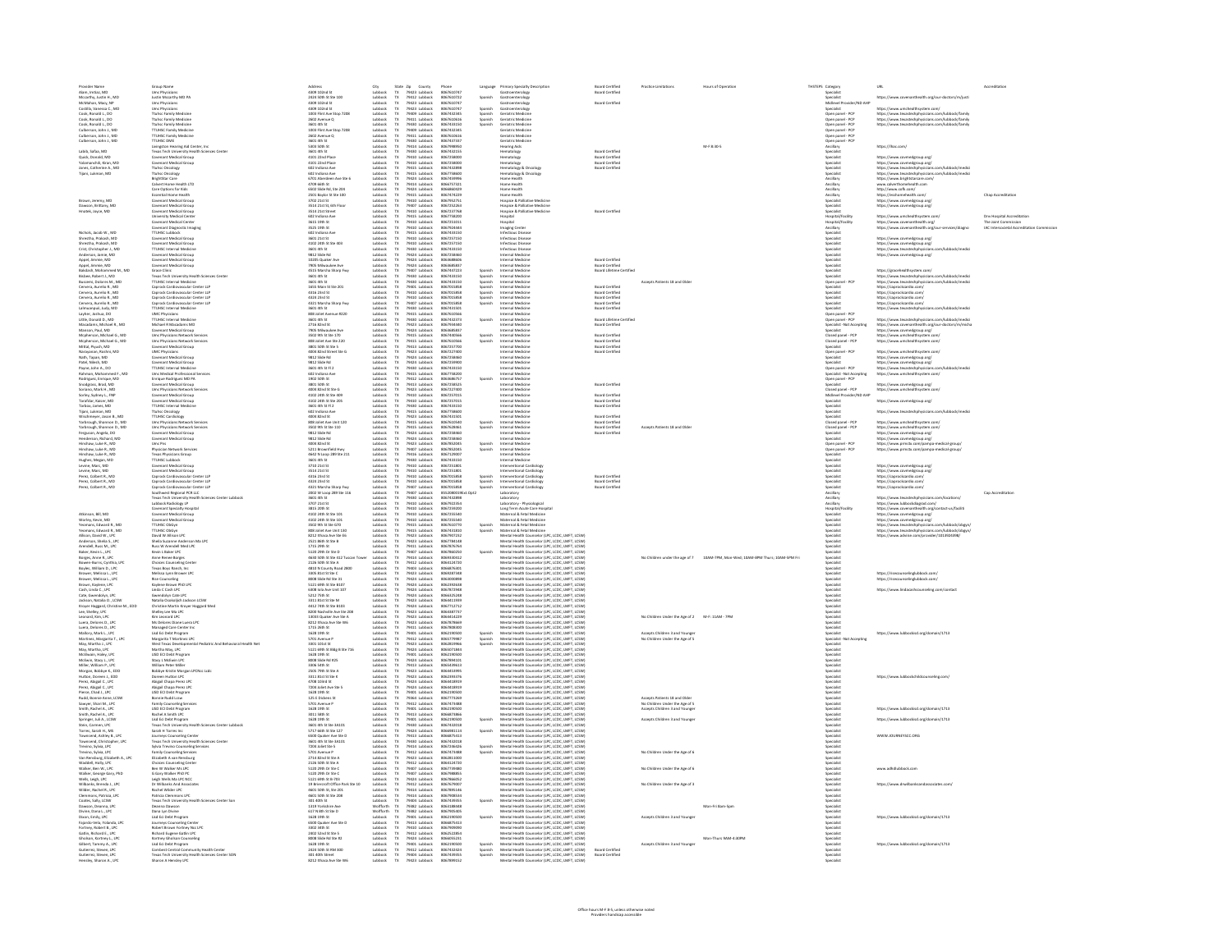| Provider Name<br>Alam, Imtiaz, MD                                                                                                                                                                                                                                                                     | Group Name                                                                                                                                                                                                                                                                                                            | 4309 102nd St                                                                                                                                  | City                                                                                                                                                                        |                                                                                                                                                                                         |                                                                                  |                               | Language Primary Specialty Description                                                                                                                                                                                                                                                             | <b>Board Certified</b>                                                   |                                                                  |                                                                               | THSTEPS Category |                                                                                                                                                                | URL                                                                                                                                                                                                                                  |                         |
|-------------------------------------------------------------------------------------------------------------------------------------------------------------------------------------------------------------------------------------------------------------------------------------------------------|-----------------------------------------------------------------------------------------------------------------------------------------------------------------------------------------------------------------------------------------------------------------------------------------------------------------------|------------------------------------------------------------------------------------------------------------------------------------------------|-----------------------------------------------------------------------------------------------------------------------------------------------------------------------------|-----------------------------------------------------------------------------------------------------------------------------------------------------------------------------------------|----------------------------------------------------------------------------------|-------------------------------|----------------------------------------------------------------------------------------------------------------------------------------------------------------------------------------------------------------------------------------------------------------------------------------------------|--------------------------------------------------------------------------|------------------------------------------------------------------|-------------------------------------------------------------------------------|------------------|----------------------------------------------------------------------------------------------------------------------------------------------------------------|--------------------------------------------------------------------------------------------------------------------------------------------------------------------------------------------------------------------------------------|-------------------------|
| Mccarthy, Justin H., MD                                                                                                                                                                                                                                                                               | Umc Physicians<br>Justin Mccarthy MD PA                                                                                                                                                                                                                                                                               | 2424 50th St Ste 100                                                                                                                           | Lubbock                                                                                                                                                                     | State Zip County<br>TX 79423 Lubbock<br>TX 79412 Lubbock                                                                                                                                | Phone<br>8067610747<br>8067610722                                                | Spanish                       | Gastroenterology<br>Gastroenterology                                                                                                                                                                                                                                                               | <b>Board Certified</b>                                                   |                                                                  |                                                                               |                  | Specialist<br>Specialist                                                                                                                                       | https://www.covenanthealth.org/our-doctors/m/justi                                                                                                                                                                                   |                         |
| McMahan, Macy, NP                                                                                                                                                                                                                                                                                     | Umc Physicians                                                                                                                                                                                                                                                                                                        | 4309 102nd St                                                                                                                                  | Lubbock<br>$\frac{Tx}{Tx}$                                                                                                                                                  | 79423 Lubbock                                                                                                                                                                           | 8067610747                                                                       |                               | Gastroenterolog                                                                                                                                                                                                                                                                                    | Board Certified                                                          |                                                                  |                                                                               |                  | Midlevel Provider/ND AHP                                                                                                                                       |                                                                                                                                                                                                                                      |                         |
| Costilla, Vanessa C., MD<br>Cook, Ronald L., DO                                                                                                                                                                                                                                                       | <b>Umc Physicians</b><br>Ttuhsc Family Medicin                                                                                                                                                                                                                                                                        | 4309 102nd St<br>1003 Flint Ave Stop 7208                                                                                                      | Lubbock<br>Lubbock                                                                                                                                                          | 79423 Lubbock                                                                                                                                                                           | 8067610747<br>8067432345                                                         | Spanish<br>Spanish            | Gastroenterning<br>Geriatric Medicine                                                                                                                                                                                                                                                              |                                                                          |                                                                  |                                                                               |                  | Specialist<br>Open panel - PCF                                                                                                                                 | https://www.umchealthsystem.com/                                                                                                                                                                                                     |                         |
| Cook, Ronald L., DO                                                                                                                                                                                                                                                                                   | Ttuhsc Family Medicine                                                                                                                                                                                                                                                                                                | 2602 Avenue Q                                                                                                                                  | Lubbock                                                                                                                                                                     | 79409 Lubbock<br>79411 Lubbock                                                                                                                                                          | 8067610616                                                                       | Spanish                       | Geriatric Medicine                                                                                                                                                                                                                                                                                 |                                                                          |                                                                  |                                                                               |                  | Open panel - PCP                                                                                                                                               | https://www.texastechphysicians.com/lubbock/family<br>https://www.texastechphysicians.com/lubbock/family                                                                                                                             |                         |
| Cook, Romald L., DO<br>Culberson, John J., MD<br>Culberson, John J., MD<br>Culberson, John J., MD                                                                                                                                                                                                     | Tunsc ramly Medicine<br>TuHSC Family Medicine<br>TTUHSC Family Medicine<br>TTUHSC DME                                                                                                                                                                                                                                 | <b>D</b> drb. 1088                                                                                                                             | <b>Library</b>                                                                                                                                                              | 79411 Lubbock<br>79409 Lubbock<br>79409 Lubbock<br>79411 Lubbock<br>79430 Lubbock<br>79430 Lubbock<br>79430 Lubbock<br>79410 Lubbock                                                    | 8057433150                                                                       | Spanish                       | Geriatric Medicine<br>Geriatric Medicine<br>Geriatric Medicine<br>Geriatric Medicine<br>Monden Aide                                                                                                                                                                                                |                                                                          |                                                                  |                                                                               |                  | Open panel - PCP<br>Open panel - PCP<br>Open panel - PCP<br>Open panel - PCP<br>Open panel - PCP<br>Ancillary<br>Specialist<br>Specialist<br>Specialist        | https://www.texastechphysicians.com/lubbock/famil                                                                                                                                                                                    |                         |
|                                                                                                                                                                                                                                                                                                       |                                                                                                                                                                                                                                                                                                                       | sous 4th st<br>1003 Flint Ave Stop 7208<br>2602 Avenue Q<br>3601 4th St                                                                        | www.r<br>ubbock<br>ubbock<br>ubbock                                                                                                                                         |                                                                                                                                                                                         | 805743734                                                                        |                               |                                                                                                                                                                                                                                                                                                    |                                                                          |                                                                  |                                                                               |                  |                                                                                                                                                                |                                                                                                                                                                                                                                      |                         |
|                                                                                                                                                                                                                                                                                                       |                                                                                                                                                                                                                                                                                                                       |                                                                                                                                                |                                                                                                                                                                             |                                                                                                                                                                                         | 8057610616                                                                       |                               |                                                                                                                                                                                                                                                                                                    |                                                                          |                                                                  |                                                                               |                  |                                                                                                                                                                |                                                                                                                                                                                                                                      |                         |
|                                                                                                                                                                                                                                                                                                       |                                                                                                                                                                                                                                                                                                                       |                                                                                                                                                |                                                                                                                                                                             |                                                                                                                                                                                         |                                                                                  |                               | Hearing Aids                                                                                                                                                                                                                                                                                       |                                                                          |                                                                  | M-F 8:30-5                                                                    |                  |                                                                                                                                                                | https://lhac.com/                                                                                                                                                                                                                    |                         |
| Labib, Safaa, MD<br>Quick, Donald, MD                                                                                                                                                                                                                                                                 | Commission Hearing Aid Center, Inc.<br>Texas Tech University Health Sciences Center<br>Covenant Medical Group<br>Sciences Center                                                                                                                                                                                      | 3801 401 36<br>5303 50th St<br>3601 4th St<br>4101 22nd Place                                                                                  | Lubbock<br>Lubbock<br>Lubbock                                                                                                                                               |                                                                                                                                                                                         | 8067437337<br>8067437337<br>8067432155<br>8067432155<br>8067258000               |                               | Hematology<br>Hematology                                                                                                                                                                                                                                                                           | <b>Board Certified<br/>Board Certified</b>                               |                                                                  |                                                                               |                  |                                                                                                                                                                |                                                                                                                                                                                                                                      |                         |
|                                                                                                                                                                                                                                                                                                       |                                                                                                                                                                                                                                                                                                                       |                                                                                                                                                |                                                                                                                                                                             |                                                                                                                                                                                         |                                                                                  |                               |                                                                                                                                                                                                                                                                                                    |                                                                          |                                                                  |                                                                               |                  |                                                                                                                                                                | https://www.covmedgroup.org/                                                                                                                                                                                                         |                         |
| Yalamanchili, Kiran, MD                                                                                                                                                                                                                                                                               | Covenant Medical Group<br>Ttuhsc Oncology                                                                                                                                                                                                                                                                             | 4101 22nd Place<br>602 Indiana Ave                                                                                                             | Lubbock<br>Tx                                                                                                                                                               | 79410 Lubbock                                                                                                                                                                           | 8067258000<br>8067432898                                                         |                               | Hematology<br>Hematology & Oncology                                                                                                                                                                                                                                                                | <b>Board Certified</b><br><b>Board Certified</b>                         |                                                                  |                                                                               |                  | Specialist<br>Specialist<br>Specialist<br>Ancillary                                                                                                            | https://www.covmedgroup.org/<br>https://www.texastechphysicians.com/lubbock/medici<br>https://www.texastechphysicians.com/lubbock/medici                                                                                             |                         |
| Jones, Catherine A., MD<br>Tijani, Lukman, MD                                                                                                                                                                                                                                                         | Ttuhsc Oncology                                                                                                                                                                                                                                                                                                       | 602 Indiana Ave                                                                                                                                | Lubbock<br>Lubbock<br>$\frac{\mathsf{TX}}{\mathsf{TX}}$                                                                                                                     | 79415 Lubbock<br>79415 Lubbock                                                                                                                                                          | 8067758600                                                                       |                               | Hematology & Oncology                                                                                                                                                                                                                                                                              |                                                                          |                                                                  |                                                                               |                  |                                                                                                                                                                |                                                                                                                                                                                                                                      |                         |
|                                                                                                                                                                                                                                                                                                       | BrightStar Care                                                                                                                                                                                                                                                                                                       | 6701 Aberdeen Ave Ste 6                                                                                                                        | Lubbock<br>Tx                                                                                                                                                               | 79424 Lubbock                                                                                                                                                                           | 8067459996                                                                       |                               | Home Health                                                                                                                                                                                                                                                                                        |                                                                          |                                                                  |                                                                               |                  |                                                                                                                                                                | https://www.brightstarcare.com/                                                                                                                                                                                                      |                         |
|                                                                                                                                                                                                                                                                                                       | Calvert Home Health LTD<br>Care Options for Kids<br>Essential Home Health                                                                                                                                                                                                                                             | 4709 66th St<br>6502 Slide Rd. Ste 204                                                                                                         | Lubbock<br>Lubbock<br>Lubbock<br>$\begin{array}{c} Tx\\ Tx\\ Tx \end{array}$                                                                                                | 79424 Lubbock<br>79424 Lubbock<br>79424 Lubbock<br>79425 Lubbock<br>79410 Lubbock<br>79410 Lubbock<br>79410 Lubbock<br>79410 Lubbock<br>79410 Lubbock<br>79410 Lubbock                  | 8066757321<br>8066860429                                                         |                               | Home Health<br>fome Health                                                                                                                                                                                                                                                                         |                                                                          |                                                                  |                                                                               |                  | ensmey<br>Ancillary<br>Ancillary<br>Specialist<br>Specialist<br>Specialist<br>Hospital/Facility<br>Hospital/Facility<br>Hospital/Facility<br>Hospital/Facility | ww.calvertho<br>mehealth.com                                                                                                                                                                                                         |                         |
|                                                                                                                                                                                                                                                                                                       |                                                                                                                                                                                                                                                                                                                       | 2501 Baylor St Ste 100                                                                                                                         |                                                                                                                                                                             |                                                                                                                                                                                         | 8067474229                                                                       |                               | Home Health                                                                                                                                                                                                                                                                                        |                                                                          |                                                                  |                                                                               |                  |                                                                                                                                                                | http://www.cofk.com/<br>https://esshomehealth.com/                                                                                                                                                                                   | Chap Accreditation      |
| Brown, Jeremy, MD<br>Dawson, Brittany, MD<br>Hnatek, Joyce, MD                                                                                                                                                                                                                                        | Essential Home Health<br>Covenant Medical Group<br>Covenant Medical Group<br>University Medical Centr<br>University Medical Centr                                                                                                                                                                                     | 2301 Baytor 3t 3th 200<br>3702 21st St<br>3514 21st St, 6th Floor<br>502 Indiana Ave<br>502 Indiana Ave                                        | Lubbock<br>Lubbock<br>Lubbock<br>Lubbock                                                                                                                                    |                                                                                                                                                                                         | 8067952751<br>8067952751<br>8067252768<br>8067758200                             |                               | Hospice & Palliative Medicine<br>Hospice & Palliative Medicine<br>Hospice & Palliative Medicine<br>Hospice                                                                                                                                                                                         |                                                                          |                                                                  |                                                                               |                  |                                                                                                                                                                | https://www.covmedgroup.org<br>https://www.covmedgroup.org<br>https://www.covmedgroup.org                                                                                                                                            |                         |
|                                                                                                                                                                                                                                                                                                       |                                                                                                                                                                                                                                                                                                                       |                                                                                                                                                |                                                                                                                                                                             |                                                                                                                                                                                         |                                                                                  |                               |                                                                                                                                                                                                                                                                                                    |                                                                          |                                                                  |                                                                               |                  |                                                                                                                                                                |                                                                                                                                                                                                                                      |                         |
|                                                                                                                                                                                                                                                                                                       |                                                                                                                                                                                                                                                                                                                       |                                                                                                                                                |                                                                                                                                                                             |                                                                                                                                                                                         |                                                                                  |                               |                                                                                                                                                                                                                                                                                                    | <b>Board Certifier</b>                                                   |                                                                  |                                                                               |                  |                                                                                                                                                                | https://www.umchealthsystem.com/                                                                                                                                                                                                     | v Hospital Accreditatio |
|                                                                                                                                                                                                                                                                                                       | Covenant Medical Center                                                                                                                                                                                                                                                                                               | 3615 19th St                                                                                                                                   |                                                                                                                                                                             |                                                                                                                                                                                         | 8067251011                                                                       |                               | Hospital                                                                                                                                                                                                                                                                                           |                                                                          |                                                                  |                                                                               |                  | Hospital/Facility                                                                                                                                              |                                                                                                                                                                                                                                      | The Joint Commission    |
|                                                                                                                                                                                                                                                                                                       |                                                                                                                                                                                                                                                                                                                       | 3525 19th St                                                                                                                                   | Lubback<br>Lubback<br>Lubback                                                                                                                                               |                                                                                                                                                                                         | 8067924444                                                                       |                               | Imaging Cente                                                                                                                                                                                                                                                                                      |                                                                          |                                                                  |                                                                               |                  |                                                                                                                                                                | https://www.covenanthealth.org/<br>https://www.covenanthealth.org/our-s                                                                                                                                                              | societal Accred         |
| Nichols, Jacob W., MC                                                                                                                                                                                                                                                                                 | Covenant Diagnostic Imaging<br>TTUHSC Lubbock                                                                                                                                                                                                                                                                         | 602 Indiana Ave                                                                                                                                | $\frac{\text{TX}}{\text{TX}}$                                                                                                                                               |                                                                                                                                                                                         | 8067433150                                                                       |                               | Infectious Diseas                                                                                                                                                                                                                                                                                  |                                                                          |                                                                  |                                                                               |                  | Ancillary<br>Specialist                                                                                                                                        |                                                                                                                                                                                                                                      |                         |
| Shrestha, Prakash, MD<br>Shrestha, Prakash, MD                                                                                                                                                                                                                                                        | Covenant Medical Group<br>Covenant Medical Group                                                                                                                                                                                                                                                                      | 3601 21st St<br>4102 24th St Ste 403                                                                                                           | Lubbock<br>$\frac{TX}{DX}$<br>Lubbock                                                                                                                                       | 79410 Lubbock<br>79410 Lubbock                                                                                                                                                          | 8067257150<br>8067257150                                                         |                               | Infectious Disease<br>Infectious Disease                                                                                                                                                                                                                                                           |                                                                          |                                                                  |                                                                               |                  | Specialist<br>Specialist                                                                                                                                       | https://www.covmedaroup.org/<br>https://www.covmedaroup.org/                                                                                                                                                                         |                         |
| Crist, Christopher J., MD                                                                                                                                                                                                                                                                             | <b>TTUHSC Internal Medicine</b>                                                                                                                                                                                                                                                                                       | 3601 4th St                                                                                                                                    | Lubbock<br>$\frac{\text{TX}}{\text{TX}}$                                                                                                                                    | 79430 Lubbock                                                                                                                                                                           | 8067433150                                                                       |                               | Infectious Disease                                                                                                                                                                                                                                                                                 |                                                                          |                                                                  |                                                                               |                  | <b>Specialist</b>                                                                                                                                              | https://www.texastechohysicians.com/lubbock/medic                                                                                                                                                                                    |                         |
| Anderson, Jamie, MD                                                                                                                                                                                                                                                                                   | Covenant Medical Group                                                                                                                                                                                                                                                                                                | 9812 Slide Rd                                                                                                                                  | Lubbock                                                                                                                                                                     | 79424 Lubbock                                                                                                                                                                           | 8067258460                                                                       |                               | Internal Medicine                                                                                                                                                                                                                                                                                  |                                                                          |                                                                  |                                                                               |                  | <b>Specialist</b>                                                                                                                                              | https://www.covmedaroup.org/                                                                                                                                                                                                         |                         |
| Anderson, Jamie, MD<br>Appel, Jimmie, MD<br>Appel, Jimmie, MD<br>Bakdash, Mohammed M.,<br>Biskoe, Robert J., MD<br>Censera, Aurelio R., MD<br>Cervera, Aurelio R., MD<br>Cervera, Aurelio R., MD<br>Cervera, Aurelio R., MD                                                                           | <b>Covenant Medical Grou</b><br>ovenant Medical Grou                                                                                                                                                                                                                                                                  | .<br>10205 Quaker Ave<br>7905 Milwaukee Ave                                                                                                    | Lubbock<br>Lubbock<br>Lubbock<br>Lubbock<br>Lubbock<br>Lubbock<br>Lubbock                                                                                                   | 79424 tubbock<br>79424 tubbock<br>79424 tubbock<br>79407 tubbock<br>79430 tubbock<br>79401 tubbock<br>79401 tubbock<br>79400 tubbock                                                    | 8053688606<br>8063685837                                                         |                               | Internal Medicine<br>emal Medicin                                                                                                                                                                                                                                                                  | <b>Board Certified</b>                                                   |                                                                  |                                                                               |                  | specialist<br>Specialist<br>Specialist<br>Specialist<br>Specialist<br>-                                                                                        |                                                                                                                                                                                                                                      |                         |
|                                                                                                                                                                                                                                                                                                       |                                                                                                                                                                                                                                                                                                                       | 1805 mirawwww<br>IS15 Marsha Sharp Fwy                                                                                                         |                                                                                                                                                                             |                                                                                                                                                                                         | 8067447223                                                                       |                               |                                                                                                                                                                                                                                                                                                    | <b>Board Certified<br/>Board Lifetime Certified</b>                      |                                                                  |                                                                               |                  |                                                                                                                                                                |                                                                                                                                                                                                                                      |                         |
|                                                                                                                                                                                                                                                                                                       |                                                                                                                                                                                                                                                                                                                       |                                                                                                                                                |                                                                                                                                                                             |                                                                                                                                                                                         | 8067433150                                                                       |                               |                                                                                                                                                                                                                                                                                                    |                                                                          |                                                                  |                                                                               |                  |                                                                                                                                                                |                                                                                                                                                                                                                                      |                         |
|                                                                                                                                                                                                                                                                                                       |                                                                                                                                                                                                                                                                                                                       |                                                                                                                                                |                                                                                                                                                                             |                                                                                                                                                                                         |                                                                                  |                               |                                                                                                                                                                                                                                                                                                    |                                                                          | <b>Accepts Patients 18 and Olde</b>                              |                                                                               |                  | Open panel - PCP                                                                                                                                               |                                                                                                                                                                                                                                      |                         |
|                                                                                                                                                                                                                                                                                                       | Covenant Medical toroup<br>Grace Clinic<br>Texas Tech University Health Sciences Center<br>TTUHSC Internal Medicine<br>Caprock Cardiovaccular Center LLP<br>Caprock Cardiovaccular Center LLP<br>Caprock Cardiovacquilar Center LLP                                                                                   | 3601 4th St<br>3601 4th St<br>1655 Main St Ste 201<br>4316 23rd St                                                                             |                                                                                                                                                                             |                                                                                                                                                                                         | 8067433150<br>8067433150<br>8067015858<br>8067015858                             | Spanish<br>Spanish<br>Spanish | Internal Medicine<br>Internal Medicine<br>Internal Medicine<br>Internal Medicine<br>Internal Medicine<br>Internal Medicine                                                                                                                                                                         | <b>Board Certified<br/>Board Certified</b>                               |                                                                  |                                                                               |                  | Specialist<br>Specialist                                                                                                                                       | https://gracehoalthsystem.com/<br>https://www.tenastechphysicians.com/lubbock/medici<br>https://www.tenastechphysicians.com/lubbock/medici<br>https://caprockcardio.com/<br>https://caprockcardio.com/<br>https://caprockcardio.com/ |                         |
| Cervera, Aurelio R., MD                                                                                                                                                                                                                                                                               | Caprock Cardiovascular Center LLP                                                                                                                                                                                                                                                                                     | 4324 23rd St                                                                                                                                   | Lubbock<br>$T X$                                                                                                                                                            | 79410 Lubbock                                                                                                                                                                           | 8067015858                                                                       | Spanish                       | Internal Medicine                                                                                                                                                                                                                                                                                  | <b>Board Certified</b>                                                   |                                                                  |                                                                               |                  |                                                                                                                                                                | https://caprockcardio.com/                                                                                                                                                                                                           |                         |
| Cervera, Aurelio R., MD                                                                                                                                                                                                                                                                               | Caprock Cardiovascular Center LLP                                                                                                                                                                                                                                                                                     | 4321 Marsha Sharp Fwy                                                                                                                          | Lubbock<br>Lubbock<br>$\frac{\mathsf{TX}}{\mathsf{TX}}$                                                                                                                     | 79407 Lubbock<br>79430 Lubbock                                                                                                                                                          | 8067015858                                                                       | Spanish                       | Internal Medicine                                                                                                                                                                                                                                                                                  | <b>Board Certified</b>                                                   |                                                                  |                                                                               |                  | Specialist<br>Specialist<br>Specialist                                                                                                                         | https://caprockcardio.com/                                                                                                                                                                                                           |                         |
| Lalmuanpuii, Judy, MD<br>Layher, Joshua, DO                                                                                                                                                                                                                                                           | <b>TTUHSC Internal Medicine</b>                                                                                                                                                                                                                                                                                       | 3601 4th St                                                                                                                                    |                                                                                                                                                                             |                                                                                                                                                                                         | 8067431501                                                                       |                               | Internal Medicine                                                                                                                                                                                                                                                                                  | <b>Board Certified</b>                                                   |                                                                  |                                                                               |                  |                                                                                                                                                                | https://www.texastechphysicians.com/lubbock/medic                                                                                                                                                                                    |                         |
|                                                                                                                                                                                                                                                                                                       | <b>UMC Physicians</b><br><b>TTUHSC Internal Medicine</b>                                                                                                                                                                                                                                                              | 808 Joliet Avenue #220<br>3601 4th St                                                                                                          | Lubbock<br>$T X$                                                                                                                                                            | 79415 Lubbock                                                                                                                                                                           | 8067610566<br>8067432373                                                         | Spanish                       | Internal Medicine<br>Internal Medicine                                                                                                                                                                                                                                                             | Board Lifetime Certified                                                 |                                                                  |                                                                               |                  | Open panel - PCP                                                                                                                                               | https://www.texastechohysicians.com/lubbock/medic                                                                                                                                                                                    |                         |
| Little, Donald D., MD<br>Macadams, Michael R., MD                                                                                                                                                                                                                                                     | Michael R Macadams MD                                                                                                                                                                                                                                                                                                 | 2716 82nd St                                                                                                                                   | Lubbock<br>Lubbock<br>Lubbock<br>$\begin{array}{c} \mathsf{TX} \\ \mathsf{TX} \\ \mathsf{TX} \end{array}$                                                                   | 79430 Lubbock<br>79423 Lubbock<br>79424 Lubbock                                                                                                                                         | 806793444                                                                        |                               | Internal Medicine                                                                                                                                                                                                                                                                                  | <b>Board Certified</b>                                                   |                                                                  |                                                                               |                  | Open panel - PCP<br>Specialist - Not Acce                                                                                                                      | ntsps://www.ususawenpriyassum.com/iuoooce/mwatch<br>https://www.covenanthealth.org/our-doctors/m/micha<br>https://www.covmedgroup.org/<br>https://www.umchealthsystem.com/<br>https://www.umchealthsystem.com/                       |                         |
| Manson, Paul, MD                                                                                                                                                                                                                                                                                      | Covenant Medical Group                                                                                                                                                                                                                                                                                                | 7905 Mihraukee Ave                                                                                                                             |                                                                                                                                                                             |                                                                                                                                                                                         | 8063685837                                                                       |                               | Internal Medicine                                                                                                                                                                                                                                                                                  |                                                                          |                                                                  |                                                                               |                  | Specialist                                                                                                                                                     |                                                                                                                                                                                                                                      |                         |
| Migherson, Michael G., MD<br>Migherson, Michael G., MD<br>Mittal, Plyush, MD<br>Narayaman, Roshni, MD<br>Narayaman, Roshni, MD                                                                                                                                                                        | Covernant Medical Group<br>Umc Physicians Network Service<br>Umc Physicians Network Service<br>Covenant Medical Group<br>UMC Physicians                                                                                                                                                                               | 7905 http://www.see Ave<br>808 Joliet Ave Ste 220<br>808 Joliet Ave Ste 220<br>4004 82nd Street Ste G<br>4004 82nd - Rd                        | Lubbock<br>Lubbock<br>Lubbock<br>Lubbock                                                                                                                                    | 79424 Lubbock<br>79415 Lubbock<br>79413 Lubbock<br>79423 Lubbock<br>79424 Lubbock<br>79424 Lubbock<br>79430 Lubbock<br>79430 Lubbock                                                    | 8067440566<br>8067440566<br>8067610566<br>8067257700                             |                               | Internal Medicine<br>Internal Medicine<br>Internal Medicine<br>Internal Medicine<br>Internal Medicine                                                                                                                                                                                              | Board Certified<br>Board Certified<br>Board Certified<br>Board Certified |                                                                  |                                                                               |                  | Specialist<br>Closed panel - PCP<br>Closed panel - PCP<br>Specialist<br>Open panel - PCP<br>Contribute                                                         |                                                                                                                                                                                                                                      |                         |
|                                                                                                                                                                                                                                                                                                       |                                                                                                                                                                                                                                                                                                                       |                                                                                                                                                |                                                                                                                                                                             |                                                                                                                                                                                         |                                                                                  |                               |                                                                                                                                                                                                                                                                                                    |                                                                          |                                                                  |                                                                               |                  |                                                                                                                                                                |                                                                                                                                                                                                                                      |                         |
|                                                                                                                                                                                                                                                                                                       |                                                                                                                                                                                                                                                                                                                       |                                                                                                                                                |                                                                                                                                                                             |                                                                                                                                                                                         |                                                                                  |                               |                                                                                                                                                                                                                                                                                                    |                                                                          |                                                                  |                                                                               |                  |                                                                                                                                                                | https://www.umchealthsystem.com/                                                                                                                                                                                                     |                         |
| Nath, Tapan, MD                                                                                                                                                                                                                                                                                       | Covenant Medical Grou                                                                                                                                                                                                                                                                                                 | 9812 Slide Rd                                                                                                                                  |                                                                                                                                                                             |                                                                                                                                                                                         | 8067258460                                                                       |                               | Internal Medicine<br>Internal Medicine                                                                                                                                                                                                                                                             |                                                                          |                                                                  |                                                                               |                  |                                                                                                                                                                |                                                                                                                                                                                                                                      |                         |
| Patel, Nilesh, MD                                                                                                                                                                                                                                                                                     | Covenant Medical Group<br>TTUHSC Internal Medicine                                                                                                                                                                                                                                                                    | 9812 Slide Rd                                                                                                                                  | Lubback<br>Lubback<br>Lubback                                                                                                                                               |                                                                                                                                                                                         | 806725990                                                                        |                               |                                                                                                                                                                                                                                                                                                    |                                                                          |                                                                  |                                                                               |                  | Specialist<br>Specialist                                                                                                                                       | https://www.covmedgroup.org/<br>https://www.covmedgroup.org/<br>https://www.texastechphysicians.com/lubbock                                                                                                                          |                         |
| Payne, John A., DO<br>Rahman, Mohammed F., MD                                                                                                                                                                                                                                                         | Umc Medical Professional Services                                                                                                                                                                                                                                                                                     | 3601 4th St FI 2<br>602 Indiana Ave                                                                                                            | Lubbock<br>$\mathsf{TX}$                                                                                                                                                    | 79415 Lubbock                                                                                                                                                                           | 8067433150<br>8067758200                                                         |                               | Internal Medicine<br>Internal Medicine                                                                                                                                                                                                                                                             |                                                                          |                                                                  |                                                                               |                  | Open panel - PCP<br>Specialist - Not Accepting                                                                                                                 | https://www.umchealthsystem.com/                                                                                                                                                                                                     |                         |
| Rodriguez, Enrique, MD                                                                                                                                                                                                                                                                                | Enrique Rodrieuez MD PA                                                                                                                                                                                                                                                                                               | 1902 50th St                                                                                                                                   | Lubbock                                                                                                                                                                     | 79412 Lubbock                                                                                                                                                                           | 8063686757                                                                       | Spanish                       | Internal Medicine                                                                                                                                                                                                                                                                                  |                                                                          |                                                                  |                                                                               |                  | Open panel - PCP                                                                                                                                               |                                                                                                                                                                                                                                      |                         |
| Snoderass, Brad, MD                                                                                                                                                                                                                                                                                   | Covenant Medical Group                                                                                                                                                                                                                                                                                                | 3801 50th St                                                                                                                                   | Lubbock                                                                                                                                                                     | 79413 Lubbock                                                                                                                                                                           | 8067258525                                                                       |                               | Internal Medicine                                                                                                                                                                                                                                                                                  | Board Certified                                                          |                                                                  |                                                                               |                  | Granialist                                                                                                                                                     | https://www.covmedaroup.org/                                                                                                                                                                                                         |                         |
| Soriano, Mark H., MD                                                                                                                                                                                                                                                                                  | <b>Umc Physicians Network Services</b><br>Covenant Medical Group                                                                                                                                                                                                                                                      | 4004 82nd St Ste G                                                                                                                             | $\overline{R}$<br>Lubbock<br>Lubbock                                                                                                                                        | 79423 Lubbock                                                                                                                                                                           | 8067227400<br>8067257019                                                         |                               | Internal Medicine<br>Internal Medicine                                                                                                                                                                                                                                                             | <b>Board Certifier</b>                                                   |                                                                  |                                                                               |                  | Closed ganel - PCP<br>Midlaugi Provider/ND AHR                                                                                                                 | https://www.umchealthsystem.com/                                                                                                                                                                                                     |                         |
|                                                                                                                                                                                                                                                                                                       |                                                                                                                                                                                                                                                                                                                       | 4102 24th St Ste 409<br>4102 24th St Ste 205                                                                                                   |                                                                                                                                                                             |                                                                                                                                                                                         | 8057257019                                                                       |                               | nternal Medicine                                                                                                                                                                                                                                                                                   | <b>Inant Certifier</b>                                                   |                                                                  |                                                                               |                  |                                                                                                                                                                | https://www.covmedgroup.org/                                                                                                                                                                                                         |                         |
|                                                                                                                                                                                                                                                                                                       |                                                                                                                                                                                                                                                                                                                       |                                                                                                                                                | Lubbock<br>Lubbock<br>Lubbock                                                                                                                                               |                                                                                                                                                                                         | 8057433150                                                                       |                               | nternal Medicine<br>nternal Medicine                                                                                                                                                                                                                                                               | Board Certified                                                          |                                                                  |                                                                               |                  |                                                                                                                                                                |                                                                                                                                                                                                                                      |                         |
|                                                                                                                                                                                                                                                                                                       |                                                                                                                                                                                                                                                                                                                       |                                                                                                                                                |                                                                                                                                                                             |                                                                                                                                                                                         | 8057758606                                                                       |                               |                                                                                                                                                                                                                                                                                                    |                                                                          |                                                                  |                                                                               |                  |                                                                                                                                                                | https://www.texastechohysicians.com/lubbock/                                                                                                                                                                                         |                         |
|                                                                                                                                                                                                                                                                                                       |                                                                                                                                                                                                                                                                                                                       |                                                                                                                                                |                                                                                                                                                                             |                                                                                                                                                                                         |                                                                                  |                               |                                                                                                                                                                                                                                                                                                    |                                                                          |                                                                  |                                                                               |                  |                                                                                                                                                                |                                                                                                                                                                                                                                      |                         |
| Soriano, Mark H., MD<br>Soriey, Sydney L., FNP<br>Tarafdar, Kaiser, MD<br>Tarafdar, Kaiser, MD<br>Tarbox, James, MD<br>Wischmeyer, Jason B., MD<br>Yarbrough, Shannon D., MD<br>Yarbrough, Shannon D., MD<br>Yarbrough, Shannon D., MD<br>Ferencon, Anael                                             | Covenant Medical Group<br>Covenant Medical Group<br>TTUHSC Internal Medicine<br>Ttuhsc Oncology<br>Thus Cocology<br>Umc Physicians Network Services<br>Umc Physicians Network Services<br>Crownant Medical Group<br>Crownant Medical Group                                                                            | 4102 24th St Ste 205<br>3601 4th St F1 2<br>602 Indiana Ave<br>4004 82nd St<br>808 Ioliet Ave Unit 120<br>3502 9th St Ste 110                  | Lubbock<br>Lubbock<br>Lubbock                                                                                                                                               | 79423 Lubbock<br>79410 Lubbock<br>79410 Lubbock<br>79430 Lubbock<br>79423 Lubbock<br>79415 Lubbock<br>79415 Lubbock<br>79415 Lubbock                                                    | 8067431501<br>8067431501<br>8067628461                                           | Spanish<br>Spanish            | interna medicine<br>Internal Medicine<br>Internal Medicine<br>Internal Medicine                                                                                                                                                                                                                    | Board Certified<br>Board Certified<br>Board Certified                    | <b>Accepts Patients 18 and Olde</b>                              |                                                                               |                  | specialist<br>Specialist<br>Closed panel - PCP<br>Closed panel - PCP                                                                                           | https://www.umchealthsystem.com/<br>https://www.umchealthsystem.com/                                                                                                                                                                 |                         |
| Ferguson, Angela, DO                                                                                                                                                                                                                                                                                  | Covenant Medical Group                                                                                                                                                                                                                                                                                                | 9812 Slide Rd                                                                                                                                  | Lubbock<br>Tx                                                                                                                                                               | 79424 Lubbock                                                                                                                                                                           | 8067258460                                                                       |                               | Internal Medicine                                                                                                                                                                                                                                                                                  | <b>Board Certified</b>                                                   |                                                                  |                                                                               |                  | Specialist                                                                                                                                                     | https://www.covmedgroup.org/                                                                                                                                                                                                         |                         |
| Henderson, Richard, MD<br>Hinshaw, Luke R., MD                                                                                                                                                                                                                                                        | Covenant Medical Group                                                                                                                                                                                                                                                                                                | 9812 Slide Rd<br>4004 82nd St                                                                                                                  | Lubbock<br>Lubbock<br>$\frac{\mathsf{TX}}{\mathsf{TX}}$                                                                                                                     | 79424 Lubbock<br>79423 Lubbock<br>79407 Lubbock                                                                                                                                         | 8067258460<br>8067852049                                                         | Spanish                       | Internal Medicine<br>Internal Medicine                                                                                                                                                                                                                                                             |                                                                          |                                                                  |                                                                               |                  | Specialist<br>Open panel - PCP                                                                                                                                 | https://www.covmedgroup.org/<br>https://www.prmctx.com/pampa-medical-group/                                                                                                                                                          |                         |
| Hinshaw, Luke R., MD                                                                                                                                                                                                                                                                                  | Umc Pris<br>Physician Network Services                                                                                                                                                                                                                                                                                | 5211 Brownfield Hwy                                                                                                                            | Lubbock<br>$T X$                                                                                                                                                            |                                                                                                                                                                                         | 8067852045                                                                       | Spanish                       | Internal Medicine                                                                                                                                                                                                                                                                                  |                                                                          |                                                                  |                                                                               |                  | Open panel - PCP                                                                                                                                               | https://www.prmctx.com/pampa-medical-group                                                                                                                                                                                           |                         |
| Hinshaw, Luke R., MD                                                                                                                                                                                                                                                                                  | <b>Texas Physicians Group</b><br>TTUHSC Lubbock                                                                                                                                                                                                                                                                       | 4642 N Logg 289 Ste 211                                                                                                                        | Lubbock<br>Lubbock<br>Lubbock                                                                                                                                               | TX 79416 Lubbock<br>TX 79430 Lubbock<br>TX 79410 Lubbock                                                                                                                                | 8067129007                                                                       |                               | Internal Medicine                                                                                                                                                                                                                                                                                  |                                                                          |                                                                  |                                                                               |                  | specialist<br>Specialist<br>Specialist                                                                                                                         |                                                                                                                                                                                                                                      |                         |
| <b>Hughes, Megan, MD</b><br>Levine, Marc, MD                                                                                                                                                                                                                                                          |                                                                                                                                                                                                                                                                                                                       | 3601 4th St<br>3710 21st St                                                                                                                    |                                                                                                                                                                             |                                                                                                                                                                                         | 8067433150                                                                       |                               | Internal Medicine                                                                                                                                                                                                                                                                                  |                                                                          |                                                                  |                                                                               |                  |                                                                                                                                                                | https://www.covmedaroup.org/                                                                                                                                                                                                         |                         |
|                                                                                                                                                                                                                                                                                                       |                                                                                                                                                                                                                                                                                                                       |                                                                                                                                                |                                                                                                                                                                             |                                                                                                                                                                                         |                                                                                  |                               |                                                                                                                                                                                                                                                                                                    |                                                                          |                                                                  |                                                                               |                  |                                                                                                                                                                |                                                                                                                                                                                                                                      |                         |
|                                                                                                                                                                                                                                                                                                       | Covenant Medical Group                                                                                                                                                                                                                                                                                                |                                                                                                                                                |                                                                                                                                                                             |                                                                                                                                                                                         | 8067251801                                                                       |                               | Interventional Cardiolog                                                                                                                                                                                                                                                                           |                                                                          |                                                                  |                                                                               |                  |                                                                                                                                                                |                                                                                                                                                                                                                                      |                         |
|                                                                                                                                                                                                                                                                                                       |                                                                                                                                                                                                                                                                                                                       |                                                                                                                                                |                                                                                                                                                                             |                                                                                                                                                                                         |                                                                                  |                               |                                                                                                                                                                                                                                                                                                    |                                                                          |                                                                  |                                                                               |                  |                                                                                                                                                                |                                                                                                                                                                                                                                      |                         |
|                                                                                                                                                                                                                                                                                                       |                                                                                                                                                                                                                                                                                                                       |                                                                                                                                                |                                                                                                                                                                             |                                                                                                                                                                                         |                                                                                  |                               |                                                                                                                                                                                                                                                                                                    |                                                                          |                                                                  |                                                                               |                  |                                                                                                                                                                |                                                                                                                                                                                                                                      |                         |
| Levine, marc, MD<br>Levine, Marc, MD<br>Perez, Colbert R., MD<br>Perez, Colbert R., MD<br>Perez, Colbert R., MD                                                                                                                                                                                       |                                                                                                                                                                                                                                                                                                                       |                                                                                                                                                |                                                                                                                                                                             |                                                                                                                                                                                         | 8067251801<br>8067251801<br>8067015858<br>8067015858                             |                               | Interventional Cardiology<br>Interventional Cardiology<br>Interventional Cardiology<br>Interventional Cardiology<br>Interventional Cardiology                                                                                                                                                      | <b>Board Certifier</b><br>Board Certifier<br>Board Certifier             |                                                                  |                                                                               |                  | pecialist<br>pecialist<br>pecialist<br>pecialist                                                                                                               | https://www.covminaly.oup.org/<br>https://www.covmedgroup.org/<br>https://caprodicardio.com/<br>https://caprodicardio.com/<br>https://caprodicardio.com/                                                                             |                         |
|                                                                                                                                                                                                                                                                                                       | Covenant Medical Group<br>Covenant Medical Group<br>Caprock Cardiovascular Center LLP<br>Caprock Cardiovascular Center LLP<br>Caprock Cardiovascular Center LLP                                                                                                                                                       | 3710 2116 36<br>4316 23rd St<br>4324 23rd St<br>4321 Marsha Sharp Fwy<br>4321 Marsha Sharp Fwy<br>2002 W Loop 289 Ste 116                      |                                                                                                                                                                             |                                                                                                                                                                                         | 8552080019Ext.Opt2                                                               |                               | Laboratory                                                                                                                                                                                                                                                                                         |                                                                          |                                                                  |                                                                               |                  |                                                                                                                                                                |                                                                                                                                                                                                                                      | Cap Accreditatio        |
|                                                                                                                                                                                                                                                                                                       | Southwest Regional PCR LLC<br>Texas Tech University Health Sciences Center Lubb<br>Lubbock Radiology LP                                                                                                                                                                                                               | 3601 4th St<br>3707 21st St                                                                                                                    |                                                                                                                                                                             |                                                                                                                                                                                         | 8067432898<br>8067922354                                                         |                               | Laboratory<br>Laboratory - Physiological                                                                                                                                                                                                                                                           |                                                                          |                                                                  |                                                                               |                  |                                                                                                                                                                | https://www.texastechphysi<br>https://www.lubbockdiagrad.com/                                                                                                                                                                        |                         |
|                                                                                                                                                                                                                                                                                                       | Covenant Specialty Hospital                                                                                                                                                                                                                                                                                           | 3815 20th St                                                                                                                                   | Lubbock<br>Lubbock<br>Lubbock<br>Lubbock<br>Lubbock<br>Lubbock<br>Lubbock<br>$\frac{\mathsf{D}\mathsf{X}}{\mathsf{D}\mathsf{X}}$<br>Lubbock                                 | 79410 tubbock<br>79410 tubbock<br>79410 tubbock<br>79407 tubbock<br>79407 tubbock<br>79407 tubbock<br>79410 tubbock<br>79410 tubbock<br>79410 Lubbock                                   | 8067259200                                                                       |                               | Long Term Acute Care Hospital                                                                                                                                                                                                                                                                      |                                                                          |                                                                  |                                                                               |                  | Ancillary<br>Ancillary<br>Ancillary<br>Hospital/Facility                                                                                                       | https://www.covenanthealth.org/contact-us/facilit                                                                                                                                                                                    |                         |
| Atkinson, Bill, MD                                                                                                                                                                                                                                                                                    | Covenant Medical Group                                                                                                                                                                                                                                                                                                | 4102 24th St Ste 101                                                                                                                           | $\frac{\text{TX}}{\text{TX}}$<br>Lubbock                                                                                                                                    | 79410 Lubbock                                                                                                                                                                           | 8067255540                                                                       |                               | Maternal & Fetal Medicine                                                                                                                                                                                                                                                                          |                                                                          |                                                                  |                                                                               |                  | Specialist                                                                                                                                                     | https://www.covmedgroup.org                                                                                                                                                                                                          |                         |
| Worley, Kevin, MD<br>Yeomans, Edward R., MD                                                                                                                                                                                                                                                           | Covenant Medical Group<br><b>TTUHSC ObGyn</b>                                                                                                                                                                                                                                                                         | 4102 24th St Ste 101<br>3502 9th St Ste G70                                                                                                    | Lubbock<br>$\frac{TX}{DX}$<br>Lubbock                                                                                                                                       | 79410 Lubbock<br>79415 Lubbock                                                                                                                                                          | 8067255540<br>8067610770                                                         | Spanish                       | Maternal & Fetal Medicine<br>Maternal & Fetal Medicine                                                                                                                                                                                                                                             |                                                                          |                                                                  |                                                                               |                  | Specialist<br>Specialist                                                                                                                                       | https://www.covmedaroup.org/<br>https://www.texastechohysicians.com/lubbock/obeyn.                                                                                                                                                   |                         |
|                                                                                                                                                                                                                                                                                                       |                                                                                                                                                                                                                                                                                                                       |                                                                                                                                                |                                                                                                                                                                             |                                                                                                                                                                                         | 8057431810                                                                       | Spanish                       |                                                                                                                                                                                                                                                                                                    |                                                                          |                                                                  |                                                                               |                  |                                                                                                                                                                |                                                                                                                                                                                                                                      |                         |
|                                                                                                                                                                                                                                                                                                       | <b>TTUHSC ObGyn</b><br>David W Allison LPC                                                                                                                                                                                                                                                                            | 808 Joliet Ave Unit 130<br>8212 Ithaca Ave Ste E6                                                                                              |                                                                                                                                                                             |                                                                                                                                                                                         | 8057907237                                                                       |                               |                                                                                                                                                                                                                                                                                                    |                                                                          |                                                                  |                                                                               |                  |                                                                                                                                                                | .<br>https://www.texastechphysicians.com/lubbock/obgyn/<br>https://www.adviise.com/provider/1013924398/                                                                                                                              |                         |
|                                                                                                                                                                                                                                                                                                       | in Ma LPC                                                                                                                                                                                                                                                                                                             | 2521 86th St Ste B                                                                                                                             |                                                                                                                                                                             |                                                                                                                                                                                         | 8067784141                                                                       |                               |                                                                                                                                                                                                                                                                                                    |                                                                          |                                                                  |                                                                               |                  |                                                                                                                                                                |                                                                                                                                                                                                                                      |                         |
|                                                                                                                                                                                                                                                                                                       | uwwa w mnuon ww<br>Sheila Suzanne Anderson<br>Russ W Arendell Med LPC                                                                                                                                                                                                                                                 |                                                                                                                                                | Lubbock<br>Lubbock<br>Lubbock<br>Lubbock<br>$\begin{array}{l} \mathbf{1} \mathbf{x} \\ \mathbf{1} \mathbf{x} \\ \mathbf{1} \mathbf{x} \\ \mathbf{1} \mathbf{x} \end{array}$ |                                                                                                                                                                                         |                                                                                  |                               |                                                                                                                                                                                                                                                                                                    |                                                                          |                                                                  |                                                                               |                  |                                                                                                                                                                |                                                                                                                                                                                                                                      |                         |
|                                                                                                                                                                                                                                                                                                       |                                                                                                                                                                                                                                                                                                                       |                                                                                                                                                |                                                                                                                                                                             |                                                                                                                                                                                         |                                                                                  |                               |                                                                                                                                                                                                                                                                                                    |                                                                          |                                                                  | No Children under the age of 7 10AM-7PM, Mon-Wed; 10AM-8PM Thurs; 10AM-5PM Fr |                  |                                                                                                                                                                |                                                                                                                                                                                                                                      |                         |
|                                                                                                                                                                                                                                                                                                       |                                                                                                                                                                                                                                                                                                                       | 2521 86th St Ste B<br>1715 29th St<br>5120 29th Dr Ste D<br>4630 50th St Ste 412 Tuscan Tower<br>2126 St0h St Ste A                            |                                                                                                                                                                             |                                                                                                                                                                                         | 8067784148<br>8067876764<br>8067860250<br>8069330412<br>8064124720               |                               |                                                                                                                                                                                                                                                                                                    |                                                                          |                                                                  |                                                                               |                  | Specialist<br>Specialist<br>Specialist<br>Specialist<br>Specialist<br>Specialist<br>Specialist<br>Specialist                                                   |                                                                                                                                                                                                                                      |                         |
| Yeomans, Edward R., MD<br>Yeomans, Edward R., MD<br>Allison, David W., LPC<br>Anderson, Shelia S., LPC<br>Anderson, Shelia S., LPC<br>Raker, Kevin L., LPC<br>Bowen-Burns, Cynthia, LPC<br>Rowen-Burns, Cynthia, LPC<br>Rowles: William D., LPC<br>Boyles, William D., LPC<br>Brower, Melissa L., LPC | <b>Russ W Arendell Med LPC</b><br>Kevin L Baker LPC<br>Anne Renee Borges<br>Choices Counseling Center<br>Texas Boys Ranch, Inc                                                                                                                                                                                        | 4810 N County Road 2800<br>3305 81st St Ste C                                                                                                  | Lubbock<br>Lubbock<br>Lubbock<br>Lubbock<br>$T X$                                                                                                                           |                                                                                                                                                                                         | 8066876301<br>8069287348                                                         |                               | Materinal & Fetal Medicine<br>Material & Fetal Medicine<br>Material & Fetal Medicine<br>Metrial Health Counseler (UPC, LCDC, LMFT, LCSW)<br>Metrial Health Counseler (UPC, LCDC, LMFT, LCSW)<br>Metrial Health Counseler (UPC, LCDC, LMFT, LC                                                      |                                                                          |                                                                  |                                                                               |                  |                                                                                                                                                                | https://risecounselinglubbock.com                                                                                                                                                                                                    |                         |
| Brower, Melissa L., LPC                                                                                                                                                                                                                                                                               |                                                                                                                                                                                                                                                                                                                       | 8008 Slide Rd Ste 31                                                                                                                           | Lubbock<br>Lubbock<br>$\frac{\mathsf{TX}}{\mathsf{TX}}$                                                                                                                     |                                                                                                                                                                                         | 8063000898                                                                       |                               | Mental Health Counselor (LPC, LCDC, LMFT, LCSW)<br>Mental Health Counselor (LPC, LCDC, LMFT, LCSW)                                                                                                                                                                                                 |                                                                          |                                                                  |                                                                               |                  |                                                                                                                                                                | https://risecounselinglubbock.com                                                                                                                                                                                                    |                         |
| Brown, Kaylene, LPC                                                                                                                                                                                                                                                                                   | Melissa Lynn Brower LPC<br>Rise Counseling<br>Kaylene Brown PhD LPC                                                                                                                                                                                                                                                   | 5121 69th St Ste B107                                                                                                                          | Lubbock<br>Tx                                                                                                                                                               | 79415 Lubbock<br>79425 Lubbock<br>79423 Lubbock<br>79423 Lubbock<br>79423 Lubbock<br>79414 Lubbock<br>79424 Lubbock<br>79423 Lubbock<br>79424 Lubbock<br>79424 Lubbock<br>79424 Lubbock | 8062392638                                                                       |                               | Mental Health Counselor (LPC, LCDC, LMFT, LCSW)                                                                                                                                                                                                                                                    |                                                                          |                                                                  |                                                                               |                  | Specialist<br>Specialist<br>Specialist<br>Specialist                                                                                                           |                                                                                                                                                                                                                                      |                         |
| Cash, Linda C., LPC                                                                                                                                                                                                                                                                                   | Linda C Cash LPC                                                                                                                                                                                                                                                                                                      | 6308 tola Ave Unit 107<br>5212 75th St                                                                                                         | Lubbock                                                                                                                                                                     |                                                                                                                                                                                         | 8067872948<br>8066325248                                                         |                               | Mental Health Counselor (LPC, LCDC, LMFT, LCSW)                                                                                                                                                                                                                                                    |                                                                          |                                                                  |                                                                               |                  |                                                                                                                                                                | https://www.lindacashcounseling.com/contact                                                                                                                                                                                          |                         |
| Cate, Gwendolyn, LPC<br>Jackson, Natalia O., LCSW                                                                                                                                                                                                                                                     | .<br>Gwendolyn Cate LPC<br>Natalia Ocokoljich Jackson LCSW                                                                                                                                                                                                                                                            | 3311 81st St Ste M                                                                                                                             | Lubbock<br>Lubbock                                                                                                                                                          | TX 79424 Lubbock<br>TX 79424 Lubbock<br>TX 79423 Lubbock                                                                                                                                | 8064411939                                                                       |                               | .<br>Mental Health Counselor (U/C, LCDC, LMFT, LCSW)<br>Mental Health Counselor (U/C, LCDC, LMFT, LCSW)                                                                                                                                                                                            |                                                                          |                                                                  |                                                                               |                  | specialist<br>Specialist<br>Specialist                                                                                                                         |                                                                                                                                                                                                                                      |                         |
| tine M FDD                                                                                                                                                                                                                                                                                            |                                                                                                                                                                                                                                                                                                                       |                                                                                                                                                |                                                                                                                                                                             |                                                                                                                                                                                         |                                                                                  |                               |                                                                                                                                                                                                                                                                                                    |                                                                          |                                                                  |                                                                               |                  |                                                                                                                                                                |                                                                                                                                                                                                                                      |                         |
|                                                                                                                                                                                                                                                                                                       |                                                                                                                                                                                                                                                                                                                       |                                                                                                                                                |                                                                                                                                                                             |                                                                                                                                                                                         |                                                                                  |                               |                                                                                                                                                                                                                                                                                                    |                                                                          |                                                                  |                                                                               |                  |                                                                                                                                                                |                                                                                                                                                                                                                                      |                         |
|                                                                                                                                                                                                                                                                                                       |                                                                                                                                                                                                                                                                                                                       |                                                                                                                                                | $\begin{array}{c}\n\overrightarrow{1}\times \\ \overrightarrow{1}\times \\ \overrightarrow{1}\times\n\end{array}$                                                           |                                                                                                                                                                                         |                                                                                  |                               |                                                                                                                                                                                                                                                                                                    |                                                                          | No Children Under the Age of 2 M-F: 11AM - 7PM                   |                                                                               |                  |                                                                                                                                                                |                                                                                                                                                                                                                                      |                         |
|                                                                                                                                                                                                                                                                                                       |                                                                                                                                                                                                                                                                                                                       | 3311 811 91 30<br>4412 74th St Ste B103<br>8200 Nashville Ave Ste 208<br>13033 Quaker Ave Ste A<br>8212 Ithaca Ave Ste W6<br>1715 26th St      |                                                                                                                                                                             |                                                                                                                                                                                         | 8067712712<br>8064387737<br>8064414229<br>8067878669<br>0067878669<br>8067808300 |                               |                                                                                                                                                                                                                                                                                                    |                                                                          |                                                                  |                                                                               |                  | specialist<br>Specialist<br>Specialist<br>Specialist<br>Specialist<br>.<br>Specialis                                                                           |                                                                                                                                                                                                                                      |                         |
|                                                                                                                                                                                                                                                                                                       |                                                                                                                                                                                                                                                                                                                       | 1628 19th St                                                                                                                                   |                                                                                                                                                                             |                                                                                                                                                                                         |                                                                                  |                               |                                                                                                                                                                                                                                                                                                    |                                                                          | cepts Children 3 and Young<br>No Children Under the Age of 5     |                                                                               |                  |                                                                                                                                                                | https://www.lubbockisd.org/domain/1713                                                                                                                                                                                               |                         |
| Jackson, Natalia O., Lt.SW<br>Kroye Haggard, Christine M<br>Lee, Shelley, LPC<br>Leonard, Kim, LPC<br>Lunera, Delores D., LPC<br>Mallory, Mark L., LPC<br>Mallory, Mark L., LPC<br>Maru Marsho, L. LPC<br>Maru Marsho, L. LPC<br>May, Martha J., LPC                                                  | Natalia Ocoloijch Jackson LCSW<br>Christine Martin Kroyer Haggard Med<br>Shalley Lee Ma LPC<br>Kim Leonard LPC<br>MS Delores Diane Luera LPC<br>MS Delores Diane Luera LPC<br>Maragard Care Center Inc.<br>Liad Eci Debt Program<br>Margard Tartinear<br>West Texas Developmental Pediatric And Behavioral Health Net | 5701 Avenue P<br>3301 101st St                                                                                                                 | Lubbock<br>Lubbock<br>Lubbock<br>Lubbock<br>Lubbock<br>Lubbock<br>Lubbock<br>Lubbock<br>Tx                                                                                  | 79423 Lubbock<br>79424 Lubbock<br>79423 Lubbock<br>79423 Lubbock<br>79411 Lubbock<br>79411 Lubbock<br>79412 Lubbock<br>79412 Lubbock<br>79423 Lubbock                                   | 8062190500<br>8065779987<br>8062819966                                           | Spanish                       | Mental Health Counseler (UP, LCDC, LMFT, LCSV)<br>Mental Health Counseler (UP, LCDC, LMFT, LCSW)<br>Mental Health Counseler (UP, LCDC, LMFT, LCSW)<br>Mental Health Counseler (UP, LCDC, LMFT, LCSW)<br>Mental Health Counseler (UP, L<br>Mental Health Counselor (LPC, LCDC, LMFT, LCSW)          |                                                                          |                                                                  |                                                                               |                  | Specialist<br>Specialist -Not Ar<br>Specialist                                                                                                                 |                                                                                                                                                                                                                                      |                         |
| May, Martha, LPC                                                                                                                                                                                                                                                                                      | Martha May, LPC                                                                                                                                                                                                                                                                                                       | 5121 69th St Bldg B Ste 716                                                                                                                    | Lubbock<br>$T X$                                                                                                                                                            |                                                                                                                                                                                         | 8065071844                                                                       |                               | Mental Health Counselor (LPC, LCDC, LMFT, LCSW)                                                                                                                                                                                                                                                    |                                                                          |                                                                  |                                                                               |                  | Specialist                                                                                                                                                     |                                                                                                                                                                                                                                      |                         |
| McElwain, Haley, LPI<br>McEwin, Stacy L., LPC                                                                                                                                                                                                                                                         | <b>LISD ECI Debt Program</b><br>Stacy L McEwin LPC                                                                                                                                                                                                                                                                    | 1628 19th St<br>8008 Slide Rd #25                                                                                                              | Lubbock<br>Lubbock<br>$\n  Tx\n$                                                                                                                                            |                                                                                                                                                                                         | 8062190500<br>8067894101                                                         |                               | Mental Health Counselor (LPC, LCDC, LMFT, LCSW)<br>Mental Health Counselor (LPC, LCDC, LMFT, LCSW)                                                                                                                                                                                                 |                                                                          |                                                                  |                                                                               |                  | Specialist<br>Specialist                                                                                                                                       |                                                                                                                                                                                                                                      |                         |
| Miler William P. LIV                                                                                                                                                                                                                                                                                  | William Peter Miller                                                                                                                                                                                                                                                                                                  |                                                                                                                                                | Lubbock                                                                                                                                                                     | 79424 Lubbock<br>79401 Lubbock<br>79424 Lubbock                                                                                                                                         | 8065499619                                                                       |                               |                                                                                                                                                                                                                                                                                                    |                                                                          |                                                                  |                                                                               |                  |                                                                                                                                                                |                                                                                                                                                                                                                                      |                         |
|                                                                                                                                                                                                                                                                                                       |                                                                                                                                                                                                                                                                                                                       | 3306 54th St<br>2505 79th St Ste A                                                                                                             | <b>Lidered</b>                                                                                                                                                              |                                                                                                                                                                                         | 806445399                                                                        |                               | .<br>Mental Health Counselor (LPC, LCDC, LMFT, LCSW)<br>Mental Health Counselor (LPC, LCDC, LMFT, LCSW)                                                                                                                                                                                            |                                                                          |                                                                  |                                                                               |                  |                                                                                                                                                                |                                                                                                                                                                                                                                      |                         |
| Morgan, Bobbye K., EDD<br>Hutton, Doreen J., EDD                                                                                                                                                                                                                                                      |                                                                                                                                                                                                                                                                                                                       | 3311 81st St Ste K                                                                                                                             |                                                                                                                                                                             |                                                                                                                                                                                         | 8062393376<br>8054418919                                                         |                               |                                                                                                                                                                                                                                                                                                    |                                                                          |                                                                  |                                                                               |                  |                                                                                                                                                                | https://www.lubborkchild.counseling.com                                                                                                                                                                                              |                         |
|                                                                                                                                                                                                                                                                                                       |                                                                                                                                                                                                                                                                                                                       |                                                                                                                                                | $\begin{array}{l} \mathsf{TX} \\ \mathsf{TX} \\ \mathsf{TX} \\ \mathsf{TX} \end{array}$<br>Lubbock<br>Lubbock                                                               |                                                                                                                                                                                         |                                                                                  |                               |                                                                                                                                                                                                                                                                                                    |                                                                          |                                                                  |                                                                               |                  |                                                                                                                                                                |                                                                                                                                                                                                                                      |                         |
|                                                                                                                                                                                                                                                                                                       |                                                                                                                                                                                                                                                                                                                       |                                                                                                                                                |                                                                                                                                                                             |                                                                                                                                                                                         |                                                                                  |                               |                                                                                                                                                                                                                                                                                                    |                                                                          |                                                                  |                                                                               |                  |                                                                                                                                                                |                                                                                                                                                                                                                                      |                         |
|                                                                                                                                                                                                                                                                                                       |                                                                                                                                                                                                                                                                                                                       | 3311 816! 5! 50e K<br>4708 103rd 5!<br>7204 Joliet Ave Ste 5<br>1628 19th 5!<br>125 E Dickens 5!                                               |                                                                                                                                                                             |                                                                                                                                                                                         | 8064418919<br>8064418919<br>8062190500<br>8067773269                             |                               |                                                                                                                                                                                                                                                                                                    |                                                                          | epts Patients 18 and Old                                         |                                                                               |                  | Apecuras<br>Specialist<br>Specialist<br>Specialist<br>Specialist<br>Specialist<br>Specialist<br>Specialist                                                     |                                                                                                                                                                                                                                      |                         |
| Hutton, Doreen J., EDD<br>Perez, Abigail C., LPC<br>Perez, Abigail C., LPC<br>Pierce, Chad J., LPC<br>Rudd, Bonnie Anne, LCSW<br>Sawyer, Shari M., LPC                                                                                                                                                | William Peter Miller<br>Bobbye Kristin Morgan LPCNcc Lcdc<br>Doreen Hutton LPC<br>Abigail Chapa Perez LPC<br>Abigail Chapa Perez LPC<br>Abigail Chapa Perez LPC<br>LLSD ECI Debt Program<br>Bomile fludd LCSW<br>Famile fludd LCSW                                                                                    | 5701 Avenue P                                                                                                                                  | Lubbock<br>Lubbock<br>Lubbock<br>Lubbock<br>Lubbock                                                                                                                         | 79424 Lubbock<br>79423 Lubbock<br>79423 Lubbock<br>79424 Lubbock<br>79424 Lubbock<br>79401 Lubbock<br>79364 Lubbock<br>79411 Lubbock<br>79412 Lubbock                                   | 8067473488                                                                       |                               |                                                                                                                                                                                                                                                                                                    |                                                                          |                                                                  |                                                                               |                  |                                                                                                                                                                |                                                                                                                                                                                                                                      |                         |
| Smith, Rachel A., LPC<br>Smith, Rachel A., LPC                                                                                                                                                                                                                                                        | Family Counseling Services<br>LISD ECI Debt Program<br>Rachel A Smith LPC                                                                                                                                                                                                                                             | 1628 19th St<br>3011 58th St                                                                                                                   | Lubbock<br>Lubbock                                                                                                                                                          |                                                                                                                                                                                         | 8062190500<br>8066873866                                                         |                               |                                                                                                                                                                                                                                                                                                    |                                                                          | No Children Under the Age of 5<br>Accepts Children 3 and Younger |                                                                               |                  |                                                                                                                                                                | https://www.lubbockisd.org/domain/1713                                                                                                                                                                                               |                         |
| Springer, Juli A., LCSW                                                                                                                                                                                                                                                                               | Lisd Eci Debt Program                                                                                                                                                                                                                                                                                                 | 1628 19th St                                                                                                                                   | $\mathsf{Tx}$<br>Lubbock                                                                                                                                                    | 79401 Lubbock<br>79413 Lubbock<br>79401 Lubbock                                                                                                                                         | 8062190500                                                                       | Spanish                       |                                                                                                                                                                                                                                                                                                    |                                                                          | <b>Accepts Children 3 and Younge</b>                             |                                                                               |                  | Specialist<br>Specialist<br>Specialist<br>Specialist                                                                                                           | https://www.lubbockisd.org/domain/1713                                                                                                                                                                                               |                         |
| Stein, Carmen, LPC                                                                                                                                                                                                                                                                                    | Texas Tech University Health Sciences Center Lubbock                                                                                                                                                                                                                                                                  | 3601 4th St Ste 3A101                                                                                                                          | Lubbock                                                                                                                                                                     |                                                                                                                                                                                         | 8067432018                                                                       |                               | Mental Health Counsalor (UP <sub>C</sub> , LCDC, LMF, LCSM)<br>Mental Health Counsalor (UPC, LCDC, LMFT, LCSM)<br>Mental Health Counsalor (UPC, LCDC, LMFT, LCSM)<br>Mental Health Counsalor (UPC, LCDC, LMFT, LCSM)<br>Mental Health Counsalor<br>Mental Health Counselor (LPC, LCDC, LMFT, LCSW) |                                                                          |                                                                  |                                                                               |                  |                                                                                                                                                                |                                                                                                                                                                                                                                      |                         |
| Torres, Sarah H., MS<br>Townsend, Ashley B., LPC                                                                                                                                                                                                                                                      | Sarah H Torres Inc.<br>Journeys Counseling Center                                                                                                                                                                                                                                                                     | 5717 66th St Ste 127<br>6500 Quaker Ave Ste D                                                                                                  | Lubback<br>Lubback                                                                                                                                                          | TX 79430 Lubbock<br>TX 79424 Lubbock<br>TX 79413 Lubbock                                                                                                                                | 8066981114<br>8066875413                                                         | Spanish                       | Mental Health Counselor (LPC, LCDC, LMFT, LCSW)<br>Mental Health Counselor (LPC, LCDC, LMFT, LCSW)                                                                                                                                                                                                 |                                                                          |                                                                  |                                                                               |                  | specialist<br>Specialist<br>Specialist                                                                                                                         | WWW.JOURNEYSCC.ORG                                                                                                                                                                                                                   |                         |
|                                                                                                                                                                                                                                                                                                       |                                                                                                                                                                                                                                                                                                                       | 3601 4th St Ste 3A10:                                                                                                                          |                                                                                                                                                                             |                                                                                                                                                                                         | 8067432018                                                                       |                               |                                                                                                                                                                                                                                                                                                    |                                                                          |                                                                  |                                                                               |                  |                                                                                                                                                                |                                                                                                                                                                                                                                      |                         |
|                                                                                                                                                                                                                                                                                                       |                                                                                                                                                                                                                                                                                                                       |                                                                                                                                                |                                                                                                                                                                             |                                                                                                                                                                                         |                                                                                  |                               |                                                                                                                                                                                                                                                                                                    |                                                                          |                                                                  |                                                                               |                  |                                                                                                                                                                |                                                                                                                                                                                                                                      |                         |
|                                                                                                                                                                                                                                                                                                       |                                                                                                                                                                                                                                                                                                                       |                                                                                                                                                |                                                                                                                                                                             |                                                                                                                                                                                         |                                                                                  |                               |                                                                                                                                                                                                                                                                                                    |                                                                          | No Children Under the Age of 6                                   |                                                                               |                  |                                                                                                                                                                |                                                                                                                                                                                                                                      |                         |
|                                                                                                                                                                                                                                                                                                       | sourneys counseaury Cemer<br>Texas Tech University Health Sciences Center<br>Sylvia Trevino Counseling Services<br>Family Counseling Services<br>Elizabeth A van Rensburg<br>Elizabeth A van Rensburg                                                                                                                 | sous 4th st ste ski<br>7204 Joliet Ste S<br>5701 Avenue P<br>2714 82nd St Ste A                                                                | $\begin{array}{c} \mathbf{R} \\ \mathbf{R} \\ \mathbf{R} \\ \mathbf{R} \end{array}$                                                                                         |                                                                                                                                                                                         | 8067432016<br>8067246426<br>8067473488<br>8062811000                             |                               |                                                                                                                                                                                                                                                                                                    |                                                                          |                                                                  |                                                                               |                  |                                                                                                                                                                |                                                                                                                                                                                                                                      |                         |
|                                                                                                                                                                                                                                                                                                       | Choices Counseling Center<br>Ben W Walker Ms LPC                                                                                                                                                                                                                                                                      | 2126 50th St Ste A                                                                                                                             |                                                                                                                                                                             |                                                                                                                                                                                         |                                                                                  |                               |                                                                                                                                                                                                                                                                                                    |                                                                          | No Children Under the Age of 6                                   |                                                                               |                  |                                                                                                                                                                | www.adhdlubbock.com                                                                                                                                                                                                                  |                         |
|                                                                                                                                                                                                                                                                                                       | G Gary Walker PhD PC                                                                                                                                                                                                                                                                                                  | 5120 29th Dr Ste C<br>5120 29th Dr Ste C                                                                                                       | Lubbock<br>Lubbock<br>Lubbock<br>Lubbock<br>Lubbock<br>Lubbock<br>Lubbock                                                                                                   | 7943 Lubbock<br>79430 Lubbock<br>79414 Lubbock<br>79412 Lubbock<br>79423 Lubbock<br>79407 Lubbock<br>79407 Lubbock<br>79407 Lubbock                                                     | 8064124720<br>8067739480<br>8067988855                                           |                               |                                                                                                                                                                                                                                                                                                    |                                                                          |                                                                  |                                                                               |                  | specialist<br>Specialist<br>Specialist<br>Specialist<br>Specialist<br>Specialist<br>Specialist                                                                 |                                                                                                                                                                                                                                      |                         |
| Townsend, Ashley B., LPC<br>Townsend, Christopher, LP<br>Trevino, Sylvia, LPC<br>Trevino, Sylvia, LPC<br>Van Rennburg, Elizabeth A.<br>Waldell, Holly, LPC<br>Walker, Ben W., LPC<br>Walker, Ben W., LPC<br>Walker, Ben W., LPC<br>Walker, George Gary, P<br>Wells, Leigh, LPC                        | Leigh Wells Ma LPC NCC                                                                                                                                                                                                                                                                                                | 5121 69th St B-703                                                                                                                             | Lubbock<br>TX                                                                                                                                                               | 79424 Lubbock                                                                                                                                                                           | 8067866052                                                                       |                               | Mental Health Counseler (UP, LCDC, LMFT, LCSV)<br>Mental Health Counseler (UP, LCDC, LMFT, LCSW)<br>Mental Health Counseler (UP, LCDC, LMFT, LCSW)<br>Mental Health Counseler (UP, LCDC, LMFT, LCSW)<br>Mental Health Counseler (UP, L<br>Mental Health Counselor (LPC, LCDC, LMFT, LCSW)          |                                                                          |                                                                  |                                                                               |                  | Specialist                                                                                                                                                     |                                                                                                                                                                                                                                      |                         |
| Wibanks, Brenda J., LPC<br>Wilder, Rachel R., LPC                                                                                                                                                                                                                                                     | Dr Wilbanks And Associates<br>Rachel Wilder LPC                                                                                                                                                                                                                                                                       | 19 Briercroft Office Park Ste 10<br>4601 50th St, Ste 201                                                                                      | Lubbock<br>$\frac{\text{TX}}{\text{TX}}$<br>Lubbock                                                                                                                         | 79412 Lubbock<br>79414 Lubbock                                                                                                                                                          | 8067679007<br>8067895146                                                         |                               | Mental Health Counselor (LPC, LCDC, LMFT, LCSW)<br>Mental Health Counselor (LPC, LCDC, LMFT, LCSW)                                                                                                                                                                                                 |                                                                          | No Children Under the Age of 3                                   |                                                                               |                  | Specialist<br>Specialist                                                                                                                                       | https://www.drwilbanksandassociates.com/                                                                                                                                                                                             |                         |
| Clemmons, Patricia, LPC                                                                                                                                                                                                                                                                               | Patricia Clemmons LPC                                                                                                                                                                                                                                                                                                 | 4601 50th St Ste 208                                                                                                                           | Lubbock<br>TX                                                                                                                                                               | 79414 Lubbock                                                                                                                                                                           | 8067908534                                                                       |                               | Mental Health Counselor (LPC, LCDC, LMFT, LCSW)                                                                                                                                                                                                                                                    |                                                                          |                                                                  |                                                                               |                  | Specialist                                                                                                                                                     |                                                                                                                                                                                                                                      |                         |
| $-100$                                                                                                                                                                                                                                                                                                | Texas Terh University Health Sciences Center Sox                                                                                                                                                                                                                                                                      | 301 40th St                                                                                                                                    | <b>Lithere's</b>                                                                                                                                                            |                                                                                                                                                                                         | 8067499959                                                                       | Snanish                       |                                                                                                                                                                                                                                                                                                    |                                                                          |                                                                  |                                                                               |                  |                                                                                                                                                                |                                                                                                                                                                                                                                      |                         |
| Coates, Sally, LCSW<br>Dawson, Deanna, L                                                                                                                                                                                                                                                              | <b>Deanna Dawsne</b>                                                                                                                                                                                                                                                                                                  | 1319 Yorkshire Ave<br>517 N 8th St Ste D                                                                                                       | <b>Molfforth</b><br><b>Wolfforth</b>                                                                                                                                        |                                                                                                                                                                                         | 8053188441<br>8057905405                                                         |                               | Mental Health Counselor (LPC, LCDC, LMFT, LCSW)<br>Mental Health Counselor (LPC, LCDC, LMFT, LCSW)                                                                                                                                                                                                 |                                                                          |                                                                  | Mon-Fri Ram-Snm                                                               |                  |                                                                                                                                                                |                                                                                                                                                                                                                                      |                         |
|                                                                                                                                                                                                                                                                                                       |                                                                                                                                                                                                                                                                                                                       |                                                                                                                                                | $\begin{array}{l} \mathsf{TX} \\ \mathsf{TX} \\ \mathsf{TX} \\ \mathsf{TX} \end{array}$<br><b>Luisinork</b>                                                                 |                                                                                                                                                                                         | 8062190506                                                                       | Spanish                       |                                                                                                                                                                                                                                                                                                    |                                                                          | <b>Accepts Children 3 and Younge</b>                             |                                                                               |                  |                                                                                                                                                                | https://www.lubbockisd.org/domain/1713                                                                                                                                                                                               |                         |
|                                                                                                                                                                                                                                                                                                       |                                                                                                                                                                                                                                                                                                                       |                                                                                                                                                |                                                                                                                                                                             |                                                                                                                                                                                         |                                                                                  |                               |                                                                                                                                                                                                                                                                                                    |                                                                          |                                                                  |                                                                               |                  |                                                                                                                                                                |                                                                                                                                                                                                                                      |                         |
|                                                                                                                                                                                                                                                                                                       |                                                                                                                                                                                                                                                                                                                       |                                                                                                                                                |                                                                                                                                                                             |                                                                                                                                                                                         |                                                                                  |                               |                                                                                                                                                                                                                                                                                                    |                                                                          |                                                                  |                                                                               |                  |                                                                                                                                                                |                                                                                                                                                                                                                                      |                         |
| Dawson, Deanna, LPC<br>Divine, Dana L., LPC<br>Dixon, Emily, LPC<br>Fajardo-Vela, Yolanda,<br>Fortney, Robert B., LPC<br>Gatlin, Richard E., LPC<br>Gholson, Kortney L., LPC                                                                                                                          | Deanna Dawson<br>Dana Lyn Divine<br>Lisd Eci Debt Program<br>Journeys Counseling Center<br>Robert Brown Fortney Ncc LPC<br>Richard Eugene Gatlin LPC<br>Kortney Gholson Counseling                                                                                                                                    | 617 N 8th 5t 5te D<br>1628 19th St<br>6500 Quaker Ave 5te D<br>3302 34th St<br>2402 52nd St Ste 5<br>2402 52nd St Ster<br>8008 Slide Rd Ste #2 |                                                                                                                                                                             |                                                                                                                                                                                         | 8066875413<br>8066875413<br>8062522854<br>8066055231                             |                               |                                                                                                                                                                                                                                                                                                    |                                                                          |                                                                  | Mon-Thurs 9AM-4:30PM                                                          |                  |                                                                                                                                                                |                                                                                                                                                                                                                                      |                         |
|                                                                                                                                                                                                                                                                                                       |                                                                                                                                                                                                                                                                                                                       |                                                                                                                                                |                                                                                                                                                                             |                                                                                                                                                                                         | 8062190500                                                                       | Spanish                       |                                                                                                                                                                                                                                                                                                    |                                                                          | Accepts Children 3 and Younger                                   |                                                                               |                  |                                                                                                                                                                | https://www.lubbockisd.org/domain/1713                                                                                                                                                                                               |                         |
| Gilbert, Tammy A., LPC<br>Gutierrez, Steven, LPC<br>Gutierrez, Steven, LPC                                                                                                                                                                                                                            | Lisd Eci Debt Program<br>Combest Central Community Health Center<br>Texas Tech University Health Sciences Center SON                                                                                                                                                                                                  | 1628 19th St<br>2424 50th St RM 300<br>301 40th Street                                                                                         | Lubbock<br>Lubbock<br>Lubbock<br>Lubbock<br>Lubbock<br>Lubbock<br>Lubbock<br>$\begin{array}{c} \mathsf{TX} \\ \mathsf{TX} \\ \mathsf{TX} \\ \mathsf{TX} \end{array}$        | 79414 Lubbock<br>79382 Lubbock<br>79382 Lubbock<br>79382 Lubbock<br>79411 Lubbock<br>79411 Lubbock<br>79412 Lubbock<br>79412 Lubbock<br>79412 Lubbock<br>79412 Lubbock<br>79412 Lubbock | 8067432424<br>8067439355                                                         | Spanish<br>Spanish            | Mental Health Counsider (UC <sub>,</sub> LCDC, LCDT, LCDV)<br>Mental Health Counsider (UC, LCDC, LCDT, LCDV)<br>Mental Health Counsider (UC, LCDC, LCDT, LCDV)<br>Mental Health Counsider (UC, LCDC, LCDT, LCDV)<br>Mental Health Counsider (UC                                                    | <b>Board Certified</b><br>Board Certified                                |                                                                  |                                                                               |                  | Specialist<br>Specialist<br>Specialist<br>Specialist<br>Specialist<br>Specialist<br>Specialist<br>Specialist<br>Specialist<br>Specialist                       |                                                                                                                                                                                                                                      |                         |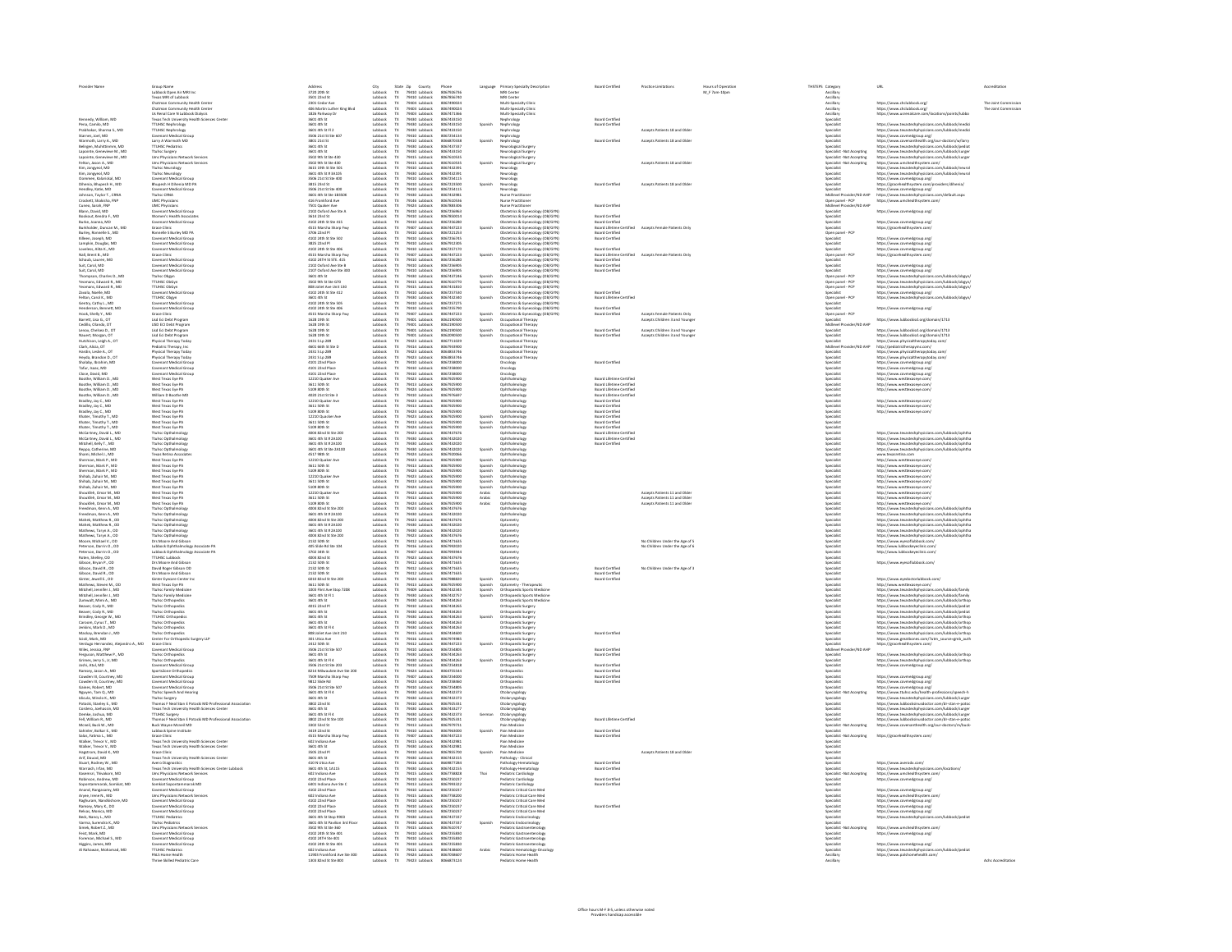| Provider Name                                                                                                                                                                                                                                                | Group Name                                                                                                                                                                                                                                             | Address<br>3720 20th St                                                                                                                                                                         | City                                                                                                                             |                                                                                         | State Zip County<br>TX 79410 Lubbock<br>TX 79410 Lubbock                                                                                                              | Phone<br>8067926736                                                                                                        |                                                                        | Language Primary Specialty Description                                                                                                                                                                                                                    | Board Certified                                                                                                                                                                           | <b>Practice Limitations</b>                                      | Hours of Operatio<br>M F 7am-10om | THSTEPS Category<br>Ancillan                                                                                                                                           | <b>LIRI</b>                                                                                                                                                                                                                                                                                                                                         | Acceptitation       |
|--------------------------------------------------------------------------------------------------------------------------------------------------------------------------------------------------------------------------------------------------------------|--------------------------------------------------------------------------------------------------------------------------------------------------------------------------------------------------------------------------------------------------------|-------------------------------------------------------------------------------------------------------------------------------------------------------------------------------------------------|----------------------------------------------------------------------------------------------------------------------------------|-----------------------------------------------------------------------------------------|-----------------------------------------------------------------------------------------------------------------------------------------------------------------------|----------------------------------------------------------------------------------------------------------------------------|------------------------------------------------------------------------|-----------------------------------------------------------------------------------------------------------------------------------------------------------------------------------------------------------------------------------------------------------|-------------------------------------------------------------------------------------------------------------------------------------------------------------------------------------------|------------------------------------------------------------------|-----------------------------------|------------------------------------------------------------------------------------------------------------------------------------------------------------------------|-----------------------------------------------------------------------------------------------------------------------------------------------------------------------------------------------------------------------------------------------------------------------------------------------------------------------------------------------------|---------------------|
|                                                                                                                                                                                                                                                              | Lubbock Open Air MRI Inc<br>Texas MRI of Lubbock                                                                                                                                                                                                       | 3501 22nd St                                                                                                                                                                                    | Lubbock<br>Lubbock                                                                                                               |                                                                                         |                                                                                                                                                                       | 8067856740                                                                                                                 |                                                                        | MRI Center<br>MRI Center                                                                                                                                                                                                                                  |                                                                                                                                                                                           |                                                                  |                                   | Ancillan                                                                                                                                                               |                                                                                                                                                                                                                                                                                                                                                     |                     |
|                                                                                                                                                                                                                                                              | Teass MM of Lubbook<br>Chatman Community Health Center<br>Chatman Community Health Center<br>US Renal Care N Lubbook Dialyis<br>Us Renal Care N Lubbook Dialyis<br>TTUHSC Nephrology<br>TTUHSC Nephrology<br>Covenant Medical Group<br>Covenant Medica | 2301 Cedar Ave<br>406 Martin Luther<br>1826 Parkway Dr<br>3601 4th St<br>King Rhyl                                                                                                              | Lubbock<br>Lubbock<br>Lubbock<br>Lubbock<br>Lubbock<br>Lubbock<br>Lubbock<br>Lubbock                                             |                                                                                         | 79410 tubbock<br>79404 tubbock<br>79403 tubbock<br>79403 tubbock<br>79430 tubbock<br>79430 tubbock<br>79410 tubbock<br>79410 tubbock<br>79410 tubbock                 | 8067856740<br>8057490024<br>8057490024<br>8057433150<br>8057433150<br>8057433150<br>8057433150<br>805754134<br>8067254134  |                                                                        | Multi-Specialty Clinic<br>Multi-Specialty Clinic<br>Multi-Specialty Clinic                                                                                                                                                                                |                                                                                                                                                                                           |                                                                  |                                   | Anallary<br>Anallary<br>Anallary<br>Anallary<br>Specialist<br>Specialist<br>Specialist<br>Specialist                                                                   | https://www.chclubbock.org/<br>https://www.chclubbock.org/<br>https://www.usrenalcare.com                                                                                                                                                                                                                                                           | The Joint Commissio |
|                                                                                                                                                                                                                                                              |                                                                                                                                                                                                                                                        |                                                                                                                                                                                                 |                                                                                                                                  |                                                                                         |                                                                                                                                                                       |                                                                                                                            |                                                                        | rology                                                                                                                                                                                                                                                    |                                                                                                                                                                                           |                                                                  |                                   |                                                                                                                                                                        |                                                                                                                                                                                                                                                                                                                                                     |                     |
|                                                                                                                                                                                                                                                              |                                                                                                                                                                                                                                                        | 3601 4th St<br>3601 4th St<br>3601 4th St Fl 2                                                                                                                                                  |                                                                                                                                  |                                                                                         |                                                                                                                                                                       |                                                                                                                            | Spanish                                                                | Nephrology                                                                                                                                                                                                                                                | <b>Board Certified<br/>Board Certified</b>                                                                                                                                                | Accepts Patients 18 and Olde                                     |                                   |                                                                                                                                                                        |                                                                                                                                                                                                                                                                                                                                                     |                     |
| Kennedy, William, MD<br>Pena, Camilo, MD<br>Prabhakar, Sharma S., MD<br>Starnes, Joel, MD<br>Warmoth, Larry A., MD                                                                                                                                           |                                                                                                                                                                                                                                                        | 3506 21st St Ste 60                                                                                                                                                                             |                                                                                                                                  |                                                                                         |                                                                                                                                                                       |                                                                                                                            |                                                                        | lephrology<br>phrology                                                                                                                                                                                                                                    |                                                                                                                                                                                           |                                                                  |                                   |                                                                                                                                                                        | https://www.texastechphysicians.com/lubbock/medici<br>https://www.texastechphysicians.com/lubbock/medici<br>https://www.covmedgroup.org/<br>https://www.covenanthealth.org/our-doctors/w/larry                                                                                                                                                      |                     |
| Belirgen, Muhittinmm, MD                                                                                                                                                                                                                                     | <b>TTUHSC Pediatrics</b>                                                                                                                                                                                                                               | 3801 21st St<br>3601 4th St                                                                                                                                                                     |                                                                                                                                  | $T\!X$                                                                                  | 79430 Lubbock                                                                                                                                                         | 806687033<br>8067437337                                                                                                    |                                                                        | Nephrology<br>Neurological Surgery                                                                                                                                                                                                                        | <b>Board Certified</b>                                                                                                                                                                    | Accepts Patients 18 and Olde                                     |                                   | Specialist                                                                                                                                                             | https://www.texastechphysicians.com/lubbock/pediat                                                                                                                                                                                                                                                                                                  |                     |
| Lapointe, Genevieve M., MC<br>Lapointe, Genevieve M., MD                                                                                                                                                                                                     | <b>Ttuhsc Surgery</b><br>Umc Physicians Network Services                                                                                                                                                                                               | 3601 4th St<br>3502 9th St Ste 430                                                                                                                                                              | Lubbock<br>Lubbock<br>Lubbock                                                                                                    | $\mathsf{TX}$                                                                           | 79430 Lubbock<br>79415 Lubbock                                                                                                                                        | 8067433150<br>8067610535                                                                                                   |                                                                        | Neurological Surgery<br>Neurological Surgery                                                                                                                                                                                                              |                                                                                                                                                                                           |                                                                  |                                   | Specialist - Not Accepting<br><b>Specialist - Not Accepting</b>                                                                                                        | https://www.texastechphysicians.com/lubbock/surge<br>https://www.texastechphysicians.com/lubbock/surge                                                                                                                                                                                                                                              |                     |
| Felton, Jason A. MD                                                                                                                                                                                                                                          | <b>Umc Physicians Network Services</b><br>Ttuhsc Neurology                                                                                                                                                                                             | 3502 9th St Ste 430<br>3615 19th St Ste 501                                                                                                                                                     | Lubbock<br>Lubbock<br>Lubbock<br>Lubbock                                                                                         | $\frac{TX}{TX}$                                                                         | 79415 Lubbock<br>79410 Lubbock                                                                                                                                        | 8067610535<br>806743239                                                                                                    | Spanish                                                                | Neurological Surgery                                                                                                                                                                                                                                      |                                                                                                                                                                                           | Accepts Patients 18 and Older                                    |                                   | <b>Specialist - Not Accepting</b><br>.<br>Specialist                                                                                                                   | https://www.umchealthsystem.com/<br>https://www.texastechphysicians.com/lubbock/neuro                                                                                                                                                                                                                                                               |                     |
| Kim, Jongyeol, MD<br>Kim, Jongyeol, MD<br>Oommen, Kalarickal, MD                                                                                                                                                                                             | <b>Ttuhsc Neurolog</b>                                                                                                                                                                                                                                 | 3601 4th St # 3A105                                                                                                                                                                             |                                                                                                                                  | $\frac{TX}{TX}$                                                                         | 79430 Lubbock<br>79410 Lubbock                                                                                                                                        | 806743239                                                                                                                  |                                                                        |                                                                                                                                                                                                                                                           |                                                                                                                                                                                           |                                                                  |                                   | .<br>Specialist<br>Specialist                                                                                                                                          |                                                                                                                                                                                                                                                                                                                                                     |                     |
| Oommen, Kalaridkal, MD<br>Dihenia, Bhupesh H., MD<br>Hendley, Katie, MD<br>Johnson, Taylor T., CRNA<br>Crockett, Shakisha, FNP<br>Cuneo, Sarah, FNP<br>Benn, David, MD<br>Bennut Kendra F. MD<br>Bennut Kendra F. MD                                         | Covenant Medical Group                                                                                                                                                                                                                                 | 3506 21st St Ste 400<br>3505 21st St Ste 400<br>3815 23rd St<br>3506 21st St Ste 400<br>3601 4th St Ste 18350K<br>416 Frankford Ave<br>7501 Quaker Ave<br>2102 Oxford Ave Ste A<br>3614 23rd St |                                                                                                                                  |                                                                                         | 79410 tubbock<br>79410 tubbock<br>79410 tubbock<br>79430 tubbock<br>79144 tubbock<br>79410 tubbock<br>79410 tubbock<br>79410 tubbock                                  | 8067254115                                                                                                                 |                                                                        | Neurology<br>Neurology<br>Neurology<br>Neurology<br>Nurse Practitioner<br>Nurse Practitioner<br>Nurse Practitioner<br>Nurse Practitioner                                                                                                                  | <b>Board Certified</b>                                                                                                                                                                    | Accepts Patients 18 and Olde                                     |                                   |                                                                                                                                                                        | https://www.starastechphysicians.com/lubbock/neurol<br>https://www.starastechphysicians.com/lubbock/neurol<br>https://www.starastechphysicians.com/lubbock/neurol<br>https://graeohaalthsystem.com/providers/dihenia/<br>https://www.comn                                                                                                           |                     |
|                                                                                                                                                                                                                                                              | Covenant Webbar Group<br>Bhupesh H Dihenia MD PA<br>Covenant Medical Group<br>Ttuhsc CRNA                                                                                                                                                              |                                                                                                                                                                                                 | tubbock<br>tubbock<br>tubbock<br>tubbock<br>tubbock<br>tubbock<br>tubbock<br>tubbock<br>tubbock                                  |                                                                                         |                                                                                                                                                                       | 8067223500<br>8067223500<br>8067432981                                                                                     |                                                                        |                                                                                                                                                                                                                                                           |                                                                                                                                                                                           |                                                                  |                                   | specialist<br>Specialist<br>Specialist<br>Midlevel Pro                                                                                                                 |                                                                                                                                                                                                                                                                                                                                                     |                     |
|                                                                                                                                                                                                                                                              | <b>UMC Physicians</b>                                                                                                                                                                                                                                  |                                                                                                                                                                                                 |                                                                                                                                  |                                                                                         |                                                                                                                                                                       | 806761053                                                                                                                  |                                                                        |                                                                                                                                                                                                                                                           |                                                                                                                                                                                           |                                                                  |                                   | Companies - PCP<br>Midlevel Provider/ND AHP<br>Specialist<br>Specialist<br>Specialist<br>Midlen                                                                        |                                                                                                                                                                                                                                                                                                                                                     |                     |
|                                                                                                                                                                                                                                                              | <b>UMC Physicians</b><br>Covenant Medical Group<br>Women's Health Associates                                                                                                                                                                           |                                                                                                                                                                                                 |                                                                                                                                  |                                                                                         |                                                                                                                                                                       | 806788330<br>8067256963<br>8067850014                                                                                      |                                                                        | Nurse Practitioner<br>Obstetrics & Gynecology (OB/GYN)<br>Obstetrics & Gynecology (OB/GYN)                                                                                                                                                                | <b>Board Certified</b>                                                                                                                                                                    |                                                                  |                                   |                                                                                                                                                                        | https://www.covmedgroup.org/                                                                                                                                                                                                                                                                                                                        |                     |
| Bookout, Kendra F., MD<br>Burke, Joanna, MD                                                                                                                                                                                                                  | Covenant Medical Group                                                                                                                                                                                                                                 | 4102 24th St Ste 415                                                                                                                                                                            |                                                                                                                                  | $T\!X$                                                                                  | 79410 Lubbock                                                                                                                                                         | 8067256280                                                                                                                 |                                                                        |                                                                                                                                                                                                                                                           | <b>Board Certified</b><br><b>Board Certified</b>                                                                                                                                          |                                                                  |                                   |                                                                                                                                                                        | https://www.covmedgroup.org/                                                                                                                                                                                                                                                                                                                        |                     |
| Burkholder, Duncan M., MD<br>Burley, Ronnelle S., MD                                                                                                                                                                                                         | Grace Clinic<br>Since Circu.<br>Ronnelle S Burley MD PA                                                                                                                                                                                                | 4515 Marsha Sharp Fwy<br>3706 22nd Pl                                                                                                                                                           |                                                                                                                                  | $\frac{TX}{TX}$                                                                         | 79407 Lubbock<br>79410 Lubbock                                                                                                                                        | 8067447223<br>8067221253                                                                                                   | Spanish                                                                | Obstetrics & Gynecology (OB/GYN)<br>Obstetrics & Gynecology (OB/GYN)<br>Obstetrics & Gynecology (OB/GYN)                                                                                                                                                  | <b>Board Certified</b>                                                                                                                                                                    | Board Lifetime Certified Accepts Female Patients Only            |                                   | Specialist<br>Specialist<br>Open panel - PCP                                                                                                                           | https://gracehealthsystem.com/                                                                                                                                                                                                                                                                                                                      |                     |
|                                                                                                                                                                                                                                                              | <b>Covenant Medical Group</b><br>Covenant Medical Group                                                                                                                                                                                                | 4102 34th @ Re S02<br><b>3825 22nd Pl</b>                                                                                                                                                       |                                                                                                                                  | $\frac{TX}{TX}$                                                                         |                                                                                                                                                                       | 8067256745<br>8067012909                                                                                                   |                                                                        | Obstatrics & Gynecology (08/GYN)<br>Obstatrics & Gynecology (08/GYN)<br>Obstatrics & Gynecology (08/GYN)<br>Obstatrics & Gynecology (08/GYN)<br>Obstatrics & Gynecology (08/GYN)<br>Obstatrics & Gynecology (08/GYN)<br>Obstatrics & Gynecology           | <b>Board Certified</b>                                                                                                                                                                    |                                                                  |                                   | Open panel - PCP<br>Specialist<br>Specialist<br>Specialist<br>Open panel - PCP<br>Specialist<br>Specialist<br>Open panel - PCP<br>Open panel - PCP<br>Open panel - PCP |                                                                                                                                                                                                                                                                                                                                                     |                     |
| Kilieen, Joseph, MD<br>Lampkin, Douglas, MD<br>Loveless, Alita K., MD                                                                                                                                                                                        | Covenant Medical Group                                                                                                                                                                                                                                 | 4102 24th St Ste 406<br>4515 Marsha Sharp Fwy                                                                                                                                                   | Lubbock<br>Lubbock<br>Lubbock<br>Lubbock<br>Lubbock<br>Lubbock<br>Lubbock<br>Lubbock<br>Lubbock                                  | $\frac{TX}{TX}$                                                                         | 79410 Lubbock<br>79410 Lubbock<br>79410 Lubbock<br>79407 Lubbock                                                                                                      | 8067257170                                                                                                                 |                                                                        |                                                                                                                                                                                                                                                           | <b>Board Certified</b>                                                                                                                                                                    |                                                                  |                                   |                                                                                                                                                                        | https://www.covmedgroup.org/<br>https://www.covmedgroup.org/<br>https://www.covmedgroup.org/<br>https://gracehealthsystem.com/                                                                                                                                                                                                                      |                     |
| www.s.come.c.i<br>Nall Brant R MD                                                                                                                                                                                                                            | Customant on<br>Grace Clinic                                                                                                                                                                                                                           |                                                                                                                                                                                                 |                                                                                                                                  |                                                                                         |                                                                                                                                                                       | 8067447729                                                                                                                 | Snanish                                                                |                                                                                                                                                                                                                                                           |                                                                                                                                                                                           | Roard Lifetime Certified Arrents Female Patients Only            |                                   |                                                                                                                                                                        |                                                                                                                                                                                                                                                                                                                                                     |                     |
| Nat, Brent B., MD<br>Schaub, Lauren, MD<br>Suit, Carol, MD<br>Suit, Carol, MD<br>Thompson, Charles D., MD<br>Thompson, Charles D., MD                                                                                                                        | Grace Clinic<br>Covenant Medical Group<br>Covenant Medical Group<br>Covenant Medical Group<br>TrunsC ObGyn<br>TTUHSC ObGyn<br>TTUHSC ObGyn                                                                                                             | 4515 Marsha Sharp Fw<br>4102 24TH St STE. 415<br>2102 Oxford Ave Ste B<br>2107 Oxford Ave Ste 30<br>3601 4th St                                                                                 |                                                                                                                                  |                                                                                         | 19407 Lubbock<br>19410 Lubbock<br>19410 Lubbock<br>19430 Lubbock<br>19440 Lubbock                                                                                     | 806744722<br>8067256281<br>806725690!<br>806725690!<br>8067437241                                                          |                                                                        |                                                                                                                                                                                                                                                           | Board Certified<br>Board Certified<br>Board Certified<br>Board Certified                                                                                                                  |                                                                  |                                   |                                                                                                                                                                        | https://www.covmedgroup.org/<br>https://www.covmedgroup.org/<br>https://www.texastechphysicians.c                                                                                                                                                                                                                                                   |                     |
|                                                                                                                                                                                                                                                              |                                                                                                                                                                                                                                                        |                                                                                                                                                                                                 |                                                                                                                                  |                                                                                         |                                                                                                                                                                       |                                                                                                                            |                                                                        |                                                                                                                                                                                                                                                           |                                                                                                                                                                                           |                                                                  |                                   |                                                                                                                                                                        |                                                                                                                                                                                                                                                                                                                                                     |                     |
| Yeomans, Edward R., MD<br>Yeomans, Edward R., MD                                                                                                                                                                                                             | <b>TTUHSC ObGyn</b>                                                                                                                                                                                                                                    | 3502 9th St Ste G70<br>808 Joliet Ave Unit 13                                                                                                                                                   |                                                                                                                                  |                                                                                         | 79415 Lubbock<br>79415 Lubbock<br>79410 Lubbock                                                                                                                       | 8067610770<br>8067431810                                                                                                   | Spanish<br>Spanish                                                     | Obstetrics & Gynecology (OB/GYN)<br>Obstetrics & Gynecology (OB/GYN)                                                                                                                                                                                      |                                                                                                                                                                                           |                                                                  |                                   | Open panel - PCP<br>Open panel - PCP<br>Specialist                                                                                                                     | https://www.texastechphysicians.com/lubbock/obgyn/<br>https://www.texastechphysicians.com/lubbock/obgyn/                                                                                                                                                                                                                                            |                     |
| Zavala, Noelle, MD<br>Felton, Carol K., MD                                                                                                                                                                                                                   | Covenant Medical Group<br><b>TTUHSC Obayn</b>                                                                                                                                                                                                          | 4102 24th St Ste 412<br>3601 4th St                                                                                                                                                             | Lubbock                                                                                                                          | Tx                                                                                      | 79430 Lubbock                                                                                                                                                         | 8067257530<br>8067432340                                                                                                   | Spanish                                                                | Obstetrics & Gynecology (OB/GYN)<br>Obstetrics & Gynecology (OB/GYN)                                                                                                                                                                                      | <b>Board Certified</b><br>Board Lifetime Certified                                                                                                                                        |                                                                  |                                   | Open panel - PCP                                                                                                                                                       | https://www.covmedgroup.org/<br>https://www.texastechohysicians.com/lubbock/obeyn.                                                                                                                                                                                                                                                                  |                     |
| Gentry, Cathy L., MD<br>Henderson, Bennett, MD                                                                                                                                                                                                               | Covenant Medical Group<br>Covenant Medical Group                                                                                                                                                                                                       | 4102 24th St Ste 505<br>4102 24th St Ste 406                                                                                                                                                    | Lubbock<br>Lubbock<br>Lubbock                                                                                                    | $\overline{R}$                                                                          | 79410 Lubbock<br>79410 Lubbock                                                                                                                                        | 8067257275<br>8067255790                                                                                                   |                                                                        | Obstetrics & Gynecology (OB/GYN)<br>Obstetrics & Gynecology (OB/GYN)                                                                                                                                                                                      | <b>Board Certified</b>                                                                                                                                                                    |                                                                  |                                   | <b>Specialist</b><br><b>Specialist</b>                                                                                                                                 | https://www.covmederoup.org/                                                                                                                                                                                                                                                                                                                        |                     |
| Hook, Shelly Y., MD                                                                                                                                                                                                                                          | <b>Grace Clinic</b><br><b>Isd Fri Dahr Program</b>                                                                                                                                                                                                     | 4515 Marsha Sharo Fwy<br>1628 19th St                                                                                                                                                           |                                                                                                                                  | $\frac{1}{1}$                                                                           | 79407 Lubbock                                                                                                                                                         | 8067447223<br>8062190506                                                                                                   | Spanish                                                                | Obstetrics & Gynecology (OB/GYN)                                                                                                                                                                                                                          | <b>Board Certified</b>                                                                                                                                                                    | Accepts Female Patients Only                                     |                                   | Open panel - PCP                                                                                                                                                       |                                                                                                                                                                                                                                                                                                                                                     |                     |
| noor, snery 1., mo<br>Barrett, Lisa G., OT<br>Cedillo, Olando, OT<br>Lenox, Chelsea D., OT<br>Nixtelsiona - Loish A                                                                                                                                          | Lisd Eci Debt Program<br>LISD ECI Debt Program<br>Lisd Eci Debt Program<br>Lisd Eci Debt Program<br>Physical Therapy, Inc<br>Physical Therapy, Today<br>Physical Therapy, Today                                                                        | 1628 19th 9                                                                                                                                                                                     | lubbock<br>lubbock<br>lubbock<br>lubbock<br>lubbock<br>lubbock<br>lubbock<br>lubbock<br>lubbock<br>lubbock<br>lubbock<br>lubbock |                                                                                         | 79407 tubbock<br>79401 tubbock<br>79401 tubbock<br>79401 tubbock<br>79423 tubbock<br>79423 tubbock<br>79423 tubbock<br>79423 tubbock                                  | 8062190506                                                                                                                 | Spanish                                                                | Obstetrics & Gynecology<br>Occupational Therapy<br>Occupational Therapy<br>Occupational Therapy<br>Occupational Therapy<br>Occupational Therapy<br>Occupational Therapy<br>Occupational Therapy                                                           |                                                                                                                                                                                           | Accepts Children 3 and Younge                                    |                                   | <b><i>GENERAL PARK</i></b>                                                                                                                                             | https://www.lubbockisd.org/domain/1713                                                                                                                                                                                                                                                                                                              |                     |
|                                                                                                                                                                                                                                                              |                                                                                                                                                                                                                                                        | 1628 19th St<br>1628 19th St<br>1628 19th St<br>2431 S Lp 289<br>4601 66th St Ste D<br>2431 S Lp 289<br>2431 S Lp 289                                                                           |                                                                                                                                  |                                                                                         |                                                                                                                                                                       | 8062190500<br>8062190500<br>8062090500<br>8067933900<br>8063853746<br>8063853746                                           | Spanish<br>Spanish                                                     |                                                                                                                                                                                                                                                           | <b>Roard Certified</b><br><b>Board Certified</b>                                                                                                                                          | Accepts Children 3 and Younge<br>Accepts Children 3 and Younge   |                                   | Midlevel Provider/ND AHP<br>Specialist<br>Specialist<br>Specialist<br>Midlevel Provider/ND AHP<br>Specialist<br>Specialist                                             | https://www.lubbockisd.org/domain/1713                                                                                                                                                                                                                                                                                                              |                     |
| Hutchison, Leigh A., OT<br>Clark, Alicia, OT<br>Hardin, Leslie A., OT                                                                                                                                                                                        |                                                                                                                                                                                                                                                        |                                                                                                                                                                                                 |                                                                                                                                  |                                                                                         |                                                                                                                                                                       |                                                                                                                            |                                                                        |                                                                                                                                                                                                                                                           |                                                                                                                                                                                           |                                                                  |                                   |                                                                                                                                                                        | ntsps://www.lubbocksia.org/domain/1713<br>https://www.lubbocksid.org/domain/1713<br>https://www.physicaltherapytoday.com/<br>https://pediatrictherapyinc.com/<br>https://www.physicaltherapytoday.com/                                                                                                                                              |                     |
|                                                                                                                                                                                                                                                              |                                                                                                                                                                                                                                                        |                                                                                                                                                                                                 |                                                                                                                                  |                                                                                         |                                                                                                                                                                       |                                                                                                                            |                                                                        |                                                                                                                                                                                                                                                           |                                                                                                                                                                                           |                                                                  |                                   |                                                                                                                                                                        |                                                                                                                                                                                                                                                                                                                                                     |                     |
| Heyda, Brandon D., OT<br>Shalaby, Ibrahim, MD                                                                                                                                                                                                                | Physical Therapy Today<br>Covenant Medical Group                                                                                                                                                                                                       | 2431 S Lp 289<br>4101 22nd Place                                                                                                                                                                |                                                                                                                                  | $\frac{TX}{TX}$                                                                         | 79423 Lubbock<br>79410 Lubbock                                                                                                                                        | 8063853746<br>8067258000                                                                                                   |                                                                        | Occupational Therapy<br>Oncology                                                                                                                                                                                                                          | <b>Board Certified</b>                                                                                                                                                                    |                                                                  |                                   | Specialist<br>Specialist<br>Specialist                                                                                                                                 | https://www.physicaltherapytoday.com                                                                                                                                                                                                                                                                                                                |                     |
| Tafur, Isaac, MD<br>Close, David, MD                                                                                                                                                                                                                         | Covenant Medical Group<br>Covenant Medical Group                                                                                                                                                                                                       | 4101 22nd Place<br>4101 22nd Place                                                                                                                                                              |                                                                                                                                  | $\mathsf{TX}$                                                                           | 79410 Lubbock<br>79410 Lubbock                                                                                                                                        | 8067258000<br>8067258000                                                                                                   |                                                                        | Oncology                                                                                                                                                                                                                                                  |                                                                                                                                                                                           |                                                                  |                                   |                                                                                                                                                                        | https://www.covmedgroup.org/<br>https://www.covmedgroup.org/                                                                                                                                                                                                                                                                                        |                     |
| Boothe, William D., MD                                                                                                                                                                                                                                       | West Texas Eve PA                                                                                                                                                                                                                                      | 12210 Quaker Ave                                                                                                                                                                                |                                                                                                                                  | $\frac{\text{TX}}{\text{TX}}$                                                           | 79423 Lubbock                                                                                                                                                         | 8067925900                                                                                                                 |                                                                        | Oncology<br>Ophthalmology                                                                                                                                                                                                                                 | Board Lifetime Certified                                                                                                                                                                  |                                                                  |                                   | Specialist<br>Specialist<br>Specialist<br>Specialist                                                                                                                   | https://www.covmedgroup.org/<br>http://www.westtexaseye.com/                                                                                                                                                                                                                                                                                        |                     |
| Boothe, William D., MD<br>Boothe, William D., MD                                                                                                                                                                                                             | West Texas Eve PA<br>West Texas Eye PA                                                                                                                                                                                                                 | 3611 50th St<br>5109 80th St                                                                                                                                                                    |                                                                                                                                  | $\frac{\text{TX}}{\text{TX}}$                                                           | 79413 Lubbock<br>79424 Lubbock                                                                                                                                        | 8067925900<br>8067925900                                                                                                   |                                                                        | Ophthalmology<br>Ophthalmology                                                                                                                                                                                                                            | Board Lifetime Certified<br>Board Lifetime Certified                                                                                                                                      |                                                                  |                                   |                                                                                                                                                                        | http://www.westtexaseye.com/<br>http://www.westtexaseye.com/                                                                                                                                                                                                                                                                                        |                     |
| Boothe, William D., MD<br>Boothe, William D., MD<br>Bradley, Jay C., MD<br>Bradley, Jay C., MD<br>Bradley, Jay C., MD<br>Bradley, Jay C., MD<br>Shater, Timothy T., MD<br>Shater, Timothy T., MD<br>Shater, Timothy T., MD                                   | West Texas Eye PA<br>William D Boothe MD<br>West Texas Eye PA<br>West Texas Eye PA<br>West Texas Eye PA<br>West Texas Eye PA<br>West Texas Eye PA<br>West Texas Eye PA<br>West Texas Eye PA                                                            | 3209 8001 36<br>4020 21st St Ste 3<br>12210 Quaker Ave<br>3611 50th St<br>5109 80th St                                                                                                          |                                                                                                                                  |                                                                                         | 79424 Lubbock<br>79423 Lubbock<br>79423 Lubbock<br>79424 Lubbock<br>79424 Lubbock<br>79424 Lubbock<br>79424 Lubbock<br>79424 Lubbock                                  | 8067975900<br>8057975697<br>8057925900<br>8057925900<br>8057925900<br>8057925900<br>8057925900<br>8057925900<br>8057925900 |                                                                        | Ophthaimology<br>Ophthaimology<br>Ophthaimology<br>Ophthaimology<br>Ophthaimology<br>Ophthaimology<br>Ophthaimology                                                                                                                                       | Board Lifetime Certified<br>Board Lifetime Certified<br>Board Certified<br>Board Certified<br>Board Certified<br>Board Certified<br>Board Certified<br>Board Certified<br>Board Certified |                                                                  |                                   | specialist<br>Specialist<br>Specialist<br>Specialist<br>Specialist<br>Specialist<br>Specialist                                                                         |                                                                                                                                                                                                                                                                                                                                                     |                     |
|                                                                                                                                                                                                                                                              |                                                                                                                                                                                                                                                        |                                                                                                                                                                                                 |                                                                                                                                  |                                                                                         |                                                                                                                                                                       |                                                                                                                            |                                                                        |                                                                                                                                                                                                                                                           |                                                                                                                                                                                           |                                                                  |                                   |                                                                                                                                                                        | http://www.westtexaseye.com/<br>http://www.westtexaseye.com/<br>http://www.westtexaseye.com/                                                                                                                                                                                                                                                        |                     |
|                                                                                                                                                                                                                                                              |                                                                                                                                                                                                                                                        |                                                                                                                                                                                                 |                                                                                                                                  |                                                                                         |                                                                                                                                                                       |                                                                                                                            |                                                                        |                                                                                                                                                                                                                                                           |                                                                                                                                                                                           |                                                                  |                                   |                                                                                                                                                                        |                                                                                                                                                                                                                                                                                                                                                     |                     |
|                                                                                                                                                                                                                                                              |                                                                                                                                                                                                                                                        | 12210 Quacker Ave<br>12210 Quacker Ave<br>3611 50th St                                                                                                                                          |                                                                                                                                  |                                                                                         |                                                                                                                                                                       |                                                                                                                            | Spanish<br>Spanish<br>Spanish                                          |                                                                                                                                                                                                                                                           |                                                                                                                                                                                           |                                                                  |                                   |                                                                                                                                                                        |                                                                                                                                                                                                                                                                                                                                                     |                     |
| McCartney, David L., MD<br>McCartney, David L., MD                                                                                                                                                                                                           | <b>Ttuhsc Opthalmology</b><br>Ttuhsc Opthalmology                                                                                                                                                                                                      | 4004 82nd St Ste 200<br>3601 4th St # 2A100                                                                                                                                                     | lubbock<br>Lubbock<br>Lubbock<br>Lubbock<br>Lubbock<br>Lubbock<br>Lubbock<br>Lubbock<br>Lubbock                                  | $\mathsf{TX}$                                                                           | 79423 Lubbock<br>79430 Lubbock                                                                                                                                        | 8067437676<br>8067432020                                                                                                   |                                                                        | Ophthalmology<br>Ophthalmology                                                                                                                                                                                                                            | Board Lifetime Certifies<br>Board Lifetime Certified                                                                                                                                      |                                                                  |                                   | Specialist<br>Specialist                                                                                                                                               | https://www.texastechphysicians.com/lubbock/ophtha<br>https://www.texastechphysicians.com/lubbock/ophtha                                                                                                                                                                                                                                            |                     |
| Mitchell, Kelly T., MD                                                                                                                                                                                                                                       | Ttuhsc Opthalmology                                                                                                                                                                                                                                    | 3601 4th St # 2A100                                                                                                                                                                             |                                                                                                                                  |                                                                                         | 79430 Lubbock                                                                                                                                                         | 8067432020                                                                                                                 |                                                                        | Ophthalmology                                                                                                                                                                                                                                             | <b>Board Certified</b>                                                                                                                                                                    |                                                                  |                                   | Specialist                                                                                                                                                             | https://www.texastechphysicians.com/lubbock/ophtha                                                                                                                                                                                                                                                                                                  |                     |
| Reppa, Catherine, MD<br>Shami, Michel J., MD                                                                                                                                                                                                                 | <b>Ttuhsc Opthalmology</b><br>Texas Retina Assor                                                                                                                                                                                                       | 3601 4th St Ste 2A100<br>4517 98th St                                                                                                                                                           |                                                                                                                                  | $\mathsf{TX}$<br>$\frac{TX}{TX}$                                                        | 79430 Lubbock<br>79424 Lubbock                                                                                                                                        | 8067432020<br>8067920066                                                                                                   | Spanish                                                                | Ophthalmology<br>Ophthalmolog                                                                                                                                                                                                                             |                                                                                                                                                                                           |                                                                  |                                   | Specialist<br>.<br>Specialist                                                                                                                                          | https://www.texastechphysicians.com/lubbock/ophtha<br>www.texasretina.com                                                                                                                                                                                                                                                                           |                     |
| Sherman, Mark P., MD<br>Sherman, Mark P., MD                                                                                                                                                                                                                 | West Texas Eve PA<br>West Texas Eye PA                                                                                                                                                                                                                 | 12210 Quaker Ave<br>3611 50th St                                                                                                                                                                | Lubbock<br>Lubbock<br>Lubbock                                                                                                    | $\overline{\mathbf{x}}$                                                                 | 79423 Lubbock<br>79413 Lubbock                                                                                                                                        | 8067925900<br>8067925900                                                                                                   | Spanish<br>Spanish                                                     | Ophthalmolo<br>Ophthalmolog                                                                                                                                                                                                                               |                                                                                                                                                                                           |                                                                  |                                   | eecialist<br>eecialist                                                                                                                                                 | http://www.westtexaseye.com<br>http://www.westtexaseye.com/                                                                                                                                                                                                                                                                                         |                     |
| Sherman, Mark P., MD<br>Sherman, Mark P., MD<br>Shihab, Zuhair M., MD<br>Shihab, Zuhair M., MD<br>Shihab, Zuhair M., MD                                                                                                                                      | West Texas Eye PA<br>West Texas Eye PA<br>West Texas Eye PA<br>West Texas Eye PA<br>West Texas Eye PA<br>West Texas Eye PA<br>West Texas Eye PA<br>West Texas Eye PA<br>West Texas Eye PA                                                              | 3611 50th St<br>5109 80th St<br>12210 Quaker Ave<br>3611 50th St<br>5109 80th St<br>12210 Quaker Ave<br>3611 50th St<br>3611 50th St                                                            | tubbock<br>Lubbock<br>Lubbock<br>Lubbock<br>Lubbock<br>Lubbock<br>Lubbock<br>Lubbock<br>Lubbock                                  |                                                                                         | 79413 Lubbock<br>79424 Lubbock<br>79423 Lubbock<br>79413 Lubbock<br>79424 Lubbock<br>79424 Lubbock<br>79424 Lubbock<br>79424 Lubbock                                  | 8067925900<br>8067925900<br>8067925900<br>8067925900<br>8067925900<br>8067925900                                           | Spanish<br>Spanish<br>Spanish<br>Spanish<br>Arabic<br>Arabic<br>Arabic | Ophthaimology<br>Ophthaimology<br>Ophthaimology<br>Ophthaimology<br>Ophthaimology<br>Ophthaimology<br>Ophthaimology                                                                                                                                       |                                                                                                                                                                                           |                                                                  |                                   | pecialist<br>pecialist<br>pecialist<br>pecialist                                                                                                                       | http://www.westter.ziegv.com/<br>http://www.westter.ziegv.com/<br>http://www.westter.ziegv.com/<br>http://www.westter.ziegv.com/<br>http://www.westter.ziegv.com/<br>http://www.westter.ziegv.com/<br>http://www.westter.ziegv.com/<br>http://www.w                                                                                                 |                     |
|                                                                                                                                                                                                                                                              |                                                                                                                                                                                                                                                        |                                                                                                                                                                                                 |                                                                                                                                  |                                                                                         |                                                                                                                                                                       |                                                                                                                            |                                                                        |                                                                                                                                                                                                                                                           |                                                                                                                                                                                           |                                                                  |                                   |                                                                                                                                                                        |                                                                                                                                                                                                                                                                                                                                                     |                     |
|                                                                                                                                                                                                                                                              |                                                                                                                                                                                                                                                        |                                                                                                                                                                                                 |                                                                                                                                  |                                                                                         |                                                                                                                                                                       |                                                                                                                            |                                                                        |                                                                                                                                                                                                                                                           |                                                                                                                                                                                           | Accepts Patients 11 and Older                                    |                                   |                                                                                                                                                                        |                                                                                                                                                                                                                                                                                                                                                     |                     |
| Shouldeh, Omar M., MD<br>Shouldeh, Omar M., MD<br>Shouldeh, Omar M., MD                                                                                                                                                                                      |                                                                                                                                                                                                                                                        | 5109 80th St                                                                                                                                                                                    |                                                                                                                                  |                                                                                         |                                                                                                                                                                       | 8067925900<br>8067925900                                                                                                   |                                                                        |                                                                                                                                                                                                                                                           |                                                                                                                                                                                           | Accepts Patients 11 and Olde<br>Accepts Patients 11 and Olde     |                                   | .<br>Specialist<br>Specialist                                                                                                                                          |                                                                                                                                                                                                                                                                                                                                                     |                     |
| Freedman, Kenn A., MD                                                                                                                                                                                                                                        | <b>Ttuhsc Opthalmology</b><br>Ttuhsc Opthalmology                                                                                                                                                                                                      | 4004 82nd St Ste 200                                                                                                                                                                            |                                                                                                                                  | $T\!X$                                                                                  | 79423 Lubbock                                                                                                                                                         | 8067437676                                                                                                                 |                                                                        | Ophthalmology                                                                                                                                                                                                                                             |                                                                                                                                                                                           |                                                                  |                                   |                                                                                                                                                                        | https://www.texastechphysicians.com/lubbock/ophtha                                                                                                                                                                                                                                                                                                  |                     |
| Freedman, Kenn A., MD<br>Mahek, Matthew R., OD                                                                                                                                                                                                               | <b>Ttuhsc Opthalmology</b>                                                                                                                                                                                                                             | 3601 4th St # 2A100<br>4004 82nd St Ste 200                                                                                                                                                     |                                                                                                                                  | $\frac{TX}{TX}$                                                                         | 79430 Lubbock<br>79423 Lubbock                                                                                                                                        | 8067432020<br>8067437676                                                                                                   |                                                                        | Ophthalmolog<br>Optometry                                                                                                                                                                                                                                 |                                                                                                                                                                                           |                                                                  |                                   | Specialist<br>Specialist<br>Specialist<br>Specialist                                                                                                                   | https://www.texastechphysicians.com/lubbock/ophtha<br>https://www.texastechphysicians.com/lubbock/ophtha<br>https://www.texastechphysicians.com/lubbock/ophtha                                                                                                                                                                                      |                     |
| Mahek, Matthew R., OD                                                                                                                                                                                                                                        | <b>Ttuhsc Opthalmology</b><br><b>Ttuhsc Opthalmology</b><br>Ttuhsc Opthalmology                                                                                                                                                                        | 3601 4th St # 2A100<br>3601 4th St # 2A100                                                                                                                                                      |                                                                                                                                  | $\frac{\text{TX}}{\text{TX}}$                                                           | 79430 Lubbock                                                                                                                                                         | 8067432020<br>8067432020                                                                                                   |                                                                        | Optometry                                                                                                                                                                                                                                                 |                                                                                                                                                                                           |                                                                  |                                   |                                                                                                                                                                        |                                                                                                                                                                                                                                                                                                                                                     |                     |
| Mahek, Matthew R., OD<br>Mathews, Taryn A., OD<br>Matthews, Taryn A., OD<br>Moore, Michael V., OD<br>Peterson, Darrin O., OD<br>Peterson, Darrin O., OD<br>Gibson, Bryan P., OD<br>Gibson, Bryan P., OD<br>Gibson, Pasid R., OD                              | Drs Moore And Gibse                                                                                                                                                                                                                                    | 4004 82nd St Ste 200                                                                                                                                                                            | Lubbock<br>Lubbock<br>Lubbock<br>Lubbock<br>Lubbock<br>Lubbock<br>Lubbock<br>Lubbock<br>Lubbock                                  |                                                                                         | 79430 Lubbock<br>79423 Lubbock<br>79412 Lubbock<br>79416 Lubbock                                                                                                      | 8057437676<br>8067471631                                                                                                   |                                                                        | Optometry<br>Optometry<br>Optometry<br>Optometry                                                                                                                                                                                                          |                                                                                                                                                                                           |                                                                  |                                   | specialist<br>Specialist<br>Specialist<br>Specialist<br>Specialist<br>Specialist<br>Specialist<br>Specialist                                                           | $\begin{array}{l} \texttt{Intp4:} / \texttt{www. boxastkehp} \texttt{hypiscins.com/lubbock/ophth} \\ \texttt{http://www. boxastkehp} \texttt{hypiscins.com/lubbock/ophth} \\ \texttt{http://www. boxastkehp} \texttt{hypiscins.com/lubbock/ophth} \\ \texttt{http://www.uyesoflubbock.com/} \\ \texttt{http://www.lybsckyeclinic.com/} \end{array}$ |                     |
|                                                                                                                                                                                                                                                              | Lubbock Ophthalmology Associate PA                                                                                                                                                                                                                     | 2132 50th St<br>405 Slide Rd Ste 104                                                                                                                                                            |                                                                                                                                  | $\frac{TX}{TX}$                                                                         |                                                                                                                                                                       | 8067992020                                                                                                                 |                                                                        |                                                                                                                                                                                                                                                           |                                                                                                                                                                                           | No Children Under the Age of 5<br>No Children Under the Age of 6 |                                   |                                                                                                                                                                        | ttp://www.lubbockeyedinic.com                                                                                                                                                                                                                                                                                                                       |                     |
|                                                                                                                                                                                                                                                              | Lubbock Ophthalmology Associate PA<br>Lubbock Ophthalmology Associate PA<br>TTUHSC Lubbock<br>Drs Moore And Gibson                                                                                                                                     | 405 3888 ND 3<br>3702 34th St<br>4004 82nd St<br>2132 50th St                                                                                                                                   |                                                                                                                                  |                                                                                         | 79416 Lubbock<br>79407 Lubbock<br>79423 Lubbock<br>79412 Lubbock                                                                                                      | 8067993944<br>8067993944<br>8067471635                                                                                     |                                                                        | Optometry<br>Optometry<br>Optometry                                                                                                                                                                                                                       |                                                                                                                                                                                           |                                                                  |                                   |                                                                                                                                                                        |                                                                                                                                                                                                                                                                                                                                                     |                     |
| Gibson, David R., OD                                                                                                                                                                                                                                         |                                                                                                                                                                                                                                                        | 2132 50th St                                                                                                                                                                                    |                                                                                                                                  |                                                                                         |                                                                                                                                                                       | 8067471635                                                                                                                 |                                                                        | Optometry                                                                                                                                                                                                                                                 | <b>Board Certified</b>                                                                                                                                                                    | No Children Under the Age of 3                                   |                                   |                                                                                                                                                                        | https://www.eyesoflubbock.com/                                                                                                                                                                                                                                                                                                                      |                     |
| Gibson, David R., OD<br>Ginter, Jewell E., OD                                                                                                                                                                                                                | David Roger Gibson OD<br>Drs Moore And Gibson                                                                                                                                                                                                          | 2132 50th St<br>6010 82nd St Ste 200                                                                                                                                                            |                                                                                                                                  |                                                                                         | $\begin{array}{c} \textbf{79412} \text{ Lubback} \\ \textbf{79412 tubback} \\ \textbf{79424 tubback} \\ \textbf{79424 tubback} \\ \textbf{79413 tubback} \end{array}$ | 8067471635                                                                                                                 |                                                                        | Optometry                                                                                                                                                                                                                                                 | <b>Board Certified</b><br>Board Certified                                                                                                                                                 |                                                                  |                                   | Specialist<br>Specialist<br>Specialist<br>Specialist                                                                                                                   | https://www.eyedoctorlubbock.com/                                                                                                                                                                                                                                                                                                                   |                     |
| Mathews, Steven M., OD                                                                                                                                                                                                                                       | Ginter Eyecare Center Inc<br>West Texas Eye PA                                                                                                                                                                                                         | 3611 50th St                                                                                                                                                                                    | Lubbock                                                                                                                          | $\frac{TX}{TX}$                                                                         |                                                                                                                                                                       | 8067988820<br>8067925900                                                                                                   | Spanish<br>Spanish                                                     | Optometry<br>Optometry - Therapeutic                                                                                                                                                                                                                      |                                                                                                                                                                                           |                                                                  |                                   |                                                                                                                                                                        | http://www.westtexaseye.com/                                                                                                                                                                                                                                                                                                                        |                     |
| Mitchell, Jennifer J., MD<br>Mitchell, Jennifer J., MD                                                                                                                                                                                                       | Ttuhsc Family Medicine<br>Ttuhsc Family Medicine                                                                                                                                                                                                       | 1003 Flint Ave Stop 7208<br>3601 4th St Fl 1                                                                                                                                                    | Lubback<br>Lubback                                                                                                               | Tx<br>$\frac{TX}{TX}$                                                                   | 79409 Lubbock<br>79430 Lubbock                                                                                                                                        | 8067432345<br>8067432757                                                                                                   | Spanish<br>Spanish                                                     | Orthopaedic Sports Medicine<br>Orthopaedic Sports Medicine                                                                                                                                                                                                |                                                                                                                                                                                           |                                                                  |                                   | Specialist<br><b>Gecialist</b>                                                                                                                                         | https://www.texastechphysicians.com/lubbock/famil<br>https://www.texastechphysicians.com/lubbock/family                                                                                                                                                                                                                                             |                     |
| Zumwalt, Mimi A., MD                                                                                                                                                                                                                                         | Ttuhsc Orthopedics<br>Ttuber Orthreading                                                                                                                                                                                                               | 3601 4th St<br>40152244.01                                                                                                                                                                      |                                                                                                                                  | $\overline{\mathbf{R}}$                                                                 | 79430 Lubbock                                                                                                                                                         | 8067434263<br>8057434265                                                                                                   |                                                                        | Orthopaedic Sports Medicine<br>Orthopaedic Surgery                                                                                                                                                                                                        |                                                                                                                                                                                           |                                                                  |                                   | <b>Specialist</b>                                                                                                                                                      | https://www.texastechohysicians.com/lubbock/orthog<br>http://www.strasticchphysicians.com/lubbook/orthophotoly<br>https://www.strasticchphysicians.com/lubbook/pediat<br>https://www.strasticchphysicians.com/lubbook/pediat<br>https://www.strasticchphysicians.com/lubbook/orthophotoly<br>ht                                                     |                     |
| Zumwalt, Mimi A., MD<br>Beaver, Cody R., MD<br>Beaver, Cody R., MD<br>Brindley, George W., MD<br>Caroom, Cyrus T., MD<br>Jenkins, Mark D., MD<br>Mackay, Brendan J., MD<br>Stioli, Mark, MD<br>Stiolinen Harnandez, Alei                                     | Ttubsc Octhonadic                                                                                                                                                                                                                                      | <b>GOT 4th St</b><br><b>SAD1 4th St</b>                                                                                                                                                         | lubbock<br>Lubbock<br>Lubbock<br>Lubbock<br>Lubbock<br>Lubbock<br>Lubbock<br>Lubbock<br>Lubbock                                  |                                                                                         | 79430 Lubbock<br>79430 Lubbock<br>79430 Lubbock<br>79430 Lubbock<br>79430 Lubbock<br>79431 Lubbock<br>79415 Lubbock<br>79411 Lubbock                                  | 8067434263                                                                                                                 | Spanish                                                                | Orthopaedic Surgery<br>Orthopaedic Surgery<br>Orthopaedic Surgery<br>Orthopaedic Surgery<br>Orthopaedic Surgery<br>Orthopaedic Surgery<br>Orthopaedic Surgery                                                                                             |                                                                                                                                                                                           |                                                                  |                                   | Specialist<br>Specialist<br>Specialist<br>Specialist<br>Specialist<br>Specialist<br>Specialist<br>Specialist                                                           |                                                                                                                                                                                                                                                                                                                                                     |                     |
|                                                                                                                                                                                                                                                              |                                                                                                                                                                                                                                                        | 3601 4th St                                                                                                                                                                                     |                                                                                                                                  |                                                                                         |                                                                                                                                                                       | 8067434263                                                                                                                 |                                                                        |                                                                                                                                                                                                                                                           |                                                                                                                                                                                           |                                                                  |                                   |                                                                                                                                                                        |                                                                                                                                                                                                                                                                                                                                                     |                     |
|                                                                                                                                                                                                                                                              | Ttuhsc Orthopadics<br>TTUHSC Orthopadics<br>Ttuhsc Orthopadics<br>Ttuhsc Orthopadics<br>Ttuhsc Orthopadics<br>Center For Orthopadic Surgery LLP                                                                                                        | 3601 4th St Fl 4<br>3601 4th St Fl 4<br>808 Joliet Ave Unit 210<br>301 Utica Ave                                                                                                                |                                                                                                                                  |                                                                                         |                                                                                                                                                                       | 8067434263<br>8067434263<br>8067434600<br>8067974985                                                                       |                                                                        |                                                                                                                                                                                                                                                           | <b>Board Certifier</b>                                                                                                                                                                    |                                                                  |                                   |                                                                                                                                                                        |                                                                                                                                                                                                                                                                                                                                                     |                     |
|                                                                                                                                                                                                                                                              | Grace Clinic                                                                                                                                                                                                                                           | 2412 50th St                                                                                                                                                                                    |                                                                                                                                  |                                                                                         | 79412 Lubbock                                                                                                                                                         | 8067447223                                                                                                                 | Spanish                                                                | Orthopaedic Surgery                                                                                                                                                                                                                                       |                                                                                                                                                                                           |                                                                  |                                   |                                                                                                                                                                        |                                                                                                                                                                                                                                                                                                                                                     |                     |
| Verdugo Hernandez, Alejandro A., MD<br>Wiles, Jessica, FNP<br>Ferguson, Matthew P., MD                                                                                                                                                                       | Grace Came<br>Covenant Medical Group<br>Ttuhsc Orthopedics<br>Ttuhsc Orthopedics                                                                                                                                                                       | 3506 21st St Ste 507<br>3601 4th St                                                                                                                                                             |                                                                                                                                  |                                                                                         | 79410 Lubbock<br>79430 Lubbock                                                                                                                                        | 8067254805<br>8067434263                                                                                                   |                                                                        | Orthopaedic Surgery<br>Orthopaedic Surgery                                                                                                                                                                                                                | <b>Board Certified</b><br><b>Board Certified</b>                                                                                                                                          |                                                                  |                                   | Specialist<br>Midlevel Provider/ND AHP                                                                                                                                 |                                                                                                                                                                                                                                                                                                                                                     |                     |
| Grimes, Jerry S., Jr, MD<br>Joshi, Atul, MD                                                                                                                                                                                                                  |                                                                                                                                                                                                                                                        | 3601 4th St Fl 4<br>3506 21st St Ste 203                                                                                                                                                        |                                                                                                                                  | $\mathsf{TX}$                                                                           | 79430 Lubbock                                                                                                                                                         | 8067434263<br>8067254818                                                                                                   | Spanish                                                                | Orthopaedic Surgery<br>Orthopaedics                                                                                                                                                                                                                       | Board Certified                                                                                                                                                                           |                                                                  |                                   | Specialist<br>Specialist                                                                                                                                               | https://www.texastechphysicians.com/lubbock/orthop<br>https://www.texastechphysicians.com/lubbock/orthop<br>https://www.covmedaroup.org/                                                                                                                                                                                                            |                     |
| Ramsey, Jason A., MD<br>Cowden III, Courtney, MD                                                                                                                                                                                                             | Covenant Medical Group<br>SportsZone Orthopedics                                                                                                                                                                                                       | 8214 Milwaukee Ave Ste 200                                                                                                                                                                      |                                                                                                                                  | $\frac{\text{TX}}{\text{TX}}$                                                           | 79410 Lubbock<br>79424 Lubbock                                                                                                                                        | 8064755544                                                                                                                 |                                                                        | Orthopaedics                                                                                                                                                                                                                                              | <b>Board Certified</b>                                                                                                                                                                    |                                                                  |                                   |                                                                                                                                                                        |                                                                                                                                                                                                                                                                                                                                                     |                     |
| Cowden III, Courtney, MD                                                                                                                                                                                                                                     | Covenant Medical Group<br>Covenant Medical Group                                                                                                                                                                                                       | 7509 Marsha Sharo Fw<br>9812 Slide Rd                                                                                                                                                           | Lubbock<br>Lubbock<br>Lubbock<br>Lubbock                                                                                         | $\frac{\text{TX}}{\text{TX}}$                                                           | 79407 Lubbock<br>79424 Lubbock                                                                                                                                        | 8067254000<br>8067258460                                                                                                   |                                                                        | Orthopaedics<br>Orthopaedics                                                                                                                                                                                                                              | <b>Board Certified</b><br><b>Board Certified</b>                                                                                                                                          |                                                                  |                                   | Specialist<br>Specialist<br>Specialist<br>Specialist                                                                                                                   | https://www.covmederoup.org/                                                                                                                                                                                                                                                                                                                        |                     |
|                                                                                                                                                                                                                                                              |                                                                                                                                                                                                                                                        |                                                                                                                                                                                                 |                                                                                                                                  |                                                                                         |                                                                                                                                                                       |                                                                                                                            |                                                                        |                                                                                                                                                                                                                                                           |                                                                                                                                                                                           |                                                                  |                                   |                                                                                                                                                                        |                                                                                                                                                                                                                                                                                                                                                     |                     |
| Cowden III, Courtney, M.<br>Gaines, Robert, MD<br>Nipuyen, Tam Q., MD<br>Idicula, Winslo K., MD<br>Potocki, Stanley F., MD<br>Ordero, Joehassin, MD<br>Demke, Joshua, MD<br>Fell, William R., MD<br>Fell, William R., MD                                     | Covenint Medical Group<br>Covenint Medical Group<br>Ttulsic Speech And Hearing<br>Thulsic Surgery<br>Thomas F Neal Stan E Potocki MD Professional Association<br>Texas Tech University Health Sciences Center<br>Texas Tech University Health Sc       | 9812 Slide Rd<br>3506 21st St Ste 507<br>3601 4th 5: Fl 4<br>3601 4th 5: Fl<br>3802 22nd 5:<br>3601 4th 5:<br>3601 4th 5: Fl 4<br>3802 22nd 5: Ste 100                                          | Lubbock<br>Lubbock<br>Lubbock<br>Lubbock<br>Lubbock<br>Lubbock<br>Lubbock                                                        |                                                                                         | 79424 tubbock<br>79430 tubbock<br>79430 tubbock<br>79430 tubbock<br>79430 tubbock<br>79430 tubbock<br>79440 tubbock<br>79440 tubbock                                  | 8067258460<br>8067254805<br>8067432373<br>8067432373<br>8067433277<br>8067433277<br>8067432373<br>8067432373               |                                                                        | Orthopaedics<br>Orthopaedics<br>Otolaryngology<br>Otolaryngology                                                                                                                                                                                          |                                                                                                                                                                                           |                                                                  |                                   | Specialist<br>Specialist<br>Specialist -Not Accepting<br>Specialist<br>Specialist<br>Specialist<br>Specialist<br>Specialist<br>Specialist<br>Specialist<br>Specialist  | https://www.covenedgroup.org/<br>https://www.covenedgroup.org/<br>https://www.covenedgroup.org/<br>https://www.coven-degroup.org/<br>https://www.hinkic.edu/health-prefessions/speech-https://www.hinkic.edu/health-prefessions/speech-ht                                                                                                           |                     |
|                                                                                                                                                                                                                                                              |                                                                                                                                                                                                                                                        |                                                                                                                                                                                                 |                                                                                                                                  |                                                                                         |                                                                                                                                                                       |                                                                                                                            |                                                                        | Otolaryngology<br>Otolaryngology                                                                                                                                                                                                                          |                                                                                                                                                                                           |                                                                  |                                   |                                                                                                                                                                        |                                                                                                                                                                                                                                                                                                                                                     |                     |
|                                                                                                                                                                                                                                                              | .<br>Turisc Surgery<br>Inomas F Neal Stan E Potocki MD Professional Association                                                                                                                                                                        |                                                                                                                                                                                                 |                                                                                                                                  |                                                                                         |                                                                                                                                                                       |                                                                                                                            |                                                                        | Otolaryngology<br>Otolaryngology                                                                                                                                                                                                                          | Board Lifetime Certifier                                                                                                                                                                  |                                                                  |                                   |                                                                                                                                                                        |                                                                                                                                                                                                                                                                                                                                                     |                     |
| Moneil, Buck W., MD<br>Sahinler, Bolkar E., MD                                                                                                                                                                                                               | Buck Wayne Mcneil MD<br>Lubbock Spine Institute                                                                                                                                                                                                        | 3302 53rd St<br>3419 22nd St                                                                                                                                                                    | Lubbock<br>Lubbock<br>Lubbock                                                                                                    | $\mathsf{TX}$                                                                           | 79413 Lubbock                                                                                                                                                         | 8067979731<br>8067963000                                                                                                   | Spanish                                                                | Pain Medicine<br>Pain Medicine                                                                                                                                                                                                                            | <b>Board Certified</b>                                                                                                                                                                    |                                                                  |                                   | Specialist -Not Accepting<br>Specialist                                                                                                                                | https://www.covenanthealth.org/our-doctors/m/buck                                                                                                                                                                                                                                                                                                   |                     |
| Salas, Fatima L., MD                                                                                                                                                                                                                                         | <b>Grace Clinic</b>                                                                                                                                                                                                                                    | 4515 Marsha Sharp Fwy                                                                                                                                                                           |                                                                                                                                  | $\frac{TX}{TX}$                                                                         | 79410 Lubbock<br>79407 Lubbock                                                                                                                                        | 8067447223                                                                                                                 |                                                                        | Pain Medicine                                                                                                                                                                                                                                             | <b>Board Certified</b>                                                                                                                                                                    |                                                                  |                                   | Specialist - Not Accepting                                                                                                                                             | https://gracehealthsystem.com/                                                                                                                                                                                                                                                                                                                      |                     |
| Walker, Trevor V., MD<br>Walker, Trevor V., MD                                                                                                                                                                                                               | Texas Tech University Health Sciences Center<br>Texas Tech University Health Sciences Center                                                                                                                                                           | 602 Indiana Ave<br>3601 4th St                                                                                                                                                                  | Lubbock<br>Lubbock<br>Lubbock<br>Lubbock                                                                                         | $\frac{TX}{TX}$                                                                         | 79415 Lubbock<br>79430 Lubbock                                                                                                                                        | 8067432981<br>806743298                                                                                                    |                                                                        | Pain Medicine<br>Pain Medicine                                                                                                                                                                                                                            |                                                                                                                                                                                           |                                                                  |                                   | Specialist<br>.<br>Specialist                                                                                                                                          |                                                                                                                                                                                                                                                                                                                                                     |                     |
| Hagstrom, David K., MD<br>Arif, Dauod, MD                                                                                                                                                                                                                    | Grace Clinic<br>Texas Tech University Health Sciences Center                                                                                                                                                                                           | 3505 22nd Pl<br>3601 4th St                                                                                                                                                                     |                                                                                                                                  | $\overline{\mathbf{x}}$                                                                 | 79410 Lubbock<br>79430 Lubbock                                                                                                                                        | 8067855700<br>8067432155                                                                                                   | Spanish                                                                | Pain Medicine                                                                                                                                                                                                                                             |                                                                                                                                                                                           | Accepts Patients 18 and Olde                                     |                                   | .<br>Specialist<br><b>Specialist</b>                                                                                                                                   |                                                                                                                                                                                                                                                                                                                                                     |                     |
|                                                                                                                                                                                                                                                              |                                                                                                                                                                                                                                                        |                                                                                                                                                                                                 |                                                                                                                                  |                                                                                         |                                                                                                                                                                       | 866987778                                                                                                                  |                                                                        |                                                                                                                                                                                                                                                           | <b>Board Certified<br/>Board Certified</b>                                                                                                                                                |                                                                  |                                   |                                                                                                                                                                        |                                                                                                                                                                                                                                                                                                                                                     |                     |
| Arif, Dauod, MD<br>Stuart, Rodney W., MD<br>Warraich, Irlan, MD<br>Warraich, Irlan, MD<br>Robinson, Andrew, MD<br>Sopontammarak, Somkiat, MD<br>Anand, Rangasamy, MD<br>Arve, Irene N, MD<br>Royeurson Nhodichoro<br>Arve, Irene N, MD<br>Rooburson Nhodicho | leads feel throughout<br>Search Content (Search Content Content Content Content Content Content<br>Texas Tech University Health Sciences Center Lubbock<br>Um Chysicians Method Korona<br>Covenant Medical Group<br>Search Septicians Referen          | 3601 4th 5t<br>410 N Utica Ave<br>3601 4th 5t, 1A115<br>602 Indiana Ave<br>4102 22nd Place                                                                                                      | tubbock<br>tubbock<br>tubbock<br>tubbock<br>tubbock<br>tubbock<br>tubbock<br>tubbock<br>tubbock                                  |                                                                                         | 79430 Lubbock<br>79416 Lubbock<br>79430 Lubbock<br>79415 Lubbock<br>79413 Lubbock<br>79415 Lubbock<br>79415 Lubbock<br>79415 Lubbock                                  | 0003077284<br>8067432155<br>8067758828<br>8067250237                                                                       | Thai                                                                   | Pain Medicine<br>Pathology - Clinical<br>Pathology - Hematology<br>Pathology - Hematology<br>Pediatric Cardiology<br>Pediatric Cardiology<br>Pediatric Critical Care Med<br>Pediatric Critical Care Med<br>Pediatric Critical Care Med<br>Pediatric Criti |                                                                                                                                                                                           |                                                                  |                                   | specialist<br>Specialist<br>Specialist - Not Accepting                                                                                                                 | https://www.averodx.com/<br>https://www.texastechphysicians.<br>https://www.umchealthsystem.co<br>https://www.covmedgroup.org/                                                                                                                                                                                                                      |                     |
|                                                                                                                                                                                                                                                              |                                                                                                                                                                                                                                                        |                                                                                                                                                                                                 |                                                                                                                                  |                                                                                         |                                                                                                                                                                       | 806799332                                                                                                                  |                                                                        |                                                                                                                                                                                                                                                           | loard Certifier<br><b>Board Certified</b>                                                                                                                                                 |                                                                  |                                   | Specialist<br>Specialist<br>Specialist<br>Specialist                                                                                                                   |                                                                                                                                                                                                                                                                                                                                                     |                     |
|                                                                                                                                                                                                                                                              |                                                                                                                                                                                                                                                        | 6401 Indiana Ave Ste C<br>4102 22nd Place<br>603 Indiana<br>602 Indiana Ave                                                                                                                     |                                                                                                                                  |                                                                                         |                                                                                                                                                                       | 806725023<br>806775820                                                                                                     |                                                                        |                                                                                                                                                                                                                                                           |                                                                                                                                                                                           |                                                                  |                                   |                                                                                                                                                                        | https://www.covmedgroup.org/<br>https://www.umchealthsystem.com/                                                                                                                                                                                                                                                                                    |                     |
| Raghuram, Nandkishore, MD                                                                                                                                                                                                                                    | Covenant Medical Group                                                                                                                                                                                                                                 | 4102 22nd Place                                                                                                                                                                                 |                                                                                                                                  | $T\!X$                                                                                  | 79410 Lubbock                                                                                                                                                         | 8067250237                                                                                                                 |                                                                        | Pediatric Critical Care Med                                                                                                                                                                                                                               |                                                                                                                                                                                           |                                                                  |                                   |                                                                                                                                                                        | https://www.covmedgroup.org/                                                                                                                                                                                                                                                                                                                        |                     |
| Ramsey, Mary K., DO<br>Relvas, Monica, MD                                                                                                                                                                                                                    | Covenant Medical Group<br>Covenant Medical Group                                                                                                                                                                                                       | 4102 22nd Place<br>4102 22nd Place                                                                                                                                                              |                                                                                                                                  | $\frac{TX}{TX}$                                                                         | 79410 Lubbock<br>79410 Lubbock                                                                                                                                        | 8067250237<br>8067250237                                                                                                   |                                                                        | Pediatric Critical Care Med<br>Pediatric Critical Care Med                                                                                                                                                                                                | <b>Board Certified</b>                                                                                                                                                                    |                                                                  |                                   | Specialist<br>Specialist<br>Specialist<br>Specialist                                                                                                                   | https://www.covmedgroup.org/<br>https://www.covmedgroup.org/                                                                                                                                                                                                                                                                                        |                     |
| Beck, Nancy L., MD                                                                                                                                                                                                                                           | <b>TTUHSC Pediatrics</b>                                                                                                                                                                                                                               | 3601 4th St Stop 9903<br>3601 4th St Pavilion 3rd Floor                                                                                                                                         | Lubbock                                                                                                                          |                                                                                         | 79430 Lubbock                                                                                                                                                         | 8067437337<br>8067437337                                                                                                   | Spanish                                                                | Pediatric Endocrinology                                                                                                                                                                                                                                   |                                                                                                                                                                                           |                                                                  |                                   |                                                                                                                                                                        | https://www.texastechphysicians.com/lubbock/pediat                                                                                                                                                                                                                                                                                                  |                     |
| Varma, Surendra K., MD<br>Simek, Robert Z., MD<br>Feict Mark MD                                                                                                                                                                                              | TTUHSC Pediatrics<br>Tuhisc Pediatrics<br>Umc Physicians Network Services<br>Covenant Medical Group<br>Covenant Medical Group<br>Covenant Medical Group<br>TTUHSC Pediatrics<br>Photo Selibud Budistric Tune<br>Photo Silibud Budistric Cron           | 3502 9th St Ste 360<br>4102 24th 9 9e 401                                                                                                                                                       | weigek<br>Lubback<br>Lubback<br>Lubback<br>Lubback<br>Lubback<br>Lubback                                                         | $\frac{\text{TX}}{\text{TX}}$                                                           | 79430 Lubbock<br>79415 Lubbock<br>79410 Lubbock                                                                                                                       | 8067610743<br>8067255838                                                                                                   |                                                                        | <b>Pediatric Endocrinology</b><br>Pediatric Gastroenterol<br>Pediatric Gastroenterol                                                                                                                                                                      |                                                                                                                                                                                           |                                                                  |                                   | Specialist<br>Specialist<br>Specialist - Not Accepting<br>Specialist<br>Specialist<br>Specialist<br>Ancillow<br>Ancillow                                               | https://www.umchealthsystem.com/<br>https://www.covmedgroup.org/                                                                                                                                                                                                                                                                                    |                     |
| rent, mark, mu<br>Foreman, Michael S., MD<br>Higgirs, James, MD<br>Al Rahawan, Mohamad, MD                                                                                                                                                                   |                                                                                                                                                                                                                                                        | 4102 24th 5t 5te 401<br>4102 24th 5te 401<br>4102 24th 5t 5te 401<br>602 Indiana Ave<br>11903 Frankford Ave 5te 300<br>11903 Frankford Ave 5te 300                                              |                                                                                                                                  |                                                                                         | 79410 Lubbock<br>79410 Lubbock<br>79410 Lubbock<br>79424 Lubbock<br>79424 Lubbock                                                                                     | 8067255830<br>8067255830<br>8067255830<br>8067438600<br>8067058607                                                         |                                                                        | Pediatric Gastroenterology<br>Pediatric Gastroenterology<br>Pediatric Gastroenterology<br>Pediatric Hematology-Oncology<br>Pediatric Home Health                                                                                                          |                                                                                                                                                                                           |                                                                  |                                   |                                                                                                                                                                        |                                                                                                                                                                                                                                                                                                                                                     |                     |
|                                                                                                                                                                                                                                                              |                                                                                                                                                                                                                                                        |                                                                                                                                                                                                 |                                                                                                                                  | $\begin{array}{l} \mathsf{TX} \\ \mathsf{TX} \\ \mathsf{TX} \\ \mathsf{TX} \end{array}$ |                                                                                                                                                                       |                                                                                                                            | Arabic                                                                 |                                                                                                                                                                                                                                                           |                                                                                                                                                                                           |                                                                  |                                   |                                                                                                                                                                        | https://www.covmedgroup.org/<br>https://www.texastechphysicians.com/lubbock/pediat<br>https://www.palshomehealth.com/                                                                                                                                                                                                                               |                     |
|                                                                                                                                                                                                                                                              | Thrive Skilled Rediatri                                                                                                                                                                                                                                | 1303 82nd St Ste 800                                                                                                                                                                            | Lukharik.                                                                                                                        | TX.                                                                                     | 29423 Jubbork                                                                                                                                                         | 8066873124                                                                                                                 |                                                                        | Pediatric Home Health                                                                                                                                                                                                                                     |                                                                                                                                                                                           |                                                                  |                                   | Ancillary                                                                                                                                                              |                                                                                                                                                                                                                                                                                                                                                     |                     |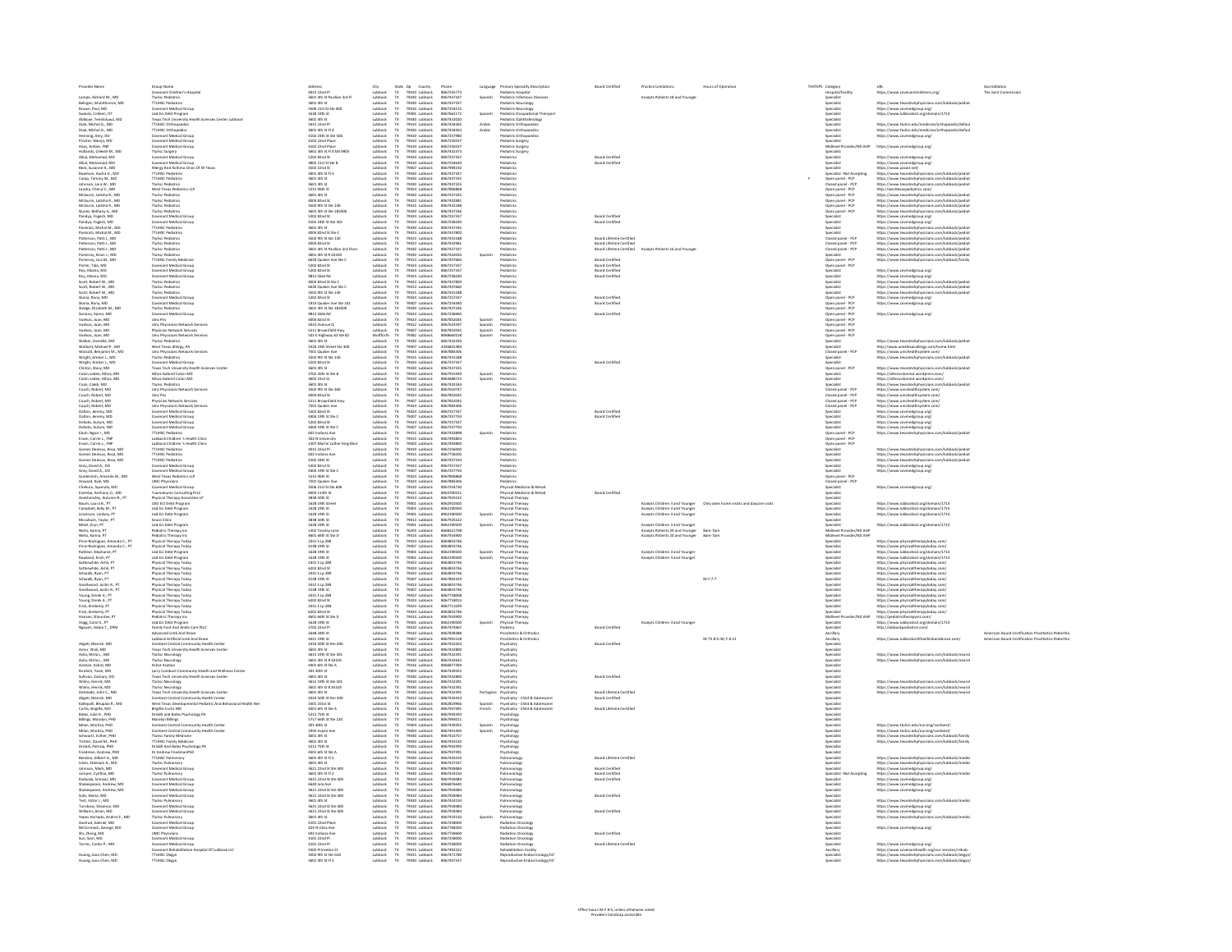|                                                                                                                                                                                                                       |                                                                                                                                                                                                                                                                           |                                                                                                                                                                                                                                    |                                                                                                                                 |                                                                                                                                                       |                                                                                                | Language           |                                                                                                                                                                                  |                                                  |                                                                                                       |                                                                          | THSTEPS Category<br>Hospital/Facilit                                                                                                                                                   | טאנ<br>https://www.covenantchildrens.org/                                                                                                                                                                                                       |                                                                                                        |
|-----------------------------------------------------------------------------------------------------------------------------------------------------------------------------------------------------------------------|---------------------------------------------------------------------------------------------------------------------------------------------------------------------------------------------------------------------------------------------------------------------------|------------------------------------------------------------------------------------------------------------------------------------------------------------------------------------------------------------------------------------|---------------------------------------------------------------------------------------------------------------------------------|-------------------------------------------------------------------------------------------------------------------------------------------------------|------------------------------------------------------------------------------------------------|--------------------|----------------------------------------------------------------------------------------------------------------------------------------------------------------------------------|--------------------------------------------------|-------------------------------------------------------------------------------------------------------|--------------------------------------------------------------------------|----------------------------------------------------------------------------------------------------------------------------------------------------------------------------------------|-------------------------------------------------------------------------------------------------------------------------------------------------------------------------------------------------------------------------------------------------|--------------------------------------------------------------------------------------------------------|
| Lampe, Richard M., MI                                                                                                                                                                                                 | Group Name<br>Covenant Children's Hospital<br>Ttuhsc Pediatrics                                                                                                                                                                                                           | Address<br>4015 22nd Pl<br>3601 4th St Pavilion 3rd Fl                                                                                                                                                                             |                                                                                                                                 | Zip County<br>79410 Lubbock<br>79430 Lubbock                                                                                                          | Phone<br>8067255773<br>8067437337                                                              | Spanish            | <b>Primary Specialty Description<br/>Pediatric Hospital<br/>Pediatric Infectious Diseases</b>                                                                                    |                                                  | <b>Accepts Patients 18 and Younger</b>                                                                |                                                                          |                                                                                                                                                                                        |                                                                                                                                                                                                                                                 | Accress.<br>The Joint Corr                                                                             |
| Belirgen, Muhittinmm, MD                                                                                                                                                                                              | <b>TTUHSC Pediatrics</b>                                                                                                                                                                                                                                                  | 3601 4th St                                                                                                                                                                                                                        | Lubbock                                                                                                                         |                                                                                                                                                       | 8067437337                                                                                     |                    | Pediatric Neurology                                                                                                                                                              |                                                  |                                                                                                       |                                                                          | Specialist                                                                                                                                                                             | https://www.texastechphysicians.com/lubbock/pedia                                                                                                                                                                                               |                                                                                                        |
| Brown, Paul, MD                                                                                                                                                                                                       | Covenant Medical Group                                                                                                                                                                                                                                                    | 3506 21st St Ste 400                                                                                                                                                                                                               | Lubbock                                                                                                                         | 79430 Lubbock<br>79410 Lubbock                                                                                                                        | 8067254115                                                                                     |                    | Pediatric Neurology                                                                                                                                                              |                                                  |                                                                                                       |                                                                          | Specialist                                                                                                                                                                             | https://www.covmedgroup.org/<br>https://www.lubbockisd.org/domain/1713                                                                                                                                                                          |                                                                                                        |
| Swiacki, Colleen, OT                                                                                                                                                                                                  | Lisd Eci Debt Program                                                                                                                                                                                                                                                     | 1628 19th St                                                                                                                                                                                                                       | Lubbock                                                                                                                         | 79401 Lubbock<br>79430 Lubbock                                                                                                                        | 8067661172                                                                                     | Spanish            | Pediatric Occupational Therapis                                                                                                                                                  |                                                  |                                                                                                       |                                                                          | Specialist                                                                                                                                                                             |                                                                                                                                                                                                                                                 |                                                                                                        |
| Abikoye, Temiloluwa, MD<br>Diab, Michel G., MD                                                                                                                                                                        | Texas Tech University Health Sciences Center Lubbock<br><b>TTUHSC Orthopaedics</b>                                                                                                                                                                                        | 3601 4th St<br>5015 22nd Pl                                                                                                                                                                                                        | Lubbock<br>Lubbock                                                                                                              |                                                                                                                                                       | 8067432020<br>8067434265                                                                       | Arabic             | Pediatric Ophthalmology<br>Pediatric Orthopaedics                                                                                                                                |                                                  |                                                                                                       |                                                                          | Specialist<br>Specialist                                                                                                                                                               | https://www.ttuhsc.edu/medicine/orthe                                                                                                                                                                                                           |                                                                                                        |
| Diab, Michel G., MD                                                                                                                                                                                                   | <b>TTUHSC Orthopedics</b>                                                                                                                                                                                                                                                 | 3601 4th St Fl 4                                                                                                                                                                                                                   | Lubbock                                                                                                                         | 79410 Lubbock<br>79430 Lubbock                                                                                                                        | 8067434263                                                                                     | Arabic             | Pediatric Orthopaedic                                                                                                                                                            |                                                  |                                                                                                       |                                                                          | <b>Specialist</b>                                                                                                                                                                      | https://www.ttuhsc.edu/medicine/orthopaedic/defau                                                                                                                                                                                               |                                                                                                        |
| Henning, Amy, DO<br>Proctor, Monja, MD                                                                                                                                                                                | Covenant Medical Group                                                                                                                                                                                                                                                    | 4102 24th St Ste 506                                                                                                                                                                                                               | Lubbock                                                                                                                         | 79410 Lubbock<br>79410 Lubbock                                                                                                                        | 8067257980                                                                                     |                    | Pediatric Orthopaedic                                                                                                                                                            |                                                  |                                                                                                       |                                                                          | <b>Specialist</b>                                                                                                                                                                      | https://www.covmedgroup.org/                                                                                                                                                                                                                    |                                                                                                        |
|                                                                                                                                                                                                                       | Covenant Medical Group                                                                                                                                                                                                                                                    | 4102 22nd Place                                                                                                                                                                                                                    | Lubbock                                                                                                                         |                                                                                                                                                       | 8067250237                                                                                     |                    | Pediatric Surgery                                                                                                                                                                |                                                  |                                                                                                       |                                                                          | eecialist                                                                                                                                                                              | https://www.covmedgroup.org/                                                                                                                                                                                                                    |                                                                                                        |
|                                                                                                                                                                                                                       |                                                                                                                                                                                                                                                                           |                                                                                                                                                                                                                                    |                                                                                                                                 |                                                                                                                                                       |                                                                                                |                    |                                                                                                                                                                                  |                                                  |                                                                                                       |                                                                          |                                                                                                                                                                                        |                                                                                                                                                                                                                                                 |                                                                                                        |
| Proctor, Monja, MD<br>Hays, Amber, FNP<br>Hollands, Celeste M., MD<br>Alkul, Mohamad, MD<br>Alkul, Mohamad, MD                                                                                                        | Covenant Medical Group<br>Covenant Medical Group<br>Truhsc Surgery<br>Covenant Medical Group<br>Covenant Medical Group<br>Allergy And Asthma Clinic Of W Texas<br>Allergy And Asthma Clinic Of W Texas                                                                    | 4102 22nd Place<br>3601 4th St FI 4 MS 9905<br>5202 82nd St                                                                                                                                                                        |                                                                                                                                 | 79410 Lubbock<br>79410 Lubbock<br>79430 Lubbock<br>79424 Lubbock<br>79407 Lubbock<br>79430 Lubbock<br>79430 Lubbock<br>79430 Lubbock                  | 8067250237<br>8067432373<br>8067432373<br>8067257337<br>8067254630                             |                    | Pediatric Surgery<br>Pediatric Surgery<br>Pediatrics                                                                                                                             | <b>Board Certific</b>                            |                                                                                                       |                                                                          |                                                                                                                                                                                        | https://www.covmedgroup.org/                                                                                                                                                                                                                    |                                                                                                        |
|                                                                                                                                                                                                                       |                                                                                                                                                                                                                                                                           | 3802 21st St Ste B                                                                                                                                                                                                                 | Lubback<br>Lubback                                                                                                              |                                                                                                                                                       |                                                                                                |                    | Pediatrics                                                                                                                                                                       | <b>Board Certified</b>                           |                                                                                                       |                                                                          | Specialist                                                                                                                                                                             | https://www.covmedgroup.org/<br>https://www.aacwt.nef/<br>https://www.aacwt.nef/<br>https://www.texastechphysicians.com/lubbock/pediat<br>https://www.texastechphysicians.com/lubbock/pediat                                                    |                                                                                                        |
| Beck, Suzanne A., MD<br>Bowman, Audra G., MD<br>Camp, Tammy M., MD                                                                                                                                                    | <b>TTUHSC Pediatrics</b>                                                                                                                                                                                                                                                  | 3502 22nd St<br>3601 4th St FI 3                                                                                                                                                                                                   | Lubbock                                                                                                                         |                                                                                                                                                       | 8067994192<br>806743733                                                                        |                    | Pediatrics<br>Pediatrics                                                                                                                                                         |                                                  |                                                                                                       |                                                                          | Specialist<br>Specialist - Not Accepting                                                                                                                                               |                                                                                                                                                                                                                                                 |                                                                                                        |
|                                                                                                                                                                                                                       | <b>TTUHSC Pediatrics</b>                                                                                                                                                                                                                                                  | 3601 4th St                                                                                                                                                                                                                        | Lubbock                                                                                                                         |                                                                                                                                                       | 8067437335                                                                                     |                    | Pediatrics                                                                                                                                                                       |                                                  |                                                                                                       |                                                                          | Open panel - PCP                                                                                                                                                                       |                                                                                                                                                                                                                                                 |                                                                                                        |
| Johnson, Lara W., MD                                                                                                                                                                                                  | <b>Ttuhsc Pediatrics</b>                                                                                                                                                                                                                                                  | 3601 4th St                                                                                                                                                                                                                        | Lubbock                                                                                                                         | 79430 Lubbock                                                                                                                                         | 8067437335                                                                                     |                    | Pediatrics                                                                                                                                                                       |                                                  |                                                                                                       |                                                                          | Closed ganel - PCP                                                                                                                                                                     | https://www.texastechohysicians.com/lubbock/pediat                                                                                                                                                                                              |                                                                                                        |
| Landry, Cheryl C., MD<br>Mdaurin, Latisha R., MD                                                                                                                                                                      | West Texas Pediatrics LLP<br><b>Ttuhsc Pediatrics</b>                                                                                                                                                                                                                     | 5215 96th St<br>3601 4th St                                                                                                                                                                                                        | Lubbock<br>Lubbock                                                                                                              | 79424 Lubbock<br>79430 Lubbock                                                                                                                        | 8067806868<br>8067437335                                                                       |                    | Pediatrics<br>Pediatrics                                                                                                                                                         |                                                  |                                                                                                       |                                                                          | Open panel - PCF<br>Open panel - PCP                                                                                                                                                   | http://westtexaspediatrics.com/<br>https://www.texastechohysicians.com/lubbock/pediat                                                                                                                                                           |                                                                                                        |
| Mulaurin, Lausna R., MD<br>Mdaurin, Latisha R., MD<br>Munez, Bethany A., MD<br>Pandya, Yogesh, MD<br>Pandya, Yogesh, MD                                                                                               | Turksc Pediatrics<br>Turksc Pediatrics<br>Turksc Pediatrics<br>Cruesca Turksc Pediatrics<br>Cruescant Medical Group<br>TTUHSC Pediatrics<br>TTUHSC Pediatrics<br>TTUHSC Pediatrics<br>TTUHSC Pediatrics                                                                   |                                                                                                                                                                                                                                    |                                                                                                                                 | 79430 Lubbock<br>79435 Lubbock<br>79415 Lubbock<br>79430 Lubbock<br>79430 Lubbock<br>79430 Lubbock<br>79430 Lubbock<br>79433 Lubbock                  | 8067432981                                                                                     |                    | <b>Pediatrics</b><br>Pediatrics<br>Pediatrics<br>Pediatrics<br>Pediatrics<br>Pediatrics<br>Pediatrics                                                                            |                                                  |                                                                                                       |                                                                          | Open panel - PCP<br>Open panel - PCP<br>Open panel - PCP<br>Specialist<br>Specialist<br>Specialist<br>Specialist<br>Specialist<br>Specialist<br>Specialist<br>Specialist<br>Specialist | https://www.texastechphysicians.com/lubbook/pediat<br>https://www.texastechphysicians.com/lubbook/pediat<br>https://www.texastechphysicians.com/lubbook/pediat<br>https://www.texastechphysicians.com/lubbook/pediat<br>https://www.coven       |                                                                                                        |
|                                                                                                                                                                                                                       |                                                                                                                                                                                                                                                                           | 4004 82nd St<br>3502 9th St Ste 130<br>3601 4th St Ste 18350K<br>5202 82nd St                                                                                                                                                      | Lubbock<br>Lubbock<br>Lubbock<br>Lubbock                                                                                        |                                                                                                                                                       |                                                                                                |                    |                                                                                                                                                                                  |                                                  |                                                                                                       |                                                                          |                                                                                                                                                                                        |                                                                                                                                                                                                                                                 |                                                                                                        |
|                                                                                                                                                                                                                       |                                                                                                                                                                                                                                                                           |                                                                                                                                                                                                                                    |                                                                                                                                 |                                                                                                                                                       |                                                                                                |                    |                                                                                                                                                                                  |                                                  |                                                                                                       |                                                                          |                                                                                                                                                                                        |                                                                                                                                                                                                                                                 |                                                                                                        |
|                                                                                                                                                                                                                       |                                                                                                                                                                                                                                                                           | 4102 24th St Ste 301                                                                                                                                                                                                               |                                                                                                                                 |                                                                                                                                                       |                                                                                                |                    |                                                                                                                                                                                  | <b>Board Certified</b><br>Board Certifier        |                                                                                                       |                                                                          |                                                                                                                                                                                        |                                                                                                                                                                                                                                                 |                                                                                                        |
| Pandya, Yogesh, MD<br>Pankratz, Michal M., MD<br>Pankratz, Michal M., MD                                                                                                                                              |                                                                                                                                                                                                                                                                           |                                                                                                                                                                                                                                    | Lubbock<br>Lubbock<br>Lubbock                                                                                                   |                                                                                                                                                       | 8067432981<br>8067431188<br>8067437246<br>8067257337<br>8067437335<br>8067437830<br>8067437830 |                    |                                                                                                                                                                                  |                                                  |                                                                                                       |                                                                          |                                                                                                                                                                                        |                                                                                                                                                                                                                                                 |                                                                                                        |
|                                                                                                                                                                                                                       |                                                                                                                                                                                                                                                                           | 3601 4th St<br>4004 82nd St Ste C                                                                                                                                                                                                  |                                                                                                                                 |                                                                                                                                                       |                                                                                                |                    |                                                                                                                                                                                  |                                                  |                                                                                                       |                                                                          |                                                                                                                                                                                        |                                                                                                                                                                                                                                                 |                                                                                                        |
| Patterson, Patti 1., MD                                                                                                                                                                                               | <b>Ttuhsc Pediatrics</b>                                                                                                                                                                                                                                                  | 3502 9th St Ste 130                                                                                                                                                                                                                | Lubbock                                                                                                                         | 79415 Lubbock<br>79423 Lubbock                                                                                                                        | 8067431188                                                                                     |                    | Pediatrics                                                                                                                                                                       | <b>Board Lifetime Certified</b>                  |                                                                                                       |                                                                          | Closed panel - PCP                                                                                                                                                                     | https://www.texastechphysicians.com/lubbock/pediat                                                                                                                                                                                              |                                                                                                        |
| Patterson, Patti 1., MD<br>Patterson, Patti 1., MD                                                                                                                                                                    | <b>Ttuhsc Pediatrics</b><br><b>Ttuhsc Pediatrics</b>                                                                                                                                                                                                                      | 4004 82nd St<br>3601 4th St Pavilion 3rd Floor                                                                                                                                                                                     | Lubbock<br>Lubbock                                                                                                              |                                                                                                                                                       | 8067432981<br>8067437337                                                                       |                    | Pediatrics<br>Pediatrics                                                                                                                                                         | Board Lifetime Certified                         | Board Lifetime Certified Accepts Patients 16 and Younger                                              |                                                                          | Closed panel - PCP<br>Closed panel - PCP                                                                                                                                               | https://www.texastechphysicians.com/lubbock/pediat<br>https://www.texastechphysicians.com/lubbock/pediat                                                                                                                                        |                                                                                                        |
| Pomeroy, Brian J., MD                                                                                                                                                                                                 | <b>Ttuhsc Pediatrics</b>                                                                                                                                                                                                                                                  | 3601 4th St # 2A100                                                                                                                                                                                                                | $\frac{\text{TX}}{\text{TX}}$<br>Lubbock                                                                                        | 79430 Lubbock<br>79430 Lubbock                                                                                                                        | 8067432020                                                                                     | Spanish            | Pediatrics                                                                                                                                                                       |                                                  |                                                                                                       |                                                                          | Specialist                                                                                                                                                                             | https://www.texastechphysicians.com/lubbock/pedia                                                                                                                                                                                               |                                                                                                        |
| Pomeroy, Lisa M., MD<br>Porter, Tala, MD                                                                                                                                                                              | <b>TTUHSC Family Medicin</b><br><b>Invenzer Medical Group</b>                                                                                                                                                                                                             | 6630 Quaker Ave Ste C<br>5202.8264.58                                                                                                                                                                                              | Lubbock<br>Indiana                                                                                                              | 79430 Lubbock<br>79433 Lubbock<br>79424 Lubbock<br>79424 Lubbock<br>79423 Lubbock<br>79435 Lubbock<br>79435 Lubbock<br>79435 Lubbock                  | 8067437660<br>8067257337                                                                       |                    | Pediatric<br>Pediatric                                                                                                                                                           | <b>Board Certified</b><br><b>Roard Certified</b> |                                                                                                       |                                                                          | Open panel - PCP<br>Open panel - PCP<br>Specialist<br>Specialist                                                                                                                       | https://www.texastechphysicians.com/lubbock/family                                                                                                                                                                                              |                                                                                                        |
|                                                                                                                                                                                                                       | Covenant Medical Gr                                                                                                                                                                                                                                                       |                                                                                                                                                                                                                                    |                                                                                                                                 |                                                                                                                                                       |                                                                                                |                    | <b>Partiatric</b>                                                                                                                                                                | <b>Board Certifier</b>                           |                                                                                                       |                                                                          |                                                                                                                                                                                        |                                                                                                                                                                                                                                                 |                                                                                                        |
| Porter, Tala, MD<br>Roy, Itikana, MD<br>Roy, Itikana, MD<br>Scott, Robert W., MD<br>Scott, Robert W., MD<br>Scott, Robert W., MD                                                                                      | <b>Covenant Medical Gr</b>                                                                                                                                                                                                                                                | 5202 82nd 5t<br>5202 82nd 5t<br>9812 5lide Rd<br>4004 82nd 5t 5te C<br>6630 Quaker Ave 5te C<br>3502 9th 5t 5te 130                                                                                                                | Lubbock<br>Lubbock                                                                                                              |                                                                                                                                                       | 8067257337                                                                                     |                    | Perfiatric                                                                                                                                                                       | <b>Board Certifies</b>                           |                                                                                                       |                                                                          |                                                                                                                                                                                        | https://www.covmodgroup.org/<br>https://www.covmodgroup.org/<br>https://www.savastechphysicians.com/lubbock/pediat<br>https://www.savastechphysicians.com/lubbock/pediat<br>https://www.savastechphysicians.com/lubbock/pediat                  |                                                                                                        |
|                                                                                                                                                                                                                       | Covenant Medica<br>Ttuhsc Pediatrics<br>Ttuhsc Pediatrics<br>Ttuhsc Pediatrics                                                                                                                                                                                            |                                                                                                                                                                                                                                    | Lubbock<br>Lubbock<br>Lubbock                                                                                                   |                                                                                                                                                       | 8067437800<br>8067437800<br>8067437660<br>8067431188                                           |                    | Pediatrics<br>Pediatrics<br>Pediatrics                                                                                                                                           |                                                  |                                                                                                       |                                                                          | specialist<br>Specialist<br>Specialist                                                                                                                                                 |                                                                                                                                                                                                                                                 |                                                                                                        |
|                                                                                                                                                                                                                       |                                                                                                                                                                                                                                                                           |                                                                                                                                                                                                                                    |                                                                                                                                 |                                                                                                                                                       |                                                                                                |                    |                                                                                                                                                                                  |                                                  |                                                                                                       |                                                                          |                                                                                                                                                                                        |                                                                                                                                                                                                                                                 |                                                                                                        |
| Skaria, Rony, MD                                                                                                                                                                                                      | Covenant Medical Group                                                                                                                                                                                                                                                    | 5202 82nd St                                                                                                                                                                                                                       |                                                                                                                                 |                                                                                                                                                       | 8067257337                                                                                     |                    | Pediatrics                                                                                                                                                                       | <b>Board Certified</b>                           |                                                                                                       |                                                                          | Open panel - PCP                                                                                                                                                                       |                                                                                                                                                                                                                                                 |                                                                                                        |
|                                                                                                                                                                                                                       | Covenant Medical Group                                                                                                                                                                                                                                                    | 1910 Quaker Ave Ste 101                                                                                                                                                                                                            | Lubback<br>Lubback                                                                                                              | 79424 Lubbock<br>79407 Lubbock<br>79430 Lubbock<br>79424 Lubbock                                                                                      | 8067254440                                                                                     |                    | Pediatrics                                                                                                                                                                       | <b>Board Certified</b>                           |                                                                                                       |                                                                          |                                                                                                                                                                                        | https://www.covmedgroup.org/<br>https://www.covmedgroup.org/                                                                                                                                                                                    |                                                                                                        |
| Skaria, Rony, MD<br>Sledge, Elizabeth M., MD                                                                                                                                                                          | <b>Ttuhsc Pediatrics</b>                                                                                                                                                                                                                                                  | 3601 4th St Ste 1B350K                                                                                                                                                                                                             | Lubbock                                                                                                                         |                                                                                                                                                       | 8067437246                                                                                     |                    | Pediatrics                                                                                                                                                                       |                                                  |                                                                                                       |                                                                          | Open panel - PCP<br>Open panel - PCP                                                                                                                                                   |                                                                                                                                                                                                                                                 |                                                                                                        |
| Soriano, Karen, MD<br>Vuelvas, Juan, MD                                                                                                                                                                               | Covenant Medical Group<br>Umc Pris                                                                                                                                                                                                                                        | 9812 Slide Rd<br>4004 82nd St                                                                                                                                                                                                      | Lubbock<br>TX<br>Lubbock                                                                                                        |                                                                                                                                                       | 8067258460<br>8067852045                                                                       | Spanish            | Pediatrics<br>Pediatrics                                                                                                                                                         | <b>Board Certified</b>                           |                                                                                                       |                                                                          | Open panel - PCP                                                                                                                                                                       | https://www.covmedgroup.org/                                                                                                                                                                                                                    |                                                                                                        |
| Vuelvas, Juan, MD                                                                                                                                                                                                     | <b>Umc Physicians Network Services</b>                                                                                                                                                                                                                                    |                                                                                                                                                                                                                                    | $\begin{array}{c} \mathsf{TX} \\ \mathsf{TX} \\ \mathsf{TX} \end{array}$                                                        | 79423 Lubbock<br>79412 Lubbock<br>79407 Lubbock                                                                                                       | 8067623597                                                                                     |                    | Pediatric                                                                                                                                                                        |                                                  |                                                                                                       |                                                                          | Open panel - PCP<br>Open panel - PCP<br>Open panel - PCP<br>Open panel - PCP<br>Open panel - PCP<br>Specialist<br>Closed panel - PCP<br>Cordigion                                      |                                                                                                                                                                                                                                                 |                                                                                                        |
| Vuelvas, Juan, MD                                                                                                                                                                                                     | Physician Network Services                                                                                                                                                                                                                                                | 5022 Avenue Q<br>5211 Brownfield Hwy                                                                                                                                                                                               | Lubbock<br>Lubbock                                                                                                              |                                                                                                                                                       | 8067852045                                                                                     | Spanish<br>Spanish | Pediatrics                                                                                                                                                                       |                                                  |                                                                                                       |                                                                          |                                                                                                                                                                                        |                                                                                                                                                                                                                                                 |                                                                                                        |
| vuenes, Juan, MD<br>Walker, Danielle, MD<br>Walker, Danielle, MD<br>Wolbert, Michael P., MD<br>Wolcott, Benjamin M., M                                                                                                | Physician Network Services<br>Umc Physicians Network Services<br>Turks: Padiatrics<br>West Texas Allergy, PA<br>West Texas Allergy,<br>Umc Physicians Network Services<br>Covenant Medical Group<br>Covenant Medical Group<br>Texas Texas Univ                            | 5211 Brownhead Hwy<br>502 E Highway 62 Ste 82<br>3601 4th St<br>5424 19th Street Ste 300<br>7501 Quaker Ave<br>3502 9th st Ste 130                                                                                                 | Wolfforth<br>Lubbock<br>Lubbock<br>Lubbock                                                                                      | 79407 Lubbock<br>79382 Lubbock<br>79407 Lubbock<br>79407 Lubbock<br>79424 Lubbock<br>79424 Lubbock<br>79430 Lubbock<br>79430 Lubbock                  | 8068660158<br>8068660158<br>8067432244<br>4326825384<br>8067883306                             |                    | Pediatrics<br>Pediatrics<br>Pediatrics<br>Pediatrics                                                                                                                             |                                                  |                                                                                                       |                                                                          |                                                                                                                                                                                        |                                                                                                                                                                                                                                                 |                                                                                                        |
|                                                                                                                                                                                                                       |                                                                                                                                                                                                                                                                           |                                                                                                                                                                                                                                    |                                                                                                                                 |                                                                                                                                                       |                                                                                                |                    |                                                                                                                                                                                  |                                                  |                                                                                                       |                                                                          |                                                                                                                                                                                        | https://www.texastechphysicians.com/lubbock/pediat<br>http://www.westtexasallergy.com/home.html<br>https://www.umchealthsystem.com/                                                                                                             |                                                                                                        |
|                                                                                                                                                                                                                       |                                                                                                                                                                                                                                                                           |                                                                                                                                                                                                                                    |                                                                                                                                 |                                                                                                                                                       |                                                                                                |                    |                                                                                                                                                                                  |                                                  |                                                                                                       |                                                                          |                                                                                                                                                                                        |                                                                                                                                                                                                                                                 |                                                                                                        |
|                                                                                                                                                                                                                       |                                                                                                                                                                                                                                                                           |                                                                                                                                                                                                                                    | Lubbock                                                                                                                         |                                                                                                                                                       | 8067431188                                                                                     |                    | Pediatrics                                                                                                                                                                       |                                                  |                                                                                                       |                                                                          | Specialist                                                                                                                                                                             | https://www.texastechphysicians.com/lubbock/pedia                                                                                                                                                                                               |                                                                                                        |
| Wright, Amber L., MD<br>Wright, Amber L., MD<br>Clinton, Stacy, MD                                                                                                                                                    |                                                                                                                                                                                                                                                                           | 5202 82nd St                                                                                                                                                                                                                       | Lubbock                                                                                                                         |                                                                                                                                                       | 806725733                                                                                      |                    | Pediatrics                                                                                                                                                                       | <b>Board Certified</b>                           |                                                                                                       |                                                                          | Specialist                                                                                                                                                                             |                                                                                                                                                                                                                                                 |                                                                                                        |
| Colon Ledee, Athos, MD                                                                                                                                                                                                | Athos Gabriel Colon MD                                                                                                                                                                                                                                                    | 3601 4th St<br>3702 20th St Ste B                                                                                                                                                                                                  | Lubbock<br>Lubbock                                                                                                              |                                                                                                                                                       | 8067437335<br>8067915930                                                                       | Spanish            | Pediatrics<br>Pediatrics                                                                                                                                                         |                                                  |                                                                                                       |                                                                          | Open panel - PCP<br>Specialist                                                                                                                                                         | https://www.texastechphysicians.com/lubbock/pedia<br>https://athoscolonmd.wordpress.com/                                                                                                                                                        |                                                                                                        |
| Colon Ledge, Athos, MD                                                                                                                                                                                                | Athos Gabriel Colon MD                                                                                                                                                                                                                                                    | 3602 23rd St                                                                                                                                                                                                                       | $\frac{Tx}{Tx}$<br>Lubbock                                                                                                      | 79410 Lubbock<br>79410 Lubbock                                                                                                                        | 8063688723                                                                                     | Spanish            | Pediatric                                                                                                                                                                        |                                                  |                                                                                                       |                                                                          | Specialist                                                                                                                                                                             | https://athoscolonmd.wordpress.com/                                                                                                                                                                                                             |                                                                                                        |
| Cook, Caleb, MD                                                                                                                                                                                                       | <b>Ttuhsc Pediatrics</b>                                                                                                                                                                                                                                                  | 3601 4th St                                                                                                                                                                                                                        | Lubbock                                                                                                                         | 79430 Lubbock<br>79415 Lubbock                                                                                                                        | 8067432244                                                                                     |                    | Pediatric                                                                                                                                                                        |                                                  |                                                                                                       |                                                                          | Specialist                                                                                                                                                                             | https://www.texastechohysicians.com/lubbock/pedia                                                                                                                                                                                               |                                                                                                        |
| Couch, Robert, MD                                                                                                                                                                                                     | <b>Umc Physicians Network Services</b>                                                                                                                                                                                                                                    | 3502 9th St Ste 360                                                                                                                                                                                                                | Lubbock                                                                                                                         |                                                                                                                                                       | 8067610747<br>8067852045                                                                       |                    | Pediatrics                                                                                                                                                                       |                                                  |                                                                                                       |                                                                          | Closed panel - PCP                                                                                                                                                                     | https://www.umchealthsystem.com/                                                                                                                                                                                                                |                                                                                                        |
| Couch, Robert, MD<br>Couch, Robert, MD<br>Couch, Robert, MD<br>Dalton, Jeremy, MD<br>Dalton, Jeremy, MD                                                                                                               |                                                                                                                                                                                                                                                                           |                                                                                                                                                                                                                                    |                                                                                                                                 |                                                                                                                                                       |                                                                                                |                    | Pediatric                                                                                                                                                                        |                                                  |                                                                                                       |                                                                          | Closed panel - PCP<br>Closed panel - PCP<br>Closed panel - PCP<br>Specialist                                                                                                           |                                                                                                                                                                                                                                                 |                                                                                                        |
|                                                                                                                                                                                                                       |                                                                                                                                                                                                                                                                           |                                                                                                                                                                                                                                    |                                                                                                                                 |                                                                                                                                                       | 8067852045<br>8067852045<br>8067883306<br>8067257337<br>8067257750                             |                    |                                                                                                                                                                                  |                                                  |                                                                                                       |                                                                          |                                                                                                                                                                                        |                                                                                                                                                                                                                                                 |                                                                                                        |
|                                                                                                                                                                                                                       |                                                                                                                                                                                                                                                                           |                                                                                                                                                                                                                                    |                                                                                                                                 |                                                                                                                                                       |                                                                                                |                    |                                                                                                                                                                                  | Board Certifies                                  |                                                                                                       |                                                                          |                                                                                                                                                                                        |                                                                                                                                                                                                                                                 |                                                                                                        |
|                                                                                                                                                                                                                       |                                                                                                                                                                                                                                                                           |                                                                                                                                                                                                                                    |                                                                                                                                 |                                                                                                                                                       |                                                                                                |                    | Pediatrics                                                                                                                                                                       | <b>Board Certifies</b>                           |                                                                                                       |                                                                          |                                                                                                                                                                                        |                                                                                                                                                                                                                                                 |                                                                                                        |
| Dalton, Jeremy, MD<br>DeSoto, Autum, MD<br>DeSoto, Autum, MD                                                                                                                                                          | Um: Physicians Network Services<br>Um: Physician Network Services<br>Um: Physicians Network Services<br>Covenant Medical Group<br>Covenant Medical Group<br>Covenant Medical Group<br>Covenant Medical Group<br>Covenant Medical Group<br>TTI HAC Redi                    | 3502 9th St Ste 360<br>4004 82nd St<br>5211 Brownfield Hwy<br>7501 Quaker Ave<br>5202 82nd St<br>4404 19th St Ste C<br>5202 82nd St<br>4404 19th St Ste C<br>4404 19th St Ste C                                                    | Lubbock<br>Lubbock<br>Lubbock<br>Lubbock<br>Lubbock<br>Lubbock<br>Lubbock                                                       | 79415 Lubbock<br>79423 Lubbock<br>79407 Lubbock<br>79424 Lubbock<br>79424 Lubbock<br>79407 Lubbock<br>79407 Lubbock<br>79407 Lubbock                  | 8067257337<br>8067257750                                                                       |                    | <b>Pediatrics</b><br><b>Pediatrics</b>                                                                                                                                           |                                                  |                                                                                                       |                                                                          | Specialist<br>Specialist<br>Specialist                                                                                                                                                 | https://www.umchealthsystem.com/<br>https://www.umchealthsystem.com/<br>https://www.umchealthsystem.com/<br>https://www.umchealthsystem.com/<br>https://www.umchealthsystem.com/<br>https://www.covmedgroup.org/<br>https://www.covmedgroup.org |                                                                                                        |
| Eboh, Ngozi I., MD                                                                                                                                                                                                    | <b>TTUHSC Pediatrics</b>                                                                                                                                                                                                                                                  |                                                                                                                                                                                                                                    | Lubbock                                                                                                                         | 79415 Lubbock                                                                                                                                         | 8067432898                                                                                     | Spanish            | Pediatrics                                                                                                                                                                       |                                                  |                                                                                                       |                                                                          | Open panel - PCP                                                                                                                                                                       | https://www.texastechphysicians.com/lubbock/pedia                                                                                                                                                                                               |                                                                                                        |
| Erwin, Carrie L., FNP                                                                                                                                                                                                 | Lubbock Children's Health Clinic                                                                                                                                                                                                                                          | 602 Indiana Ave<br>302 N University                                                                                                                                                                                                | $\begin{array}{l} \mathsf{TX} \\ \mathsf{TX} \\ \mathsf{TX} \\ \mathsf{DX} \end{array}$<br>Lubbock                              | 79415 Lubbock<br>79403 Lubbock                                                                                                                        | 8067493803                                                                                     |                    | Pediatrics                                                                                                                                                                       |                                                  |                                                                                                       |                                                                          | Open panel - PCP<br>Open panel - PCP<br>Specialist                                                                                                                                     |                                                                                                                                                                                                                                                 |                                                                                                        |
| Erwin, Carrie L., FNP<br>Gomez DeJesus, Rosa, MD                                                                                                                                                                      | Lubbock Children's Health Clinic<br><b>TTUHSC Pediatrics</b>                                                                                                                                                                                                              | 1307 Martin Luther King Blvd<br>4015 22nd PI                                                                                                                                                                                       | Lubbock<br>Lubbock                                                                                                              | 79410 Lubbock                                                                                                                                         | 8067493800<br>8067256000                                                                       |                    | Pediatrics<br>Pediatrics                                                                                                                                                         |                                                  |                                                                                                       |                                                                          |                                                                                                                                                                                        | https://www.texastechphysicians.com/lubbock/pediat                                                                                                                                                                                              |                                                                                                        |
|                                                                                                                                                                                                                       | TTUHSC Pediatrics<br>TTUHSC Pediatrics<br>TTUHSC Pediatrics<br>Covenant Medical Group<br>West Texas Pediatrics<br>West Texas Pediatrics<br>LIMC Physicians<br>Covenant Medical Group<br>Tuamoiumn Crosulities Pi                                                          |                                                                                                                                                                                                                                    |                                                                                                                                 | 79410 tubbock<br>79415 tubbock<br>79410 tubbock<br>79424 tubbock<br>79424 tubbock<br>79424 tubbock<br>79410 tubbock<br>79410 tubbock                  | 8067758200                                                                                     |                    | Perfiatrice                                                                                                                                                                      |                                                  |                                                                                                       |                                                                          |                                                                                                                                                                                        |                                                                                                                                                                                                                                                 |                                                                                                        |
| Gomez DeJesus, Rosa, MD<br>Gomez DeJesus, Rosa, MD                                                                                                                                                                    |                                                                                                                                                                                                                                                                           | 602 Indiana Ave<br>4102 24th St.                                                                                                                                                                                                   | Lubbock<br>Lubbock<br>Lubbock<br>$\begin{array}{c} \mathsf{TX} \\ \mathsf{TX} \\ \mathsf{TX} \end{array}$                       |                                                                                                                                                       | 8057437334                                                                                     |                    | Pediatrics                                                                                                                                                                       |                                                  |                                                                                                       |                                                                          | .<br>Specialist<br>Specialist                                                                                                                                                          | https://www.texastechphysicians.com/lubbock/pediat<br>https://www.texastechphysicians.com/lubbock/pediat<br>https://www.covmedgroup.org/                                                                                                        |                                                                                                        |
| Gomez Delesus, Rosa, MD<br>Gray, David A., DO<br>Gray, David A., DO<br>Guetersloh, Amanda M., MD<br>Howard, Kyle, MD<br>Chekuru, Syamala, MD<br>Chekuru, Syamala, MD                                                  |                                                                                                                                                                                                                                                                           | \$202,8264.58                                                                                                                                                                                                                      |                                                                                                                                 |                                                                                                                                                       | 8067257337                                                                                     |                    | Perfiatrice                                                                                                                                                                      |                                                  |                                                                                                       |                                                                          | .<br>Aerialis                                                                                                                                                                          |                                                                                                                                                                                                                                                 |                                                                                                        |
|                                                                                                                                                                                                                       |                                                                                                                                                                                                                                                                           | 5202 82nd 51<br>4404 19th St Ste C<br>5215 96th St<br>7501 Quaker Ave<br>3506 21st St Ste 606                                                                                                                                      | Lubbock<br>Lubbock<br>Lubbock<br>Lubbock                                                                                        |                                                                                                                                                       | 8067257337<br>8067257750<br>8067805868<br>8067883306<br>8067254730                             |                    | Pediatrics<br>Pediatrics<br>Pediatrics<br>Physical Medicine & Rehab<br>Physical Medicine & Rehab                                                                                 |                                                  |                                                                                                       |                                                                          | Specialist<br>Specialist<br>Open panel - PCP<br>Closed panel - PCP<br>Specialist                                                                                                       | ttps://www.covmedgroup.org/                                                                                                                                                                                                                     |                                                                                                        |
|                                                                                                                                                                                                                       |                                                                                                                                                                                                                                                                           |                                                                                                                                                                                                                                    |                                                                                                                                 |                                                                                                                                                       |                                                                                                |                    |                                                                                                                                                                                  |                                                  |                                                                                                       |                                                                          |                                                                                                                                                                                        |                                                                                                                                                                                                                                                 |                                                                                                        |
|                                                                                                                                                                                                                       |                                                                                                                                                                                                                                                                           |                                                                                                                                                                                                                                    |                                                                                                                                 |                                                                                                                                                       |                                                                                                |                    |                                                                                                                                                                                  |                                                  |                                                                                                       |                                                                          |                                                                                                                                                                                        | https://www.covmedgroup.org/                                                                                                                                                                                                                    |                                                                                                        |
| Ezemba, Anthony O., MD                                                                                                                                                                                                | <b>Tuamokumo Consulting PLLC</b><br>Physical Therapy Associates LP                                                                                                                                                                                                        | 4003 113th St                                                                                                                                                                                                                      | Lubbock                                                                                                                         | 79423 Lubbock<br>79413 Lubbock<br>79401 Lubbock                                                                                                       | 8063700151                                                                                     |                    | Physical Medicine & Rehab                                                                                                                                                        | <b>Board Certified</b>                           |                                                                                                       |                                                                          | Specialist                                                                                                                                                                             |                                                                                                                                                                                                                                                 |                                                                                                        |
| Aneshansley, Autumn N., P1<br>Baum, Laura B., PT                                                                                                                                                                      | LISD ECI Debt Program                                                                                                                                                                                                                                                     | 3838 50th St<br>1628 19th Street                                                                                                                                                                                                   | Lubback<br>Lubback                                                                                                              |                                                                                                                                                       | 8067925522<br>8062910500                                                                       |                    | Physical Therapy<br>Physical Therapy                                                                                                                                             |                                                  |                                                                                                       | Accepts Children 3 and Younger Only does home visists and daycare visits | Specialist<br>Specialist                                                                                                                                                               | https://www.lubbockisd.org/domain/1713                                                                                                                                                                                                          |                                                                                                        |
| Campbell, Kelly M., PT                                                                                                                                                                                                | Lisd Eci Debt Program                                                                                                                                                                                                                                                     | 1628 19th St                                                                                                                                                                                                                       | Lubbock                                                                                                                         |                                                                                                                                                       | 8062190500                                                                                     |                    | Physical Therap                                                                                                                                                                  |                                                  | Accepts Children 3 and Young                                                                          |                                                                          | Specialist                                                                                                                                                                             | https://www.lubbockisd.org/domain/1713                                                                                                                                                                                                          |                                                                                                        |
| Lincecum, Lindsey, P                                                                                                                                                                                                  | Lisd Eci Debt Program                                                                                                                                                                                                                                                     | 1628 19th St                                                                                                                                                                                                                       | $\frac{Tx}{Tx}$<br>Lubbock                                                                                                      | 79401 Lubbock<br>79401 Lubbock                                                                                                                        | 8062190500                                                                                     | Spanish            | Physical Therap                                                                                                                                                                  |                                                  | Accepts Children 3 and Younge                                                                         |                                                                          | <b>Specialist</b>                                                                                                                                                                      | https://www.lubbockisd.org/domain/1713                                                                                                                                                                                                          |                                                                                                        |
| Moculloch, Taylor, PT<br>Mikel, Eryn, PT                                                                                                                                                                              | Grace Clinic<br>Lisd Eci Debt Program                                                                                                                                                                                                                                     | 3838 50th St<br>1628 19th St                                                                                                                                                                                                       | Lubbock<br>Lubbock                                                                                                              | 79413 Lubbock<br>79401 Lubbock                                                                                                                        | 8067925522<br>8062190500                                                                       | Spanish            | Physical Therapy<br>Physical Therapy                                                                                                                                             |                                                  | Accepts Children 3 and Younger                                                                        |                                                                          | <b>Specialist</b><br>eecialist                                                                                                                                                         | https://www.lubbockisd.org/domain/1713                                                                                                                                                                                                          |                                                                                                        |
|                                                                                                                                                                                                                       |                                                                                                                                                                                                                                                                           |                                                                                                                                                                                                                                    |                                                                                                                                 |                                                                                                                                                       |                                                                                                |                    |                                                                                                                                                                                  |                                                  |                                                                                                       |                                                                          | V/ND AHR                                                                                                                                                                               |                                                                                                                                                                                                                                                 |                                                                                                        |
|                                                                                                                                                                                                                       |                                                                                                                                                                                                                                                                           |                                                                                                                                                                                                                                    |                                                                                                                                 |                                                                                                                                                       |                                                                                                |                    |                                                                                                                                                                                  |                                                  | Accepts Critician 3 and Younger<br>Accepts Patients 20 and Younger<br>Accepts Patients 20 and Younger |                                                                          |                                                                                                                                                                                        |                                                                                                                                                                                                                                                 |                                                                                                        |
| Mikto, Karina, PT<br>Nieto, Karina, PT<br>Price-Rodriguez, Amanda C., PT<br>Price-Rodriguez, Amanda C., PT<br>Price-Rodriguez, Amanda C., PT                                                                          | Lisd Eci Debt Program<br>Pediatric Therapy Inc<br>Pediatric Therapy Inc<br>Physical Therapy Today<br>Physical Therapy Today<br>Lisd Eci Debt Program<br>Hiysical Therapy Today<br>Physical Therapy Today                                                                  | 1628 1911 56<br>1302 Teasley Lane<br>4601 66th St Ste D<br>2431 S Lp 289<br>4138 19th St                                                                                                                                           | Lubbock<br>Lubbock<br>Lubbock<br>Lubbock                                                                                        | 79401 Lubbock<br>79414 Lubbock<br>79414 Lubbock<br>79423 Lubbock<br>79401 Lubbock<br>79401 Lubbock<br>79423 Lubbock<br>79423 Lubbock                  | 8668321708<br>8067933900<br>8063853746<br>8063853746<br>8063853746                             |                    | Physical Therapy<br>Physical Therapy<br>Physical Therapy<br>Physical Therapy<br>Physical Therapy<br>Physical Therapy<br>Physical Therapy<br>Physical Therapy                     |                                                  |                                                                                                       |                                                                          |                                                                                                                                                                                        | https://www.physicaltherapytoday.com/<br>https://www.physicaltherapytoday.com/<br>https://www.lubbockied.org/domain/1713<br>https://www.lubbockied.org/domain/1713<br>https://www.physicaltherapytoday.com/                                     |                                                                                                        |
|                                                                                                                                                                                                                       |                                                                                                                                                                                                                                                                           |                                                                                                                                                                                                                                    |                                                                                                                                 |                                                                                                                                                       |                                                                                                |                    |                                                                                                                                                                                  |                                                  |                                                                                                       |                                                                          |                                                                                                                                                                                        |                                                                                                                                                                                                                                                 |                                                                                                        |
| Ratheal, Stephanie, PT<br>Rowland, Kristi, PT<br>Satterwhite, Ashli, PT                                                                                                                                               |                                                                                                                                                                                                                                                                           | 1628 19th St<br>1628 19th St                                                                                                                                                                                                       | Lubbock<br>Lubbock<br>Lubbock                                                                                                   |                                                                                                                                                       | 8062190500<br>8062190500                                                                       | Spanish<br>Spanish |                                                                                                                                                                                  |                                                  | Accepts Children 3 and Younge<br>Accepts Children 3 and Younge                                        |                                                                          | Specialist<br>Specialist<br>Specialist                                                                                                                                                 |                                                                                                                                                                                                                                                 |                                                                                                        |
|                                                                                                                                                                                                                       |                                                                                                                                                                                                                                                                           | 2431 S Lp 285                                                                                                                                                                                                                      |                                                                                                                                 |                                                                                                                                                       | 8063853746                                                                                     |                    |                                                                                                                                                                                  |                                                  |                                                                                                       |                                                                          |                                                                                                                                                                                        |                                                                                                                                                                                                                                                 |                                                                                                        |
| Satterwhite, Ashli, PT                                                                                                                                                                                                | Physical Therapy Today                                                                                                                                                                                                                                                    | 6202 82nd St                                                                                                                                                                                                                       | Lubbock<br>$\begin{array}{l} \mathsf{TX} \\ \mathsf{TX} \\ \mathsf{TX} \\ \mathsf{TX} \end{array}$                              | 79424 Lubbock                                                                                                                                         | 8063853746                                                                                     |                    | Physical Therapy                                                                                                                                                                 |                                                  |                                                                                                       |                                                                          | Specialist                                                                                                                                                                             | https://www.physicaltherapytoday.com/                                                                                                                                                                                                           |                                                                                                        |
| Schwalk, Ryan, PT<br>Schwalk, Ryan, PT                                                                                                                                                                                | Physical Therapy Today<br>Physical Therapy Today                                                                                                                                                                                                                          | 2431 S Lo 289<br>4138 19th St                                                                                                                                                                                                      | Lubbock<br>Lubbock                                                                                                              | 79423 Lubbock<br>79407 Lubbock                                                                                                                        | 8063853746<br>8067802329                                                                       |                    | Physical Therapy<br>Physical Therapy                                                                                                                                             |                                                  |                                                                                                       | $M - E - 7 - 7$                                                          | Specialist<br>Specialist                                                                                                                                                               | https://www.physicaltherapytoday.com/<br>https://www.physicaltherapytoday.com/                                                                                                                                                                  |                                                                                                        |
| Smallwood, Justin R., PT                                                                                                                                                                                              | Physical Therapy Today                                                                                                                                                                                                                                                    | 2431 S Lo 289                                                                                                                                                                                                                      | Lubbock                                                                                                                         | 79423 Lubbock                                                                                                                                         | 8063853746                                                                                     |                    | Physical Therapy                                                                                                                                                                 |                                                  |                                                                                                       |                                                                          | Specialist                                                                                                                                                                             | https://www.physicaltherapytoday.com/                                                                                                                                                                                                           |                                                                                                        |
|                                                                                                                                                                                                                       |                                                                                                                                                                                                                                                                           |                                                                                                                                                                                                                                    |                                                                                                                                 |                                                                                                                                                       | 8063853746<br>8067718008                                                                       |                    |                                                                                                                                                                                  |                                                  |                                                                                                       |                                                                          |                                                                                                                                                                                        |                                                                                                                                                                                                                                                 |                                                                                                        |
| Smallwood, Justin R., PT<br>Smallwood, Justin R., PT<br>Young, Derek A., PT<br>Young, Derek A., PT<br>Frick, Kimberly, PT<br>Frick, Kimberly, PT                                                                      | Physical Therapy Today<br>Physical Therapy Today<br>Physical Therapy Today<br>Physical Therapy Today<br>Physical Therapy Today<br>Physical Therapy Today<br>Pediatric Therapy Inc<br>Lisd Eci Debt Program<br>Lisd Eci Debt Program                                       | 431 5 Lp 289<br>4138 19th St<br>2431 5 Lp 289<br>6202 82nd St<br>2431 5 Lp 289                                                                                                                                                     | Lubbock<br>Lubbock<br>Lubbock                                                                                                   | 79423 Lubbock<br>79407 Lubbock<br>79423 Lubbock<br>79424 Lubbock<br>79424 Lubbock<br>79414 Lubbock<br>79401 Lubbock<br>79401 Lubbock                  | 8067718013                                                                                     |                    | Physical Therapy<br>Physical Therapy<br>Physical Therapy<br>Physical Therapy<br>Physical Therapy<br>Physical Therapy<br>Physical Therapy<br>Physical Therapy<br>Physical Therapy |                                                  |                                                                                                       |                                                                          | specialist<br>Specialist<br>Specialist<br>Specialist<br>Specialist                                                                                                                     | https://www.physialtherapytodsr.com/<br>https://www.physialtherapytodsr.com/<br>https://www.physialtherapytodsr.com/<br>https://www.physialtherapytodsr.com/<br>https://www.physialtherapytodsr.com/<br>https://www.physialtherapytodsr.com/    |                                                                                                        |
|                                                                                                                                                                                                                       |                                                                                                                                                                                                                                                                           |                                                                                                                                                                                                                                    |                                                                                                                                 |                                                                                                                                                       |                                                                                                |                    |                                                                                                                                                                                  |                                                  |                                                                                                       |                                                                          |                                                                                                                                                                                        |                                                                                                                                                                                                                                                 |                                                                                                        |
|                                                                                                                                                                                                                       |                                                                                                                                                                                                                                                                           |                                                                                                                                                                                                                                    | Lubbock<br>Lubbock<br>Lubbock<br>Lubbock                                                                                        |                                                                                                                                                       | 8067718013<br>8067711029<br>8063853746<br>8067933900<br>8062190500                             |                    |                                                                                                                                                                                  |                                                  |                                                                                                       |                                                                          |                                                                                                                                                                                        |                                                                                                                                                                                                                                                 |                                                                                                        |
| Hansen, Shauntae, P.<br>Hogg, Carol S., PT                                                                                                                                                                            |                                                                                                                                                                                                                                                                           | 6202 82nd St<br>4601 66th St Ste D<br>1628 19th St                                                                                                                                                                                 |                                                                                                                                 |                                                                                                                                                       |                                                                                                |                    |                                                                                                                                                                                  |                                                  |                                                                                                       |                                                                          | Specialist<br>Midlevel Pro                                                                                                                                                             |                                                                                                                                                                                                                                                 |                                                                                                        |
| Nguyen, Adam T., DPM                                                                                                                                                                                                  | Family Foot And Ankle Care PLLC                                                                                                                                                                                                                                           | 3702 22nd Pl                                                                                                                                                                                                                       | Lubbock                                                                                                                         | 79410 Lubbock                                                                                                                                         | 8067474467                                                                                     | Spanish            | Podiatry                                                                                                                                                                         | <b>Board Certified</b>                           | Accepts Children 3 and Younger                                                                        |                                                                          | Specialist<br>Specialist                                                                                                                                                               | http://lubbockpodiatrist.com/                                                                                                                                                                                                                   |                                                                                                        |
|                                                                                                                                                                                                                       | Advanced Limb And Brace                                                                                                                                                                                                                                                   | 2648 34th St                                                                                                                                                                                                                       | Lubbock                                                                                                                         |                                                                                                                                                       | 8067838388                                                                                     |                    | Prosthetics & Orthotic                                                                                                                                                           |                                                  |                                                                                                       |                                                                          | Ancillary                                                                                                                                                                              |                                                                                                                                                                                                                                                 |                                                                                                        |
|                                                                                                                                                                                                                       | Lubbock Artificial Limb And Brace                                                                                                                                                                                                                                         | 4421 19th St                                                                                                                                                                                                                       | Lubbock                                                                                                                         | 79410 Lubbock<br>79407 Lubbock                                                                                                                        | 8067991518                                                                                     |                    | Prosthetics & Orthotics                                                                                                                                                          |                                                  |                                                                                                       | M-Th 8-5:30; F 8-12                                                      | Ancillary                                                                                                                                                                              | https://www.lubbockartificiallimbandbrace.com/                                                                                                                                                                                                  | American Board Certification Prosthetics Pedorthi<br>American Board Certification Prosthetics Pedorthi |
| Aligeti, Manish, MD<br>Amor Wall MD                                                                                                                                                                                   | Combest Central Community Health Center<br>lexas Tech University Health Sciences Center                                                                                                                                                                                   | 2424 50th St Rm 300<br>12 disc road                                                                                                                                                                                                | Lubbock                                                                                                                         |                                                                                                                                                       | 8067432424<br>8057432800                                                                       |                    | Psychiatry                                                                                                                                                                       | <b>Board Certified</b>                           |                                                                                                       |                                                                          | Specialis                                                                                                                                                                              |                                                                                                                                                                                                                                                 |                                                                                                        |
|                                                                                                                                                                                                                       |                                                                                                                                                                                                                                                                           | 3615 19th 9 9to 501                                                                                                                                                                                                                | Lubbock<br>Lubbock<br>Lubbock                                                                                                   |                                                                                                                                                       | 8057432391                                                                                     |                    | Povhisto                                                                                                                                                                         |                                                  |                                                                                                       |                                                                          |                                                                                                                                                                                        | https://www.teyacterholzycicians.com/lub/hork/nex                                                                                                                                                                                               |                                                                                                        |
| Amor, Wall, MD<br>Avila, Mirla L., MD<br>Avila, Mirla L., MD<br>Avila, Mirla L., MD<br>Brahim, Yasin, MD<br>Sullivan, Zachary, DO<br>Wilms, Henrik, MD<br>Wilms, Henrik, MD<br>Wilms, Henrik, MD<br>Wilms, Henrik, MD | <b>Texas recomment</b><br>Ttuhsc Neurology<br>Ttuhsc Neurology                                                                                                                                                                                                            | 3615 19th St Ste 501<br>3601 4th St # 3A105<br>4401 6th St Ste A<br>301 40th St<br>3601 4th St<br>3615 19th St Ste 501<br>3615 19th St Ste 501                                                                                     |                                                                                                                                 | 79412 Lubbock<br>79430 Lubbock<br>79410 Lubbock<br>79430 Lubbock                                                                                      | 8067432643                                                                                     |                    | Psychiatry                                                                                                                                                                       |                                                  |                                                                                                       |                                                                          | pecam<br>pecialist<br>pecialist<br>pecialist<br>pecialist<br>pecialist                                                                                                                 | https://www.texastechphysicians.com/lubbock/neuro                                                                                                                                                                                               |                                                                                                        |
|                                                                                                                                                                                                                       | Thulsc Neurology<br>Adhot Australian<br>Lainy Combust Community Health and Welhness Center<br>Texas Texh Lubiersity Health Sciences Center<br>Thulsc Neurology<br>Thulsc Neurology<br>Combest Central Community Health Sciences<br>Combest Central                        |                                                                                                                                                                                                                                    | Lubbock<br>Lubbock<br>Lubbock<br>Lubbock                                                                                        | 79430 Lubbock<br>79416 Lubbock<br>79430 Lubbock<br>79410 Lubbock<br>79410 Lubbock                                                                     | 8067432643<br>8066877394<br>8067439355<br>8067432800<br>8067432391                             |                    | Psychiatry<br>Psychiatry<br>Psychiatry<br>Psychiatry                                                                                                                             |                                                  |                                                                                                       |                                                                          |                                                                                                                                                                                        |                                                                                                                                                                                                                                                 |                                                                                                        |
|                                                                                                                                                                                                                       |                                                                                                                                                                                                                                                                           |                                                                                                                                                                                                                                    |                                                                                                                                 |                                                                                                                                                       |                                                                                                |                    |                                                                                                                                                                                  | Board Certifier                                  |                                                                                                       |                                                                          |                                                                                                                                                                                        |                                                                                                                                                                                                                                                 |                                                                                                        |
|                                                                                                                                                                                                                       |                                                                                                                                                                                                                                                                           |                                                                                                                                                                                                                                    |                                                                                                                                 |                                                                                                                                                       |                                                                                                |                    |                                                                                                                                                                                  |                                                  |                                                                                                       |                                                                          |                                                                                                                                                                                        | https://www.texastechphysicians.com/lubbock/neuro                                                                                                                                                                                               |                                                                                                        |
|                                                                                                                                                                                                                       |                                                                                                                                                                                                                                                                           | 3601 4th St # 3A105                                                                                                                                                                                                                | Lubbock                                                                                                                         | 79430 Lubbock                                                                                                                                         | 8067432391                                                                                     |                    | Psychiatry                                                                                                                                                                       |                                                  |                                                                                                       |                                                                          | Specialist                                                                                                                                                                             | https://www.texastechphysicians.com/lubbock/neuro                                                                                                                                                                                               |                                                                                                        |
| Detoledo, John C., MD                                                                                                                                                                                                 |                                                                                                                                                                                                                                                                           | 3601 4th St                                                                                                                                                                                                                        | Lubback<br>Lubback<br>$\frac{\text{TX}}{\text{TX}}$                                                                             | 79430 Lubbock<br>79412 Lubbock                                                                                                                        | 8067432391                                                                                     | Portugese          | Psychiatry                                                                                                                                                                       | <b>Board Lifetime Certified</b>                  |                                                                                                       |                                                                          | Specialist<br>Specialist                                                                                                                                                               | https://www.texastechphysicians.com/lubbock/neuro                                                                                                                                                                                               |                                                                                                        |
| Aligeti, Manish, MD<br>Kalegali, Bhugala R., MD                                                                                                                                                                       |                                                                                                                                                                                                                                                                           | 2424 50th St Rm 300<br>3301 101st St                                                                                                                                                                                               | Lubbock                                                                                                                         |                                                                                                                                                       | 8067432424<br>8062819966                                                                       | Spanish            | Psychiatry - Child & Adolescent<br>Psychiatry - Child & Adolescent                                                                                                               | <b>Board Certified</b>                           |                                                                                                       |                                                                          |                                                                                                                                                                                        |                                                                                                                                                                                                                                                 |                                                                                                        |
|                                                                                                                                                                                                                       |                                                                                                                                                                                                                                                                           | 4401 6th St Ste A                                                                                                                                                                                                                  | Lubbock                                                                                                                         |                                                                                                                                                       | 8067937491                                                                                     | French             | Psychiatry - Child & Adolescen                                                                                                                                                   | Board Lifetime Certified                         |                                                                                                       |                                                                          | .<br>Specialist<br>Specialist                                                                                                                                                          |                                                                                                                                                                                                                                                 |                                                                                                        |
|                                                                                                                                                                                                                       |                                                                                                                                                                                                                                                                           |                                                                                                                                                                                                                                    |                                                                                                                                 |                                                                                                                                                       | 8067943393                                                                                     |                    | Psychology                                                                                                                                                                       |                                                  |                                                                                                       |                                                                          | Specialist<br>Specialist                                                                                                                                                               |                                                                                                                                                                                                                                                 |                                                                                                        |
|                                                                                                                                                                                                                       | Brighte Curtis MD<br>Driskill and Bates Psychology PA                                                                                                                                                                                                                     | 5212 75th St                                                                                                                                                                                                                       | Lubbock                                                                                                                         |                                                                                                                                                       |                                                                                                |                    |                                                                                                                                                                                  |                                                  |                                                                                                       |                                                                          |                                                                                                                                                                                        |                                                                                                                                                                                                                                                 |                                                                                                        |
| Kalèpalli, Bhupala R.,<br>Curits, Brighte, MD<br>Bates, Julie D., PHD<br>Bilings, Maralyn, PHD<br>Milan, Maritza, PHD<br>Schwartz, Esther, PHD<br>Schwartz, Esther, PHD<br>Schwartz, Esther, PHD                      |                                                                                                                                                                                                                                                                           | 5717 66th St Ste 120                                                                                                                                                                                                               | $\begin{array}{l} \mathsf{TX} \\ \mathsf{TX} \\ \mathsf{TX} \\ \mathsf{TX} \end{array}$<br>Lubbock                              | 79423 Lubbock<br>79416 Lubbock<br>79424 Lubbock<br>79424 Lubbock                                                                                      | 8067993011                                                                                     |                    | Psychology                                                                                                                                                                       |                                                  |                                                                                                       |                                                                          |                                                                                                                                                                                        |                                                                                                                                                                                                                                                 |                                                                                                        |
|                                                                                                                                                                                                                       |                                                                                                                                                                                                                                                                           |                                                                                                                                                                                                                                    |                                                                                                                                 |                                                                                                                                                       |                                                                                                |                    |                                                                                                                                                                                  |                                                  |                                                                                                       |                                                                          |                                                                                                                                                                                        |                                                                                                                                                                                                                                                 |                                                                                                        |
|                                                                                                                                                                                                                       |                                                                                                                                                                                                                                                                           |                                                                                                                                                                                                                                    |                                                                                                                                 |                                                                                                                                                       |                                                                                                | Spanish<br>Spanish |                                                                                                                                                                                  |                                                  |                                                                                                       |                                                                          |                                                                                                                                                                                        |                                                                                                                                                                                                                                                 |                                                                                                        |
|                                                                                                                                                                                                                       |                                                                                                                                                                                                                                                                           | 301 40th St<br>1950 Aspen Ave<br>1950 Aspen Ave<br>3601 4th St<br>3601 4th St                                                                                                                                                      |                                                                                                                                 |                                                                                                                                                       | 8067439355<br>8067401400<br>8067432757<br>806743315                                            |                    | Psychology                                                                                                                                                                       |                                                  |                                                                                                       |                                                                          | Specialist<br>Specialist<br>Specialist<br>Specialist<br>Specialist                                                                                                                     | https://www.ttuhsc.edu/nursing/combest/<br>https://www.ttuhsc.edu/nursing/combest/<br>https://www.texastechphysicians.com/lubl<br>https://www.texastechphysicians.com/lubbock/family                                                            |                                                                                                        |
| Trotter, David M., PHD<br>Driskill, Patricia, PHD                                                                                                                                                                     |                                                                                                                                                                                                                                                                           | 5212 75th St                                                                                                                                                                                                                       | Lubback<br>Lubback                                                                                                              |                                                                                                                                                       | 8067943393                                                                                     |                    | Psychology                                                                                                                                                                       |                                                  |                                                                                                       |                                                                          | Specialis                                                                                                                                                                              |                                                                                                                                                                                                                                                 |                                                                                                        |
|                                                                                                                                                                                                                       | Driskill and Batas Psychology PA<br>Maralyn Billings<br>Combast Central Community Health Center<br>Combast Central Community Health Center<br>Truisc Family Medicine<br>TTUHSC Family Medicine<br>Dr Andrew Friedman@hD<br>Dr Andrew Friedman@hD<br>Dr Andrew FriedmanPhD | 4401 6th St Ste A                                                                                                                                                                                                                  | Lubbock                                                                                                                         |                                                                                                                                                       | 8067937491                                                                                     |                    | Psychology                                                                                                                                                                       |                                                  |                                                                                                       |                                                                          | Specialis                                                                                                                                                                              |                                                                                                                                                                                                                                                 |                                                                                                        |
| Friedman, Andrew, PHD<br>Berdine, Gibert G., MD<br>Islam, Ebtesam A., MD                                                                                                                                              | <b>TTUHSC Pulmonary</b><br><b>Ttuhsc Pulmonary</b>                                                                                                                                                                                                                        | 3601 4th St Fl 2<br>3601 4th St                                                                                                                                                                                                    | Lubbock<br>Lubbock                                                                                                              | 79424 Lubbock<br>79404 Lubbock<br>79404 Lubbock<br>79430 Lubbock<br>79430 Lubbock<br>79436 Lubbock<br>79436 Lubbock<br>79430 Lubbock<br>79430 Lubbock | 8067433150<br>8067437337                                                                       |                    | Pulmonolog                                                                                                                                                                       | Board Lifetime Certified                         |                                                                                                       |                                                                          | Specialist<br>Specialist                                                                                                                                                               | https://www.texastechphysicians.com/lubl<br>https://www.texastechohysicians.com/lubbock/medici                                                                                                                                                  |                                                                                                        |
| Johnson, Mark, MD                                                                                                                                                                                                     | Covenant Medical Group                                                                                                                                                                                                                                                    | 3621 22nd St Ste 400                                                                                                                                                                                                               | Lubbock                                                                                                                         |                                                                                                                                                       | 8067918484                                                                                     |                    |                                                                                                                                                                                  | <b>Board Certified</b>                           |                                                                                                       |                                                                          | Specialist                                                                                                                                                                             | https://www.covmedaroup.org/                                                                                                                                                                                                                    |                                                                                                        |
| Jumper, Cynthia, MD                                                                                                                                                                                                   | Ttuhsc Pulmonary                                                                                                                                                                                                                                                          | 3601 4th St Fl 2                                                                                                                                                                                                                   | $\begin{array}{c} TX \\ TX \\ TX \end{array}$<br>Lubbock                                                                        | 79410 Lubbock<br>79430 Lubbock                                                                                                                        | 8067433150                                                                                     |                    | Pulmonology                                                                                                                                                                      | <b>Board Certified</b>                           |                                                                                                       |                                                                          | Specialist - Not Accepting                                                                                                                                                             | https://www.texastechohysicians.com/lubbock/medici                                                                                                                                                                                              |                                                                                                        |
|                                                                                                                                                                                                                       |                                                                                                                                                                                                                                                                           |                                                                                                                                                                                                                                    |                                                                                                                                 |                                                                                                                                                       | 8067918484<br>8066876648                                                                       |                    |                                                                                                                                                                                  | <b>Board Certified</b>                           |                                                                                                       |                                                                          | Specialist                                                                                                                                                                             |                                                                                                                                                                                                                                                 |                                                                                                        |
|                                                                                                                                                                                                                       | Covenant Medical Group<br>Covenant Medical Group                                                                                                                                                                                                                          |                                                                                                                                                                                                                                    |                                                                                                                                 |                                                                                                                                                       |                                                                                                |                    |                                                                                                                                                                                  |                                                  |                                                                                                       |                                                                          |                                                                                                                                                                                        |                                                                                                                                                                                                                                                 |                                                                                                        |
|                                                                                                                                                                                                                       |                                                                                                                                                                                                                                                                           |                                                                                                                                                                                                                                    | Lubbock<br>Lubbock<br>Lubbock<br>Lubbock                                                                                        |                                                                                                                                                       | 8067918484                                                                                     |                    |                                                                                                                                                                                  | <b>Board Certifier</b>                           |                                                                                                       |                                                                          |                                                                                                                                                                                        | https://www.assasteinpriyacemis.https://www.covmedgroup.org/<br>https://www.covmedgroup.org/<br>https://www.covmedgroup.org/                                                                                                                    |                                                                                                        |
| Jumper, Cynthia, MD<br>Kadiyala, Srinivas, MD<br>Shakespeare, Andrew, MD<br>Shakespeare, Andrew, MD<br>Test, Victor J., MD<br>Test, Victor J., MD                                                                     |                                                                                                                                                                                                                                                                           |                                                                                                                                                                                                                                    |                                                                                                                                 |                                                                                                                                                       | 8067433150                                                                                     |                    |                                                                                                                                                                                  |                                                  |                                                                                                       |                                                                          |                                                                                                                                                                                        |                                                                                                                                                                                                                                                 |                                                                                                        |
|                                                                                                                                                                                                                       |                                                                                                                                                                                                                                                                           |                                                                                                                                                                                                                                    |                                                                                                                                 |                                                                                                                                                       |                                                                                                |                    |                                                                                                                                                                                  |                                                  |                                                                                                       |                                                                          |                                                                                                                                                                                        |                                                                                                                                                                                                                                                 |                                                                                                        |
| Turnbow, Shannon, MD<br>Williams, Brian, MD                                                                                                                                                                           |                                                                                                                                                                                                                                                                           |                                                                                                                                                                                                                                    |                                                                                                                                 |                                                                                                                                                       |                                                                                                | Spanish            | Pulmonology<br>Pulmonology                                                                                                                                                       | <b>Board Certified</b>                           |                                                                                                       |                                                                          |                                                                                                                                                                                        |                                                                                                                                                                                                                                                 |                                                                                                        |
| <b>Yepes Hurtado, Andres F., MD</b><br>Axelrud, Gabriel, MD                                                                                                                                                           | Covenant Medical Group<br>Covenant Medical Group<br>Covenant Medical Group<br>Ttuhsc Pulmonary<br>Covenant Medical Group<br>Covenant Medical Group<br>Tuhsc Pulmonary<br>Covenant Medical Group<br>Covenant Medical Group                                                 | 3601 4th St F12<br>5621 22nd St Ste 400<br>6640 Iola Ave<br>3621 22nd St Ste 400<br>3621 22nd St Ste 400<br>3601 4th St<br>29621 22nd St Ste 400<br>3621 22nd St Ste 400<br>3621 22nd St Ste 400<br>3601 4th St<br>4101 22nd Place | Lubbock<br>Lubbock<br>Lubbock<br>Lubbock<br>Lubbock                                                                             | 79430 Lubbock<br>79410 Lubbock<br>79410 Lubbock<br>79410 Lubbock<br>79430 Lubbock<br>79430 Lubbock<br>79430 Lubbock<br>79430 Lubbock<br>79410 Lubbock | 8067918484<br>8067918484<br>8067433150<br>8067258000                                           |                    | <b>Radiation Oncology</b>                                                                                                                                                        |                                                  |                                                                                                       |                                                                          | :<br>Specialist<br>Specialist<br>Specialist<br>Specialist                                                                                                                              | https://www.texastechphysicians.com/lubbock/m<br>https://www.covmedgroup.org/<br>https://www.covmedgroup.org/<br>https://www.texastechphysicians.com/lubbock/m                                                                                  |                                                                                                        |
| McCormack, George, MD                                                                                                                                                                                                 | Covenant Medical Group                                                                                                                                                                                                                                                    | 424 N Utica Ave                                                                                                                                                                                                                    | Lubbock                                                                                                                         | 79416 Lubbock                                                                                                                                         | 8067768200                                                                                     |                    | <b>Radiation Oncology</b>                                                                                                                                                        |                                                  |                                                                                                       |                                                                          | Specialist                                                                                                                                                                             | https://www.covmedgroup.org/                                                                                                                                                                                                                    |                                                                                                        |
| Shi, Zhang, MD                                                                                                                                                                                                        | <b>UMC Physicians</b>                                                                                                                                                                                                                                                     | 602 Indiana Ave<br>4101 22nd Pl                                                                                                                                                                                                    | Lubbock                                                                                                                         | 79415 Lubbock                                                                                                                                         | 8067758600<br>8067258000                                                                       |                    | <b>Radiation Oncology</b>                                                                                                                                                        | <b>Board Certified</b>                           |                                                                                                       |                                                                          | Specialist                                                                                                                                                                             |                                                                                                                                                                                                                                                 |                                                                                                        |
| Sun, Sam, MD<br>Torres, Carlos P., MD                                                                                                                                                                                 | Covenant Medical Group<br>Covenant Medical Group                                                                                                                                                                                                                          | <b>19 PACC 1014</b>                                                                                                                                                                                                                | Lubbock<br>Lubbock                                                                                                              |                                                                                                                                                       | 8067258000                                                                                     |                    |                                                                                                                                                                                  | <b>Board Lifetime Certified</b>                  |                                                                                                       |                                                                          |                                                                                                                                                                                        |                                                                                                                                                                                                                                                 |                                                                                                        |
| Huang, Jaou Chen, MD                                                                                                                                                                                                  | Covenant Medical Group<br>Covenant Rehabilitation Hospital Of Lubbock LLC<br>TTUHSC Obgyn                                                                                                                                                                                 | 4302 Princeton St<br>3502 9th St Ste G10                                                                                                                                                                                           | $\begin{array}{l} \mathsf{TX} \\ \mathsf{TX} \\ \mathsf{TX} \\ \mathsf{TX} \end{array}$<br>Lubbock<br>Lubbock<br>$\overline{R}$ | 79415 Lubbock<br>79410 Lubbock<br>79415 Lubbock<br>79415 Lubbock<br>79430 Lubbock                                                                     | 8057492222<br>8067471780                                                                       |                    | Radiation Oncology<br>Radiation Oncology<br>Rehabilitation Facility<br>Reproductive Endocrinology/Inf                                                                            |                                                  |                                                                                                       |                                                                          | Specialist<br>Specialist<br>Ancillary<br>Specialist                                                                                                                                    | https://www.covmedgroup.org/<br>https://www.covenanthealth.org/our-services/rehab-<br>https://www.texastechphysicians.com/lubbock/obgvv/                                                                                                        |                                                                                                        |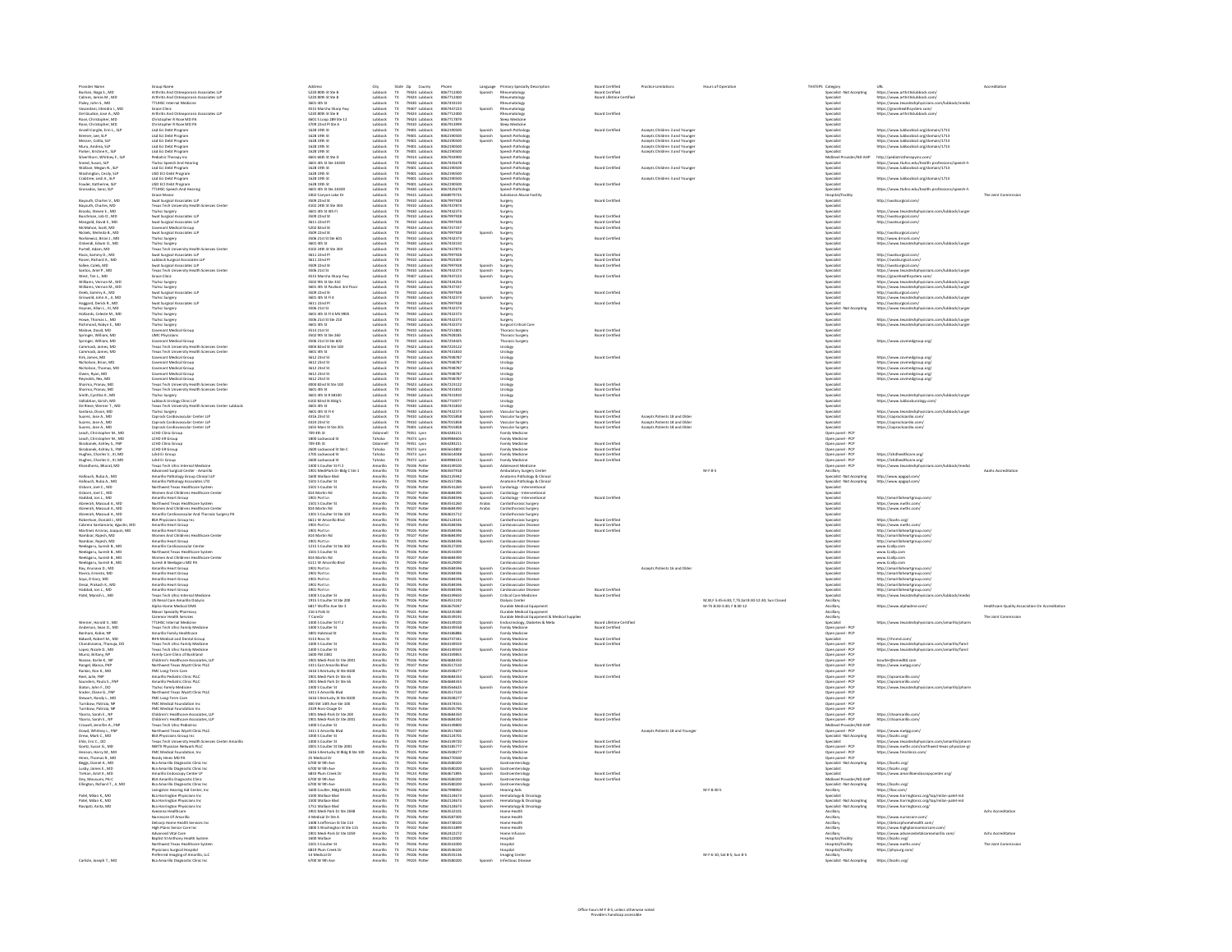| Provider Name                                                                                                                                                                                                                                                                       | Group Name                                                                                                                                                                                                                                                                               | Address                                                                                                                                                                                                                              | City<br>Lubbock                                                                       |                                                                                                                                                              | Phone                                                                            |                                                                |                                                                                                                                                                                                                                                                  | <b>Board Certified</b>                                | <b>Practice Limitations</b>                                                                        | Hours of Oneratin                                | THSTEPS Category<br>Specialist -Not Accepting                                                                                                                                                                                          | URL                                                                                                                                                                                                      |                                                 |
|-------------------------------------------------------------------------------------------------------------------------------------------------------------------------------------------------------------------------------------------------------------------------------------|------------------------------------------------------------------------------------------------------------------------------------------------------------------------------------------------------------------------------------------------------------------------------------------|--------------------------------------------------------------------------------------------------------------------------------------------------------------------------------------------------------------------------------------|---------------------------------------------------------------------------------------|--------------------------------------------------------------------------------------------------------------------------------------------------------------|----------------------------------------------------------------------------------|----------------------------------------------------------------|------------------------------------------------------------------------------------------------------------------------------------------------------------------------------------------------------------------------------------------------------------------|-------------------------------------------------------|----------------------------------------------------------------------------------------------------|--------------------------------------------------|----------------------------------------------------------------------------------------------------------------------------------------------------------------------------------------------------------------------------------------|----------------------------------------------------------------------------------------------------------------------------------------------------------------------------------------------------------|-------------------------------------------------|
| Bushan, Naga S., MD<br>Calmes, James M., MD                                                                                                                                                                                                                                         | Arthritis And Osteogorosis Associates LLF                                                                                                                                                                                                                                                | 5220 80th St Ste B                                                                                                                                                                                                                   |                                                                                       | State Zip County<br>TX 79424 Lubbock<br>TX 79424 Lubbock                                                                                                     | 8067712400                                                                       |                                                                | Language Primary Specialty Description<br>Spanish Rheumatology                                                                                                                                                                                                   | <b>Board Certified</b>                                |                                                                                                    |                                                  |                                                                                                                                                                                                                                        | https://www.arthritislubbock.com                                                                                                                                                                         |                                                 |
| Pixley, John S., MD                                                                                                                                                                                                                                                                 | Arthritis And Osteogorosis Associates LLF                                                                                                                                                                                                                                                | 5220 80th St Ste B<br>3601 4th St                                                                                                                                                                                                    | Lubbock<br>Lubbard                                                                    |                                                                                                                                                              | 8067712400<br>8067433150                                                         |                                                                | Rheumatology                                                                                                                                                                                                                                                     | Board Lifetime Certified                              |                                                                                                    |                                                  | Specialist<br><b>Specialis</b>                                                                                                                                                                                                         | https://www.arthritislubbock.com/                                                                                                                                                                        |                                                 |
|                                                                                                                                                                                                                                                                                     | <b>TTUHSC Internal Medicine</b><br>Grace Clinic                                                                                                                                                                                                                                          | .<br>4515 Marcha Sharn Fu                                                                                                                                                                                                            |                                                                                       |                                                                                                                                                              | 805744722                                                                        | Spanish                                                        | Rheumatolog<br>Rheumatolog<br>Rheumatolog                                                                                                                                                                                                                        |                                                       |                                                                                                    |                                                  |                                                                                                                                                                                                                                        | https://www.arcontosuusu.com/<br>https://www.texastechphysicians.com<br>https://gracehealthsystem.com/<br>https://www.arthritislubbock.com/                                                              |                                                 |
| Pixley, John S., MD<br>Vasandani, litendra I., MD<br>Del Giudice, Jose A., MD<br>Rose, Christopher, MD<br>Ancel Cargie, Erin L., SLP<br>Ancel Cargie, Erin L., SLP<br>Ancel Cargie, Erin L., SLP                                                                                    | Grace Clinic<br>Arkenisk And Osteoporosis Associates LLP<br>Christopher R Rose MD PA<br>Christopher R Rose MD PA<br>Lisd Eci Debt Program<br>Lisd Eci Debt Program<br>Lisd Eci Debt Program<br>Lisd Eci Debt Program<br>Lisd Eci Debt Program                                            | 5220 80th St Ste R                                                                                                                                                                                                                   |                                                                                       | 79424 Lubbock<br>79430 Lubbock<br>79424 Lubbock<br>79424 Lubbock<br>79424 Lubbock<br>79401 Lubbock<br>79401 Lubbock<br>79401 Lubbock                         | 805771240                                                                        |                                                                |                                                                                                                                                                                                                                                                  | Board Certified                                       |                                                                                                    |                                                  |                                                                                                                                                                                                                                        |                                                                                                                                                                                                          |                                                 |
|                                                                                                                                                                                                                                                                                     |                                                                                                                                                                                                                                                                                          | 5220 80th St Ste B<br>4601 5 Loop 289 Ste 12<br>3709 22nd Pl Ste A<br>1628 19th St<br>1628 19th St<br>1628 19th St                                                                                                                   |                                                                                       |                                                                                                                                                              | 8057717879                                                                       |                                                                | …≠winatdl0@y<br>leep Medicine                                                                                                                                                                                                                                    |                                                       |                                                                                                    |                                                  |                                                                                                                                                                                                                                        |                                                                                                                                                                                                          |                                                 |
|                                                                                                                                                                                                                                                                                     |                                                                                                                                                                                                                                                                                          |                                                                                                                                                                                                                                      | Lubbock<br>Lubbock<br>Lubbock<br>Lubbock                                              |                                                                                                                                                              |                                                                                  |                                                                | Sieop Medicine<br>Sieop Medicine<br>Speech Pathology<br>Speech Pathology<br>Speech Pathology                                                                                                                                                                     | <b>Board Certified</b>                                |                                                                                                    |                                                  | specialist<br>Specialist<br>Specialist<br>Specialist                                                                                                                                                                                   |                                                                                                                                                                                                          |                                                 |
|                                                                                                                                                                                                                                                                                     |                                                                                                                                                                                                                                                                                          |                                                                                                                                                                                                                                      |                                                                                       |                                                                                                                                                              | 8062190500<br>8062190500<br>8062190500                                           | Spanish<br>Spanish<br>Spanish                                  |                                                                                                                                                                                                                                                                  |                                                       | Accepts Children 3 and Younger<br>Accepts Children 3 and Younger<br>Accepts Children 3 and Younger |                                                  |                                                                                                                                                                                                                                        | https://www.lubbockisd.org/domain/1713<br>https://www.lubbockisd.org/domain/1713<br>https://www.lubbockisd.org/domain/1713                                                                               |                                                 |
| Bremer, Lee, SLP<br>Messer, Colita, SLP                                                                                                                                                                                                                                             |                                                                                                                                                                                                                                                                                          |                                                                                                                                                                                                                                      |                                                                                       |                                                                                                                                                              |                                                                                  |                                                                |                                                                                                                                                                                                                                                                  |                                                       |                                                                                                    |                                                  |                                                                                                                                                                                                                                        |                                                                                                                                                                                                          |                                                 |
| Muru, Andrea, SLP<br>Parker, Kristine K., SLP                                                                                                                                                                                                                                       | Lisd Eci Debt Program<br>Lisd Eci Debt Program                                                                                                                                                                                                                                           | 1628 19th St<br>1628 19th St                                                                                                                                                                                                         | Lubbock<br>Lubbock                                                                    | 79401 Lubbock                                                                                                                                                | 8062190500<br>8062190500                                                         |                                                                | Speech Patholog                                                                                                                                                                                                                                                  |                                                       | Accepts Children 3 and Younge<br>Accepts Children 3 and Younge                                     |                                                  | Specialist<br>Specialist                                                                                                                                                                                                               | https://www.lubbockisd.org/domain/1713                                                                                                                                                                   |                                                 |
| Silverthorn, Whitney F., SLP                                                                                                                                                                                                                                                        | <b>Pediatric Therapy Inc</b>                                                                                                                                                                                                                                                             | 4601 66th St Ste D                                                                                                                                                                                                                   | Lubbock                                                                               | 79401 Lubbock<br>79414 Lubbock                                                                                                                               | 8067933900                                                                       |                                                                | Speech Pathology<br>Speech Pathology                                                                                                                                                                                                                             | <b>Board Certified</b>                                |                                                                                                    |                                                  | Midlevel Provider/ND AHP                                                                                                                                                                                                               | http://pediatrictherapyinc.com/                                                                                                                                                                          |                                                 |
| Sneed, Susan, SLP                                                                                                                                                                                                                                                                   | <b>Ttuhsc Speech And Hearing</b>                                                                                                                                                                                                                                                         | 3601 4th St Ste 2A300                                                                                                                                                                                                                | Lubbock                                                                               | 79430 Lubbock                                                                                                                                                | 8067435678                                                                       |                                                                | Speech Patholog                                                                                                                                                                                                                                                  |                                                       |                                                                                                    |                                                  | Specialist                                                                                                                                                                                                                             | https://www.ttuhsc.edu/health-professions/speech-h<br>https://www.lubbockisd.org/domain/1713                                                                                                             |                                                 |
|                                                                                                                                                                                                                                                                                     |                                                                                                                                                                                                                                                                                          | 1628 19th St<br>1628 19th St                                                                                                                                                                                                         | Lubbock                                                                               | 79401 Lubbock                                                                                                                                                | 8062190500<br>8062190500                                                         |                                                                | <b>Speech Patholog</b><br><b>Speech Patholog</b>                                                                                                                                                                                                                 | <b>Board Certified</b>                                | Accepts Children 3 and Younge                                                                      |                                                  | Specialist<br>.<br>Specialist                                                                                                                                                                                                          |                                                                                                                                                                                                          |                                                 |
| Wallace, Megan N., SLP<br>Washington, Cecily, SLP<br>Crabtree, Lesli A., SLP                                                                                                                                                                                                        | Lisa Eci Debt Program<br>Lisa Eci Debt Program<br>Lisa Eci Debt Program                                                                                                                                                                                                                  | 1628 19th St                                                                                                                                                                                                                         | Lubbock<br>Lubbock                                                                    | 79401 Lubbock<br>79401 Lubbock                                                                                                                               | 8062190500                                                                       |                                                                | <b>Speech Patholog</b>                                                                                                                                                                                                                                           |                                                       | Accepts Children 3 and Younge                                                                      |                                                  | .<br>Specialist                                                                                                                                                                                                                        | https://www.lubbockisd.org/domain/1713                                                                                                                                                                   |                                                 |
|                                                                                                                                                                                                                                                                                     | LISD ECI Debt Program<br>TTUHSC Speech And F<br>Grace Manor                                                                                                                                                                                                                              | 1628 19th St<br>1628 19th St<br>3601 4th St Ste 2A300<br>2402 Canyon Lake Dr<br>3509 22nd St<br>1613 161 Oct College                                                                                                                 | Lubbock<br>Lubbock<br>Lubbock                                                         | 79401 Lubbock<br>79401 Lubbock<br>79430 Lubbock<br>79410 Lubbock<br>79410 Lubbock<br>79430 Lubbock<br>79430 Lubbock<br>79410 Lubbock                         | 8062190500<br>8062190500<br>8068979735                                           |                                                                | speech Pathology<br>Speech Pathology<br>Substance Abuse Facility                                                                                                                                                                                                 | <b>Board Certified</b>                                |                                                                                                    |                                                  |                                                                                                                                                                                                                                        |                                                                                                                                                                                                          |                                                 |
| Fowler, Katherine, SLI<br>Granados, Sarai, SLP                                                                                                                                                                                                                                      |                                                                                                                                                                                                                                                                                          |                                                                                                                                                                                                                                      |                                                                                       |                                                                                                                                                              |                                                                                  |                                                                |                                                                                                                                                                                                                                                                  |                                                       |                                                                                                    |                                                  | -<br>Specialist<br>Specialist<br>Hospital/Facility                                                                                                                                                                                     | https://www.ttuhsc.edu/health-professions/speech-h                                                                                                                                                       |                                                 |
|                                                                                                                                                                                                                                                                                     |                                                                                                                                                                                                                                                                                          |                                                                                                                                                                                                                                      |                                                                                       |                                                                                                                                                              |                                                                                  |                                                                |                                                                                                                                                                                                                                                                  |                                                       |                                                                                                    |                                                  |                                                                                                                                                                                                                                        | http://swatsurgical.com/                                                                                                                                                                                 | The Joint Come                                  |
| Bayouth, Charles V., MC                                                                                                                                                                                                                                                             | Swat Surgical Associates LLP<br>Texas Tech University Health Sciences Center                                                                                                                                                                                                             | 4102 24th St Ste 30                                                                                                                                                                                                                  | Lubback<br>Lubback                                                                    |                                                                                                                                                              | 8067997928<br>8067437874                                                         |                                                                | Surgery<br>Surgery<br>Surgery<br>Surgery                                                                                                                                                                                                                         | <b>Board Certified</b>                                |                                                                                                    |                                                  | Specialist<br>Specialist                                                                                                                                                                                                               |                                                                                                                                                                                                          |                                                 |
| Bayouth, Charles, MD<br>Brooks, Steven E., MD                                                                                                                                                                                                                                       | <b>Ttuhsc Surgery</b>                                                                                                                                                                                                                                                                    | 3601 4th St 4th F                                                                                                                                                                                                                    | Lubbock                                                                               |                                                                                                                                                              | 8067432373                                                                       |                                                                |                                                                                                                                                                                                                                                                  |                                                       |                                                                                                    |                                                  | Specialist                                                                                                                                                                                                                             | https://www.texastechphysicians.com/lubbock/surger                                                                                                                                                       |                                                 |
| Buschman, Job O., MD                                                                                                                                                                                                                                                                | <b>Swat Surgical Associates LLP</b>                                                                                                                                                                                                                                                      | 3509 22nd St                                                                                                                                                                                                                         | Lubbock                                                                               |                                                                                                                                                              | 8067997928                                                                       |                                                                |                                                                                                                                                                                                                                                                  | <b>Board Certified</b>                                |                                                                                                    |                                                  | Specialist                                                                                                                                                                                                                             | http://swatsurgical.com/                                                                                                                                                                                 |                                                 |
| Mangold, David E., MD<br>McMahon, Scott, MD                                                                                                                                                                                                                                         | Swat Sungical Associates LLP<br>Covenant Medical Group                                                                                                                                                                                                                                   | 3611 22nd Pl<br>5202 82nd St                                                                                                                                                                                                         | Lubbock<br>Lubbock                                                                    | 79410 Lubbock<br>79424 Lubbock                                                                                                                               | 8067997928<br>8067257337                                                         |                                                                | Sureen                                                                                                                                                                                                                                                           | <b>Board Certified</b><br><b>Board Certified</b>      |                                                                                                    |                                                  | Specialist<br>Specialist                                                                                                                                                                                                               | http://swatsurgical.com/                                                                                                                                                                                 |                                                 |
| Nickels, Melinda B., MD                                                                                                                                                                                                                                                             | <b>Swat Surgical Associates LLP</b>                                                                                                                                                                                                                                                      | 3509 22nd St                                                                                                                                                                                                                         | Lubbock                                                                               | 79410 Lubbock                                                                                                                                                | 8067997928                                                                       | Spanish                                                        | surgery<br>Surgery<br>Surgery<br>Surgery<br>Surgery<br>Surgery                                                                                                                                                                                                   |                                                       |                                                                                                    |                                                  | Specialist                                                                                                                                                                                                                             | http://swatsurgical.com/                                                                                                                                                                                 |                                                 |
| Norkiewicz, Brian J., MD<br>Onkendi, Edwin O., MD                                                                                                                                                                                                                                   |                                                                                                                                                                                                                                                                                          | 3506 21st St Ste 601                                                                                                                                                                                                                 |                                                                                       |                                                                                                                                                              | 8067432329                                                                       |                                                                |                                                                                                                                                                                                                                                                  | <b>Board Certified</b>                                |                                                                                                    |                                                  | specialist<br>Specialist<br>Specialist<br>Specialist                                                                                                                                                                                   | http://www.drnork.com/                                                                                                                                                                                   |                                                 |
|                                                                                                                                                                                                                                                                                     |                                                                                                                                                                                                                                                                                          | S01 4th S<br>4102 24th St Ste 304                                                                                                                                                                                                    |                                                                                       |                                                                                                                                                              | 806743315                                                                        |                                                                |                                                                                                                                                                                                                                                                  |                                                       |                                                                                                    |                                                  |                                                                                                                                                                                                                                        | tps://www.texastechphyr<br>.<br>Share engan di dokumenta fe                                                                                                                                              |                                                 |
|                                                                                                                                                                                                                                                                                     |                                                                                                                                                                                                                                                                                          | 3611 22nd Pl                                                                                                                                                                                                                         |                                                                                       |                                                                                                                                                              |                                                                                  |                                                                |                                                                                                                                                                                                                                                                  | <b>Board Certified</b>                                |                                                                                                    |                                                  |                                                                                                                                                                                                                                        |                                                                                                                                                                                                          |                                                 |
| Onkendi, Edwin O., MD<br>Purtell, Adam, MD<br>Rives, Sammy D., MD<br>Rosen, Richard A., MD<br>Sallee, Caleb, MD<br>Santos, Ariel P., MD<br>West, Tim L., MD<br>West, Tim L., MD                                                                                                     | Swat Surgical Associates LIP<br>Tuhisc Surgery<br>Tuhisc Surgery<br>Texas Tech University Health Sciences Center<br>Swat Surgical Associates LIP<br>Swat Surgical Associates LIP<br>Swat Surgical Associates LIP<br>Swat Surgical Associates LIP<br>Te                                   | 3611 22nd Pl<br>3611 22nd Pl<br>3509 22nd St<br>3506 21st St<br>4515 Marsha Sharp Fwy                                                                                                                                                | Lubbock<br>Lubbock<br>Lubbock<br>Lubbock<br>Lubbock<br>Lubbock<br>Lubbock<br>Lubbock  | 79410 Lubbock<br>79410 Lubbock<br>79410 Lubbock<br>79410 Lubbock<br>79410 Lubbock<br>79410 Lubbock<br>79410 Lubbock<br>79407 Lubbock<br>79407 Lubbock        | 8067433150<br>8067437874<br>8067997928<br>8067923303                             |                                                                |                                                                                                                                                                                                                                                                  | Board Certified<br>Board Certified<br>Board Certified |                                                                                                    |                                                  |                                                                                                                                                                                                                                        | http://swatsurgical.com/<br>https://swatsurgical.com/<br>https://swatsurgical.com/<br>https://www.texastechphysicians<br>https://gracehealthsystem.com/                                                  |                                                 |
|                                                                                                                                                                                                                                                                                     |                                                                                                                                                                                                                                                                                          |                                                                                                                                                                                                                                      |                                                                                       |                                                                                                                                                              | 8067997928<br>8067432373<br>8067447223                                           | Spanish<br>Spanish<br>Spanish                                  | Surgery<br>Surgery<br>Surgery<br>Surgery<br>Surgery<br>Surgery                                                                                                                                                                                                   |                                                       |                                                                                                    |                                                  | :<br>Specialist<br>Specialist<br>Specialist                                                                                                                                                                                            |                                                                                                                                                                                                          |                                                 |
|                                                                                                                                                                                                                                                                                     |                                                                                                                                                                                                                                                                                          |                                                                                                                                                                                                                                      |                                                                                       |                                                                                                                                                              |                                                                                  |                                                                |                                                                                                                                                                                                                                                                  |                                                       |                                                                                                    |                                                  |                                                                                                                                                                                                                                        |                                                                                                                                                                                                          |                                                 |
| Williams, Vernon M., MD                                                                                                                                                                                                                                                             | Ttuhsc Surgery                                                                                                                                                                                                                                                                           | 3502 9th St Ste 310                                                                                                                                                                                                                  | Lubbock                                                                               | 79415 Lubbock                                                                                                                                                | 8067434256                                                                       |                                                                |                                                                                                                                                                                                                                                                  | <b>Board Certifies</b>                                |                                                                                                    |                                                  | Specialist                                                                                                                                                                                                                             | https://www.texastechphysicians.com/lubbock/surge                                                                                                                                                        |                                                 |
| Williams, Vernon M., MD                                                                                                                                                                                                                                                             | <b>Ttuhsc Surgery</b>                                                                                                                                                                                                                                                                    | 3601 4th St Pavilion 3rd Floor                                                                                                                                                                                                       | Lubbock                                                                               | 79430 Lubbock                                                                                                                                                | 8067437337                                                                       |                                                                |                                                                                                                                                                                                                                                                  |                                                       |                                                                                                    |                                                  | Specialist                                                                                                                                                                                                                             | https://www.texastechphysicians.com/lubbock/surgi                                                                                                                                                        |                                                 |
| Deeb, Sammy A., MD                                                                                                                                                                                                                                                                  | Swat Surgical Associates LLP                                                                                                                                                                                                                                                             | 3509 22nd St                                                                                                                                                                                                                         | Lubbock                                                                               | 79410 Lubbock                                                                                                                                                | 8067997928                                                                       |                                                                |                                                                                                                                                                                                                                                                  | <b>Board Certified</b>                                |                                                                                                    |                                                  | Specialist                                                                                                                                                                                                                             | http://swatsurgical.com/                                                                                                                                                                                 |                                                 |
| Griswold, John A., Jr. MD                                                                                                                                                                                                                                                           | Swat Surgical Associates LIP<br>Truhsc Surgical Associates LIP<br>Truhsc Surgical Associates LIP<br>Truhsc Surgicy<br>Truhsc Surgicy<br>Truhsc Surgicy<br>Chuvicians<br>And Physicians<br>IMC Physicians                                                                                 | 3601 4th St FI 4<br>3611 22nd Pl                                                                                                                                                                                                     | Lubbock<br>Lubbock                                                                    | 79430 Lubbock<br>79410 Lubbock                                                                                                                               | 8067432373<br>8067997928                                                         | Spanish                                                        | Surgery<br>Surgery<br>Surgery<br>Surgery                                                                                                                                                                                                                         | <b>Board Certified</b>                                |                                                                                                    |                                                  | .<br>Specialist<br>Specialist                                                                                                                                                                                                          | https://www.texastechohysicians.com/lubbock/suray                                                                                                                                                        |                                                 |
| Haggard, Derick R., MD<br>Haynes, Allan L., III, MD                                                                                                                                                                                                                                 |                                                                                                                                                                                                                                                                                          | 3506 21st St                                                                                                                                                                                                                         | Lubbock                                                                               | 79410 Lubbock                                                                                                                                                | 8067432373                                                                       |                                                                |                                                                                                                                                                                                                                                                  |                                                       |                                                                                                    |                                                  | Specialist - Not Accepting                                                                                                                                                                                                             | http://swatsurgical.com/<br>https://www.texastechphysicians.com/lubbock/surge                                                                                                                            |                                                 |
| Hollands, Celeste M., MC                                                                                                                                                                                                                                                            |                                                                                                                                                                                                                                                                                          | 3601 4th St FI 4 MS 9905                                                                                                                                                                                                             | Lubbock                                                                               | 79430 Lubbock                                                                                                                                                | 8067432373                                                                       |                                                                |                                                                                                                                                                                                                                                                  |                                                       |                                                                                                    |                                                  | Specialist                                                                                                                                                                                                                             |                                                                                                                                                                                                          |                                                 |
| Howe, Thomas L., MD<br>Richmond, Robyn E., MD<br>Malave, David, MD                                                                                                                                                                                                                  |                                                                                                                                                                                                                                                                                          | 3505 21st St Ste 210<br>3506 21st St Ste 210<br>3601 4th St<br>3514 21st St                                                                                                                                                          | ubbock<br>ubbock<br>ubbock                                                            |                                                                                                                                                              |                                                                                  |                                                                | Surgery<br>Surgical Critical Car<br>Thoracic Surgery                                                                                                                                                                                                             |                                                       |                                                                                                    |                                                  |                                                                                                                                                                                                                                        | https://www.texastechphysicians.com/lubbock/surg<br>https://www.texastechphysicians.com/lubbock/surg                                                                                                     |                                                 |
|                                                                                                                                                                                                                                                                                     |                                                                                                                                                                                                                                                                                          |                                                                                                                                                                                                                                      |                                                                                       |                                                                                                                                                              |                                                                                  |                                                                |                                                                                                                                                                                                                                                                  | <b>Board Certifier</b>                                |                                                                                                    |                                                  |                                                                                                                                                                                                                                        |                                                                                                                                                                                                          |                                                 |
|                                                                                                                                                                                                                                                                                     | <b>UMC Physicians</b>                                                                                                                                                                                                                                                                    | 3502 9th St Ste 26                                                                                                                                                                                                                   |                                                                                       |                                                                                                                                                              | 8067928189                                                                       |                                                                | Thoracic Surgery                                                                                                                                                                                                                                                 | <b>Board Certified</b>                                |                                                                                                    |                                                  | Specialist                                                                                                                                                                                                                             |                                                                                                                                                                                                          |                                                 |
| Springer, William, MD<br>Springer, William, MD                                                                                                                                                                                                                                      | Covenant Medical Group                                                                                                                                                                                                                                                                   | 3506 21st St Ste 602                                                                                                                                                                                                                 | Lubbock<br>Lubbock                                                                    |                                                                                                                                                              | 8067254429                                                                       |                                                                | <b>Thoracic Surger</b>                                                                                                                                                                                                                                           |                                                       |                                                                                                    |                                                  | Specialist                                                                                                                                                                                                                             | https://www.covmedgroup.org/                                                                                                                                                                             |                                                 |
| Cammack, James, MC                                                                                                                                                                                                                                                                  | Texas Tech University Health Sciences Center                                                                                                                                                                                                                                             | 4004 82nd St Ste 100                                                                                                                                                                                                                 | Lubbock                                                                               | 79430 Lubbock<br>79430 Lubbock<br>79430 Lubbock<br>79410 Lubbock<br>79410 Lubbock<br>79423 Lubbock<br>79430 Lubbock                                          | 8067223122                                                                       |                                                                | Urology                                                                                                                                                                                                                                                          |                                                       |                                                                                                    |                                                  | Specialist                                                                                                                                                                                                                             |                                                                                                                                                                                                          |                                                 |
| Cammack, James, MD<br>Kirk, James, MD                                                                                                                                                                                                                                               | Texas Tech University Health Sciences Center<br>Covenant Medical Group                                                                                                                                                                                                                   | 3601 4th St<br>3612 23rd St                                                                                                                                                                                                          | Lubbock<br>Lubbock                                                                    | 79410 Lubbock                                                                                                                                                | 8067431810<br>8067938787                                                         |                                                                | Urology<br>Urolony                                                                                                                                                                                                                                               | <b>Board Certified</b>                                |                                                                                                    |                                                  | Specialist<br>Specialist                                                                                                                                                                                                               | https://www.covmedaroup.org/                                                                                                                                                                             |                                                 |
| Nicholson, Brian, MD                                                                                                                                                                                                                                                                | Covenant Medical Group                                                                                                                                                                                                                                                                   | 3612 23rd S                                                                                                                                                                                                                          | Lubbock                                                                               | 79410 Lubbock                                                                                                                                                | 8067938787                                                                       |                                                                |                                                                                                                                                                                                                                                                  |                                                       |                                                                                                    |                                                  | Specialist                                                                                                                                                                                                                             | https://www.covmederoup.org/                                                                                                                                                                             |                                                 |
| Nicholson, Thomas, MD                                                                                                                                                                                                                                                               | Covenant Medical Group                                                                                                                                                                                                                                                                   | 3612 23rd St                                                                                                                                                                                                                         | Lubbock                                                                               | 79410 Lubbock                                                                                                                                                | 8067938787                                                                       |                                                                | Urology<br>Urology                                                                                                                                                                                                                                               |                                                       |                                                                                                    |                                                  | Specialist                                                                                                                                                                                                                             | https://www.covmederoup.org/                                                                                                                                                                             |                                                 |
|                                                                                                                                                                                                                                                                                     | .<br>Covenant Medical Group                                                                                                                                                                                                                                                              | <b>BE12 2 Roll St</b>                                                                                                                                                                                                                |                                                                                       |                                                                                                                                                              | 8067938787<br>805793878                                                          |                                                                |                                                                                                                                                                                                                                                                  |                                                       |                                                                                                    |                                                  |                                                                                                                                                                                                                                        |                                                                                                                                                                                                          |                                                 |
|                                                                                                                                                                                                                                                                                     |                                                                                                                                                                                                                                                                                          | 3612 2310 5t<br>3612 23rd St<br>4004 82nd St Ste 100                                                                                                                                                                                 |                                                                                       |                                                                                                                                                              | 8067223123                                                                       |                                                                |                                                                                                                                                                                                                                                                  | <b>Board Certifier</b>                                |                                                                                                    |                                                  |                                                                                                                                                                                                                                        |                                                                                                                                                                                                          |                                                 |
|                                                                                                                                                                                                                                                                                     |                                                                                                                                                                                                                                                                                          |                                                                                                                                                                                                                                      |                                                                                       |                                                                                                                                                              | 8067431810                                                                       |                                                                |                                                                                                                                                                                                                                                                  |                                                       |                                                                                                    |                                                  |                                                                                                                                                                                                                                        |                                                                                                                                                                                                          |                                                 |
|                                                                                                                                                                                                                                                                                     |                                                                                                                                                                                                                                                                                          |                                                                                                                                                                                                                                      |                                                                                       |                                                                                                                                                              | 8067431810                                                                       |                                                                |                                                                                                                                                                                                                                                                  | Board Certified<br>Board Certified<br>Board Certified |                                                                                                    |                                                  |                                                                                                                                                                                                                                        | https://www.texastechphysicians.com/lubbock/surge<br>https://www.lubbockurology.com/                                                                                                                     |                                                 |
|                                                                                                                                                                                                                                                                                     |                                                                                                                                                                                                                                                                                          |                                                                                                                                                                                                                                      |                                                                                       |                                                                                                                                                              |                                                                                  |                                                                |                                                                                                                                                                                                                                                                  |                                                       |                                                                                                    |                                                  |                                                                                                                                                                                                                                        |                                                                                                                                                                                                          |                                                 |
| Nicholson, Thomas, MD<br>Owen, Ryan, MD<br>Baynolds, Rex, MD<br>Sharma, Pranav, MD<br>Sharma, Pranav, MD<br>Sharma, Demini K, MD<br>Vallabhan, Girish, MD<br>De Riese, Wenner T., MD<br>Santana, Dieon, MD<br>Santana, Dieon, MD<br>Santana, Dieon, MD<br>Santa                     | Covenant Medical Group<br>Covenant Medical Group<br>Texas Tech University Health Sciences Center<br>Texas Tech University Health Sciences Center<br>Texhs Center<br>University Health Sciences Center Lubbock<br>Texas Tech University Health Sc                                         | 4004 82nd St Ste 100<br>3601 4th St<br>3601 4th St # 38100<br>6102 82nd St Bidg 5<br>3601 4th St<br>3601 4th St Fi                                                                                                                   | Lubbock<br>Lubbock<br>Lubbock<br>Lubbock<br>Lubbock<br>Lubbock<br>Lubbock<br>Lubbock  | 79410 Lubbock<br>79410 Lubbock<br>79423 Lubbock<br>79423 Lubbock<br>79430 Lubbock<br>79430 Lubbock<br>79430 Lubbock<br>79430 Lubbock<br>79430 Lubbock        | 8067710077<br>8067431810<br>8067432373                                           |                                                                | Uralagy<br>Uralagy<br>Uralagy<br>Uralagy<br>Uralagy<br>Uralagy<br>Uralagy<br>Uralagy<br>Uralagy<br>Uralagy<br>Uralagy<br>Uralagy                                                                                                                                 | <b>Board Certified</b>                                |                                                                                                    |                                                  | Specialist<br>Specialist<br>Specialist<br>Specialist<br>Specialist<br>Specialist<br>Specialist<br>Specialist                                                                                                                           | https://www.texastechphysicians.com/lubbock/surge                                                                                                                                                        |                                                 |
| Suarez, Jose A., MD                                                                                                                                                                                                                                                                 | Caprock Cardiovascular Center LLP                                                                                                                                                                                                                                                        | 4316 23rd St                                                                                                                                                                                                                         | Lubbock                                                                               | 79410 Lubbock                                                                                                                                                | 8067015858                                                                       | Spanish                                                        | Vascular Surgery                                                                                                                                                                                                                                                 | <b>Board Certified</b>                                | Accepts Patients 18 and Olde                                                                       |                                                  | Specialist                                                                                                                                                                                                                             | https://caprockcardio.com/                                                                                                                                                                               |                                                 |
| Suarez, Jose A., MD                                                                                                                                                                                                                                                                 | Caprock Cardiovascular Center LLP                                                                                                                                                                                                                                                        | 4324 23rd St                                                                                                                                                                                                                         | Lubbock                                                                               | 79410 Lubbock<br>79401 Lubbock                                                                                                                               | 8067015858                                                                       | Spanish<br>Spanish                                             | Vascular Surgery                                                                                                                                                                                                                                                 | <b>Board Certified</b>                                | Accepts Patients 18 and Olde                                                                       |                                                  | Specialist                                                                                                                                                                                                                             | https://caprockcardio.com/                                                                                                                                                                               |                                                 |
| Suarez, Jose A., MD                                                                                                                                                                                                                                                                 | Caprock Cardiovascular Center LLP<br>LCHD Clinic Group                                                                                                                                                                                                                                   | 1655 Main St Ste 201<br>709 4th St                                                                                                                                                                                                   | Lubbock<br>Dannell                                                                    |                                                                                                                                                              | 8067015858<br>8064283211                                                         |                                                                | Vascular Surgery                                                                                                                                                                                                                                                 | <b>Board Certified</b>                                | Accepts Patients 18 and Olde                                                                       |                                                  | Specialist                                                                                                                                                                                                                             | https://caprockcardio.com/                                                                                                                                                                               |                                                 |
| Leach, Christopher M., MD<br>Leach, Christopher M., MD                                                                                                                                                                                                                              |                                                                                                                                                                                                                                                                                          | 1800 Lockwood St                                                                                                                                                                                                                     |                                                                                       | 79351 Lynn<br>79373 Lynn                                                                                                                                     | 806998460-                                                                       |                                                                | Family Medicine<br>Family Medicine<br>Family Medicine                                                                                                                                                                                                            |                                                       |                                                                                                    |                                                  | Specialist<br>Open panel - PCP<br>Open panel - PCP<br>Open panel - PCP<br>Open panel - PCP<br>Open panel - PCP<br>Open panel - PCP<br>Anellino:                                                                                        |                                                                                                                                                                                                          |                                                 |
| Skrabanek, Ashley S., FNP                                                                                                                                                                                                                                                           | <b>LCHD ER Group</b><br>LCHD Clinic Group                                                                                                                                                                                                                                                | 709 4th St                                                                                                                                                                                                                           | Tahoka<br>Odonnell<br>Tahoka                                                          | 79351 Lynn<br>79373 Lynn                                                                                                                                     | 8064283211                                                                       |                                                                |                                                                                                                                                                                                                                                                  | <b>Board Certified</b>                                |                                                                                                    |                                                  |                                                                                                                                                                                                                                        |                                                                                                                                                                                                          |                                                 |
| Skrabanek, Ashley S., FNP                                                                                                                                                                                                                                                           | LCHD FR Group                                                                                                                                                                                                                                                                            | 2600 Lockwood St Ste C                                                                                                                                                                                                               |                                                                                       |                                                                                                                                                              | 8055514800                                                                       |                                                                | <b>Family Martiring</b>                                                                                                                                                                                                                                          | <b>Board Certifier</b>                                |                                                                                                    |                                                  |                                                                                                                                                                                                                                        |                                                                                                                                                                                                          |                                                 |
| Strabanes, Ashley S., FW<br>Hughes, Charles V., III, MC<br>Hughes, Charles V., III, MC<br>Khandheria, Bharat, MD                                                                                                                                                                    | LCHD ER Group<br>Lchd Er Group<br>Texas Tech Uhsc Internal Medicine<br>Texas Tech Uhsc Internal Medicine                                                                                                                                                                                 | 2000 Lockwood St<br>1705 Lockwood St<br>2600 Lockwood St<br>1400 S Coulter St Fl 2                                                                                                                                                   |                                                                                       | 19373 Lynn<br>19373 Lynn<br>19373 Lynn<br>19106 Potter                                                                                                       | 8065614041<br>8069984531<br>8064149101                                           |                                                                | Family Medicine<br>Family Medicine<br>Family Medicine<br>Adolescent Medicine                                                                                                                                                                                     | Board Certifies<br>Board Certifies<br>Board Certifies |                                                                                                    |                                                  |                                                                                                                                                                                                                                        | https://ichdhealthcare.org/<br>https://ichdhealthcare.org/<br>https://www.texastechphysi                                                                                                                 |                                                 |
|                                                                                                                                                                                                                                                                                     |                                                                                                                                                                                                                                                                                          |                                                                                                                                                                                                                                      |                                                                                       |                                                                                                                                                              |                                                                                  | Spanish<br>Spanish<br>Spanish                                  |                                                                                                                                                                                                                                                                  |                                                       |                                                                                                    |                                                  |                                                                                                                                                                                                                                        |                                                                                                                                                                                                          |                                                 |
|                                                                                                                                                                                                                                                                                     |                                                                                                                                                                                                                                                                                          | 1901 MediPark Dr Bldg C Ste:                                                                                                                                                                                                         |                                                                                       |                                                                                                                                                              | 8063507918                                                                       |                                                                | Ambulatory Surgery Cente                                                                                                                                                                                                                                         |                                                       |                                                                                                    | M-F 8-5                                          | Ancillary                                                                                                                                                                                                                              |                                                                                                                                                                                                          | Aaahc Accreditation                             |
|                                                                                                                                                                                                                                                                                     |                                                                                                                                                                                                                                                                                          |                                                                                                                                                                                                                                      |                                                                                       |                                                                                                                                                              |                                                                                  |                                                                |                                                                                                                                                                                                                                                                  |                                                       |                                                                                                    |                                                  |                                                                                                                                                                                                                                        |                                                                                                                                                                                                          |                                                 |
| Halloush, Ruba A., MD                                                                                                                                                                                                                                                               | Advanced Surgical Center - Amarillo<br>Amarillo Pathology Group Clinical LLP                                                                                                                                                                                                             | 1600 Wallace Blvd                                                                                                                                                                                                                    |                                                                                       | 79106 Potter<br>79105 Potter                                                                                                                                 | 8062125942                                                                       |                                                                | Anatomic Pathology & Clinic                                                                                                                                                                                                                                      |                                                       |                                                                                                    |                                                  | Specialist - Not Accepting                                                                                                                                                                                                             | http://www.apgppl.com                                                                                                                                                                                    |                                                 |
| Halloush, Ruba A., MD                                                                                                                                                                                                                                                               | Amarillo Pathology Associates LTD                                                                                                                                                                                                                                                        | 1501 S Coulter St                                                                                                                                                                                                                    |                                                                                       |                                                                                                                                                              | 8063557286                                                                       |                                                                | Anatomic Pathology & Clinica                                                                                                                                                                                                                                     |                                                       |                                                                                                    |                                                  | Specialist - Not Accepting                                                                                                                                                                                                             | http://www.apgppl.com/                                                                                                                                                                                   |                                                 |
| Osborn, Joel C., MD<br>Osborn, Joel C., MD                                                                                                                                                                                                                                          | Northwest Texas Healthcare System<br>Women And Childrens Healthcare Center                                                                                                                                                                                                               | 1501 S Coulter St<br>814 Martin Rd                                                                                                                                                                                                   | tanoka<br>Tahoka<br>Tahoka<br>Amarilo<br>Amarilo<br>Amarilo<br>Amarilo<br>Amarillo    | 79106 Potter<br>79106 Potter<br>79107 Potter                                                                                                                 | 8063541260<br>8064684390                                                         | Spanish                                                        | Cardiology - Interventional<br>Cardiology - Interventional                                                                                                                                                                                                       |                                                       |                                                                                                    |                                                  | Specialist<br>Specialist                                                                                                                                                                                                               |                                                                                                                                                                                                          |                                                 |
| Haddad, Jon L. MD                                                                                                                                                                                                                                                                   | Amarillo Heart Group                                                                                                                                                                                                                                                                     | 1901 Port Ln                                                                                                                                                                                                                         | Amarillo                                                                              | 79106 Potter                                                                                                                                                 | 806358459                                                                        | Spanish<br>Spanish                                             | Cardiology - Interventional                                                                                                                                                                                                                                      | <b>Board Certified</b>                                |                                                                                                    |                                                  | .<br>Specialist                                                                                                                                                                                                                        | http://amarillohearteroup.com/                                                                                                                                                                           |                                                 |
| Alzeerah, Masoud A., MD                                                                                                                                                                                                                                                             | Northwest Texas Healthcare System                                                                                                                                                                                                                                                        | 1501 S Coulter St                                                                                                                                                                                                                    | Amarillo                                                                              | 79106 Potter                                                                                                                                                 | 8063541260                                                                       | <b>Arabic</b>                                                  | Cardiothorasic Surgery                                                                                                                                                                                                                                           |                                                       |                                                                                                    |                                                  | Specialist                                                                                                                                                                                                                             | https://www.nwths.com.                                                                                                                                                                                   |                                                 |
|                                                                                                                                                                                                                                                                                     |                                                                                                                                                                                                                                                                                          |                                                                                                                                                                                                                                      |                                                                                       |                                                                                                                                                              | 8064684390<br>8064631712                                                         | Arabic                                                         |                                                                                                                                                                                                                                                                  |                                                       |                                                                                                    |                                                  | .<br>pecialist<br>loecialist                                                                                                                                                                                                           | https://www.nwths.com/                                                                                                                                                                                   |                                                 |
|                                                                                                                                                                                                                                                                                     |                                                                                                                                                                                                                                                                                          |                                                                                                                                                                                                                                      |                                                                                       |                                                                                                                                                              |                                                                                  |                                                                |                                                                                                                                                                                                                                                                  |                                                       |                                                                                                    |                                                  |                                                                                                                                                                                                                                        |                                                                                                                                                                                                          |                                                 |
|                                                                                                                                                                                                                                                                                     |                                                                                                                                                                                                                                                                                          |                                                                                                                                                                                                                                      |                                                                                       |                                                                                                                                                              | 806212453!<br>8063584501                                                         |                                                                |                                                                                                                                                                                                                                                                  |                                                       |                                                                                                    |                                                  |                                                                                                                                                                                                                                        |                                                                                                                                                                                                          |                                                 |
|                                                                                                                                                                                                                                                                                     |                                                                                                                                                                                                                                                                                          |                                                                                                                                                                                                                                      |                                                                                       |                                                                                                                                                              |                                                                                  |                                                                |                                                                                                                                                                                                                                                                  | Board Certified<br>Board Certified<br>Board Certified |                                                                                                    |                                                  |                                                                                                                                                                                                                                        |                                                                                                                                                                                                          |                                                 |
|                                                                                                                                                                                                                                                                                     |                                                                                                                                                                                                                                                                                          |                                                                                                                                                                                                                                      |                                                                                       |                                                                                                                                                              |                                                                                  |                                                                |                                                                                                                                                                                                                                                                  |                                                       |                                                                                                    |                                                  |                                                                                                                                                                                                                                        |                                                                                                                                                                                                          |                                                 |
|                                                                                                                                                                                                                                                                                     |                                                                                                                                                                                                                                                                                          |                                                                                                                                                                                                                                      |                                                                                       |                                                                                                                                                              |                                                                                  | Spanish<br>Spanish<br>Spanish<br>Spanish                       |                                                                                                                                                                                                                                                                  |                                                       |                                                                                                    |                                                  |                                                                                                                                                                                                                                        |                                                                                                                                                                                                          |                                                 |
| Alzeerah, Masoud A., MD<br>Alzeerah, Masoud A., MD<br>Alzeerah, Masoud A., MD<br>Roberton, Donald J., MD<br>Cabrera Santamaria, Agustin, MD<br>Cabrera Santamaria, Agustin, MD<br>Nambiar, Rajesh, MD<br>Neelaganu, Surech B., MD<br>Neelaganu, Surech<br>Neelagaru, Suresh B., MD  | Northwest Texas Healthcare System<br>Woman And Childrens Healthcare Center<br>Woman And Childrens Healthcare Center<br>SA Physicians Group Inc<br>And The State System Section<br>Annallib Heart Group<br>Annallib Heart Group<br>Annallib Heart Gr<br>Northwest Texas Healthcare System | 1501 S Coulter St<br>814 Martin Rd<br>1301 S Coulter St Ste 103<br>6611 W Amarillo Blvd<br>1901 Port Ln<br>1901 Port Ln<br>1901 Port Ln<br>1155 S Coulter St Ste 302<br>1501 Port Ln<br>1155 Coulter St Ste 302<br>1501 S Coulter St | Amarilo<br>Amarilo<br>Amarilo<br>Amarilo<br>Amarilo<br>Amarilo<br>Amarilo<br>Amarilo  | 79105 Potter<br>79107 Potter<br>79105 Potter<br>79105 Potter<br>79105 Potter<br>79105 Potter<br>79105 Potter<br>79105 Potter<br>79105 Potter<br>79106 Potter | 8063584596<br>8063584596<br>8064684390<br>8063584596<br>8063527200<br>8063541000 |                                                                | Cardiothorasic Surgery<br>Cardiothorasic Surgery<br>Cardiothorasic Surgery<br>Cardiothorasic Surgery<br>Cardiovascular Disease<br>Cardiovascular Disease<br>Cardiovascular Disease<br>Cardiovascular Disease<br>Cardiovascular Disease<br>Cardiovascular Disease |                                                       |                                                                                                    |                                                  | Specialist<br>Specialist<br>Specialist<br>Specialist<br>Specialist                                                                                                                                                                     | https://bsahs.org/<br>https://www.mwths.com/<br>http://amarilloheartgroup.com/<br>http://amarilloheartgroup.com/<br>http://amarilloheartgroup.com/<br>www.ccallp.com<br>www.ccallp.com<br>www.Ccallp.com |                                                 |
| Neelagaru, Suresh B., MD                                                                                                                                                                                                                                                            | Women And Childrens Healthcare Center                                                                                                                                                                                                                                                    | 814 Martin Rd                                                                                                                                                                                                                        |                                                                                       | 79107 Potter                                                                                                                                                 | 8064684390                                                                       |                                                                | Cardiovascular Disease                                                                                                                                                                                                                                           |                                                       |                                                                                                    |                                                  | Specialist                                                                                                                                                                                                                             | www.Ccallp.com                                                                                                                                                                                           |                                                 |
| Neelagaru, Suresh B., MD                                                                                                                                                                                                                                                            | Suresh B Neelagaru MD PA                                                                                                                                                                                                                                                                 | 6111 W Amarillo Blvd<br>1901 Port In                                                                                                                                                                                                 | Amarilo<br>Amarilo<br>Amarilo                                                         | 79106 Potter                                                                                                                                                 | 8063529090<br>8063584596                                                         |                                                                | Cardiovascular Disease<br>Cardiovascular Disease                                                                                                                                                                                                                 |                                                       | Accepts Patients 16 and Older                                                                      |                                                  | Specialist                                                                                                                                                                                                                             | www.Ccallp.com                                                                                                                                                                                           |                                                 |
| Ray, Arunava D., MD<br>Rivera, Ernesto, MD                                                                                                                                                                                                                                          |                                                                                                                                                                                                                                                                                          | 1901 Port Ln                                                                                                                                                                                                                         |                                                                                       |                                                                                                                                                              | 8063584596                                                                       |                                                                | Cardiovascular Disease                                                                                                                                                                                                                                           |                                                       |                                                                                                    |                                                  |                                                                                                                                                                                                                                        |                                                                                                                                                                                                          |                                                 |
|                                                                                                                                                                                                                                                                                     |                                                                                                                                                                                                                                                                                          | 1901 Port In                                                                                                                                                                                                                         |                                                                                       |                                                                                                                                                              | 8063584596                                                                       |                                                                | Cardinuscrular Disease                                                                                                                                                                                                                                           |                                                       |                                                                                                    |                                                  |                                                                                                                                                                                                                                        |                                                                                                                                                                                                          |                                                 |
| Soya, D Gary, MD<br>Desai, Prakash K., MD                                                                                                                                                                                                                                           | Amarillo Heart Group<br>Amarillo Heart Group<br>Amarillo Heart Group<br>Amarillo Heart Group                                                                                                                                                                                             | 1901 Port In                                                                                                                                                                                                                         | Amarilo<br>Amarilo<br>Amarilo<br>Amarilo                                              | 79105 Potter<br>79105 Potter<br>79105 Potter<br>79105 Potter                                                                                                 | 8063584596                                                                       |                                                                | Cardinuscrular Diseas                                                                                                                                                                                                                                            |                                                       |                                                                                                    |                                                  | specialist<br>Specialist<br>Specialist<br>Specialist                                                                                                                                                                                   | http://amarilloheartgroup.com/<br>http://amarilloheartgroup.com/<br>http://amarilloheartgroup.com/<br>http://amarilloheartgroup.com/                                                                     |                                                 |
|                                                                                                                                                                                                                                                                                     |                                                                                                                                                                                                                                                                                          |                                                                                                                                                                                                                                      |                                                                                       |                                                                                                                                                              |                                                                                  |                                                                |                                                                                                                                                                                                                                                                  |                                                       |                                                                                                    |                                                  |                                                                                                                                                                                                                                        |                                                                                                                                                                                                          |                                                 |
| Desat, Prakash N., M<br>Haddad, Jon L., MD<br>Patel, Manish L., MD                                                                                                                                                                                                                  | Amarillo Heart Group<br>Texas Tech Uhsc Internal Medicine<br>US Renal Care Amarillo Dialysis                                                                                                                                                                                             | 1901 Part Lit<br>1901 Part Ln<br>1400 S Coulter St<br>1915 S Coulter St Ste 200                                                                                                                                                      |                                                                                       | 79105 Potter<br>79105 Potter<br>79105 Potter<br>79106 Potter                                                                                                 | 806358459                                                                        | Spanish<br>Spanish<br>Spanish<br>Spanish<br>Spanish<br>Spanish |                                                                                                                                                                                                                                                                  | <b>Board Certifies</b><br>Board Certifies             |                                                                                                    | M.W.F 5:45-6:30: T.Th.Sat 8:30-12:30: Sun Closed | specialist<br>Specialist<br>Ancillary                                                                                                                                                                                                  | nttp://amariioneartgroup.com/<br>http://amarilloheartgroup.com/<br>https://www.texastechphysicians                                                                                                       |                                                 |
|                                                                                                                                                                                                                                                                                     | Alpha Home Medical DME                                                                                                                                                                                                                                                                   | 6817 Wolffin Ave Ste 3                                                                                                                                                                                                               |                                                                                       |                                                                                                                                                              | 806367504                                                                        |                                                                | Cardiovascular Disease<br>Critical Care Medicine<br>Dialysis Center<br>Durable Medical Equipment                                                                                                                                                                 |                                                       |                                                                                                    | M-Th 8:30-3:30; F 8:30-12                        | Ancillary                                                                                                                                                                                                                              | https://www.alphadme.com/                                                                                                                                                                                | Healthcare Quality Association On Accreditation |
|                                                                                                                                                                                                                                                                                     | Maxor Specialty Pharmacy<br>Caremor Health Services                                                                                                                                                                                                                                      | 216 S Polk St<br>7 CareCir                                                                                                                                                                                                           |                                                                                       | 79106 Potter<br>79101 Potter<br>79124 Potter                                                                                                                 | 8063245580<br>8063539191                                                         |                                                                | Durable Medical Equipment<br>Durable Medical Equipment & Medical Supplies                                                                                                                                                                                        |                                                       |                                                                                                    |                                                  | Ancillary<br>Ancillary                                                                                                                                                                                                                 |                                                                                                                                                                                                          | The Joint Commission                            |
| Werner, Harold V., MD                                                                                                                                                                                                                                                               | <b>TTUHSC Internal Medicine</b>                                                                                                                                                                                                                                                          | 1400 S Coulter St Fl 2                                                                                                                                                                                                               | Amarilo<br>Amarilo<br>Amarilo<br>Amarilo<br>Amarilo<br>Amarilo<br>Amarilo<br>Amarilo  | 79106 Potter                                                                                                                                                 | 8064149100                                                                       | Spanish                                                        | Endocrinology, Diabetes & Meta                                                                                                                                                                                                                                   | <b>Board Lifetime Certified</b>                       |                                                                                                    |                                                  | Specialist                                                                                                                                                                                                                             | https://www.texastechphysicians.com/amarillo/pharn                                                                                                                                                       |                                                 |
| Anderson, Sean D., MD<br>Benham, Kobie, NP                                                                                                                                                                                                                                          | <b>Texas Tech Uhsc Family Medicine</b><br>Amarillo Family Healthcare                                                                                                                                                                                                                     | 1400 S Coulter St<br>1801 Halstead St                                                                                                                                                                                                | Amarillo<br>Amarillo                                                                  | 79106 Potter<br>79106 Potter                                                                                                                                 | 8064149558<br>806418688                                                          | Spanish                                                        | Family Medicine<br>Family Medicine                                                                                                                                                                                                                               | <b>Board Certified</b>                                |                                                                                                    |                                                  | Open panel - PCF<br>Open panel - PCP                                                                                                                                                                                                   |                                                                                                                                                                                                          |                                                 |
| Bidwell, Robert M., MD                                                                                                                                                                                                                                                              | <b>RHN Medical and Dental Group</b>                                                                                                                                                                                                                                                      | 3113 Ross St                                                                                                                                                                                                                         | Amarillo                                                                              | 79103 Potter                                                                                                                                                 | 8063747341                                                                       | Spanish                                                        | Family Medicine                                                                                                                                                                                                                                                  | <b>Board Certified</b>                                |                                                                                                    |                                                  | Specialist                                                                                                                                                                                                                             | https://rhnmd.com/                                                                                                                                                                                       |                                                 |
|                                                                                                                                                                                                                                                                                     |                                                                                                                                                                                                                                                                                          |                                                                                                                                                                                                                                      |                                                                                       |                                                                                                                                                              | 805414955                                                                        |                                                                |                                                                                                                                                                                                                                                                  | <b>Board Certified</b>                                |                                                                                                    |                                                  |                                                                                                                                                                                                                                        |                                                                                                                                                                                                          |                                                 |
|                                                                                                                                                                                                                                                                                     |                                                                                                                                                                                                                                                                                          | S113 Hosa Ja<br>1400 S Coulter St<br>1400 S Coulter St                                                                                                                                                                               |                                                                                       |                                                                                                                                                              |                                                                                  | Spanish                                                        |                                                                                                                                                                                                                                                                  |                                                       |                                                                                                    |                                                  |                                                                                                                                                                                                                                        | المحمد //www.texastechphysicians.com/amarillo/fam<br>https://www.texastechphysicians.com/amarillo/fam<br>https://www.texastechphysicians.com/amarillo/fam                                                |                                                 |
|                                                                                                                                                                                                                                                                                     |                                                                                                                                                                                                                                                                                          |                                                                                                                                                                                                                                      |                                                                                       |                                                                                                                                                              | 806414955<br>8064684356                                                          |                                                                |                                                                                                                                                                                                                                                                  |                                                       |                                                                                                    |                                                  |                                                                                                                                                                                                                                        |                                                                                                                                                                                                          |                                                 |
|                                                                                                                                                                                                                                                                                     |                                                                                                                                                                                                                                                                                          |                                                                                                                                                                                                                                      |                                                                                       |                                                                                                                                                              | 8063517510                                                                       |                                                                |                                                                                                                                                                                                                                                                  | <b>Board Certified</b>                                |                                                                                                    |                                                  |                                                                                                                                                                                                                                        | tcoulter@emeditd.com<br>https://www.nwtpg.com                                                                                                                                                            |                                                 |
|                                                                                                                                                                                                                                                                                     |                                                                                                                                                                                                                                                                                          |                                                                                                                                                                                                                                      |                                                                                       |                                                                                                                                                              |                                                                                  |                                                                |                                                                                                                                                                                                                                                                  |                                                       |                                                                                                    |                                                  |                                                                                                                                                                                                                                        |                                                                                                                                                                                                          |                                                 |
|                                                                                                                                                                                                                                                                                     |                                                                                                                                                                                                                                                                                          |                                                                                                                                                                                                                                      |                                                                                       |                                                                                                                                                              |                                                                                  | Spanish                                                        |                                                                                                                                                                                                                                                                  | <b>Board Certifies</b>                                |                                                                                                    |                                                  |                                                                                                                                                                                                                                        |                                                                                                                                                                                                          |                                                 |
| Bichwell, Robart M., MD<br>Chandrassen, Thanuja, D.O<br>Lopez, Nicole D., MD<br>Musiz, Britany, NP<br>Novian, Karlie K., NP<br>Ravian, Karlie K., NP<br>Bangel, Balana, P.RP<br>Bandui, Ron K., MD<br>Sead, Jalia, P.RP<br>Slannders, Paula S., FNP<br>Slann<br>Slaton, John F., DO | RHN Medical and Dental Group<br>Texas Tech Unics Family Medicine<br>Texas Tech Unics Family Medicine<br>Texas Tech Unics Family Medicine<br>Family Care Clinic of Bushband<br>Children's Headshare Associates, LLP<br>Merthwest Texas<br>West Clini<br>Ttuhsc Family Medicine            | 1400 S Coulter St<br>1600 FM 2381<br>1910 Medi-Park Dr Ste 2001<br>1411 East Amarillo Blvd<br>1616 S Kentucky St Ste B100<br>1901 Medi Park Dr Ste 65<br>1901 Medi Park Dr Ste 65<br>1901 Medi Park Dr Ste 65<br>1400 S Coulter St   | Amarilo<br>Amarilo<br>Amarilo<br>Amarilo<br>Amarilo<br>Amarilo<br>Amarilo<br>Amarilo  | 79105 Potter<br>79105 Potter<br>79105 Potter<br>79105 Potter<br>79105 Potter<br>79105 Potter<br>79105 Potter<br>79105 Potter<br>79105 Potter<br>79106 Potter | 8063508277<br>8064684333<br>8064684333<br>8063564625                             | Spanish                                                        | Family Medicine<br>Family Medicine<br>Family Medicine<br>Family Medicine<br>Family Medicine<br>Family Medicine<br>Family Medicine<br>Family Medicine<br>Family Medicine<br>Family Medicine                                                                       |                                                       |                                                                                                    |                                                  | Specialist<br>Open panel - PCP<br>Open panel - PCP<br>Open panel - PCP<br>Open panel - PCP<br>Open panel - PCP<br>Open panel - PCP<br>Open panel - PCP<br>Open panel - PCP<br>Open panel - PCP<br>Open panel - PCP<br>Open panel - PCP | https://apcamarillo.com/<br>https://apcamarillo.com/<br>https://www.texastechphysicians.com/amarillo/pharr                                                                                               |                                                 |
| Srader, Diane G., FNP                                                                                                                                                                                                                                                               | Northwest Texas Wyatt Clinic PLLC                                                                                                                                                                                                                                                        | 1411 E Amarillo Blvd                                                                                                                                                                                                                 |                                                                                       | 79107 Potter                                                                                                                                                 | 8063517510                                                                       |                                                                | Family Medicine                                                                                                                                                                                                                                                  |                                                       |                                                                                                    |                                                  |                                                                                                                                                                                                                                        |                                                                                                                                                                                                          |                                                 |
| Stewart, Randy L., MD                                                                                                                                                                                                                                                               | FMC Long-Term Care                                                                                                                                                                                                                                                                       | 1616 S Kentucky St Ste B100                                                                                                                                                                                                          | Amarilo<br>Amarilo<br>Amarilo                                                         | 79106 Potter                                                                                                                                                 | 8063508277                                                                       |                                                                | Family Medicine                                                                                                                                                                                                                                                  |                                                       |                                                                                                    |                                                  | Open panel - PCP<br>Open panel - PCP                                                                                                                                                                                                   |                                                                                                                                                                                                          |                                                 |
|                                                                                                                                                                                                                                                                                     | FMC Medical Foundation Inc.<br><b>FMC Medical Foundation Inc.</b>                                                                                                                                                                                                                        | 400 SW 14th Ave Ste 100                                                                                                                                                                                                              |                                                                                       |                                                                                                                                                              | 8063374555<br>8063505790                                                         |                                                                | Family Medicine                                                                                                                                                                                                                                                  |                                                       |                                                                                                    |                                                  |                                                                                                                                                                                                                                        |                                                                                                                                                                                                          |                                                 |
|                                                                                                                                                                                                                                                                                     |                                                                                                                                                                                                                                                                                          | 2329 Ross-Osage Dr<br>1901 Medi-Park Dr Ste 200                                                                                                                                                                                      |                                                                                       |                                                                                                                                                              |                                                                                  |                                                                |                                                                                                                                                                                                                                                                  | <b>Roard Certifier</b>                                |                                                                                                    |                                                  |                                                                                                                                                                                                                                        | https://chaamarillo.com/                                                                                                                                                                                 |                                                 |
| Turnbow, Patricia, NP<br>Turnbow, Patricia, NP<br>Ybarra, Sarah E., NP<br>Ybarra, Sarah E., NP                                                                                                                                                                                      | .<br>Children's Healthcare Associates, LLP<br>Children's Healthcare Associates. LLP                                                                                                                                                                                                      | 1901 Medi-Park Dr Ste 200                                                                                                                                                                                                            |                                                                                       |                                                                                                                                                              | 8064684350<br>8064684350                                                         |                                                                | Family Medicine<br>Family Medicine<br>Family Medicine                                                                                                                                                                                                            | <b>Board Certifier</b>                                |                                                                                                    |                                                  |                                                                                                                                                                                                                                        |                                                                                                                                                                                                          |                                                 |
|                                                                                                                                                                                                                                                                                     |                                                                                                                                                                                                                                                                                          |                                                                                                                                                                                                                                      |                                                                                       |                                                                                                                                                              |                                                                                  |                                                                |                                                                                                                                                                                                                                                                  |                                                       |                                                                                                    |                                                  | Open panel - PCP<br>Open panel - PCP<br>Open panel - PCP<br>Open panel - PCP<br>Midievel Provider/                                                                                                                                     |                                                                                                                                                                                                          |                                                 |
|                                                                                                                                                                                                                                                                                     |                                                                                                                                                                                                                                                                                          |                                                                                                                                                                                                                                      |                                                                                       |                                                                                                                                                              |                                                                                  |                                                                |                                                                                                                                                                                                                                                                  |                                                       | <b>Accepts Patients 18 and Younge</b>                                                              |                                                  |                                                                                                                                                                                                                                        |                                                                                                                                                                                                          |                                                 |
| Tourra, Satan E., NY<br>Crowell, Jennifer A., FNI<br>Dowd, Whitney L., FNI<br>Drew, Mark C., MD<br>Ehle, Eric C., DO                                                                                                                                                                | Children's Healthcare Associates, Ltd<br>Texas Tech Uhsc Pediatrics<br>Northwest Texas Wyatt Clinic PLLC<br>BSA Physicians Group Inc<br>Texas Tech University Health Sciences Center Amarillo                                                                                            | 1901 MNH3-Park Dr St<br>1400 S Coulter St<br>1411 E Amarillo Blvd<br>1000 S Coulter St<br>1400 S Coulter St                                                                                                                          | Amarilo<br>Amarilo<br>Amarilo<br>Amarilo<br>Amarilo<br>Amarilo<br>Amarilo<br>Amarillo | 79101 Potter<br>79103 Potter<br>79105 Potter<br>79105 Potter<br>79107 Potter<br>79107 Potter<br>79105 Potter<br>79105 Potter<br>79106 Potter                 | 8064149801<br>8063517601<br>806212470:<br>8064149720                             |                                                                | ramny Medicine<br>Family Medicine<br>Family Medicine<br>Family Medicine                                                                                                                                                                                          | <b>Board Certified</b>                                |                                                                                                    |                                                  | Midlevel Provider/ND<br>Open panel - PCP<br>Specialist -Not Accept<br>Specialist                                                                                                                                                       | https://www.nwtpg.com/<br>https://bsahs.org/<br>https://www.texastechphysicians.com/amarillo/pharr                                                                                                       |                                                 |
| Goetz, Susan G., MC                                                                                                                                                                                                                                                                 | NWTX Physician Network PLLC                                                                                                                                                                                                                                                              | 2001 S Coulter St Ste 200                                                                                                                                                                                                            |                                                                                       | 79106 Potter                                                                                                                                                 | 806318577                                                                        | Spanish                                                        | Family Medicine<br>Family Medicine                                                                                                                                                                                                                               | <b>Board Certified</b>                                |                                                                                                    |                                                  | Open panel - PCF                                                                                                                                                                                                                       | https://www.nwths.com/northwest-texas-physician-gr                                                                                                                                                       |                                                 |
| Henson, Harry M., MD                                                                                                                                                                                                                                                                | FMC Medical Foundation, Inc.                                                                                                                                                                                                                                                             | 1616 S Kentucky St Bldg B Ste 100                                                                                                                                                                                                    | Amarillo<br>Amarillo                                                                  | 79105 Potter                                                                                                                                                 | 8063508277                                                                       |                                                                | Family Medicine                                                                                                                                                                                                                                                  | <b>Board Certified</b>                                |                                                                                                    |                                                  | Open panel - PCP                                                                                                                                                                                                                       | https://www.fmcclinics.com/                                                                                                                                                                              |                                                 |
| Hines, Thomas R., MD<br>Beggs, Daniel A., MD                                                                                                                                                                                                                                        | Randy Hines MD PA<br>Bsa Amarillo Diagnostic Clinic Inc.                                                                                                                                                                                                                                 | 25 Medical Dr<br>6700 W 9th Ave                                                                                                                                                                                                      | Amarillo<br>Amarillo                                                                  | 79106 Potter<br>79105 Potter                                                                                                                                 | 8066770500<br>8063580200                                                         |                                                                | Family Medicine<br>Gastroenterolog                                                                                                                                                                                                                               |                                                       |                                                                                                    |                                                  | Open panel - PCP<br>Specialist - Not Accepting                                                                                                                                                                                         | https://bsahs.org/                                                                                                                                                                                       |                                                 |
| Lusby, James E., MD                                                                                                                                                                                                                                                                 | Bsa Amarillo Diagnostic Clinic Inc.                                                                                                                                                                                                                                                      | 6700 W 9th Ave                                                                                                                                                                                                                       | Amarillo                                                                              | 79105 Potter                                                                                                                                                 | 8063580200                                                                       | Spanish                                                        | Gastroenterolog                                                                                                                                                                                                                                                  |                                                       |                                                                                                    |                                                  | secialist                                                                                                                                                                                                                              | https://bsahs.org/                                                                                                                                                                                       |                                                 |
| Trehan, Amit K., MD                                                                                                                                                                                                                                                                 | Amarillo Endoscopy Center LP                                                                                                                                                                                                                                                             | 6833 Plum Creek Dr                                                                                                                                                                                                                   | Amarillo                                                                              | 79124 Potter                                                                                                                                                 | 8064671895                                                                       | Spanish                                                        | Gastroenterolog                                                                                                                                                                                                                                                  | <b>Board Certified</b>                                |                                                                                                    |                                                  | secialist                                                                                                                                                                                                                              | https://www.amarilloendoscopycenter.org/                                                                                                                                                                 |                                                 |
|                                                                                                                                                                                                                                                                                     |                                                                                                                                                                                                                                                                                          |                                                                                                                                                                                                                                      |                                                                                       |                                                                                                                                                              | 8063580200<br>8063580200                                                         | Spanish                                                        |                                                                                                                                                                                                                                                                  | <b>Board Certified</b>                                |                                                                                                    |                                                  | <b>Midlevel Pre</b>                                                                                                                                                                                                                    |                                                                                                                                                                                                          |                                                 |
| Dey, Mousumi, PA-C<br>Ellington, Richard T., Jr, MD                                                                                                                                                                                                                                 |                                                                                                                                                                                                                                                                                          |                                                                                                                                                                                                                                      |                                                                                       |                                                                                                                                                              |                                                                                  |                                                                | ilogy                                                                                                                                                                                                                                                            |                                                       |                                                                                                    | M-F 8:30-5                                       | pecialist -Not Accepting                                                                                                                                                                                                               | https://bsahs.org/                                                                                                                                                                                       |                                                 |
| Patel, Milan K., MD                                                                                                                                                                                                                                                                 |                                                                                                                                                                                                                                                                                          |                                                                                                                                                                                                                                      |                                                                                       |                                                                                                                                                              | ausssauzut<br>8067998950<br>8062124673                                           | Spanish                                                        |                                                                                                                                                                                                                                                                  |                                                       |                                                                                                    |                                                  |                                                                                                                                                                                                                                        |                                                                                                                                                                                                          |                                                 |
|                                                                                                                                                                                                                                                                                     |                                                                                                                                                                                                                                                                                          |                                                                                                                                                                                                                                      |                                                                                       |                                                                                                                                                              | 8062124673                                                                       |                                                                |                                                                                                                                                                                                                                                                  |                                                       |                                                                                                    |                                                  |                                                                                                                                                                                                                                        |                                                                                                                                                                                                          |                                                 |
| Patel, Milan K., MD<br>Ravipati, Anita, MD                                                                                                                                                                                                                                          |                                                                                                                                                                                                                                                                                          |                                                                                                                                                                                                                                      |                                                                                       |                                                                                                                                                              | 806212467<br>806353210                                                           | Spanish<br>Spanish                                             |                                                                                                                                                                                                                                                                  |                                                       |                                                                                                    |                                                  | Specialist - Not Accepting<br>Specialist - Not Accepting<br><b>Ancillary</b>                                                                                                                                                           | ntsps://biarix.com/<br>https://biar.com/<br>https://www.harringtoncc.org/top/milan-patel-md<br>https://www.harringtoncc.org/top/milan-patel-md<br>https://www.harringtoncc.org/                          | Achc Accreditation                              |
|                                                                                                                                                                                                                                                                                     |                                                                                                                                                                                                                                                                                          | 6833 Plum Creek Dr<br>6700 W 9th Ave<br>6700 W 9th Ave<br>1600 Coulter, Bidg #A105<br>1500 Wallace Blvd<br>1751 Wallace Blvd<br>1751 Wallace Blvd<br>1901 Medi Park Dr Ste 2048<br>4 Medical Dr Ste A<br>4 Medical Dr Ste A          |                                                                                       |                                                                                                                                                              | 8063587300                                                                       |                                                                |                                                                                                                                                                                                                                                                  |                                                       |                                                                                                    |                                                  | <b>Ancillary</b>                                                                                                                                                                                                                       | https://www.nursecore.com/                                                                                                                                                                               |                                                 |
|                                                                                                                                                                                                                                                                                     | Amarillo Endoscopy Center LP<br>BSA Amarillo Diagnostic Clinic Inc<br>Bsa Amarillo Diagnostic Clinic Inc<br>Livingston Hearing Aid Conter, Inc.<br>Bsa Harrington Physicians Inc<br>Bsa Harrington Physicians Inc<br>Awanna Healthcare<br>Awanna He<br>Delcorp Home Health Services Inc. | 1408 S Jefferson St Ste 114                                                                                                                                                                                                          | Amarilo<br>Amarilo<br>Amarilo<br>Amarilo<br>Amarilo<br>Amarilo<br>Amarilo<br>Amarilo  | 79124 Potter<br>79105 Potter<br>79105 Potter<br>79105 Potter<br>79105 Potter<br>79105 Potter<br>79105 Potter<br>79105 Potter<br>79105 Potter<br>79101 Potter | 8063738100                                                                       |                                                                | Gastroenterology<br>Hearing Aids<br>Hematology & Oncology<br>Hematology & Oncology<br>Hematology & Oncology<br>Home Health<br>Henne Health<br>Henne Health<br>Home Health                                                                                        |                                                       |                                                                                                    |                                                  | Ancillary                                                                                                                                                                                                                              | https://delcorphomehealth.com/                                                                                                                                                                           |                                                 |
|                                                                                                                                                                                                                                                                                     | <b>High Plains Senior Care Inc.</b>                                                                                                                                                                                                                                                      | 1800 S Washington St Ste 115                                                                                                                                                                                                         |                                                                                       | 79102 Potter                                                                                                                                                 | 8063551899                                                                       |                                                                | Home Health                                                                                                                                                                                                                                                      |                                                       |                                                                                                    |                                                  | Ancillary                                                                                                                                                                                                                              | https://www.highplainsseniorcare.com/                                                                                                                                                                    |                                                 |
|                                                                                                                                                                                                                                                                                     | Advanced Vital Care                                                                                                                                                                                                                                                                      | 1901 Medi-Park Dr Ste 1059                                                                                                                                                                                                           | Amarilo<br>Amarilo<br>Amarilo                                                         | 79106 Potter                                                                                                                                                 | 8062422272<br>8062122000                                                         |                                                                | Home Infusion                                                                                                                                                                                                                                                    |                                                       |                                                                                                    |                                                  | Ancillary                                                                                                                                                                                                                              | https://www.advancedvitalcareamarillo.com/                                                                                                                                                               | Achc Accreditation                              |
|                                                                                                                                                                                                                                                                                     | Baptist St Anthony Health System<br>Northwest Texas Healthcare System                                                                                                                                                                                                                    | 1600 Wallace<br>1501 S Coulter St                                                                                                                                                                                                    |                                                                                       |                                                                                                                                                              | 8063541000                                                                       |                                                                |                                                                                                                                                                                                                                                                  |                                                       |                                                                                                    |                                                  |                                                                                                                                                                                                                                        | https://bsahs.org/<br>https://www.nwths.<br>comi                                                                                                                                                         | The tojet Commissie                             |
| Carlisle, Joseph T., MD                                                                                                                                                                                                                                                             | Northwest 16540 - Homework - 2001<br>Physicians Surgical Hospital<br>Preferred Imaging of Amarillo, LLC                                                                                                                                                                                  | SR19 Plum Crook Dr<br>14 Medical Dr.<br>6700 W 9th Ave                                                                                                                                                                               | Amarilo<br>Amarilo<br>Amarilo<br>Amarilo                                              | 1X 79105 Potter<br>TX 79105 Potter<br>TX 79105 Potter<br>TX 79124 Potter<br>TX 79105 Potter                                                                  | 8063546100<br>8063555136                                                         |                                                                | oome Infusio.<br>Hospital<br>Hospital<br>maging Center<br>maging Center<br>Merticus Co                                                                                                                                                                           |                                                       |                                                                                                    | M-F 6-10: Sat 8-5: Sun 8-5                       | -<br>Hospital/Facility<br>Hospital/Facility<br>Hospital/Facility<br>Ancillary                                                                                                                                                          | https://physurg.com/                                                                                                                                                                                     |                                                 |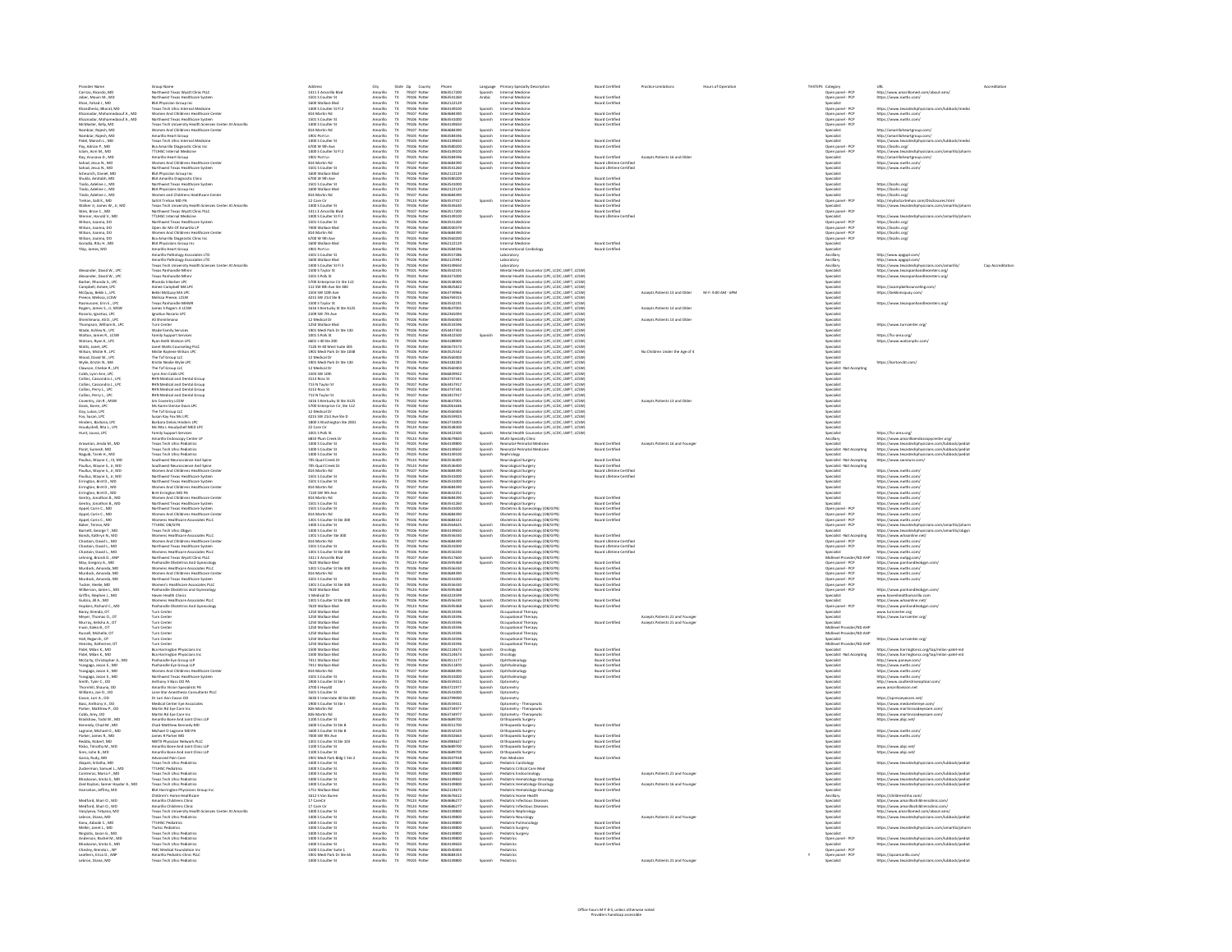| Provider Name                                                                                                                                                                                                                                                | Group Name                                                                                                                                                                                                                                          | Address                                                                                                                                                                                                                                                        |                                                                                      |                                                                          | County                                                                                                                        |                                                                                   |                               | Language Primary Specialty Description                                                                                                                                                                                                                                                   | <b>Board Certified</b>                                                                      | <b>Practice Limitations</b>           | Hours of Operation | THSTEPS Category                                                                                                                           |                                                                                                                                                    | URL                                                                                                                                                                                                                                                                                                                                                                                                                                              |  |
|--------------------------------------------------------------------------------------------------------------------------------------------------------------------------------------------------------------------------------------------------------------|-----------------------------------------------------------------------------------------------------------------------------------------------------------------------------------------------------------------------------------------------------|----------------------------------------------------------------------------------------------------------------------------------------------------------------------------------------------------------------------------------------------------------------|--------------------------------------------------------------------------------------|--------------------------------------------------------------------------|-------------------------------------------------------------------------------------------------------------------------------|-----------------------------------------------------------------------------------|-------------------------------|------------------------------------------------------------------------------------------------------------------------------------------------------------------------------------------------------------------------------------------------------------------------------------------|---------------------------------------------------------------------------------------------|---------------------------------------|--------------------|--------------------------------------------------------------------------------------------------------------------------------------------|----------------------------------------------------------------------------------------------------------------------------------------------------|--------------------------------------------------------------------------------------------------------------------------------------------------------------------------------------------------------------------------------------------------------------------------------------------------------------------------------------------------------------------------------------------------------------------------------------------------|--|
| Carrizo, Ricardo, MD                                                                                                                                                                                                                                         | Northwest Texas Wyatt Clinic PLLC                                                                                                                                                                                                                   | 1411 E Amarillo Blvd                                                                                                                                                                                                                                           | City<br>Amarillo                                                                     | State Zip County<br>TX 79107 Potter                                      |                                                                                                                               | 8063517200                                                                        | Spanish                       | Internal Medicine                                                                                                                                                                                                                                                                        |                                                                                             |                                       |                    | Open panel - PCF                                                                                                                           |                                                                                                                                                    | http://www.amarillomed.com/about-ams/                                                                                                                                                                                                                                                                                                                                                                                                            |  |
| Jaber, Mouin M., MD<br>Khan, Fahad J., MD                                                                                                                                                                                                                    | Northwest Texas Healthcare System                                                                                                                                                                                                                   | 1501 S Coulter St<br>1600 Wallace Blvd                                                                                                                                                                                                                         | Amarillo<br>Amarillo                                                                 | TX 79106 Potter                                                          | 79106 Potte                                                                                                                   | 8063541260<br>8062122129                                                          | Arabic                        | Internal Medicine<br>Internal Medicine                                                                                                                                                                                                                                                   | <b>Board Certified</b><br><b>Board Certified</b>                                            |                                       |                    | Open panel - PCP                                                                                                                           |                                                                                                                                                    | https://www.nwths.com/                                                                                                                                                                                                                                                                                                                                                                                                                           |  |
| thandhoria Rharat MD                                                                                                                                                                                                                                         | <b>BSA Physician Group Inc<br/>Texas Tech Uhsc Internal Medicine</b>                                                                                                                                                                                | Lann S Coulter St FL2                                                                                                                                                                                                                                          | Amarillo                                                                             | $\frac{Tx}{Tx}$<br>29106.8                                               |                                                                                                                               | 805414910                                                                         | Snanish                       | Internal Medicin                                                                                                                                                                                                                                                                         |                                                                                             |                                       |                    |                                                                                                                                            | Open panel - PCP<br>Specialist<br>Open panel - PCP<br>Open panel - PCP<br>Open panel - PCP<br>Specialist<br>Specialist<br>Specialist<br>Specialist | https://www.texasterholosicians.rom/lubbork/medir                                                                                                                                                                                                                                                                                                                                                                                                |  |
| Khandheria, Bharat, MD<br>Khamadar, Mohamedaouf A., MD<br>Khamadar, Mohamedaouf A., MD<br>McMaster, Kely, MD<br>Nambiar, Rajesh, MD<br>Nambiar, Rajesh, MD<br>Pambiar, Rajesh, MD<br>Pambiar, Rajesh, MD<br>Pambiar, Rajesh, MD<br>Pambiar, Rajesh, MD       | en<br>Min And Childrens Healthcare Center                                                                                                                                                                                                           | <b>R14 Martin Rd</b>                                                                                                                                                                                                                                           | Amarilo<br>Amarilo<br>Amarilo<br>Amarilo<br>Amarilo<br>Amarilo                       |                                                                          | 29107 Porte                                                                                                                   | 805458439                                                                         | spanish<br>Spanish<br>Spanish | Internal Medicin                                                                                                                                                                                                                                                                         | <b>Board Certifier</b>                                                                      |                                       |                    |                                                                                                                                            |                                                                                                                                                    | ntsps://www.orxasaecnpri<br>https://www.nwths.com/<br>https://www.nwths.com/                                                                                                                                                                                                                                                                                                                                                                     |  |
|                                                                                                                                                                                                                                                              | Women And Childrens Healthcare<br>Northwest Texas Healthcare System<br>Texas Tech University Health Sciences Center At Amarillo<br>Women And Childrens Healthcare Center<br>Women And Childrens Healthcare<br>Texas Tech Uhsc Internal M            | 814 Martin Rd<br>1501 S Coulter St<br>1400 S Coulter St<br>814 Martin Rd<br>1901 Port Ln<br>1400 S Coulter St                                                                                                                                                  |                                                                                      |                                                                          | 19101 Potter<br>19106 Potter<br>19105 Potter<br>19107 Potter<br>19105 Potter<br>19105 Potter                                  | 806354100                                                                         |                               | Internal Medicin                                                                                                                                                                                                                                                                         | nant Certifier                                                                              |                                       |                    |                                                                                                                                            |                                                                                                                                                    |                                                                                                                                                                                                                                                                                                                                                                                                                                                  |  |
|                                                                                                                                                                                                                                                              |                                                                                                                                                                                                                                                     |                                                                                                                                                                                                                                                                |                                                                                      |                                                                          |                                                                                                                               | 0003342000<br>8064149650<br>8064684390<br>8064149650                              |                               | Internal Medicine<br>Internal Medicine<br>Internal Medicine<br>Internal Medicine<br>Internal Medicine                                                                                                                                                                                    | loard Certified                                                                             |                                       |                    |                                                                                                                                            |                                                                                                                                                    |                                                                                                                                                                                                                                                                                                                                                                                                                                                  |  |
|                                                                                                                                                                                                                                                              |                                                                                                                                                                                                                                                     |                                                                                                                                                                                                                                                                |                                                                                      |                                                                          |                                                                                                                               |                                                                                   | Spanish<br>Spanish<br>Spanish |                                                                                                                                                                                                                                                                                          |                                                                                             |                                       |                    |                                                                                                                                            |                                                                                                                                                    | http://amarilloheartgroup.com/<br>http://amarilloheartgroup.com/<br>https://www.texastechphysicians.com/lubbock/r                                                                                                                                                                                                                                                                                                                                |  |
|                                                                                                                                                                                                                                                              |                                                                                                                                                                                                                                                     |                                                                                                                                                                                                                                                                |                                                                                      |                                                                          |                                                                                                                               |                                                                                   |                               |                                                                                                                                                                                                                                                                                          | <b>Board Certified</b>                                                                      |                                       |                    |                                                                                                                                            |                                                                                                                                                    |                                                                                                                                                                                                                                                                                                                                                                                                                                                  |  |
| Pay, Adrian P., MD<br>Islam, Asm M., MD                                                                                                                                                                                                                      | Bsa Amarillo Diagnostic Clinic Inc<br>TTUHSC Internal Medicine                                                                                                                                                                                      | 6700 W 9th Ave                                                                                                                                                                                                                                                 | Amarillo                                                                             | $\frac{TX}{TX}$                                                          | 79106 Potter                                                                                                                  | 8063580200                                                                        | Spanish                       | Internal Medicine                                                                                                                                                                                                                                                                        | <b>Board Certified</b>                                                                      |                                       |                    |                                                                                                                                            | Open panel - PCP                                                                                                                                   | https://bsahs.org/                                                                                                                                                                                                                                                                                                                                                                                                                               |  |
| Ray, Arunava D., MD                                                                                                                                                                                                                                          | Amarillo Heart Group                                                                                                                                                                                                                                | 1400 S Coulter St Fl 2<br>1901 Port Ln                                                                                                                                                                                                                         | Amarillo<br>Amarillo                                                                 | Tx                                                                       | 79106 Potte<br>79105 Potter                                                                                                   | 8064149100<br>8063584596                                                          | Spanish<br>Spanish            | Internal Medicine<br>Internal Medicine                                                                                                                                                                                                                                                   | <b>Board Certified</b>                                                                      | Accepts Patients 16 and Older         |                    | Specialist                                                                                                                                 | Open panel - PCP                                                                                                                                   | maps://www.texastechphysicians.com/amarillo/pharm<br>http://amarilloheartgroup.com/                                                                                                                                                                                                                                                                                                                                                              |  |
| Sahad, Jesus N., MD                                                                                                                                                                                                                                          | Women And Childrens Healthcare Center                                                                                                                                                                                                               | 814 Martin Rd                                                                                                                                                                                                                                                  | Amarillo                                                                             | $T\!X$                                                                   | 79107 Potter                                                                                                                  | 8064684390                                                                        |                               | Internal Medicine                                                                                                                                                                                                                                                                        | Board Lifetime Certified                                                                    |                                       |                    | Specialist                                                                                                                                 |                                                                                                                                                    | https://www.nwths.com/                                                                                                                                                                                                                                                                                                                                                                                                                           |  |
| Sahad, Jesus N., MD                                                                                                                                                                                                                                          | Northwest Texas Healthcare System                                                                                                                                                                                                                   | 1501 S Coulter St                                                                                                                                                                                                                                              | Amarillo                                                                             | $\mathbf{R}$                                                             | 79106 Potte                                                                                                                   | 8063541260                                                                        | Spanish<br>Spanish            | Internal Medicine                                                                                                                                                                                                                                                                        | Board Lifetime Certified                                                                    |                                       |                    | Specialist                                                                                                                                 |                                                                                                                                                    | https://www.nwths.com/                                                                                                                                                                                                                                                                                                                                                                                                                           |  |
| Scheurich, Daniel, MD<br>Shukla, Amitabh, MD                                                                                                                                                                                                                 | <b>BSA Physician Group Inc.</b><br>BSA Amarillo Diagnostic Clinic                                                                                                                                                                                   | 1600 Wallace Blvd                                                                                                                                                                                                                                              | Amarillo                                                                             | $\frac{\text{TX}}{\text{TX}}$                                            | 79106 Potter<br>79106 Potter                                                                                                  | 8062122129                                                                        |                               | Internal Medicine                                                                                                                                                                                                                                                                        |                                                                                             |                                       |                    | Specialist                                                                                                                                 |                                                                                                                                                    |                                                                                                                                                                                                                                                                                                                                                                                                                                                  |  |
|                                                                                                                                                                                                                                                              |                                                                                                                                                                                                                                                     | 6700 W 9th Ave                                                                                                                                                                                                                                                 | Amarillo                                                                             |                                                                          |                                                                                                                               | 806358020                                                                         |                               | Internal Medicine                                                                                                                                                                                                                                                                        | Board Certified                                                                             |                                       |                    | Specialist                                                                                                                                 |                                                                                                                                                    |                                                                                                                                                                                                                                                                                                                                                                                                                                                  |  |
| Sinkin, Amazon, Inc.<br>Tindo, Adeline J., MD<br>Tindo, Adeline J., MD<br>Tindo, Adeline J., MD                                                                                                                                                              |                                                                                                                                                                                                                                                     | 1501 S Coulter St<br>1501 S Coulter St<br>814 Martin Rd                                                                                                                                                                                                        | Amarilo<br>Amarilo<br>Amarilo                                                        |                                                                          | 79105 Potter<br>79105 Potter<br>79107 Potter                                                                                  |                                                                                   |                               | nemal Medicine<br>Nemal Medicine<br>Nemal Medicine                                                                                                                                                                                                                                       | <b>Board Certified<br/>Board Certified<br/>Board Certified</b>                              |                                       |                    |                                                                                                                                            |                                                                                                                                                    | https://bsahs.org/<br>https://bsahs.org/<br>https://bsahs.org/                                                                                                                                                                                                                                                                                                                                                                                   |  |
|                                                                                                                                                                                                                                                              |                                                                                                                                                                                                                                                     |                                                                                                                                                                                                                                                                |                                                                                      |                                                                          |                                                                                                                               |                                                                                   |                               |                                                                                                                                                                                                                                                                                          |                                                                                             |                                       |                    |                                                                                                                                            |                                                                                                                                                    |                                                                                                                                                                                                                                                                                                                                                                                                                                                  |  |
| Trehan, Salil K., MD                                                                                                                                                                                                                                         | now America Diagnostic Lenic<br>Northwest Texas Healthcare System<br>BSA Physicians Group Inc.<br>Women and Childrens Healthcare Center<br>Salil K Trehan MD PA                                                                                     | 12 Care Cir                                                                                                                                                                                                                                                    |                                                                                      | $T\!X$                                                                   | 79124 Potter                                                                                                                  | 8063541000<br>8063541000<br>8062122129<br>8068537417<br>8063537417                | Spanish                       | Internal Medicine                                                                                                                                                                                                                                                                        | <b>Board Certified</b>                                                                      |                                       |                    | Open panel - PCF                                                                                                                           |                                                                                                                                                    | http://mydoctortrehan.com/Disclosures.html                                                                                                                                                                                                                                                                                                                                                                                                       |  |
| Walker Jr, James W., Jr, MD                                                                                                                                                                                                                                  | Sair K Trehan MD PA<br>Texas Tech Liniversity Health Sciences Center At Amarillo<br>Northwest Texas Wyatt Clinic PLLC                                                                                                                               | 1400 S Coulter St                                                                                                                                                                                                                                              | Amarilo<br>Amarilo                                                                   |                                                                          | 79106 Potte                                                                                                                   | 8063545630                                                                        |                               | nternal Medicine                                                                                                                                                                                                                                                                         | <b>Board Certified</b>                                                                      |                                       |                    |                                                                                                                                            |                                                                                                                                                    | https://www.texastechphysicians.com/amarillo/phar                                                                                                                                                                                                                                                                                                                                                                                                |  |
| Weis, Brian C., MD<br>Werner, Harold V., MD                                                                                                                                                                                                                  | <b>TTUHSC Internal Medicine</b>                                                                                                                                                                                                                     | 1411 E Amarillo Blvd<br>1400 S Coulter St Fl 2                                                                                                                                                                                                                 | Amarillo<br>Amarillo                                                                 | $\frac{Tx}{Tx}$                                                          | 79107 Potter<br>79106 Potte                                                                                                   | 8063517200<br>8064149100                                                          | Spanish                       | Internal Medicine<br>Internal Medicine                                                                                                                                                                                                                                                   | <b>Board Certified</b><br>Board Lifetime Certifies                                          |                                       |                    | Specialist                                                                                                                                 | Open panel - PCF                                                                                                                                   | https://www.texastechphysicians.com/amarillo/phar                                                                                                                                                                                                                                                                                                                                                                                                |  |
| Wilson, Joanna, DO                                                                                                                                                                                                                                           | Northwest Texas Healthcare System                                                                                                                                                                                                                   | 1501 S Coulter St                                                                                                                                                                                                                                              | Amarillo                                                                             | $\mathbf{R}$                                                             | 79106 Potter                                                                                                                  | 8063541260                                                                        |                               | Internal Medicine                                                                                                                                                                                                                                                                        |                                                                                             |                                       |                    |                                                                                                                                            | Open panel - PCF                                                                                                                                   | https://bsahs.org/                                                                                                                                                                                                                                                                                                                                                                                                                               |  |
| Wilson, Joanna, DO                                                                                                                                                                                                                                           | Open Air Mri Of Amarillo LP                                                                                                                                                                                                                         | 7400 Wallace Blvd                                                                                                                                                                                                                                              | Amarillo                                                                             | $\mathbf{R}$                                                             | 79106 Potte                                                                                                                   | 8882040379                                                                        |                               | Internal Medicine                                                                                                                                                                                                                                                                        |                                                                                             |                                       |                    |                                                                                                                                            | Open panel - PCF                                                                                                                                   | https://bsahs.org                                                                                                                                                                                                                                                                                                                                                                                                                                |  |
| Wilson, Joanna, DO                                                                                                                                                                                                                                           | .<br>Women And Childrens Healthcare Center                                                                                                                                                                                                          | 814 Martin Rd                                                                                                                                                                                                                                                  | Amarillo                                                                             | Tx                                                                       | 79107 Potter                                                                                                                  | 8064684390<br>ansassono                                                           |                               | Internal Medicine                                                                                                                                                                                                                                                                        |                                                                                             |                                       |                    |                                                                                                                                            | Open panel - PCF                                                                                                                                   | https://bsahs.org                                                                                                                                                                                                                                                                                                                                                                                                                                |  |
|                                                                                                                                                                                                                                                              |                                                                                                                                                                                                                                                     | 6700 W 9th Ave                                                                                                                                                                                                                                                 |                                                                                      | $\frac{TX}{TX}$                                                          |                                                                                                                               | 8062122129                                                                        |                               |                                                                                                                                                                                                                                                                                          |                                                                                             |                                       |                    |                                                                                                                                            | Open panel - PCP<br>Sensibility                                                                                                                    | https://bsahs.org                                                                                                                                                                                                                                                                                                                                                                                                                                |  |
| Wilson, Joanna, DO<br>Goradia, Ritu H., MD<br>Yhip, James, MD                                                                                                                                                                                                | Womma And Childrens Healthcare Conter<br>Bisa Amarilo Diagnostic Clinic Inc.<br>Bisa Amarilo Diagnostic Clinic Inc.<br>Amarillo Heaving Amarilo Inc.<br>Amarillo Pathology Associates LTD<br>Amarillo Pathology Associates LTD<br>Texas Parhandl    | 6700 W 9th Ave<br>1600 Wallace Blvd<br>1901 Port Ln<br>1501 S Coulter St<br>1600 Wallace Blvd<br>1400 S Coulter St Fi 3<br>1500 S Taylor St<br>1500 S Taylor St<br>1500 S Taylor St<br>1500 S Taylor St                                                        | Amarilo<br>Amarilo<br>Amarilo<br>Amarilo<br>Amarilo<br>Amarilo<br>Amarilo<br>Amarilo |                                                                          | Patter Potter<br>19105 Potter<br>19105 Potter<br>19105 Potter<br>19105 Potter<br>19101 Potter<br>19101 Potter<br>19101 Potter | 806358459                                                                         |                               | International Medicine<br>Internal Medicine<br>Interventional Cardiology                                                                                                                                                                                                                 | <b>Board Certified</b><br>Board Certified                                                   |                                       |                    | Specialist<br>Specialist<br>Ancillary<br>Ancillary<br>Specialist<br>Specialist<br>Specialist                                               |                                                                                                                                                    |                                                                                                                                                                                                                                                                                                                                                                                                                                                  |  |
|                                                                                                                                                                                                                                                              |                                                                                                                                                                                                                                                     |                                                                                                                                                                                                                                                                |                                                                                      |                                                                          |                                                                                                                               | 8063557286                                                                        |                               |                                                                                                                                                                                                                                                                                          |                                                                                             |                                       |                    |                                                                                                                                            |                                                                                                                                                    | http://www.apgppl.com/                                                                                                                                                                                                                                                                                                                                                                                                                           |  |
|                                                                                                                                                                                                                                                              |                                                                                                                                                                                                                                                     |                                                                                                                                                                                                                                                                |                                                                                      |                                                                          |                                                                                                                               |                                                                                   |                               |                                                                                                                                                                                                                                                                                          |                                                                                             |                                       |                    |                                                                                                                                            |                                                                                                                                                    |                                                                                                                                                                                                                                                                                                                                                                                                                                                  |  |
|                                                                                                                                                                                                                                                              |                                                                                                                                                                                                                                                     |                                                                                                                                                                                                                                                                |                                                                                      |                                                                          |                                                                                                                               |                                                                                   |                               |                                                                                                                                                                                                                                                                                          |                                                                                             |                                       |                    |                                                                                                                                            |                                                                                                                                                    |                                                                                                                                                                                                                                                                                                                                                                                                                                                  |  |
| .<br>Alexander, David W., LPC<br>Alexander, David W., LPC                                                                                                                                                                                                    |                                                                                                                                                                                                                                                     |                                                                                                                                                                                                                                                                |                                                                                      |                                                                          |                                                                                                                               | 8063557286<br>8062125942<br>8064149650<br>8063542191<br>8063371000                |                               | Interventional Cardiology<br>Laboratory<br>Laboratory<br>Laboratory<br>Laboratory<br>Mental Health Counselor (LPC, LCDC, LMFT, LCSW)<br>Mental Health Counselor (LPC, LCDC, LMFT, LCSW)<br>Mental Health Counselor (LPC, LCDC, LMFT, LCSW)                                               |                                                                                             |                                       |                    |                                                                                                                                            |                                                                                                                                                    | http://www.apgppl.com/<br>https://www.texastechphysicians.com/am<br>https://www.texastechphysicians.com/am<br>https://www.texaspanhandlecenters.org/<br>https://www.texaspanhandlecenters.org/                                                                                                                                                                                                                                                   |  |
| Barber, Rhonda S., LPC<br>Campbell, Aimee, LPC                                                                                                                                                                                                               | Rhonda S Barber LPC                                                                                                                                                                                                                                 | 5700 Enterprise Cir Ste 112                                                                                                                                                                                                                                    | Amarillo                                                                             | $\frac{TX}{TX}$                                                          | 79106 Potter                                                                                                                  | 8063548300                                                                        |                               | Mental Health Counselor (LPC, LCDC, LMFT, LCSW)                                                                                                                                                                                                                                          |                                                                                             |                                       |                    | Specialist                                                                                                                                 |                                                                                                                                                    |                                                                                                                                                                                                                                                                                                                                                                                                                                                  |  |
|                                                                                                                                                                                                                                                              | Aimee Campbell MA LPC<br>Bekki McQuay MA LPC                                                                                                                                                                                                        | 112 SW 8th Ave Ste 400                                                                                                                                                                                                                                         | Amarillo                                                                             |                                                                          | 79101 Potter                                                                                                                  | 8063825822                                                                        |                               | Mental Health Counselor (LPC, LCDC, LMFT, LCSW)                                                                                                                                                                                                                                          |                                                                                             |                                       |                    | Specialist                                                                                                                                 |                                                                                                                                                    | https://acampbellcounseling.com/                                                                                                                                                                                                                                                                                                                                                                                                                 |  |
| McQuay, Bekki L., LPC<br>Preece, Melissa, LCSW                                                                                                                                                                                                               | Melissa Preece, LCSW                                                                                                                                                                                                                                | 1503 SW 10th Ave<br>4215 SW 21st Ste B                                                                                                                                                                                                                         | Amarillo<br>Amarillo                                                                 | Tx                                                                       | 79101 Potter                                                                                                                  | 8063739966<br>8066769315                                                          |                               | Mental Health Counselor (LPC, LCDC, LMFT, LCSW)                                                                                                                                                                                                                                          |                                                                                             | Accepts Patients 13 and Older         | M-F: 9:00 AM - 6PM | Specialist<br>Specialist                                                                                                                   |                                                                                                                                                    | https://bekkimcquay.com/                                                                                                                                                                                                                                                                                                                                                                                                                         |  |
|                                                                                                                                                                                                                                                              | Tevas Parhandle MHME                                                                                                                                                                                                                                | 1500 S Taylor St                                                                                                                                                                                                                                               | Amarillo                                                                             | $\frac{\text{TX}}{\text{TX}}$                                            | 79106 Potter<br>79101 Potter                                                                                                  | 8063542191                                                                        |                               |                                                                                                                                                                                                                                                                                          |                                                                                             |                                       |                    | .<br>Gwelet is                                                                                                                             |                                                                                                                                                    | https://www.texacnanhandlerenters.nrg                                                                                                                                                                                                                                                                                                                                                                                                            |  |
|                                                                                                                                                                                                                                                              | lames S Rogers Ir LCSW<br>Ignatius Rozario LPC                                                                                                                                                                                                      | 1616 S Kenturky St Ste A125<br>2109 SW 7th Ave                                                                                                                                                                                                                 | Amarillo<br>Amarillo                                                                 | $\frac{TX}{TX}$                                                          |                                                                                                                               | 8054537001<br>8062365094                                                          |                               |                                                                                                                                                                                                                                                                                          |                                                                                             | Arrents Patients 13 and Older         |                    | .<br>Specialist<br>Specialist                                                                                                              |                                                                                                                                                    |                                                                                                                                                                                                                                                                                                                                                                                                                                                  |  |
|                                                                                                                                                                                                                                                              |                                                                                                                                                                                                                                                     |                                                                                                                                                                                                                                                                |                                                                                      |                                                                          |                                                                                                                               |                                                                                   |                               |                                                                                                                                                                                                                                                                                          |                                                                                             |                                       |                    |                                                                                                                                            |                                                                                                                                                    |                                                                                                                                                                                                                                                                                                                                                                                                                                                  |  |
| Preece, Melissa, LCSW<br>Rasmussen, Erin E., LPC<br>Rogers, James S., Jr, MSW<br>Rogers, James S., Jr, MSW<br>Rozario, Ignatius, LPC<br>Shimilimana, Ali D., LPC<br>Waldon, James B., LPC<br>Waldon, James B., LPC                                           | gnatius Rozario LPC<br>Ali Shimilimana<br>Furn Center<br>Made Family Services                                                                                                                                                                       | 2109 SW 7th AW<br>12 Medical Dr<br>1250 Wallace Blvd<br>1901 Medi Park Dr Ste 130                                                                                                                                                                              | Amarilo<br>Amarilo<br>Amarilo<br>Amarilo                                             |                                                                          | 79101 Potter<br>79102 Potter<br>79106 Potter<br>79106 Potter<br>79106 Potter<br>79106 Potter                                  | 8063560404<br>8063560404<br>4054437303                                            |                               |                                                                                                                                                                                                                                                                                          |                                                                                             | Accepts Patients 13 and Olde          |                    | specialist<br>Specialist<br>Specialist<br>Specialist                                                                                       |                                                                                                                                                    | https://www.turncenter.org                                                                                                                                                                                                                                                                                                                                                                                                                       |  |
|                                                                                                                                                                                                                                                              |                                                                                                                                                                                                                                                     |                                                                                                                                                                                                                                                                |                                                                                      |                                                                          |                                                                                                                               |                                                                                   |                               |                                                                                                                                                                                                                                                                                          |                                                                                             |                                       |                    |                                                                                                                                            |                                                                                                                                                    |                                                                                                                                                                                                                                                                                                                                                                                                                                                  |  |
| Walton, James R., LCSW                                                                                                                                                                                                                                       | Family Support Services<br>Ryan Keith Watson LPC                                                                                                                                                                                                    | 1001 S Polk St                                                                                                                                                                                                                                                 | Amarillo                                                                             | TX                                                                       | 79101 Potter                                                                                                                  | 8063422500                                                                        | Spanish                       |                                                                                                                                                                                                                                                                                          |                                                                                             |                                       |                    | Specialist<br>Specialist                                                                                                                   |                                                                                                                                                    | https://fss-ama.org/                                                                                                                                                                                                                                                                                                                                                                                                                             |  |
| Watson, Ryan K., LPC                                                                                                                                                                                                                                         |                                                                                                                                                                                                                                                     | 66011-40 Ste 200                                                                                                                                                                                                                                               | Amarillo                                                                             | $T\!X$                                                                   | 79106 Potte                                                                                                                   | 8064188900                                                                        |                               |                                                                                                                                                                                                                                                                                          |                                                                                             |                                       |                    |                                                                                                                                            |                                                                                                                                                    | https://www.watsonphc.com/                                                                                                                                                                                                                                                                                                                                                                                                                       |  |
| Watts, Janet, LPC<br>Wilson, Mistie R., LPC                                                                                                                                                                                                                  | Janet Watts Counseling PLLC<br>Mistie Raylene Wilson LPC                                                                                                                                                                                            | 7120 IH 40 West Suite 305<br>1901 Medi Park Dr Ste 1038                                                                                                                                                                                                        | Amarillo<br>Amarillo                                                                 | $\frac{\text{TX}}{\text{TX}}$                                            | 79106 Potter<br>79106 Potter                                                                                                  | 8065673573<br>8063525542                                                          |                               | Mental Health Counsider (UP, LCDC, LOFT, LCM)<br>Mental Health Counsider (UP, LCDC, LOFT, LCSM)<br>Mental Health Counsider (UP, LCDC, LOFT, LCSM)<br>Mental Health Counsider (UP, LCDC, LOFT, LCSM)<br>Mental Health Counsider (UP, L<br>Mental Health Counselor (LPC, LCDC, LMFT, LCSW) |                                                                                             | No Children Under the Aee of 4        |                    | Specialist<br>Specialist                                                                                                                   |                                                                                                                                                    |                                                                                                                                                                                                                                                                                                                                                                                                                                                  |  |
| Wood, David W., LPC                                                                                                                                                                                                                                          | The Taf Group LLC                                                                                                                                                                                                                                   | 12 Medical Dr                                                                                                                                                                                                                                                  | Amarillo                                                                             | $\mathbf{R}$                                                             | 79105 Potter                                                                                                                  | 8063560404                                                                        |                               | Mental Health Counselor (UPC, LCDC, LMFT, LCSW)                                                                                                                                                                                                                                          |                                                                                             |                                       |                    | Specialist                                                                                                                                 |                                                                                                                                                    |                                                                                                                                                                                                                                                                                                                                                                                                                                                  |  |
| Wylie, Kristin N., MA                                                                                                                                                                                                                                        | Kristin Nealie Wylie LPC                                                                                                                                                                                                                            | 1901 Medi Park Dr Ste 130                                                                                                                                                                                                                                      | Amarillo                                                                             | $\frac{\text{TX}}{\text{TX}}$                                            | 79106 Potte                                                                                                                   | 8064182283                                                                        |                               | Mental Health Counselor (LPC, LCDC, LMFT, LCSW)                                                                                                                                                                                                                                          |                                                                                             |                                       |                    | <b>Specialist</b>                                                                                                                          |                                                                                                                                                    | https://bartoncbt.com/                                                                                                                                                                                                                                                                                                                                                                                                                           |  |
| Clawson, Chelsie R., LPC                                                                                                                                                                                                                                     | The Taf Group LLC                                                                                                                                                                                                                                   | 12 Medical D                                                                                                                                                                                                                                                   | Amarillo                                                                             |                                                                          | 79106 Potter                                                                                                                  | 8063560404<br>8066839922                                                          |                               | Mental Health Counselor (UPC, LCDC, LMFT, LCSW)                                                                                                                                                                                                                                          |                                                                                             |                                       |                    |                                                                                                                                            | Specialist -Not Accepting                                                                                                                          |                                                                                                                                                                                                                                                                                                                                                                                                                                                  |  |
|                                                                                                                                                                                                                                                              |                                                                                                                                                                                                                                                     |                                                                                                                                                                                                                                                                |                                                                                      |                                                                          |                                                                                                                               |                                                                                   |                               |                                                                                                                                                                                                                                                                                          |                                                                                             |                                       |                    |                                                                                                                                            |                                                                                                                                                    |                                                                                                                                                                                                                                                                                                                                                                                                                                                  |  |
|                                                                                                                                                                                                                                                              |                                                                                                                                                                                                                                                     |                                                                                                                                                                                                                                                                |                                                                                      |                                                                          |                                                                                                                               |                                                                                   |                               |                                                                                                                                                                                                                                                                                          |                                                                                             |                                       |                    |                                                                                                                                            |                                                                                                                                                    |                                                                                                                                                                                                                                                                                                                                                                                                                                                  |  |
|                                                                                                                                                                                                                                                              | The Taf Group LtC<br>Lynn Ann Cobb LPC<br>RHN Medical and Dental Group<br>RHN Medical and Dental Group<br>RHN Medical and Dental Group<br>RHN Medical and Dental Group<br>RHN Medical and Dental Group<br>RHN Medical and Dental Group              |                                                                                                                                                                                                                                                                |                                                                                      |                                                                          | 79105 Potter<br>79103 Potter<br>79103 Potter<br>79103 Potter<br>79107 Potter<br>79107 Potter                                  |                                                                                   |                               |                                                                                                                                                                                                                                                                                          |                                                                                             |                                       |                    |                                                                                                                                            |                                                                                                                                                    |                                                                                                                                                                                                                                                                                                                                                                                                                                                  |  |
| Clawson, Chelsie R., LPC<br>Cobb, Lynn Ann, LPC<br>Collins, Cassondra L, LPC<br>Collins, Cassondra L, LPC<br>Collins, Parry L, LPC<br>Collins, Parry L, LPC<br>Cowentry, Jim R., MSW<br>Davis, Karen, LPC<br>Davis, Karen, LPC                               |                                                                                                                                                                                                                                                     | 12 Medical Dr<br>$3503$ SW 10th<br>$3513$ Ross St<br>$713$ Ross St<br>$313$ Ross St<br>$313$ Ross St<br>$213$ N Taylor St<br>$156$ S Kentucky St Ste A125<br>$5700$ Enterprise Cir, Ste 112<br>$12$ Medical Dr<br>$4215$ SW 73st Aus Ste N<br>$4215$ SW 73st A | Amarilo<br>Amarilo<br>Amarilo<br>Amarilo<br>Amarilo<br>Amarilo<br>Amarilo<br>Amarilo |                                                                          | 79102 Potter                                                                                                                  | 8066839922<br>8063747341<br>8063457917<br>80636457917<br>8064637917<br>8064637917 |                               | Mental Health Counselor (UC <sub>,</sub> LCDC, LMF1, LCSM)<br>Mental Health Counselor (UC, LCDC, LMF1, LCSM)<br>Mental Health Counselor (UC, LCDC, LMF1, LCSM)<br>Mental Health Counselor (UC, LCDC, LMF1, LCSM)<br>Mental Health Counselor (UC                                          |                                                                                             | Accepts Patients 13 and Olde          |                    | specialist<br>Specialist<br>Specialist<br>Specialist<br>Specialist<br>Specialist<br>Specialist<br>Specialist                               |                                                                                                                                                    |                                                                                                                                                                                                                                                                                                                                                                                                                                                  |  |
|                                                                                                                                                                                                                                                              | Jim Coventry LCSW<br>Ms Karen Denise Davis LPC<br>The Taf Group LLC                                                                                                                                                                                 |                                                                                                                                                                                                                                                                |                                                                                      |                                                                          | 79106 Potter                                                                                                                  | 8062061646<br>8063560404                                                          |                               |                                                                                                                                                                                                                                                                                          |                                                                                             |                                       |                    |                                                                                                                                            |                                                                                                                                                    |                                                                                                                                                                                                                                                                                                                                                                                                                                                  |  |
| Day, Lukas, LPC<br>Fox, Susan, LPC                                                                                                                                                                                                                           | Susan Kay Fox Ms LPC                                                                                                                                                                                                                                | 4215 SW 21st Ave Ste D                                                                                                                                                                                                                                         | Amarillo                                                                             | $T X$                                                                    | 79106 Potte<br>79106 Potter                                                                                                   | 8063559925                                                                        |                               | Mental Health Counselor (LPC, LCDC, LMFT, LCSW)                                                                                                                                                                                                                                          |                                                                                             |                                       |                    | Specialist                                                                                                                                 |                                                                                                                                                    |                                                                                                                                                                                                                                                                                                                                                                                                                                                  |  |
|                                                                                                                                                                                                                                                              |                                                                                                                                                                                                                                                     | 1800 S Washington Ste 2001                                                                                                                                                                                                                                     | Amarillo                                                                             | Tx                                                                       | 79102 Potter                                                                                                                  | 8063733003                                                                        |                               |                                                                                                                                                                                                                                                                                          |                                                                                             |                                       |                    | Specialist                                                                                                                                 |                                                                                                                                                    |                                                                                                                                                                                                                                                                                                                                                                                                                                                  |  |
| Hinders, Barbara, LPC<br>Houdyshell, Rita L., LPC                                                                                                                                                                                                            | .<br>Barbara Delois Hinders LPC<br>Ms Rita L Houdyshell MED LPC                                                                                                                                                                                     | 22 Care Cir                                                                                                                                                                                                                                                    | Amarillo                                                                             | $\n  Tx\n$                                                               | 79124 Potter                                                                                                                  | 8063548300                                                                        |                               | Mental Health Counselor (LPC, LCDC, LMFT, LCSW)<br>Mental Health Counselor (LPC, LCDC, LMFT, LCSW)                                                                                                                                                                                       |                                                                                             |                                       |                    | Specialist                                                                                                                                 |                                                                                                                                                    |                                                                                                                                                                                                                                                                                                                                                                                                                                                  |  |
| Hunt, Louva, LPC                                                                                                                                                                                                                                             | France Control Services<br>Family Support Services<br>Amarillo Endoscopy Center LP<br>Texas Tech Uhsc Pediatrics                                                                                                                                    | 1001 S Polk St                                                                                                                                                                                                                                                 | Amarillo<br>Amarillo                                                                 | $\frac{TX}{TX}$                                                          | 79124 Potter<br>79101 Potter<br>79124 Potter<br>79105 Potter<br>79105 Potter<br>79124 Potter<br>79124 Potter<br>79124 Potter  | 8063422500<br>8054579820                                                          | Snanish                       | Mental Health Counseler (PC, LCDC, LMFT, LCSW)<br>Multi-Specialty Clinic<br>Neonatal-Perinatal Medicine<br>Neonatal-Perinatal Medicine<br>Neonatal-Perinatal Medicine                                                                                                                    |                                                                                             |                                       |                    | <b>Snarialice</b>                                                                                                                          |                                                                                                                                                    | $\begin{array}{l} \end{array} \begin{minipage}[c][n] \end{minipage}[t][n] \end{minipage}[t][n] \end{minipage}[t][n] \end{minipage}[t][n] \end{minipage}[t][n] \begin{minipage}[c][n] \end{minipage}[t][n] \end{minipage}[t][n] \end{minipage}[t][n] \end{minipage}[t][n] \end{minipage}[t][n] \end{minipage}[t][n] \end{minipage}[t][n] \end{minipage}[t][n] \end{minipage}[t][n] \end{minipage}[t][n] \end{minipage}[t][n] \end{minipage}[t][n$ |  |
| Arawiran lenda M. MD                                                                                                                                                                                                                                         |                                                                                                                                                                                                                                                     | 1001 S Polk St<br>6833 Plum Creek Dr<br>1400 S Coulter St<br>1400 S Coulter St<br>1400 S Coulter St<br>705 Quail Creek Dr<br>705 Quail Creek Dr                                                                                                                | Amarillo<br>Amarillo                                                                 |                                                                          |                                                                                                                               | 805414980                                                                         | Snanich                       |                                                                                                                                                                                                                                                                                          | <b>Board Certified</b>                                                                      | Accepts Patients 16 and Young         |                    | Ancillary<br>Specialist                                                                                                                    |                                                                                                                                                    |                                                                                                                                                                                                                                                                                                                                                                                                                                                  |  |
| Arawran, Jenda M., MD<br>Parat, Sumesh, MD<br>Nagub, Tarek H., MD<br>Paulus, Wayne C., III, MD<br>Paulus, Wayne S., Jr, MD                                                                                                                                   |                                                                                                                                                                                                                                                     |                                                                                                                                                                                                                                                                |                                                                                      |                                                                          |                                                                                                                               | 805414965                                                                         |                               |                                                                                                                                                                                                                                                                                          | <b>Board Certified</b>                                                                      |                                       |                    |                                                                                                                                            | Specialist - Not Acceptin                                                                                                                          |                                                                                                                                                                                                                                                                                                                                                                                                                                                  |  |
|                                                                                                                                                                                                                                                              |                                                                                                                                                                                                                                                     |                                                                                                                                                                                                                                                                |                                                                                      |                                                                          |                                                                                                                               |                                                                                   | Spanish                       |                                                                                                                                                                                                                                                                                          |                                                                                             |                                       |                    |                                                                                                                                            |                                                                                                                                                    |                                                                                                                                                                                                                                                                                                                                                                                                                                                  |  |
|                                                                                                                                                                                                                                                              | Texas Tech Unic Pediatrics<br>Texas Tech Unic Pediatrics<br>Southwest Neuroscience And Spine<br>Southwest Neuroscience And Spine                                                                                                                    |                                                                                                                                                                                                                                                                | Amarilo<br>Amarilo<br>Amarilo<br>Amarilo                                             |                                                                          |                                                                                                                               | 8064149850<br>8064149100<br>8063536400                                            |                               | -<br>Nephrology<br>Neurological Surgery<br>Neurological Surgery                                                                                                                                                                                                                          | <b>Board Certified<br/>Board Certified</b>                                                  |                                       |                    |                                                                                                                                            | Specialist<br>Specialist - Not Accepting<br>Specialist - Not Accepting                                                                             |                                                                                                                                                                                                                                                                                                                                                                                                                                                  |  |
| Paullus, Wayne S., Jr, MD                                                                                                                                                                                                                                    | Women And Childrens Healthcare Cente                                                                                                                                                                                                                | 814 Martin Rd                                                                                                                                                                                                                                                  | Amarillo                                                                             | TX                                                                       | 79107 Potter                                                                                                                  | 8064684390                                                                        | Spanish                       | Neurological Surgery                                                                                                                                                                                                                                                                     | Board Lifetime Certifie                                                                     |                                       |                    | Specialist                                                                                                                                 |                                                                                                                                                    | https://www.nwths.com/                                                                                                                                                                                                                                                                                                                                                                                                                           |  |
| Paullus, Wayne S., Jr, MD<br>Errington, Bret D., MD                                                                                                                                                                                                          | Northwest Texas Healthcare System<br>Northwest Texas Healthcare System                                                                                                                                                                              | 1501 S Coulter St<br>1501 S Coulter St                                                                                                                                                                                                                         | Amarillo<br>Amarillo                                                                 | $T\!X$<br>TX                                                             | 79106 Potte<br>79106 Potte                                                                                                    | 8063541000<br>8063541000                                                          | Spanish<br>Spanish            | Neurological Surgery<br>Neurological Surgery                                                                                                                                                                                                                                             | Board Lifetime Certifier                                                                    |                                       |                    | Specialist<br>Specialist                                                                                                                   |                                                                                                                                                    | https://www.nwths.com/<br>https://www.nwths.com/                                                                                                                                                                                                                                                                                                                                                                                                 |  |
| Errington, Bret D., MD                                                                                                                                                                                                                                       | Women And Childrens Healthcare Cente                                                                                                                                                                                                                | 814 Martin Rd                                                                                                                                                                                                                                                  | Amarillo                                                                             | Tx                                                                       | 79107 Potter                                                                                                                  | 8064684390                                                                        | Spanish                       | Neurological Surgery                                                                                                                                                                                                                                                                     |                                                                                             |                                       |                    | Specialist                                                                                                                                 |                                                                                                                                                    | https://www.nwths.com/                                                                                                                                                                                                                                                                                                                                                                                                                           |  |
| Errinaton, Bret D., MD                                                                                                                                                                                                                                       | Bret Errineton MD PA                                                                                                                                                                                                                                | 7120 SW 9th Ave                                                                                                                                                                                                                                                | Amarillo                                                                             | Tx                                                                       | 79106 Potter                                                                                                                  | 8064632251                                                                        | Spanish                       |                                                                                                                                                                                                                                                                                          |                                                                                             |                                       |                    | Specialist                                                                                                                                 |                                                                                                                                                    | https://www.nwths.com/                                                                                                                                                                                                                                                                                                                                                                                                                           |  |
| Gentry, Jonathon B., MD                                                                                                                                                                                                                                      | Women And Childrens Healthcare Center                                                                                                                                                                                                               | 814 Martin Rd                                                                                                                                                                                                                                                  | Amarillo                                                                             | $\frac{Tx}{Tx}$                                                          | 79107 Potte                                                                                                                   | 8064684390                                                                        | Spanish                       |                                                                                                                                                                                                                                                                                          | <b>Board Certified</b>                                                                      |                                       |                    | eecialist                                                                                                                                  |                                                                                                                                                    | ttos://www.nwths.com/                                                                                                                                                                                                                                                                                                                                                                                                                            |  |
| Gentry, Jonathon B., MD                                                                                                                                                                                                                                      | Northwest Texas Healthcare System                                                                                                                                                                                                                   | 1501 S Coulter St                                                                                                                                                                                                                                              | Amarillo                                                                             |                                                                          | 79106 Potte                                                                                                                   | 8063541260<br>8063541000                                                          | Spanish                       |                                                                                                                                                                                                                                                                                          | <b>Board Certified</b>                                                                      |                                       |                    | <b>Specialist</b>                                                                                                                          |                                                                                                                                                    | ttos://www.nwths.com/                                                                                                                                                                                                                                                                                                                                                                                                                            |  |
|                                                                                                                                                                                                                                                              |                                                                                                                                                                                                                                                     |                                                                                                                                                                                                                                                                |                                                                                      |                                                                          |                                                                                                                               |                                                                                   |                               |                                                                                                                                                                                                                                                                                          |                                                                                             |                                       |                    |                                                                                                                                            |                                                                                                                                                    |                                                                                                                                                                                                                                                                                                                                                                                                                                                  |  |
| Sentry, Jonathon B.,<br>Appel, Carin C., MD<br>Appel, Carin C., MD<br>Baker, Teresa, MD<br>Baker, Teresa, MD                                                                                                                                                 | Northwest Texas Healthcare System<br>Northwest Texas Healthcare System<br>Women And Childrens Healthcare Center<br>Women And Childrens Healthcare Center<br>TTUHSC OB/GYN<br>Texas Tech Ulisc Obgyn<br>Women Healthcare Associates PLC<br>Women And | 1501 S Coulter St<br>1501 S Coulter St<br>1301 S Coulter St Ste 300<br>1400 S Coulter St<br>1400 S Coulter St                                                                                                                                                  | Amarilo<br>Amarilo<br>Amarilo<br>Amarilo                                             |                                                                          | 79106 Potter<br>79105 Potter<br>79107 Potter<br>79106 Potter<br>79106 Potter                                                  | 8063541000<br>8064684390<br>8064684322<br>8063564625<br>8063556330<br>8063556330  |                               | Neurological Surgery<br>Neurological Surgery<br>Neurological Surgery<br>Neurological Surgery<br>Obstetrics & Gynecology (O8/GYN)<br>Obstetrics & Gynecology (O8/GYN)<br>Obstetrics & Gynecology (O8/GYN)<br>Obstetrics & Gynecology (O8/GYN)                                             | Board Certified<br>Board Certified<br>Board Certified                                       |                                       |                    |                                                                                                                                            | Specialist<br>Open panel - PCP<br>Open panel - PCP<br>Open panel - PCP<br>Open panel - PCP                                                         | https://www.metric.com/<br>https://www.metric.com/<br>https://www.metric.com/<br>https://www.metric.com/<br>https://www.metric.com/<br>https://www.baracelor.physicians.com/amaello/phaem<br>https://www.waracelor.physicians.com/amaello/obgen                                                                                                                                                                                                  |  |
|                                                                                                                                                                                                                                                              |                                                                                                                                                                                                                                                     |                                                                                                                                                                                                                                                                |                                                                                      |                                                                          |                                                                                                                               |                                                                                   | Spanish                       |                                                                                                                                                                                                                                                                                          |                                                                                             |                                       |                    |                                                                                                                                            |                                                                                                                                                    |                                                                                                                                                                                                                                                                                                                                                                                                                                                  |  |
| Barnett, George T., MD<br>Bonds, Kathryn N., MD<br>Chastain, David L., MD                                                                                                                                                                                    |                                                                                                                                                                                                                                                     | 1400 S Coulter St<br>1301 S Coulter Ste 300                                                                                                                                                                                                                    | Amarilo<br>Amarilo<br>Amarilo<br>Amarilo                                             | $\frac{TX}{TX}$                                                          | 79106 Potter<br>79106 Potter                                                                                                  |                                                                                   | Spanish<br>Spanish            |                                                                                                                                                                                                                                                                                          | <b>Board Certified</b>                                                                      |                                       |                    |                                                                                                                                            | Specialist<br>Specialist -Not Accepting                                                                                                            | https://www.whaonline.net/                                                                                                                                                                                                                                                                                                                                                                                                                       |  |
|                                                                                                                                                                                                                                                              |                                                                                                                                                                                                                                                     | 814 Martin Rd                                                                                                                                                                                                                                                  |                                                                                      | $\frac{\text{TX}}{\text{TX}}$                                            | 79107 Potter                                                                                                                  | 8064684390                                                                        |                               |                                                                                                                                                                                                                                                                                          | Board Lifetime Certifie                                                                     |                                       |                    |                                                                                                                                            | Open panel - PCF                                                                                                                                   | https://www.nwths.com/                                                                                                                                                                                                                                                                                                                                                                                                                           |  |
| Chastain, David L., MD<br>Chastain, David L. MD                                                                                                                                                                                                              | Womens Healthcare Associates PLLC                                                                                                                                                                                                                   | 1501 S Coulter St<br>1301 S Coulter St Ste 300                                                                                                                                                                                                                 | Amarillo                                                                             |                                                                          | 79106 Potter<br>79106 Potter                                                                                                  | 8063541000<br>8063556330                                                          |                               | Obstetrics & Gynecology (OB/GYN)                                                                                                                                                                                                                                                         | Board Lifetime Certifie<br>Board Lifetime Certifies                                         |                                       |                    | Specialist                                                                                                                                 | Open panel - PCP                                                                                                                                   | https://www.nwths.com/<br>https://www.nwths.com/                                                                                                                                                                                                                                                                                                                                                                                                 |  |
| Lehning, Brandi D., ANP                                                                                                                                                                                                                                      | Northwest Texas Wyatt Clinic PLLC                                                                                                                                                                                                                   | 1411 E Amarillo Blvd                                                                                                                                                                                                                                           | Amarillo                                                                             | $\begin{array}{c} \mathsf{TX} \\ \mathsf{TX} \\ \mathsf{TX} \end{array}$ | 79107 Potter                                                                                                                  | 8063517600                                                                        | Spanish                       | Obstetrics & Gynecology (OB/GYN)<br>Obstetrics & Gynecology (OB/GYN)<br>Obstetrics & Gynecology (OB/GYN)                                                                                                                                                                                 |                                                                                             |                                       |                    |                                                                                                                                            | Midlevel Provider/ND AH                                                                                                                            | https://www.nwtps.com/                                                                                                                                                                                                                                                                                                                                                                                                                           |  |
| May, Gregory A., MD                                                                                                                                                                                                                                          | Panhandle Obstetrics And Gynecology                                                                                                                                                                                                                 | 7620 Wallace Blvd                                                                                                                                                                                                                                              | Amarillo                                                                             |                                                                          | 79124 Potter                                                                                                                  | 8063595468                                                                        | Spanish                       |                                                                                                                                                                                                                                                                                          | <b>Board Certified</b>                                                                      |                                       |                    |                                                                                                                                            | Open panel - PCF                                                                                                                                   | ttos://www.panhandleobeyn.com                                                                                                                                                                                                                                                                                                                                                                                                                    |  |
|                                                                                                                                                                                                                                                              |                                                                                                                                                                                                                                                     | 1301 S Coulter St Ste 300<br>814 Martin Rd                                                                                                                                                                                                                     |                                                                                      | $\frac{TX}{TX}$                                                          |                                                                                                                               | 8063556330                                                                        |                               |                                                                                                                                                                                                                                                                                          |                                                                                             |                                       |                    |                                                                                                                                            |                                                                                                                                                    |                                                                                                                                                                                                                                                                                                                                                                                                                                                  |  |
|                                                                                                                                                                                                                                                              |                                                                                                                                                                                                                                                     |                                                                                                                                                                                                                                                                |                                                                                      |                                                                          |                                                                                                                               | 805458439<br>8063541000                                                           |                               |                                                                                                                                                                                                                                                                                          |                                                                                             |                                       |                    |                                                                                                                                            |                                                                                                                                                    | https://www.nwths.com/<br>https://www.nwths.com/<br>https://www.nwths.com/                                                                                                                                                                                                                                                                                                                                                                       |  |
|                                                                                                                                                                                                                                                              |                                                                                                                                                                                                                                                     |                                                                                                                                                                                                                                                                |                                                                                      |                                                                          |                                                                                                                               |                                                                                   |                               |                                                                                                                                                                                                                                                                                          |                                                                                             |                                       |                    |                                                                                                                                            |                                                                                                                                                    |                                                                                                                                                                                                                                                                                                                                                                                                                                                  |  |
|                                                                                                                                                                                                                                                              |                                                                                                                                                                                                                                                     |                                                                                                                                                                                                                                                                |                                                                                      |                                                                          | 79124 Potter<br>79105 Potter<br>79107 Potter<br>79106 Potter<br>79124 Potter<br>79124 Potter                                  |                                                                                   |                               |                                                                                                                                                                                                                                                                                          | Board Certified<br>Board Certified<br>Board Certified<br>Board Certified<br>Board Certified |                                       |                    |                                                                                                                                            |                                                                                                                                                    | https://www.panh                                                                                                                                                                                                                                                                                                                                                                                                                                 |  |
| May, Gregory A., MD<br>Murdock, Amanda, MD<br>Murdock, Amanda, MD<br>Murdock, Amanda, MD<br>Tucker, Keelie, MD<br>Wikerson, Jamie L., MD<br>Griffin, Stephen J., MD<br>Griffin, Stephen J., MD<br>Griffin, Stephen J., MD<br>Griffin, Stephen J., MD<br>Grif | Panhandle Obsteinics And Gynecology<br>Womens Healthcare Associates PLC<br>Women And Childrens Healthcare Center<br>Women And Childrens Healthcare Center<br>Northweat Texas Healthcare Osptem<br>Women's Health Clinics<br>And Gynecology<br>Namha | 814 Martin Rd<br>1501 S Coulter St<br>1301 S Coulter St Ste 300<br>7620 Wallace Blvd<br>1 Medical Dr<br>1301 S Coulter St Ste 300                                                                                                                              | Amarilo<br>Amarilo<br>Amarilo<br>Amarilo<br>Amarilo<br>Amarilo<br>Amarilo            |                                                                          | 79106 Potter<br>79106 Potter                                                                                                  | 8063556330<br>8063556330<br>8063595468<br>8063223599                              |                               | Obstatrics & Gynecology (OB/GYN)<br>Obstatrics & Gynecology (OB/GYN)<br>Obstatrics & Gynecology (OB/GYN)<br>Obstatrics & Gynecology (OB/GYN)<br>Obstatrics & Gynecology (OB/GYN)<br>Obstatrics & Gynecology (OB/GYN)<br>Obstatrics & Gynecology                                          |                                                                                             |                                       |                    | Open panel - PCP<br>Open panel - PCP<br>Open panel - PCP<br>Open panel - PCP<br>Open panel - PCP<br>Specialist<br>Specialist<br>Specialist |                                                                                                                                                    | ntsps://www.parmanowoogyn<br>www.havenhealthamarillo.com<br>https://www.whaonline.net/                                                                                                                                                                                                                                                                                                                                                           |  |
| Hopkins, Richard C., MD                                                                                                                                                                                                                                      | Panhandle Obstetrics And Gynecology                                                                                                                                                                                                                 | 7620 Wallace Blvd                                                                                                                                                                                                                                              | Amarillo                                                                             | TX                                                                       | 79124 Potter                                                                                                                  | 8063556330<br>8063595468                                                          | Spanish                       | Obstetrics & Gynecology (OB/GYN)                                                                                                                                                                                                                                                         | <b>Board Certified</b><br><b>Board Certified</b>                                            |                                       |                    |                                                                                                                                            | Open panel - PCP                                                                                                                                   | https://www.panhandleobgyn.com/                                                                                                                                                                                                                                                                                                                                                                                                                  |  |
| Baray, Brenda, OT                                                                                                                                                                                                                                            | Turn Center                                                                                                                                                                                                                                         | 1250 Wallace Blvd                                                                                                                                                                                                                                              | Amarillo                                                                             | $T\!X$                                                                   | 79106 Potte                                                                                                                   | 8063533596                                                                        |                               |                                                                                                                                                                                                                                                                                          |                                                                                             |                                       |                    | Specialist                                                                                                                                 |                                                                                                                                                    | www.turncenter.org                                                                                                                                                                                                                                                                                                                                                                                                                               |  |
| Meyer, Thomas O., OT                                                                                                                                                                                                                                         | Turn Center                                                                                                                                                                                                                                         | 1250 Wallace Blvd                                                                                                                                                                                                                                              | Amarillo                                                                             | TX                                                                       | 79106 Potte                                                                                                                   | 8063533596                                                                        |                               | Occupational Therapy<br>Occupational Therapy                                                                                                                                                                                                                                             |                                                                                             | Accepts Patients 21 and Younge        |                    | Specialist                                                                                                                                 |                                                                                                                                                    | https://www.turncenter.org/                                                                                                                                                                                                                                                                                                                                                                                                                      |  |
| Murray, Kelisha A., OT                                                                                                                                                                                                                                       | <b>Turn Center</b><br>Turn Cente                                                                                                                                                                                                                    | 1250 Wallace Blvd<br>1250 Wallace Blvd                                                                                                                                                                                                                         | Amarillo<br>Amarillo                                                                 | TX<br>$_{\rm TX}$                                                        | 79106 Potter<br>79106 Potte                                                                                                   | 8063533596<br>8063533596                                                          |                               | Occupational Therapy<br>Occupational Therap                                                                                                                                                                                                                                              | <b>Board Certified</b>                                                                      | Accepts Patients 21 and Young         |                    | Specialist                                                                                                                                 | Midlevel Provider/ND AHP                                                                                                                           |                                                                                                                                                                                                                                                                                                                                                                                                                                                  |  |
| Irwin, Kalea B., OT<br>Russell, Michelle, OT                                                                                                                                                                                                                 | Turn Center                                                                                                                                                                                                                                         | 1250 Wallace Rhaft                                                                                                                                                                                                                                             | Amarillo                                                                             | T <sub>X</sub>                                                           | <b>29106 Porte</b>                                                                                                            | 8063533596                                                                        |                               | Orrunational Theras                                                                                                                                                                                                                                                                      |                                                                                             |                                       |                    |                                                                                                                                            | Midlauel Provider/ND AHR                                                                                                                           |                                                                                                                                                                                                                                                                                                                                                                                                                                                  |  |
|                                                                                                                                                                                                                                                              | Turn Center                                                                                                                                                                                                                                         | 1250 Wallace Rhe                                                                                                                                                                                                                                               | Amarillo                                                                             | T <sub>X</sub>                                                           |                                                                                                                               | 8063533596                                                                        |                               | Occupational Therapy<br>Occupational Therapy<br>Occupational Therapy                                                                                                                                                                                                                     |                                                                                             |                                       |                    | Specialist                                                                                                                                 |                                                                                                                                                    | https://www.turncenter.org/                                                                                                                                                                                                                                                                                                                                                                                                                      |  |
|                                                                                                                                                                                                                                                              |                                                                                                                                                                                                                                                     |                                                                                                                                                                                                                                                                |                                                                                      |                                                                          |                                                                                                                               |                                                                                   |                               |                                                                                                                                                                                                                                                                                          |                                                                                             |                                       |                    |                                                                                                                                            |                                                                                                                                                    |                                                                                                                                                                                                                                                                                                                                                                                                                                                  |  |
| Russell, Michelle, OT<br>Hall, Regan B., OT<br>Hensley, Katherine, OT<br>Patel, Milan K., MD<br>Patel, Milan K., MD<br>McCarty, Christopher A., MD<br>McCarty, Christopher A., MD                                                                            | Turn Center<br>Turn Center<br>Baa Harrington Physicians Inc<br>Baa Harrington Physicians Inc<br>Panhandle Eye Group LLP<br>Panhandle Eye Group LLP                                                                                                  | 1250 Wallace Blvd<br>1250 Wallace Blvd<br>1500 Wallace Blvd<br>1500 Wallace Blvd<br>7411 Wallace Blvd<br>7444 Wallace Blvd                                                                                                                                     | Amarilo<br>Amarilo<br>Amarilo<br>Amarilo<br>Amarilo                                  |                                                                          | 79106 Potter<br>79106 Potter<br>79106 Potter<br>79106 Potter<br>79106 Potter<br>79106 Potter                                  | 8063533596<br>8063533596<br>8062124673<br>8063511177<br>8063511177                | Spanish<br>Spanish            | Oncology<br>Oncology<br>Ophthalmology                                                                                                                                                                                                                                                    | Board Certified<br>Board Certified<br>Board Certified<br>-                                  |                                       |                    |                                                                                                                                            | Specialist<br>Midlevel Provider/ND AHP<br>Specialist<br>Specialist -Not Accepting<br>Specialist                                                    | https://www.harringtoncc.org/top/milan-patel-md<br>https://www.harringtoncc.org/top/milan-patel-md<br>http://www.paneye.com/                                                                                                                                                                                                                                                                                                                     |  |
|                                                                                                                                                                                                                                                              |                                                                                                                                                                                                                                                     |                                                                                                                                                                                                                                                                |                                                                                      |                                                                          |                                                                                                                               |                                                                                   |                               |                                                                                                                                                                                                                                                                                          |                                                                                             |                                       |                    |                                                                                                                                            |                                                                                                                                                    |                                                                                                                                                                                                                                                                                                                                                                                                                                                  |  |
| Ysasgaga, Jason E., MD<br><b>Ysasgaga, Jason E., MD</b>                                                                                                                                                                                                      | Women And Childrens Healthcare Cente                                                                                                                                                                                                                | 7411 Wallace Blvd<br>814 Martin Rd                                                                                                                                                                                                                             | Amarilo<br>Amarilo                                                                   | $\frac{TX}{TX}$                                                          | 79106 Potter<br>79107 Potte                                                                                                   | 8063511870<br>8064684390                                                          | Spanish                       | Ophthalmology<br>Ophthalmology                                                                                                                                                                                                                                                           | <b>Board Certified</b><br><b>Board Certified</b>                                            |                                       |                    | Specialist                                                                                                                                 |                                                                                                                                                    | https://www.nwths.com/<br>https://www.nwths.com/                                                                                                                                                                                                                                                                                                                                                                                                 |  |
| Ysasgaga, Jason E., MD                                                                                                                                                                                                                                       | Northwest Texas Healthcare System                                                                                                                                                                                                                   | 1501 S Coulter St                                                                                                                                                                                                                                              | Amarillo                                                                             |                                                                          | 79106 Potter                                                                                                                  | 8063541000                                                                        | Spanish<br>Spanish            | Ophthalmology                                                                                                                                                                                                                                                                            | <b>Board Certified</b>                                                                      |                                       |                    | Specialist<br>Specialist                                                                                                                   |                                                                                                                                                    | https://www.nwths.com/                                                                                                                                                                                                                                                                                                                                                                                                                           |  |
| Smith, Tyler C., OD                                                                                                                                                                                                                                          | Anthony V Bass OD PA                                                                                                                                                                                                                                | 1900 S Coulter St Ste I                                                                                                                                                                                                                                        | Amarillo                                                                             | $\frac{\text{TX}}{\text{TX}}$                                            | 79106 Potter                                                                                                                  | 8063559411                                                                        | Spanish                       | Optometry                                                                                                                                                                                                                                                                                |                                                                                             |                                       |                    | Specialist                                                                                                                                 |                                                                                                                                                    | http://www.coulterdriveoptical.com/                                                                                                                                                                                                                                                                                                                                                                                                              |  |
| Thornhill, Shauna, OD<br>Williams, Joe D., OD                                                                                                                                                                                                                | Amarillo Vision Specialists PA<br>Lone Star Anesthesia Consultants PLLC                                                                                                                                                                             | 3700 E Hwy40<br>1501 S Coulter St                                                                                                                                                                                                                              | Amarillo<br>Amarillo                                                                 | $T\!X$                                                                   | 79103 Potter<br>79106 Potter                                                                                                  | 8063721977<br>8063541000                                                          | Spanish<br>Spanish            | Optometry<br>Optometry                                                                                                                                                                                                                                                                   |                                                                                             |                                       |                    | Specialist<br>Specialist                                                                                                                   |                                                                                                                                                    | www.amarillovision.net                                                                                                                                                                                                                                                                                                                                                                                                                           |  |
| Eason, Lori A., OD                                                                                                                                                                                                                                           | Dr Lori Ann Eason OD                                                                                                                                                                                                                                | 3630 E Interstate 40 Ste 300                                                                                                                                                                                                                                   | Amarillo                                                                             | $\frac{\text{TX}}{\text{TX}}$                                            | 79103 Potter                                                                                                                  | 8063799090                                                                        |                               | Optometry                                                                                                                                                                                                                                                                                |                                                                                             |                                       |                    | Specialist                                                                                                                                 |                                                                                                                                                    | https://xpresseyecare.net/                                                                                                                                                                                                                                                                                                                                                                                                                       |  |
| Eason, Lorra., Lor<br>Bass, Anthony V., OD<br>Parker, Matthew P., OD<br>Cobb, Amy, OD<br>Bradshaw, Tood W., MD<br>Tood W., MD                                                                                                                                | or con Ann Eason OD<br>Medical Center Eye Associates<br>Martin Rd Eye Care Inc<br>Martin Rd Eye Care Inc<br>Amarilo Bone And Joint Clinic LLP<br>Amarilo Bone And Joint Clinic LLP                                                                  |                                                                                                                                                                                                                                                                |                                                                                      |                                                                          |                                                                                                                               | 8063734977<br>8063734977<br>8063734977<br>8064689700<br>8063551700<br>8063551700  |                               | Optemetry - Therapeutic<br>Optemetry - Therapeutic<br>Optemetry - Therapeutic<br>Orthopaedic Surgery                                                                                                                                                                                     |                                                                                             |                                       |                    | Specialist<br>Specialist<br>Specialist<br>Specialist                                                                                       |                                                                                                                                                    | https://www.medcentereye.com/<br>https://www.medcentereye.com/<br>https://www.mertinroadeyecare.c<br>https://www.abjc.net/                                                                                                                                                                                                                                                                                                                       |  |
|                                                                                                                                                                                                                                                              |                                                                                                                                                                                                                                                     |                                                                                                                                                                                                                                                                |                                                                                      |                                                                          |                                                                                                                               |                                                                                   | Spanish                       |                                                                                                                                                                                                                                                                                          |                                                                                             |                                       |                    |                                                                                                                                            |                                                                                                                                                    |                                                                                                                                                                                                                                                                                                                                                                                                                                                  |  |
|                                                                                                                                                                                                                                                              |                                                                                                                                                                                                                                                     |                                                                                                                                                                                                                                                                |                                                                                      |                                                                          |                                                                                                                               |                                                                                   |                               |                                                                                                                                                                                                                                                                                          |                                                                                             |                                       |                    |                                                                                                                                            |                                                                                                                                                    |                                                                                                                                                                                                                                                                                                                                                                                                                                                  |  |
| Kennedy, Chad M., MD                                                                                                                                                                                                                                         | Chad Matthew Kennedy MD<br>Michael O Lagrone MD PA                                                                                                                                                                                                  |                                                                                                                                                                                                                                                                |                                                                                      |                                                                          |                                                                                                                               |                                                                                   |                               | Orthopaedic Surgery<br>Orthopaedic Surgery                                                                                                                                                                                                                                               | Board Certified                                                                             |                                       |                    |                                                                                                                                            |                                                                                                                                                    |                                                                                                                                                                                                                                                                                                                                                                                                                                                  |  |
| Lagrone, Michael O., MI                                                                                                                                                                                                                                      |                                                                                                                                                                                                                                                     | 3630 E Interstate 40 Ste<br>1900 S Coulter St Ste I<br>826 Martin Rd<br>826 Martin Rd<br>1900 S Coulter St Ste B<br>1600 S Coulter St Ste B<br>1600 S Coulter St Ste B<br>1600 S Coulter St Ste B<br>1600 S Coulter St Ste B                                   | Amarilo<br>Amarilo<br>Amarilo<br>Amarilo<br>Amarilo<br>Amarilo<br>Amarilo            |                                                                          | 79105 Potter<br>79105 Potter<br>79107 Potter<br>79105 Potter<br>79105 Potter<br>79105 Potter<br>79105 Potter                  | 8063542529                                                                        | Spanish                       |                                                                                                                                                                                                                                                                                          | <b>Board Certified</b>                                                                      |                                       |                    | Specialist<br>Specialist<br>Specialist                                                                                                     |                                                                                                                                                    | https://www.nwths.com/                                                                                                                                                                                                                                                                                                                                                                                                                           |  |
| Parker, James R., MD<br>Reddix, Robert, MD                                                                                                                                                                                                                   | James R Parker MD<br>NWTX Physician Network PLLC                                                                                                                                                                                                    | 7000 SW 9th Ave<br>1301 S Coulter St Ste 103                                                                                                                                                                                                                   | Amarillo                                                                             | Tx                                                                       | 79106 Potte<br>79106 Potter                                                                                                   | 8063502663<br>8063983627                                                          |                               | Orthopaedic Surgery<br>Orthopaedic Surgery                                                                                                                                                                                                                                               | <b>Board Certified</b>                                                                      |                                       |                    | Specialist                                                                                                                                 |                                                                                                                                                    | https://www.nwths.com/                                                                                                                                                                                                                                                                                                                                                                                                                           |  |
| Risko, Timothy M., MD                                                                                                                                                                                                                                        | Amarillo Bone And Joint Clinic LLP                                                                                                                                                                                                                  | 1100 S Coulter St                                                                                                                                                                                                                                              | Amarillo                                                                             | $T\!X$                                                                   | 79106 Potter                                                                                                                  | 8064689700                                                                        | Spanish                       | Orthopaedic Surgery                                                                                                                                                                                                                                                                      | <b>Board Certified</b>                                                                      |                                       |                    | Specialist                                                                                                                                 |                                                                                                                                                    | https://www.abjc.net/                                                                                                                                                                                                                                                                                                                                                                                                                            |  |
| Sims, John B., MD<br>Garza, Rudy, MD                                                                                                                                                                                                                         | Amarillo Bone And Joint Clinic LLF<br>Advanced Pain Care                                                                                                                                                                                            | 1100 S Coulter St<br>1901 Medi Park Bldg C Ste 2                                                                                                                                                                                                               | Amarillo<br>Amarillo                                                                 | $\mathbf{R}$<br>$\n  Tx\n$                                               | 79106 Potte<br>79106 Potter                                                                                                   | 8064689700<br>8063507918                                                          | Spanish                       | Orthopaedic Surgery<br>Pain Medicine                                                                                                                                                                                                                                                     | <b>Board Certified</b>                                                                      |                                       |                    | Specialist<br>Specialist                                                                                                                   |                                                                                                                                                    | https://www.abic.net/                                                                                                                                                                                                                                                                                                                                                                                                                            |  |
|                                                                                                                                                                                                                                                              | Texas Tech Libse Pediatrics                                                                                                                                                                                                                         | tatitis Coulter St                                                                                                                                                                                                                                             |                                                                                      |                                                                          |                                                                                                                               | 8054149800                                                                        | Spanish                       | Pediatric Cardiology                                                                                                                                                                                                                                                                     |                                                                                             |                                       |                    |                                                                                                                                            |                                                                                                                                                    | https://www.texastechphysicians.com/lubbock/pedia                                                                                                                                                                                                                                                                                                                                                                                                |  |
| .<br>Alapati, Srilatha, MD<br>Zuckerman, Samuel L<br>ell MD                                                                                                                                                                                                  | <b>TURSC Badiatrics</b>                                                                                                                                                                                                                             | 1400 S Coulter St                                                                                                                                                                                                                                              | Amarillo<br>Amarillo                                                                 | $\frac{TX}{TX}$                                                          | 79106 Potter                                                                                                                  | 805414980                                                                         |                               | Pediatric Critical Care Med                                                                                                                                                                                                                                                              |                                                                                             |                                       |                    |                                                                                                                                            |                                                                                                                                                    |                                                                                                                                                                                                                                                                                                                                                                                                                                                  |  |
|                                                                                                                                                                                                                                                              |                                                                                                                                                                                                                                                     | 1400 S Coulter S                                                                                                                                                                                                                                               |                                                                                      |                                                                          |                                                                                                                               | 805414980                                                                         | Spanish                       |                                                                                                                                                                                                                                                                                          |                                                                                             | Accents Patients 21 and Younge        |                    |                                                                                                                                            |                                                                                                                                                    | https://www.texastechohysicians.com/lubbock/pedia                                                                                                                                                                                                                                                                                                                                                                                                |  |
|                                                                                                                                                                                                                                                              |                                                                                                                                                                                                                                                     |                                                                                                                                                                                                                                                                |                                                                                      |                                                                          |                                                                                                                               |                                                                                   | spanish<br>Spanish<br>Spanish |                                                                                                                                                                                                                                                                                          |                                                                                             | <b>Accepts Patients 16 and Younge</b> |                    |                                                                                                                                            |                                                                                                                                                    | ntsps://www.urxassempnysicians.com/lubbock/pedia<br>https://www.texastechphysicians.com/lubbock/pedia<br>https://www.texastechphysicians.com/lubbock/pedia                                                                                                                                                                                                                                                                                       |  |
| Zuckerman, Samuel L., MD<br>Contreras, Maria F., MD<br>Bhaskaran, Smita S., MD<br>Zaid Kaylani, Samer Haydar A., MD<br>Hanrahan, Jeffrey, MD                                                                                                                 | TTUHSC Pediatrics<br>Texas Tech Lihsc Pediatrics<br>Texas Tech Lihsc Pediatrics<br>Texas Tech Lihsc Pediatrics<br>BSA Harrington Physicians Gn<br>Children's Home Healthcare                                                                        | 1400 S Coulter St<br>1400 S Coulter St<br>1400 S Coulter St<br>1751 Wallace Blvd<br>1612 S Van Buren                                                                                                                                                           | Amarilo<br>Amarilo<br>Amarilo<br>Amarilo<br>Amarilo<br>Amarilo                       |                                                                          | 79105 Potter<br>79105 Potter<br>79105 Potter<br>79105 Potter<br>79105 Potter                                                  | 8064149800<br>8064149800<br>8064149800<br>8062124673<br>8063676612                |                               | Pediatric Critical Care Med<br>Pediatric Endocrinology<br>Pediatric Hematology-Oncology<br>Pediatric Hematology-Oncology<br>Pediatric Hematology-Oncology<br>Pediatric Home Health                                                                                                       | <b>Board Certified<br/>Board Certified<br/>Board Certified</b>                              |                                       |                    | specialist<br>Specialist<br>Specialist<br>Specialist<br>Specialist<br>Specialist<br>Ancillary                                              |                                                                                                                                                    |                                                                                                                                                                                                                                                                                                                                                                                                                                                  |  |
|                                                                                                                                                                                                                                                              |                                                                                                                                                                                                                                                     |                                                                                                                                                                                                                                                                |                                                                                      |                                                                          |                                                                                                                               |                                                                                   |                               |                                                                                                                                                                                                                                                                                          |                                                                                             |                                       |                    |                                                                                                                                            |                                                                                                                                                    | https://childrenshha.com/                                                                                                                                                                                                                                                                                                                                                                                                                        |  |
| Medford, Shari O., MD<br>Medford, Shari O., MD                                                                                                                                                                                                               | Amarillo Childrens Clinic<br>Amarillo Childrens Clinic                                                                                                                                                                                              | 17 CareCir<br>17 Care Cir                                                                                                                                                                                                                                      | Amarillo<br>Amarillo                                                                 | $T X$<br>TX                                                              | 79124 Potter<br>79124 Potter                                                                                                  | 8064686277<br>8064686277                                                          | Spanish                       | Pediatric Infectious Diseases<br>Pediatric Infectious Diseases                                                                                                                                                                                                                           | <b>Board Certified</b><br><b>Board Certified</b>                                            |                                       |                    | Specialist                                                                                                                                 |                                                                                                                                                    | https://www.amarillochildrensclinic.com/                                                                                                                                                                                                                                                                                                                                                                                                         |  |
| Vasylyeva, Tetyana, MD                                                                                                                                                                                                                                       |                                                                                                                                                                                                                                                     | 1400 S Coulter St                                                                                                                                                                                                                                              | Amarillo                                                                             | TX                                                                       | 79105 Potter                                                                                                                  | 8064149800                                                                        | Spanish<br>Spanish            | Pediatric Nephrology                                                                                                                                                                                                                                                                     |                                                                                             |                                       |                    | Specialist<br>Specialist                                                                                                                   |                                                                                                                                                    | https://www.amarillochildrensclinic.com/<br>http://www.amarillomed.com/about-ams/                                                                                                                                                                                                                                                                                                                                                                |  |
|                                                                                                                                                                                                                                                              | Texas Tech University Health Sciences Center At Amarillo                                                                                                                                                                                            |                                                                                                                                                                                                                                                                |                                                                                      | TX                                                                       | 79105 Potter                                                                                                                  | 8064149800                                                                        | Spanish                       | Pediatric Neurology                                                                                                                                                                                                                                                                      |                                                                                             | Accepts Patients 21 and Younger       |                    | Specialist                                                                                                                                 |                                                                                                                                                    |                                                                                                                                                                                                                                                                                                                                                                                                                                                  |  |
| Lebron, Diana, MD                                                                                                                                                                                                                                            | <b>Texas Tech Uhsc Pediatrics</b>                                                                                                                                                                                                                   | 1400 S Coulter St                                                                                                                                                                                                                                              | Amarillo                                                                             |                                                                          |                                                                                                                               |                                                                                   |                               |                                                                                                                                                                                                                                                                                          |                                                                                             |                                       |                    |                                                                                                                                            |                                                                                                                                                    | https://www.texastechphysicians.com/lubbock/pediat                                                                                                                                                                                                                                                                                                                                                                                               |  |
| Kanu, Adaobi C., MD                                                                                                                                                                                                                                          | <b>TTUHSC Pediatrics</b>                                                                                                                                                                                                                            | 1400 S Coulter St                                                                                                                                                                                                                                              | Amarillo                                                                             | $\mathbf{R}$                                                             | 79106 Potter                                                                                                                  | 8064149800                                                                        |                               | Pediatric Pulmo                                                                                                                                                                                                                                                                          | Board Certified                                                                             |                                       |                    | Specialist                                                                                                                                 |                                                                                                                                                    |                                                                                                                                                                                                                                                                                                                                                                                                                                                  |  |
| Meller, Janet L., MD                                                                                                                                                                                                                                         | <b>Ttuhsc Pediatrics</b><br>Texas Tech Uhsc Pediatrics                                                                                                                                                                                              | 1400 S Coulter St<br>1400 S Coulter St                                                                                                                                                                                                                         | Amarillo<br>Amarillo                                                                 | $\frac{Tx}{Tx}$                                                          | 79105 Potter<br>79105 Potter                                                                                                  | 8064149800<br>8064149800                                                          | Spanish<br>Spanish            | Pediatric Surgery<br>Pediatric Surgery                                                                                                                                                                                                                                                   | <b>Board Certified</b><br><b>Board Certified</b>                                            |                                       |                    | Specialist<br>Specialist                                                                                                                   |                                                                                                                                                    | https://www.texastechphysicians.com/amarillo/pharm                                                                                                                                                                                                                                                                                                                                                                                               |  |
|                                                                                                                                                                                                                                                              |                                                                                                                                                                                                                                                     |                                                                                                                                                                                                                                                                |                                                                                      |                                                                          |                                                                                                                               |                                                                                   |                               |                                                                                                                                                                                                                                                                                          |                                                                                             |                                       |                    |                                                                                                                                            | Open panel - PCP                                                                                                                                   |                                                                                                                                                                                                                                                                                                                                                                                                                                                  |  |
|                                                                                                                                                                                                                                                              |                                                                                                                                                                                                                                                     |                                                                                                                                                                                                                                                                |                                                                                      |                                                                          |                                                                                                                               |                                                                                   |                               |                                                                                                                                                                                                                                                                                          | Board Certified<br>Board Certified<br>Board Certified                                       |                                       |                    |                                                                                                                                            |                                                                                                                                                    | https://www.texastechphysicians.com/lubbock/pediat<br>https://www.texastechphysicians.com/lubbock/pediat                                                                                                                                                                                                                                                                                                                                         |  |
| Meller, Janet L., MD<br>Mirgiotis, Jason G., MD<br>Anderson, Rachel M., MD<br>Bhaskaran, Smita S., MD<br>Chesley, Brenda L., NP<br>Leathers, Erica D., ANP<br>Jahron Diana MD                                                                                | Texas Tech Uhsc Pediatrics<br>Texas Tech Uhsc Pediatrics<br>FMC Medical Foundation Inc<br>Amarillo Pediatric Clinic PLLC<br>Texas Terb Libsc Pediatrics                                                                                             | 1400 S Coulter St<br>1400 S Coulter St<br>1400 S Coulter St<br>1500 S Coulter Suite 1<br>1901 Medi Park Dr Ste 65<br>1400 S. Coulter St.                                                                                                                       | Amarilo<br>Amarilo<br>Amarilo<br>Amarilo<br>Amarillo TX                              |                                                                          | 79105 Potter<br>79105 Potter<br>79105 Potter<br>79106 Potter<br>79106 Potter<br>29105 Potter                                  | 8064149800<br>8064149800<br>8064149650<br>8063540404<br>8064684333<br>8054149800  |                               | Pediatrics<br>Pediatrics<br>Pediatrics<br>Pediatrics                                                                                                                                                                                                                                     |                                                                                             | Arrents Patients 21 and Your          |                    |                                                                                                                                            | Specialist<br>Open panel - PCP<br>Open panel - PCP                                                                                                 | https://apcamarillo.com/<br>https://www.texacterhologic                                                                                                                                                                                                                                                                                                                                                                                          |  |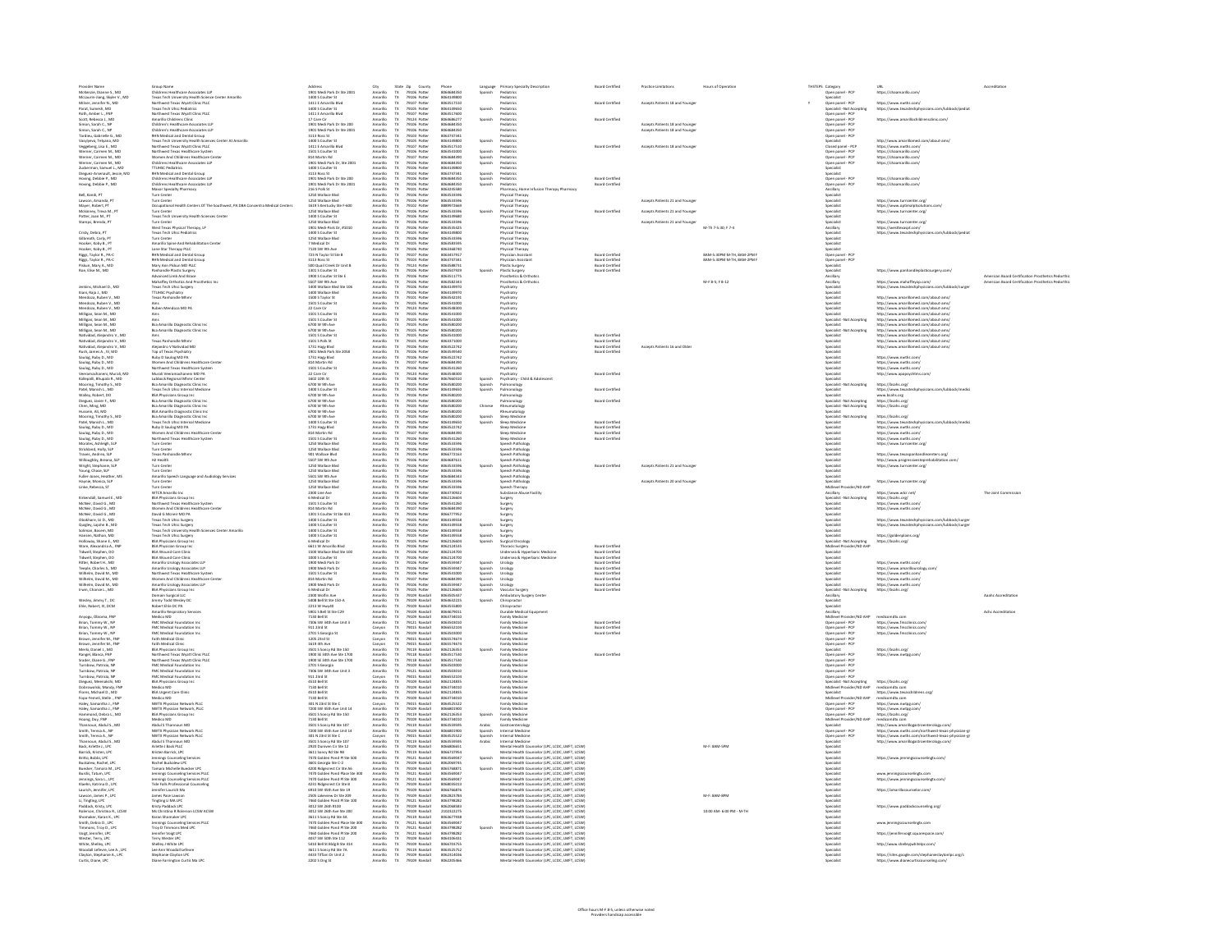| Provider Name<br>McKenzie, Dianne S., MD<br>McLaurin-liang, Skyler V., MD<br>Milner, Jennifer N., MD<br>Parat, Sumesh, MD<br>Roth, Amber L., FNP<br>Stime, Sarota C., MD<br>Stime, Sarota C., MD                                                                                | Group Name<br>Childrens Healthcare Associates LLP<br>Tiexas Tech University Health Science Center Amarillo<br>Northwest Texas Wyatt Clinic PLLC<br>Texas Tech Unice Pediatrics<br>Anorihwest Texas Wyatt Clinic PLLC<br>Antideav' Macolleaus Cli                                            | Address<br>1901 Medi Park Dr Ste 2001<br>1400 S Coulter St<br>1411 E Amarillo Blvd<br>1411 E Amarillo Blvd<br>1411 Ennarillo Blvd<br>1411 Ennarillo Blvd                                        | City<br>Amarillo<br>Amarillo                                                                                                                                                                                                           | State Zip County<br>TX 79105 Potter<br>TX 79105 Potter<br>TX 79107 Potter<br>TX 79107 Potter<br>TX 79107 Potter<br>TX 79124 Potter           | Phone<br>8064684350<br>8064149800<br>8063517510<br>006449000                                                               |                                          | Language Primary Specialty Description<br>Spanish Pediatrics                                                                                                                                                                                                                                 | <b>Board Certified</b>                                                   | Practice Limitations                                              | Hours of Operatio          | THSTEPS Category<br>Open panel - PCP<br>Specialist                                           |                                                                                                                                                                                                                                              |                                                   |
|---------------------------------------------------------------------------------------------------------------------------------------------------------------------------------------------------------------------------------------------------------------------------------|---------------------------------------------------------------------------------------------------------------------------------------------------------------------------------------------------------------------------------------------------------------------------------------------|-------------------------------------------------------------------------------------------------------------------------------------------------------------------------------------------------|----------------------------------------------------------------------------------------------------------------------------------------------------------------------------------------------------------------------------------------|----------------------------------------------------------------------------------------------------------------------------------------------|----------------------------------------------------------------------------------------------------------------------------|------------------------------------------|----------------------------------------------------------------------------------------------------------------------------------------------------------------------------------------------------------------------------------------------------------------------------------------------|--------------------------------------------------------------------------|-------------------------------------------------------------------|----------------------------|----------------------------------------------------------------------------------------------|----------------------------------------------------------------------------------------------------------------------------------------------------------------------------------------------------------------------------------------------|---------------------------------------------------|
|                                                                                                                                                                                                                                                                                 |                                                                                                                                                                                                                                                                                             |                                                                                                                                                                                                 |                                                                                                                                                                                                                                        |                                                                                                                                              |                                                                                                                            |                                          |                                                                                                                                                                                                                                                                                              |                                                                          |                                                                   |                            |                                                                                              | URL<br>https://chaamarillo.com/                                                                                                                                                                                                              |                                                   |
|                                                                                                                                                                                                                                                                                 |                                                                                                                                                                                                                                                                                             |                                                                                                                                                                                                 |                                                                                                                                                                                                                                        |                                                                                                                                              |                                                                                                                            |                                          | Pediatrics                                                                                                                                                                                                                                                                                   | <b>Board Certified</b>                                                   | Accepts Patients 18 and Younger                                   |                            | Open panel - PCP                                                                             | https://www.nwths.com/                                                                                                                                                                                                                       |                                                   |
|                                                                                                                                                                                                                                                                                 |                                                                                                                                                                                                                                                                                             |                                                                                                                                                                                                 | Amarillo<br>Amarillo                                                                                                                                                                                                                   |                                                                                                                                              |                                                                                                                            | Spanish                                  | Pediatrics                                                                                                                                                                                                                                                                                   |                                                                          |                                                                   |                            | Specialist - Not Accepting                                                                   | https://www.texastechphysicians.com/lubbock/pedia                                                                                                                                                                                            |                                                   |
|                                                                                                                                                                                                                                                                                 |                                                                                                                                                                                                                                                                                             |                                                                                                                                                                                                 | Amarillo                                                                                                                                                                                                                               |                                                                                                                                              | 8064149650<br>8063517600                                                                                                   |                                          | Pediatrics                                                                                                                                                                                                                                                                                   |                                                                          |                                                                   |                            | Open panel - PCP<br>Open panel - PCP                                                         |                                                                                                                                                                                                                                              |                                                   |
|                                                                                                                                                                                                                                                                                 | Children's Healthcare Associates LLP                                                                                                                                                                                                                                                        | 17 Care Cir<br>1901 Medi Park Dr Ste 200                                                                                                                                                        | Amarillo                                                                                                                                                                                                                               |                                                                                                                                              | 8064686277                                                                                                                 | Spanish                                  | Pediatrics                                                                                                                                                                                                                                                                                   | <b>Board Certified</b>                                                   |                                                                   |                            |                                                                                              | https://www.amarillochildrensclinic.com/                                                                                                                                                                                                     |                                                   |
| Simon, Sarah C., NP<br>Simon, Sarah C., NP                                                                                                                                                                                                                                      | Children's Healthcare Associates LLP                                                                                                                                                                                                                                                        | 1901 Medi Park Dr Ste 2001                                                                                                                                                                      | Amarillo<br>$\mathsf{Tx}$<br>Amarillo<br>$\mathsf{Tx}$                                                                                                                                                                                 | 79106 Potter<br>79106 Potter                                                                                                                 | 8064684350<br>8064684350                                                                                                   |                                          | Pediatrics<br>Pediatrics                                                                                                                                                                                                                                                                     |                                                                          | Accepts Patients 18 and Younger<br>Accepts Patients 18 and Younge |                            | Open panel - PCP<br>Open panel - PCF                                                         |                                                                                                                                                                                                                                              |                                                   |
| Tardieu, Gabrielle G., MD                                                                                                                                                                                                                                                       | <b>RHN Medical and Dental Group</b>                                                                                                                                                                                                                                                         | 3113 Ross St                                                                                                                                                                                    | Amarillo                                                                                                                                                                                                                               | 79103 Potter                                                                                                                                 | 8063747341                                                                                                                 |                                          | Pediatrics                                                                                                                                                                                                                                                                                   |                                                                          |                                                                   |                            | Open panel - PCP                                                                             |                                                                                                                                                                                                                                              |                                                   |
| Vasylyeva, Tetyana, MD                                                                                                                                                                                                                                                          | Texas Tech University Health Sciences Center At Amarillo                                                                                                                                                                                                                                    | 1400 S Coulter St<br>1411 E Amarillo Blvd                                                                                                                                                       | Amarillo<br>T <sub>X</sub>                                                                                                                                                                                                             | 79105 Potter                                                                                                                                 | 8064149800<br>8063517510                                                                                                   | Spanish                                  | Pediatrics                                                                                                                                                                                                                                                                                   | Board Certified                                                          | Accepts Patients 18 and Younge                                    |                            | Specialist                                                                                   | http://www.amarillomed.com/about-ams/                                                                                                                                                                                                        |                                                   |
| Veggeberg, Lisa E., MD<br>Werner, Carmen M., MD<br>Werner, Carmen M., MD                                                                                                                                                                                                        | Northwest Texas Wyatt Clinic PLLC                                                                                                                                                                                                                                                           | 1501 S. Coulter St.                                                                                                                                                                             | Amarilo<br>Amarilo<br>Amarilo<br>$T\!X$                                                                                                                                                                                                | 79107 Potter<br>79106 Potter<br>79107 Potter                                                                                                 | 8053541000                                                                                                                 |                                          | Pediatrics<br>Perfiatrice                                                                                                                                                                                                                                                                    |                                                                          |                                                                   |                            | Closed panel - PCP<br>Open panel - PCP<br>Open panel - PCP                                   | https://www.nwths.com/<br>https://chaamarilo.com/<br>https://chaamarilo.com/                                                                                                                                                                 |                                                   |
|                                                                                                                                                                                                                                                                                 | <b>Northwest Texas Healthcare System<br/>Women And Childrens Healthcare Center</b>                                                                                                                                                                                                          | <b>R14 Martin Rd</b>                                                                                                                                                                            |                                                                                                                                                                                                                                        |                                                                                                                                              | 8054584390                                                                                                                 | Spanish<br>Spanish<br>Spanish            | Pediatrics                                                                                                                                                                                                                                                                                   |                                                                          |                                                                   |                            |                                                                                              |                                                                                                                                                                                                                                              |                                                   |
| Werner, Carmen M., MD<br>Werner, Carmen M., MD<br>Zudeerman, Samuel L., MD<br>Dieguez-Arsenault, Jessie, MD<br>Hoving, Debbie P., MD                                                                                                                                            | Women And Childrens Healthcare Ce<br>Childrens Healthcare Associates LIP<br>TTHISC Pediatrics<br>RHN Medical and Dental Group<br>Childrens Healthcare Associates LIP<br>Childrens Healthcare Associates LIP                                                                                 | 814 Martin Rd<br>1901 Medi Park Dr, Ste 2001<br>1400 S Coulter St<br>3113 Ross St<br>1901 Medi Park Dr Ste 200<br>1901 Medi Park Dr Ste 200                                                     | :<br>Amarilo<br>Amarilo<br>Amarilo<br>Amarilo                                                                                                                                                                                          | 79107 Potter<br>79106 Potter<br>79106 Potter<br>79103 Potter<br>79106 Potter                                                                 | 8064684390<br>8064684350<br>8064149800<br>8063747341<br>8064684350                                                         |                                          |                                                                                                                                                                                                                                                                                              |                                                                          |                                                                   |                            | Open panel - PCP<br>Open panel - PCP<br>Specialist<br>Open panel - PCP<br>Open panel - PCP   |                                                                                                                                                                                                                                              |                                                   |
|                                                                                                                                                                                                                                                                                 |                                                                                                                                                                                                                                                                                             |                                                                                                                                                                                                 |                                                                                                                                                                                                                                        |                                                                                                                                              |                                                                                                                            |                                          |                                                                                                                                                                                                                                                                                              |                                                                          |                                                                   |                            |                                                                                              |                                                                                                                                                                                                                                              |                                                   |
|                                                                                                                                                                                                                                                                                 |                                                                                                                                                                                                                                                                                             |                                                                                                                                                                                                 |                                                                                                                                                                                                                                        |                                                                                                                                              |                                                                                                                            |                                          |                                                                                                                                                                                                                                                                                              | <b>Board Certified</b>                                                   |                                                                   |                            |                                                                                              | https://chaamarillo.com                                                                                                                                                                                                                      |                                                   |
| Hoving, Debbie P., MD                                                                                                                                                                                                                                                           |                                                                                                                                                                                                                                                                                             | 1901 Medi Park Dr Ste 2001                                                                                                                                                                      | Amarillo                                                                                                                                                                                                                               | 79106 Potter                                                                                                                                 |                                                                                                                            | Spanish                                  | Pediatrics                                                                                                                                                                                                                                                                                   | <b>Board Certified</b>                                                   |                                                                   |                            | Open panel - PCF                                                                             | https://chaamarillo.com/                                                                                                                                                                                                                     |                                                   |
|                                                                                                                                                                                                                                                                                 | Maxor Specialty Pharmacy                                                                                                                                                                                                                                                                    | 216 S Polk St                                                                                                                                                                                   | Amarillo                                                                                                                                                                                                                               | 79101 Potter                                                                                                                                 | 8064684350<br>8063245580                                                                                                   |                                          | Pharmacy, Home Infusion Therapy Pharmacy                                                                                                                                                                                                                                                     |                                                                          |                                                                   |                            | Incillary                                                                                    |                                                                                                                                                                                                                                              |                                                   |
| Bell, Kandi, PT                                                                                                                                                                                                                                                                 | Turn Center<br>Turn Center                                                                                                                                                                                                                                                                  | 1250 Wallace Blvs<br>1250 Wallace Blvd                                                                                                                                                          | Amarillo<br>Amarillo<br>$T\!X$                                                                                                                                                                                                         | 79106 Potter<br>79106 Potter                                                                                                                 | 8063533596<br>8063533596                                                                                                   |                                          | Physical Therapy<br>Physical Therapy                                                                                                                                                                                                                                                         |                                                                          | Accepts Patients 21 and Younger                                   |                            | Specialis<br>Specialist                                                                      | https://www.turncenter.org/                                                                                                                                                                                                                  |                                                   |
| Lawson, Amanda, PT<br>Mayer, Robert, PT                                                                                                                                                                                                                                         | Occupational Health Centers Of The Southwest, PA DBA Concentra Medical Centers                                                                                                                                                                                                              | 1619 S Kentucky Ste F-600                                                                                                                                                                       | Amarillo<br>$\mathbf{R}$                                                                                                                                                                                                               | 79102 Potter                                                                                                                                 | 8889972669                                                                                                                 |                                          | Physical Therapy                                                                                                                                                                                                                                                                             |                                                                          |                                                                   |                            | .<br>Specialist                                                                              | https://www.optimalptso<br>inns comi                                                                                                                                                                                                         |                                                   |
| Mckinney, Treva M., PT                                                                                                                                                                                                                                                          | <b>Furn Center</b>                                                                                                                                                                                                                                                                          | 1250 Wallace Blvd                                                                                                                                                                               | Amarillo<br>$\mathbf{R}$                                                                                                                                                                                                               | 79106 Potter                                                                                                                                 | 8063533596                                                                                                                 | Spanish                                  | Physical Therapy                                                                                                                                                                                                                                                                             | <b>Board Certified</b>                                                   | Accepts Patients 21 and Younger                                   |                            | .<br>Specialist                                                                              | https://www.turncenter.org/                                                                                                                                                                                                                  |                                                   |
| Potter, Joan M., PT                                                                                                                                                                                                                                                             | Texas Tech University Health Sciences Center<br>Turn Center                                                                                                                                                                                                                                 | 1400 S Coulter St<br>1250 Wallace Rhat                                                                                                                                                          | Amarillo<br>$\mathbf{R}$                                                                                                                                                                                                               | 79106 Potter                                                                                                                                 | 8064149680<br>8063533504                                                                                                   |                                          | Physical Therapy                                                                                                                                                                                                                                                                             |                                                                          | Accepts Patients 21 and Younger<br>M-Th 7-5:30; F 7-4             |                            | .<br>Specialist<br>.<br>Gwelet iv                                                            |                                                                                                                                                                                                                                              |                                                   |
| Stamps, Brenda, PT                                                                                                                                                                                                                                                              |                                                                                                                                                                                                                                                                                             | 1901 Medi-Park Dr. #1010                                                                                                                                                                        | Amarito<br>Amarilo<br>Amarilo<br>Amarilo<br>Amarilo<br>Amarilo<br>Amarilo<br>Amarilo<br>$\begin{array}{c}\n\text{TX} \\ \text{TX} \\ \text{TX}\n\end{array}$                                                                           | 79105 Potter<br>79105 Potter<br>79105 Potter<br>79105 Potter<br>79105 Potter<br>79105 Potter<br>79107 Potter                                 | 8063535425                                                                                                                 |                                          | rmysical Thérapy<br>Physical Therapy<br>Physical Therapy<br>Physical Therapy<br>Physical Therapy<br>Physical Therapy<br>Physical Therapy<br>Physical Therapy<br>Physical Therapy<br>Physical Therapy<br>Physical Therapy                                                                     |                                                                          |                                                                   |                            |                                                                                              | https://www.turncenter.org/<br>s://westtexaspt.com                                                                                                                                                                                           |                                                   |
| Cristy, Debra, PT                                                                                                                                                                                                                                                               | rurn Center<br>West Texas Physical Therapy, LP<br>Texas Tech Uhsc Pediatrics                                                                                                                                                                                                                | 1400 S Coulter St                                                                                                                                                                               |                                                                                                                                                                                                                                        |                                                                                                                                              | 8054149806                                                                                                                 |                                          |                                                                                                                                                                                                                                                                                              |                                                                          |                                                                   |                            | k<br>Gecialist                                                                               | s://www.texastechohysicians.com/lubbock/pedia                                                                                                                                                                                                |                                                   |
|                                                                                                                                                                                                                                                                                 |                                                                                                                                                                                                                                                                                             |                                                                                                                                                                                                 |                                                                                                                                                                                                                                        |                                                                                                                                              |                                                                                                                            |                                          |                                                                                                                                                                                                                                                                                              |                                                                          |                                                                   |                            |                                                                                              |                                                                                                                                                                                                                                              |                                                   |
|                                                                                                                                                                                                                                                                                 |                                                                                                                                                                                                                                                                                             |                                                                                                                                                                                                 |                                                                                                                                                                                                                                        |                                                                                                                                              |                                                                                                                            |                                          |                                                                                                                                                                                                                                                                                              |                                                                          |                                                                   |                            |                                                                                              |                                                                                                                                                                                                                                              |                                                   |
| Cristy, Debra, P1<br>Gilbreath, Carly, PT<br>Hooker, Koby B., PT<br>Hooker, Koby B., PT<br>Riggs, Taylor R., PA-C                                                                                                                                                               | Texas Tech Unsc Pediatrics<br>Turn Center<br>Amarillo Spine And Rehabilitation Center<br>Lone Star Therapy PLLC<br>RHN Medical and Dental Group<br>RHN Medical and Dental Group<br>Company                                                                                                  | 1400 S Couller St<br>1250 Wallace Blvd<br>7 Medical Dr<br>7120 SW 9th Ave<br>723 N Taylor St Ste B<br>3113 Brock                                                                                |                                                                                                                                                                                                                                        |                                                                                                                                              | 8064149800<br>8063533596<br>8063583595<br>8063368740<br>8063457917                                                         |                                          |                                                                                                                                                                                                                                                                                              | Board Certified                                                          |                                                                   | 8AM-5:30PM M-TH, 8AM-2PM F | Specialist<br>Specialist<br>Specialist<br>Open panel - PCF<br>Open panel - PCF               |                                                                                                                                                                                                                                              |                                                   |
| Riggs, Taylor R., PA-C                                                                                                                                                                                                                                                          | RHN Medical and Dental Group<br>Mary Ann Piskun MD PLLC<br>Panhandle Plastic Surgery<br>Advanced Limb And Brace                                                                                                                                                                             |                                                                                                                                                                                                 |                                                                                                                                                                                                                                        |                                                                                                                                              | 8063747341                                                                                                                 |                                          | Physician Assistant                                                                                                                                                                                                                                                                          |                                                                          |                                                                   | 8AM-5:30PM M-TH, 8AM-2PM 8 | Open panel - PCF                                                                             |                                                                                                                                                                                                                                              |                                                   |
| Piskun, Mary A., MD                                                                                                                                                                                                                                                             |                                                                                                                                                                                                                                                                                             | 3113 Ross St<br>500 Quail Creek Dr Unit B                                                                                                                                                       | Amarilo<br>Amarilo<br>Amarilo<br>Amarilo<br>$\begin{array}{l} \mathsf{TX} \\ \mathsf{TX} \\ \mathsf{TX} \\ \mathsf{TX} \end{array}$                                                                                                    | 79103 Potter<br>79124 Potter                                                                                                                 | 8063588731                                                                                                                 |                                          | Plastic Surgery                                                                                                                                                                                                                                                                              | <b>Board Certified<br/>Board Certified</b>                               |                                                                   |                            | Specialist                                                                                   |                                                                                                                                                                                                                                              |                                                   |
| Roe, Elise M., MD                                                                                                                                                                                                                                                               |                                                                                                                                                                                                                                                                                             | 1301 S Coulter St<br>1900 S Coulter St Ste E                                                                                                                                                    |                                                                                                                                                                                                                                        | 79106 Potter<br>79106 Potter                                                                                                                 | 8063507929<br>8063511775                                                                                                   | Spanish                                  | Plastic Surgery<br>Prosthetics & Orthotics                                                                                                                                                                                                                                                   | <b>Board Certified</b>                                                   |                                                                   |                            | Specialist<br>Ancillary                                                                      | https://www.panhandleplasticsurgery.com/                                                                                                                                                                                                     | American Board Certification Prosthetics Pedorthi |
|                                                                                                                                                                                                                                                                                 | Mahaffey Orthotics And Prosthetics Inc.                                                                                                                                                                                                                                                     | 5507 SW 9th Ave                                                                                                                                                                                 | Amarillo                                                                                                                                                                                                                               | 79106 Potter                                                                                                                                 | 8063582343                                                                                                                 |                                          | Prosthetics & Orthotics                                                                                                                                                                                                                                                                      |                                                                          |                                                                   | M-F 8-5: F 8-12            |                                                                                              | https://www.mahaffevop.com/                                                                                                                                                                                                                  | American Board Certification Prosthetics Pedorthi |
| Jenkins, Michael D., MD                                                                                                                                                                                                                                                         | Texas Tech Uhsc Surgery                                                                                                                                                                                                                                                                     | 1400 Wallace Blvd Ste 106                                                                                                                                                                       | $\frac{\text{TX}}{\text{TX}}$<br>Amarillo<br>Amarillo                                                                                                                                                                                  | 79106 Potter<br>79106 Potter                                                                                                                 | 8064149970                                                                                                                 |                                          | Psychiatry                                                                                                                                                                                                                                                                                   |                                                                          |                                                                   |                            | Ancillary<br>Specialist                                                                      | https://www.texastechohysicians.com/lubbock/surger                                                                                                                                                                                           |                                                   |
| Kiani, Raja J., MD                                                                                                                                                                                                                                                              | <b>TTUHSC Psychiatry</b><br>Texas Panhandle Mhmr                                                                                                                                                                                                                                            | 1400 Wallace Blvd                                                                                                                                                                               | $\mathbf{R}$                                                                                                                                                                                                                           |                                                                                                                                              | 8064149970<br>8063542191                                                                                                   |                                          | Psychiatry<br>Povhiato                                                                                                                                                                                                                                                                       |                                                                          |                                                                   |                            | Specialist                                                                                   | htte://www.amarillomed.com/ahout.ams                                                                                                                                                                                                         |                                                   |
| Kani, Raja J., MD<br>Mendoza, Ruben V., MD<br>Mendoza, Ruben V., MD<br>Mendoza, Ruben V., MD<br>Milligan, Sean M., MD<br>Milligan, Sean M., MD<br>Milligan, Sean M., MD<br>Milligan, Sean M., MD<br>Milligan, Sean M., MD<br>Milligan, Sean M., MD                              |                                                                                                                                                                                                                                                                                             | 1500 S Taylor St<br>1501 S Coulter St                                                                                                                                                           | Amarilo<br>Amarilo<br>Amarilo<br>Amarilo<br>Amarilo<br>Amarilo<br>Amarilo                                                                                                                                                              | 79105 Potter<br>79101 Potter<br>79105 Potter<br>79105 Potter<br>79105 Potter<br>79105 Potter<br>79105 Potter                                 | 8063541000                                                                                                                 |                                          |                                                                                                                                                                                                                                                                                              |                                                                          |                                                                   |                            | .<br>Specialist<br>Specialist                                                                | http://www.amarillomed.com/about-ams/<br>http://www.amarillomed.com/about-ams/<br>http://www.amarillomed.com/about-ams/<br>http://www.amarillomed.com/about-ams/<br>http://www.amarillomed.com/about-ams/<br>http://www.amarillomed.com/abou |                                                   |
|                                                                                                                                                                                                                                                                                 | <b>Buhan Mendoza MD PA</b>                                                                                                                                                                                                                                                                  | 22 Care Cir                                                                                                                                                                                     |                                                                                                                                                                                                                                        |                                                                                                                                              | 8063548300                                                                                                                 |                                          |                                                                                                                                                                                                                                                                                              |                                                                          |                                                                   |                            |                                                                                              |                                                                                                                                                                                                                                              |                                                   |
|                                                                                                                                                                                                                                                                                 |                                                                                                                                                                                                                                                                                             |                                                                                                                                                                                                 |                                                                                                                                                                                                                                        |                                                                                                                                              | 8063541000                                                                                                                 |                                          |                                                                                                                                                                                                                                                                                              |                                                                          |                                                                   |                            |                                                                                              |                                                                                                                                                                                                                                              |                                                   |
|                                                                                                                                                                                                                                                                                 |                                                                                                                                                                                                                                                                                             | 1501 S Coulter St<br>1501 S Coulter St<br>6700 W 9th Ave                                                                                                                                        |                                                                                                                                                                                                                                        |                                                                                                                                              | 8063541000<br>8063541000<br>8063580200                                                                                     |                                          | Psychiatry<br>Psychiatry<br>Psychiatry                                                                                                                                                                                                                                                       |                                                                          |                                                                   |                            | .<br>pecialist -Not Accepting                                                                |                                                                                                                                                                                                                                              |                                                   |
|                                                                                                                                                                                                                                                                                 | ems<br>Bsa Amarillo Diagnostic Clinic Inc<br>Bsa Amarillo Diagnostic Clinic Inc                                                                                                                                                                                                             |                                                                                                                                                                                                 |                                                                                                                                                                                                                                        |                                                                                                                                              |                                                                                                                            |                                          |                                                                                                                                                                                                                                                                                              |                                                                          |                                                                   |                            | Specialist<br>Specialist -Not Accepting                                                      |                                                                                                                                                                                                                                              |                                                   |
| Natividad, Alejandro V., M                                                                                                                                                                                                                                                      |                                                                                                                                                                                                                                                                                             | 1501 S Coulter St                                                                                                                                                                               | Amarillo                                                                                                                                                                                                                               | 79105 Potter                                                                                                                                 | 8063541000                                                                                                                 |                                          | Psychiatry                                                                                                                                                                                                                                                                                   | <b>Board Certified</b>                                                   |                                                                   |                            | Specialist                                                                                   | http://www.amarillomed.com/about-ams/                                                                                                                                                                                                        |                                                   |
| Natividad, Alejandro V., MD                                                                                                                                                                                                                                                     | Ams<br>Texas Panhandle Mhmi                                                                                                                                                                                                                                                                 | 1501 S Polk St                                                                                                                                                                                  | Amarillo                                                                                                                                                                                                                               | 79101 Potter                                                                                                                                 | 8063371000                                                                                                                 |                                          | Psychiatry                                                                                                                                                                                                                                                                                   | <b>Board Certified</b><br>Board Certified                                |                                                                   |                            | <i><b>Specialist</b></i>                                                                     | http://www.amarillomed.com/about-ams                                                                                                                                                                                                         |                                                   |
| Natividad, Alejandro V., MD<br>Rush, James A., IV, MD                                                                                                                                                                                                                           | Alejandro V Natividad MD<br>Top of Texas Psychiatry                                                                                                                                                                                                                                         | 1731 Hagy Blvd<br>1901 Medi Park Ste 2058                                                                                                                                                       | Amarillo<br>Amarillo<br>$\frac{TX}{TX}$                                                                                                                                                                                                | 79106 Potter<br>79106 Potter                                                                                                                 | 8063522742<br>8063549540                                                                                                   |                                          | Psychiatry<br>Psychiatry                                                                                                                                                                                                                                                                     | <b>Board Certified</b>                                                   | Accepts Patients 16 and Older                                     |                            | Specialist<br>Specialist                                                                     | http://www.amarillomed.com/about-ams/                                                                                                                                                                                                        |                                                   |
| Saulog, Ruby D., MD                                                                                                                                                                                                                                                             | Ruby D Saulog MD PA                                                                                                                                                                                                                                                                         | 1731 Hairy Blvd                                                                                                                                                                                 | Amarillo                                                                                                                                                                                                                               | 79106 Potter                                                                                                                                 | 8063522742                                                                                                                 |                                          | Psychiatry                                                                                                                                                                                                                                                                                   |                                                                          |                                                                   |                            | Specialist                                                                                   | https://www.nwths.com/                                                                                                                                                                                                                       |                                                   |
| Saulog, Ruby D., MD                                                                                                                                                                                                                                                             | Women And Childrens Healthcare Center                                                                                                                                                                                                                                                       | 814 Martin Rd                                                                                                                                                                                   | $\frac{\text{TX}}{\text{TX}}$<br>Amarillo                                                                                                                                                                                              | 79107 Potter                                                                                                                                 | 8064684390                                                                                                                 |                                          | Psychiatry                                                                                                                                                                                                                                                                                   |                                                                          |                                                                   |                            | Specialist                                                                                   | https://www.nwths.com/                                                                                                                                                                                                                       |                                                   |
| Saulog, Ruby D., MD                                                                                                                                                                                                                                                             | Northwest Texas Healthcare System                                                                                                                                                                                                                                                           | 1501 S Coulter St                                                                                                                                                                               | Amarillo<br>$\mathbf{R}$                                                                                                                                                                                                               | 79106 Potter                                                                                                                                 | 8063541260                                                                                                                 |                                          | Psychiatry                                                                                                                                                                                                                                                                                   |                                                                          |                                                                   |                            | .<br>Specialist                                                                              | https://www.nwths.com/                                                                                                                                                                                                                       |                                                   |
|                                                                                                                                                                                                                                                                                 |                                                                                                                                                                                                                                                                                             |                                                                                                                                                                                                 |                                                                                                                                                                                                                                        |                                                                                                                                              | 8063548300<br>8057660316                                                                                                   |                                          |                                                                                                                                                                                                                                                                                              | Board Certified                                                          |                                                                   |                            |                                                                                              | http://www.apapsychtms.com                                                                                                                                                                                                                   |                                                   |
|                                                                                                                                                                                                                                                                                 |                                                                                                                                                                                                                                                                                             |                                                                                                                                                                                                 |                                                                                                                                                                                                                                        |                                                                                                                                              | 8063580200                                                                                                                 |                                          |                                                                                                                                                                                                                                                                                              |                                                                          |                                                                   |                            |                                                                                              | https://bsahs.org/                                                                                                                                                                                                                           |                                                   |
| Saulog, Mutra, Mutrali, MD<br>Valearan, Mutrali, MD<br>Kalegalli, Bhupala R., MD<br>Mooring, Timothy S., MD<br>Muley, Robert, D.<br>Valley, Robert, D.<br>Oligouz, Javier F., MD<br>Chen, Ming, MD<br>Muscin, Aling, MD<br>Mooring, Timothy S., MD<br>Moorin                    | Northwest Texas Healthcare System<br>Muzial Verarmachament MD PA<br>Lubbock Regional Mher Center<br>Lubbock Regional Mher Center<br>Texas Tech Ubisc Internal Medicine<br>Texas Tech Ubisc Internal Medicine<br>BSA Physicians Group Inc<br>Bsa Ama                                         | 1501 S Coutler 3t<br>22 Care Cir<br>1602 10th St<br>6700 W 9th Ave<br>1400 S Coulter St<br>6700 W 9th Ave<br>6700 W 9th Ave<br>6700 W 9th Ave<br>6700 W 9th Ave<br>6700 W 9th Ave               | Amarilo<br>Amarilo<br>Amarilo<br>Amarilo<br>Amarilo<br>Amarilo<br>Amarilo<br>Amarilo<br>Amarilo                                                                                                                                        | 79106 Potter<br>79105 Potter<br>79105 Potter<br>79105 Potter<br>79105 Potter<br>79105 Potter<br>79105 Potter<br>79105 Potter<br>79105 Potter | 8063580200<br>8064149650<br>8063580200<br>8063580200<br>8063580200                                                         | spanish<br>Spanish<br>Spanish            | Patros.<br>Pulmonology                                                                                                                                                                                                                                                                       | <b>Board Certified</b>                                                   |                                                                   |                            | apecumat<br>Specialist<br>Specialist<br>Specialist<br>Specialist<br>Specialist               | https://biahs.org/<br>https://www.texast<br>www.bsahs.org<br>https://biahs.org/<br>https://biahs.org/<br>chohysicians.com/lubbock/media                                                                                                      |                                                   |
|                                                                                                                                                                                                                                                                                 |                                                                                                                                                                                                                                                                                             |                                                                                                                                                                                                 |                                                                                                                                                                                                                                        |                                                                                                                                              |                                                                                                                            |                                          | <b>Pulmonology</b><br>Pulmonology<br>Rheumatology<br>Rheumatology                                                                                                                                                                                                                            | Board Certified                                                          |                                                                   |                            | Specialist<br>Specialist -Not Accepting<br>Specialist -Not Accepting<br>Specialist           |                                                                                                                                                                                                                                              |                                                   |
|                                                                                                                                                                                                                                                                                 |                                                                                                                                                                                                                                                                                             |                                                                                                                                                                                                 |                                                                                                                                                                                                                                        |                                                                                                                                              |                                                                                                                            | Chinese                                  |                                                                                                                                                                                                                                                                                              |                                                                          |                                                                   |                            |                                                                                              |                                                                                                                                                                                                                                              |                                                   |
|                                                                                                                                                                                                                                                                                 |                                                                                                                                                                                                                                                                                             |                                                                                                                                                                                                 |                                                                                                                                                                                                                                        |                                                                                                                                              |                                                                                                                            |                                          |                                                                                                                                                                                                                                                                                              |                                                                          |                                                                   |                            |                                                                                              |                                                                                                                                                                                                                                              |                                                   |
| Mooring, Timothy S., MD                                                                                                                                                                                                                                                         | Bsa Amarillo Diagnostic Clinic Inc<br>Texas Tech Uhsc Internal Medicine                                                                                                                                                                                                                     | 6700 W 9th Ave                                                                                                                                                                                  | $T\!X$                                                                                                                                                                                                                                 | 79105 Potter                                                                                                                                 | 8063580200                                                                                                                 | Spanish                                  | Sleep Medicine                                                                                                                                                                                                                                                                               |                                                                          |                                                                   |                            | Specialist -Not Accepting                                                                    | https://bsahs.org/                                                                                                                                                                                                                           |                                                   |
| Patel, Manish L., MD<br>Saulog, Ruby D., MD                                                                                                                                                                                                                                     | Ruby D Saulog MD PA                                                                                                                                                                                                                                                                         | 1400 S Coulter St<br>1731 Hagy Blvd                                                                                                                                                             | Amarilo<br>Amarilo<br>Amarilo<br>$\frac{TX}{TX}$                                                                                                                                                                                       | 79105 Potter<br>79106 Potter                                                                                                                 | 8064149650<br>8063522742                                                                                                   | Spanish                                  | Sleep Medicine<br>Sleep Medicine                                                                                                                                                                                                                                                             | <b>Board Certified</b><br><b>Board Certified</b>                         |                                                                   |                            | Specialist<br>Specialist                                                                     | https://www.texastechphysicians.com/lubbock/medic<br>https://www.nwths.com/                                                                                                                                                                  |                                                   |
|                                                                                                                                                                                                                                                                                 | Women And Childrens Healthcare Center                                                                                                                                                                                                                                                       | 814 Martin Rd                                                                                                                                                                                   |                                                                                                                                                                                                                                        | 79107 Potter                                                                                                                                 | 8064684390                                                                                                                 |                                          | Sleep Medicine                                                                                                                                                                                                                                                                               | Board Certified                                                          |                                                                   |                            |                                                                                              | https://www.nwths.com/                                                                                                                                                                                                                       |                                                   |
| Saulog, Ruby D., MD<br>Saulog, Ruby D., MD<br>Morales, Ashleigh, SLP<br>Strickland, Holly, SLP                                                                                                                                                                                  | <b>Northwest Texas Healthcare System</b>                                                                                                                                                                                                                                                    | 1501 S Coulter S                                                                                                                                                                                | Amarilo<br>Amarilo<br>Amarilo<br>Amarilo<br>$\frac{\text{TX}}{\text{TX}}$                                                                                                                                                              | 79106 Potter<br>79106 Potter<br>79106 Potter                                                                                                 | 8063541260                                                                                                                 |                                          | Sleep Medicine                                                                                                                                                                                                                                                                               | Board Certified                                                          |                                                                   |                            | Specialist<br>Specialist<br>Specialist<br>Specialist                                         | https://www.nwths.com/                                                                                                                                                                                                                       |                                                   |
|                                                                                                                                                                                                                                                                                 | Turn Center<br>Turn Center                                                                                                                                                                                                                                                                  | 1250 Wallace Blvd<br>1250 Wallace Blvd                                                                                                                                                          | $\frac{TX}{DX}$                                                                                                                                                                                                                        |                                                                                                                                              | 8063533596<br>8063533596                                                                                                   |                                          | Speech Patholog<br>Speech Pathology                                                                                                                                                                                                                                                          |                                                                          |                                                                   |                            |                                                                                              | https://www.turncenter.org/                                                                                                                                                                                                                  |                                                   |
|                                                                                                                                                                                                                                                                                 |                                                                                                                                                                                                                                                                                             | 901 Wallace Blvd                                                                                                                                                                                |                                                                                                                                                                                                                                        |                                                                                                                                              |                                                                                                                            |                                          |                                                                                                                                                                                                                                                                                              |                                                                          |                                                                   |                            |                                                                                              |                                                                                                                                                                                                                                              |                                                   |
|                                                                                                                                                                                                                                                                                 |                                                                                                                                                                                                                                                                                             |                                                                                                                                                                                                 |                                                                                                                                                                                                                                        |                                                                                                                                              |                                                                                                                            |                                          |                                                                                                                                                                                                                                                                                              |                                                                          |                                                                   |                            | Specialist<br>Specialist<br>Specialist<br>Specialist                                         | https://www.texaspanhandiecenters.org/<br>http://www.progressivesteprehabilitation.<br>https://www.turncenter.org/                                                                                                                           |                                                   |
|                                                                                                                                                                                                                                                                                 |                                                                                                                                                                                                                                                                                             |                                                                                                                                                                                                 |                                                                                                                                                                                                                                        |                                                                                                                                              |                                                                                                                            |                                          |                                                                                                                                                                                                                                                                                              | <b>Board Certified</b>                                                   | Accepts Patients 21 and Youngs                                    |                            |                                                                                              |                                                                                                                                                                                                                                              |                                                   |
| Strickland, Holly, SLP<br>Traves, Andrea, SLP<br>Willoughby, Breana, SLP<br>Wight, Stephanie, SLP<br>Young, Chase, SLP<br>Fuller-Jones, Heather,<br>Haynie, Monica, SLP<br>Linke, Rebecca, ST                                                                                   | Turn Center<br>Texas Panhandle Mhmr<br>H2 Health<br>Turn Center<br>Turn Center<br>Amarillo Speech Language and Audiology Services<br>Turn Center<br>Turn Center<br>Turn Center                                                                                                              | 901 Wallace Blvd<br>5507 SW 9th Ave<br>1250 Wallace Blvd<br>1250 Wallace Blvd<br>5501 SW 9th Ave<br>1250 Wallace Blvd<br>1250 Wallace Blvd<br>1250 Wallace Blvd                                 | Amarilo<br>Amarilo<br>Amarilo<br>Amarilo<br>Amarilo<br>Amarilo<br>Amarilo                                                                                                                                                              | 79105 Potter<br>79105 Potter<br>79105 Potter<br>79105 Potter<br>79105 Potter<br>79105 Potter<br>79105 Potter<br>79105 Potter                 | 8063533396<br>8066772163<br>8064687611<br>8063533596<br>8063533596<br>8063533596<br>8063533596<br>8063533596<br>8063533596 |                                          | Speech Pathology<br>Speech Pathology<br>Speech Pathology<br>Speech Pathology<br>Speech Pathology<br>Speech Pathology<br>Speech Therapy<br>Speech Therapy                                                                                                                                     |                                                                          |                                                                   |                            | Specialist                                                                                   |                                                                                                                                                                                                                                              |                                                   |
|                                                                                                                                                                                                                                                                                 |                                                                                                                                                                                                                                                                                             |                                                                                                                                                                                                 |                                                                                                                                                                                                                                        |                                                                                                                                              |                                                                                                                            |                                          |                                                                                                                                                                                                                                                                                              |                                                                          | Accepts Patients 20 and Younger                                   |                            | Specialist                                                                                   | https://www.turncenter.org/                                                                                                                                                                                                                  |                                                   |
|                                                                                                                                                                                                                                                                                 |                                                                                                                                                                                                                                                                                             |                                                                                                                                                                                                 |                                                                                                                                                                                                                                        |                                                                                                                                              |                                                                                                                            |                                          |                                                                                                                                                                                                                                                                                              |                                                                          |                                                                   |                            | Specialist<br>Midlevel Provider/ND AH                                                        |                                                                                                                                                                                                                                              |                                                   |
|                                                                                                                                                                                                                                                                                 | <b>WTCR Amarillo Inc</b>                                                                                                                                                                                                                                                                    | 2300 Line Ave                                                                                                                                                                                   | Amarillo<br>$T\!X$                                                                                                                                                                                                                     | 79106 Potter                                                                                                                                 | 8063730922                                                                                                                 |                                          | Substance Abuse Facility                                                                                                                                                                                                                                                                     |                                                                          |                                                                   |                            | Ancillary                                                                                    | https://www.wtcr.net/                                                                                                                                                                                                                        | The Joint Commission                              |
| Kirkendall, Samuel E., MD<br>McNeir, David G., MD                                                                                                                                                                                                                               | <b>BSA Physicians Group Inc</b><br>Northwest Texas Healthcare System                                                                                                                                                                                                                        | 6 Medical Dr<br>1501 S Coulter St                                                                                                                                                               | Amarillo<br>$T\!X$<br>Amarillo<br>$\mathbf{R}$                                                                                                                                                                                         | 79105 Potter<br>79106 Potter                                                                                                                 | 8062126604<br>8063541260                                                                                                   |                                          | Surgery                                                                                                                                                                                                                                                                                      |                                                                          |                                                                   |                            | Specialist -Not Accepting<br>Specialist                                                      | https://bsahs.org/<br>https://www.nwths.com/                                                                                                                                                                                                 |                                                   |
| McNeir, David G., MD                                                                                                                                                                                                                                                            | Women And Childrens Healthcare Center                                                                                                                                                                                                                                                       | 814 Martin Rd                                                                                                                                                                                   | Amarillo                                                                                                                                                                                                                               | 79107 Potter                                                                                                                                 | 8064684390                                                                                                                 |                                          |                                                                                                                                                                                                                                                                                              |                                                                          |                                                                   |                            | Specialist                                                                                   | https://www.nwths.com/                                                                                                                                                                                                                       |                                                   |
| McNeir, David G., MD                                                                                                                                                                                                                                                            | David G Mcneir MD PA                                                                                                                                                                                                                                                                        | 1301 S Coulter St Ste 413                                                                                                                                                                       | $\frac{\text{TX}}{\text{TX}}$<br>Amarillo                                                                                                                                                                                              | 79106 Potter                                                                                                                                 | 8066777952                                                                                                                 |                                          |                                                                                                                                                                                                                                                                                              |                                                                          |                                                                   |                            | .<br>Specialist                                                                              |                                                                                                                                                                                                                                              |                                                   |
| Obokhare, Izi D., MD                                                                                                                                                                                                                                                            |                                                                                                                                                                                                                                                                                             | 1400 S Coulter St                                                                                                                                                                               | Amarillo<br>Amarillo<br>$\frac{TX}{DX}$                                                                                                                                                                                                | 79105 Potter<br>79105 Potter                                                                                                                 | 8064149558                                                                                                                 |                                          |                                                                                                                                                                                                                                                                                              |                                                                          |                                                                   |                            | .<br>Specialist                                                                              | https://www.texastechohysicians.com/lubbock/sura                                                                                                                                                                                             |                                                   |
|                                                                                                                                                                                                                                                                                 |                                                                                                                                                                                                                                                                                             | 1400 S Coulter St                                                                                                                                                                               |                                                                                                                                                                                                                                        |                                                                                                                                              | 8064149558                                                                                                                 | Spanish                                  |                                                                                                                                                                                                                                                                                              |                                                                          |                                                                   |                            | .<br>Specialist                                                                              | https://www.texastechphysicians.com/lubbock/si                                                                                                                                                                                               |                                                   |
|                                                                                                                                                                                                                                                                                 |                                                                                                                                                                                                                                                                                             |                                                                                                                                                                                                 |                                                                                                                                                                                                                                        |                                                                                                                                              |                                                                                                                            |                                          |                                                                                                                                                                                                                                                                                              |                                                                          |                                                                   |                            |                                                                                              |                                                                                                                                                                                                                                              |                                                   |
|                                                                                                                                                                                                                                                                                 |                                                                                                                                                                                                                                                                                             |                                                                                                                                                                                                 |                                                                                                                                                                                                                                        |                                                                                                                                              |                                                                                                                            |                                          |                                                                                                                                                                                                                                                                                              |                                                                          |                                                                   |                            | specialist<br>Specialist<br>Specialist - Not Accepting<br>Midlevel Provider/ND AHP           | https://goldenplains.org/<br>https://bsahs.org/                                                                                                                                                                                              |                                                   |
| Choidnare, Izi D., MD<br>Chigilgay, Laightn B., MD<br>Soliman, Basem, MD<br>Hansen, Nathan, MD<br>Holloway, Shane E., MD<br>Ware, Alexandria A., FNP<br>Tidwell, Stephen, DO<br>Tidwell, Stephen, DO<br>Newell, Stephen, DO<br>Newell, Stephen, DO<br>Newell                    | David GMconi MMD PA<br>Texas Tech Units Corpery<br>Texas Tech Units Corpery<br>Texas Tech University Health Sciences Center Amarillo<br>Texas Tech Units Corpery<br>SSA Physicians Group Inc<br>SSA Physicians Group Inc<br>SSA Physicians Group I                                          | 1400 S Coulter St<br>1400 S Coulter St<br>1400 S Coulter St<br>6 Medical Dr<br>6511 W Amarillo Blvd<br>1500 Wallace Blvd Ste 100<br>1000 S Coulter St<br>1900 Medi Park Dr<br>1900 Medi Park Dr | Amarilo<br>Amarilo<br>Amarilo<br>Amarilo<br>Amarilo<br>Amarilo<br>Amarilo                                                                                                                                                              | 79105 Potter<br>79105 Potter<br>79105 Potter<br>79105 Potter<br>79106 Potter<br>79106 Potter<br>79106 Potter<br>79106 Potter                 | 8064149558<br>8064149558<br>8062126604<br>8062124535<br>8062124700                                                         |                                          | Surgery<br>Surgery<br>Surgery<br>Surgery<br>Surgery<br>Surgery<br>Surgery<br>Surgery<br>Thoracic Surgery<br>Undersea & Hvoor                                                                                                                                                                 | Board Certified<br>Board Certified<br>Board Certified<br>Board Certified |                                                                   |                            |                                                                                              |                                                                                                                                                                                                                                              |                                                   |
|                                                                                                                                                                                                                                                                                 |                                                                                                                                                                                                                                                                                             |                                                                                                                                                                                                 |                                                                                                                                                                                                                                        |                                                                                                                                              | 8062124700                                                                                                                 |                                          | Undersea & Hyperbaric Medicine<br>Undersea & Hyperbaric Medicine                                                                                                                                                                                                                             |                                                                          |                                                                   |                            | Specialist<br>Specialist<br>Specialist                                                       |                                                                                                                                                                                                                                              |                                                   |
|                                                                                                                                                                                                                                                                                 |                                                                                                                                                                                                                                                                                             |                                                                                                                                                                                                 |                                                                                                                                                                                                                                        |                                                                                                                                              | 8063559441                                                                                                                 |                                          | Urology                                                                                                                                                                                                                                                                                      |                                                                          |                                                                   |                            |                                                                                              | https://www.nwths.com/                                                                                                                                                                                                                       |                                                   |
| Teeple, Charles S., MD                                                                                                                                                                                                                                                          | Amarillo Urology Associates LLP                                                                                                                                                                                                                                                             | 1900 Medi Park Dr                                                                                                                                                                               | Amarilo<br>Amarilo<br>Amarilo<br>$\begin{array}{c} \mathsf{TX} \\ \mathsf{TX} \\ \mathsf{TX} \end{array}$                                                                                                                              | 79106 Potter<br>79106 Potter<br>79107 Potter                                                                                                 | 8063559447                                                                                                                 | Spanish<br>Spanish<br>Spanish<br>Spanish | Urology                                                                                                                                                                                                                                                                                      | <b>Board Certified</b>                                                   |                                                                   |                            | Specialist                                                                                   | https://www.amarillourology.com/                                                                                                                                                                                                             |                                                   |
| Wilhelm, David M., MD<br>Wilhelm, David M., MD                                                                                                                                                                                                                                  | Northwest Texas Healthcare System<br>Women And Childrens Healthcare Center                                                                                                                                                                                                                  | 1501 S Coulter St<br>814 Martin Rd                                                                                                                                                              |                                                                                                                                                                                                                                        |                                                                                                                                              | 8063541000<br>8064684390                                                                                                   |                                          | Urology<br>Urology                                                                                                                                                                                                                                                                           | <b>Board Certified</b><br><b>Board Certified</b>                         |                                                                   |                            | Specialist<br>Specialist                                                                     | https://www.nwths.com/<br>https://www.nwths.com/                                                                                                                                                                                             |                                                   |
| Wilhelm, David M., MD                                                                                                                                                                                                                                                           | Amarillo Urology Associates LLP                                                                                                                                                                                                                                                             | 1900 Medi Park Dr                                                                                                                                                                               | Amarillo<br>$T X$                                                                                                                                                                                                                      | 79106 Potter                                                                                                                                 | 8063559447                                                                                                                 |                                          | Urology                                                                                                                                                                                                                                                                                      | <b>Board Certified</b>                                                   |                                                                   |                            | Specialist                                                                                   | https://www.nwths.com/                                                                                                                                                                                                                       |                                                   |
| Irwin, Chance L., MD                                                                                                                                                                                                                                                            |                                                                                                                                                                                                                                                                                             | 6 Medical Dr                                                                                                                                                                                    |                                                                                                                                                                                                                                        |                                                                                                                                              | 8062126604                                                                                                                 | Spanish                                  |                                                                                                                                                                                                                                                                                              | Board Certified                                                          |                                                                   |                            | <b>Specialist -Not Accepting</b><br>Ancillary                                                | https://bsahs.org/                                                                                                                                                                                                                           |                                                   |
| Wesley timmy T DC                                                                                                                                                                                                                                                               | <b>BSA Physicians Group Inc<br/>Domain Surgical LLC</b><br>Jimmy Todd Wesley DC                                                                                                                                                                                                             | 2300 Wolfin Ave<br>SADR Rell St Ste 150.A                                                                                                                                                       | Amarilo<br>Amarilo<br>Amarilo<br>$\begin{array}{c}\n\text{Tx} \\ \text{Tx} \\ \text{Tx}\n\end{array}$                                                                                                                                  | ----- -----<br>79105 Potter<br>79109 Randall                                                                                                 | 8063505437<br>8064632225                                                                                                   | Snanish                                  |                                                                                                                                                                                                                                                                                              |                                                                          |                                                                   |                            |                                                                                              |                                                                                                                                                                                                                                              | Aaahc Accreditatio                                |
| Ehle, Robert, III, DCN                                                                                                                                                                                                                                                          |                                                                                                                                                                                                                                                                                             |                                                                                                                                                                                                 |                                                                                                                                                                                                                                        |                                                                                                                                              |                                                                                                                            |                                          |                                                                                                                                                                                                                                                                                              |                                                                          |                                                                   |                            |                                                                                              |                                                                                                                                                                                                                                              |                                                   |
|                                                                                                                                                                                                                                                                                 |                                                                                                                                                                                                                                                                                             |                                                                                                                                                                                                 |                                                                                                                                                                                                                                        |                                                                                                                                              |                                                                                                                            |                                          |                                                                                                                                                                                                                                                                                              |                                                                          |                                                                   |                            |                                                                                              |                                                                                                                                                                                                                                              | Achc Accreditat                                   |
| Anyogu, Obioma, FNP<br>Brian, Tommy W., NP<br>Brian, Tommy W., NP<br>Brian, Tommy W., NP<br>Brown, Jannifer M., FNP                                                                                                                                                             | Jimmy Todd Wesley DC<br>Robert Ehle DC PA<br>Amarillo Respiratory Services<br>Madico MD<br>TRO Medical Foundation Inc<br>FMC Medical Foundation Inc<br>FMC Medical Clinic<br>Saith Medical Clinic<br>Saith Medical Clinic<br>Saith Medical Clinic                                           | 5408 Bell St Ste 150-A<br>2213 W Hwy40<br>5901 S Bell St Ste C29<br>7130 Bell St<br>7306 SW 34th Ave Unit 3                                                                                     | Amarilo<br>Amarilo<br>Amarilo<br>Amarilo<br>Amarilo                                                                                                                                                                                    | 79109 Randall<br>79109 Randall<br>79109 Randall<br>79109 Randall<br>79121 Randall<br>79015 Randall<br>79015 Randall<br>79015 Randall         | 8064632225<br>8063555800<br>8064679011<br>8063503010<br>80665503010<br>8066552104                                          |                                          | Urology<br>Vascular Surgery<br>Ambulatory Surgery Center<br>Chiropractor<br>Diropractor<br>Durable Medical Equipment<br>Family Medicine<br>Family Medicine<br>Family Medicine<br>Family Medicine<br>Family Medicine<br>Family Medicine<br>Family Medicine                                    |                                                                          |                                                                   |                            | Specialist<br>Ancillary<br>Midlavel Provider<br>Open panel - PCP<br>Open panel - PCP         | medicomdtx.com<br>https://www.fmcclinics.com/                                                                                                                                                                                                |                                                   |
|                                                                                                                                                                                                                                                                                 |                                                                                                                                                                                                                                                                                             | 911 23rd St                                                                                                                                                                                     |                                                                                                                                                                                                                                        |                                                                                                                                              |                                                                                                                            |                                          |                                                                                                                                                                                                                                                                                              | <b>Board Certified</b>                                                   |                                                                   |                            |                                                                                              |                                                                                                                                                                                                                                              |                                                   |
|                                                                                                                                                                                                                                                                                 |                                                                                                                                                                                                                                                                                             | 2701 S Georgia St                                                                                                                                                                               | Canyon<br>Amarilo<br>Canyon                                                                                                                                                                                                            |                                                                                                                                              | 8063503000                                                                                                                 |                                          |                                                                                                                                                                                                                                                                                              | <b>Board Certified</b><br>Board Certified                                |                                                                   |                            | Open panel - PCP<br>Open panel - PCP<br>Open panel - PCP                                     | https://www.fmcclinics.com/<br>https://www.fmcclinics.com/                                                                                                                                                                                   |                                                   |
|                                                                                                                                                                                                                                                                                 |                                                                                                                                                                                                                                                                                             | 1205 23rd St                                                                                                                                                                                    |                                                                                                                                                                                                                                        |                                                                                                                                              | 8065574674                                                                                                                 |                                          |                                                                                                                                                                                                                                                                                              |                                                                          |                                                                   |                            |                                                                                              |                                                                                                                                                                                                                                              |                                                   |
| Brown, Jennifer M., FNP<br>Merki, Daniel J., MD                                                                                                                                                                                                                                 | <b>Faith Medical Clinic</b><br><b>BSA Physicians Group Inc</b>                                                                                                                                                                                                                              | 1619 4th Ave<br>3501 S Soncy Rd Ste 150                                                                                                                                                         | Canyon<br>Amarillo                                                                                                                                                                                                                     | 79015 Randall<br>79119 Randall                                                                                                               | 8065574674<br>8062126353                                                                                                   | Spanish                                  | Family Medicine<br>Family Medicine                                                                                                                                                                                                                                                           |                                                                          |                                                                   |                            | Open panel - PCP<br>Specialist                                                               | https://bsahs.org/                                                                                                                                                                                                                           |                                                   |
| Rangel, Blanca, FNP                                                                                                                                                                                                                                                             | Northwest Texas Wyatt Clinic PLLC                                                                                                                                                                                                                                                           | 1900 SE 34th Ave Ste 1700                                                                                                                                                                       | Amarillo<br>$\mathbf{R}$                                                                                                                                                                                                               | 79118 Randall                                                                                                                                | 8063517530                                                                                                                 |                                          | Family Medicine                                                                                                                                                                                                                                                                              | Board Certified                                                          |                                                                   |                            | Open panel - PCP                                                                             | https://www.nwtpe.com/                                                                                                                                                                                                                       |                                                   |
| Srader, Diane G., FNF                                                                                                                                                                                                                                                           | Northwest Texas Wyatt Clinic PLLC                                                                                                                                                                                                                                                           | 1900 SE 34th Ave Ste 1700                                                                                                                                                                       | Amarillo<br>$\mathbf{R}$                                                                                                                                                                                                               | 79118 Randall                                                                                                                                | 8063517530                                                                                                                 |                                          | Family Medicine                                                                                                                                                                                                                                                                              |                                                                          |                                                                   |                            | Open panel - PCF                                                                             |                                                                                                                                                                                                                                              |                                                   |
| Srader, Diane G., FNP<br>Turnbow, Patricia, NP<br>Turnbow, Patricia, NP<br>Turnbow, Patricia, NP<br>Diaguez, Meenakshi, MD<br>Dobrowodski, Mandy, FNP<br>Finere, Michael D., MD<br>Finery, Samantha J., FNP<br>Haley, Samantha J., FNP<br>Haley, Samantha                       | FMC Medical Foundation Inc<br><b>FMC Medical Foundation In</b>                                                                                                                                                                                                                              | 2701 S Georgia<br>7306 SW 34th Ave Unit 3                                                                                                                                                       | Amarilo<br>Amarilo<br>Amarilo<br>Canyon<br>Amarilo<br>Amarilo<br>Amarilo<br>Amarilo<br>$\frac{TX}{DX}$                                                                                                                                 | 79118 Nandall<br>79109 Randall<br>79121 Randall<br>79105 Randall<br>79109 Randall<br>79109 Randall<br>79109 Randall<br>79105 Randall         | ansasoano<br>ansasming                                                                                                     |                                          | Fomily Modiring<br>Fomily Modiring                                                                                                                                                                                                                                                           |                                                                          |                                                                   |                            | Open panel - PCP<br>Open panel - PCP<br>Open panel - PCP<br>Specialist -Not Accep            |                                                                                                                                                                                                                                              |                                                   |
|                                                                                                                                                                                                                                                                                 | <b>FMC Medical Foundation Inc.</b>                                                                                                                                                                                                                                                          | 911 23/4 9                                                                                                                                                                                      |                                                                                                                                                                                                                                        |                                                                                                                                              | 8066552104                                                                                                                 |                                          | Family Madirine                                                                                                                                                                                                                                                                              |                                                                          |                                                                   |                            |                                                                                              |                                                                                                                                                                                                                                              |                                                   |
|                                                                                                                                                                                                                                                                                 | BSA Physicians Group Inc                                                                                                                                                                                                                                                                    | 4510 Rell St                                                                                                                                                                                    |                                                                                                                                                                                                                                        |                                                                                                                                              | 8062124839                                                                                                                 |                                          | Family Madirine                                                                                                                                                                                                                                                                              |                                                                          |                                                                   |                            |                                                                                              | https://bsahs.org/                                                                                                                                                                                                                           |                                                   |
|                                                                                                                                                                                                                                                                                 | Box Physicians Group in<br>Medico MD<br>BSA Urgent Care Clinic<br>Medico MD                                                                                                                                                                                                                 | 4510 Bell St<br>7130 Bell St<br>4510 Bell St<br>7130 Bell St                                                                                                                                    |                                                                                                                                                                                                                                        |                                                                                                                                              | 8063734010<br>8063734010<br>8063734010                                                                                     |                                          | Family Medicine<br>Family Medicine<br>Family Medicine<br>Family Medicine                                                                                                                                                                                                                     |                                                                          |                                                                   |                            | орисыны - поз иссырник<br>Midlevel Provider/ND AHF<br>Specialist<br>Midlevel Provider/ND AHF | maps.//www.sorg/<br>https://www.taxaschildrens.org/<br>medicomdtx.com                                                                                                                                                                        |                                                   |
|                                                                                                                                                                                                                                                                                 |                                                                                                                                                                                                                                                                                             |                                                                                                                                                                                                 |                                                                                                                                                                                                                                        |                                                                                                                                              |                                                                                                                            |                                          |                                                                                                                                                                                                                                                                                              |                                                                          |                                                                   |                            |                                                                                              |                                                                                                                                                                                                                                              |                                                   |
|                                                                                                                                                                                                                                                                                 | nwato MD<br>NWTX Physician Network PLLC<br>NWTX Physician Network, PLLC                                                                                                                                                                                                                     | 301 N 23rd St Ste C                                                                                                                                                                             |                                                                                                                                                                                                                                        |                                                                                                                                              | 8064525522                                                                                                                 |                                          | Family Medicine                                                                                                                                                                                                                                                                              |                                                                          |                                                                   |                            | Open panel - PCP                                                                             | https://www.nwtpg.com/                                                                                                                                                                                                                       |                                                   |
|                                                                                                                                                                                                                                                                                 |                                                                                                                                                                                                                                                                                             | 7200 SW 45th Ave Unit 14                                                                                                                                                                        |                                                                                                                                                                                                                                        |                                                                                                                                              | 8066801900                                                                                                                 |                                          | Family Medicine                                                                                                                                                                                                                                                                              |                                                                          |                                                                   |                            | Open panel - PCP<br>Open panel - PCP                                                         | https://www.nwtpg.com/<br>https://bsahs.org/                                                                                                                                                                                                 |                                                   |
| Hammond, Debra L, MC<br>Hoang, Duy, FNP                                                                                                                                                                                                                                         | BSA Physicians Group Inc<br>Medico MD                                                                                                                                                                                                                                                       | 3501 S Soncy Rd Ste 150<br>7130 Bell St                                                                                                                                                         | Canyon<br>Amarilo<br>Amarilo<br>Amarilo                                                                                                                                                                                                | 19015 Randall<br>19109 Randall<br>19119 Randall<br>19109 Randall                                                                             | 8062126353<br>8063734010                                                                                                   | Spanish                                  | Family Medicine<br>Family Medicine                                                                                                                                                                                                                                                           |                                                                          |                                                                   |                            | Midleyel Provider/ND AH                                                                      | medicomdtx.com                                                                                                                                                                                                                               |                                                   |
|                                                                                                                                                                                                                                                                                 | Abdul S Thannoun MD                                                                                                                                                                                                                                                                         | 3501 S Soncy Rd Ste 107                                                                                                                                                                         | Amarillo<br>Tx                                                                                                                                                                                                                         | 79119 Randall                                                                                                                                | 8063559595                                                                                                                 | Arabic                                   | Gastroenterology                                                                                                                                                                                                                                                                             |                                                                          |                                                                   |                            | Specialist                                                                                   | http://www.amarilloeastroenterology.com/                                                                                                                                                                                                     |                                                   |
| Thannoun, Abdul S., MD<br>Smith, Teresa A., NP                                                                                                                                                                                                                                  | <b>NWTX Physician Network PLLC</b>                                                                                                                                                                                                                                                          | 7200 SW 45th Ave Unit 14                                                                                                                                                                        | $\mathbf{R}$                                                                                                                                                                                                                           | 79109 Randall<br>79015 Randall                                                                                                               | 8066801900                                                                                                                 | Spanish<br>Spanish                       | Internal Medicine                                                                                                                                                                                                                                                                            |                                                                          |                                                                   |                            | Open panel - PCP                                                                             | https://www.nwths.com/northwest-texas-physician-e                                                                                                                                                                                            |                                                   |
| Smith, Teresa A., NP                                                                                                                                                                                                                                                            | <b>NWTX Physician Network PLLC</b><br>Abdul S Thannoun MD                                                                                                                                                                                                                                   | 301 N 23rd St Ste C                                                                                                                                                                             | $\mathbf{R}$                                                                                                                                                                                                                           |                                                                                                                                              | 8064525522<br>8063559595                                                                                                   | Arabic                                   | Internal Medicine                                                                                                                                                                                                                                                                            |                                                                          |                                                                   |                            | Open panel - PCF                                                                             | https://www.nwths.com/northwest-texas-physician-e                                                                                                                                                                                            |                                                   |
|                                                                                                                                                                                                                                                                                 |                                                                                                                                                                                                                                                                                             | 301 N 2.40 St Joe C<br>3501 S Soncy Rd Ste 107<br>2920 Duniven Cir Ste 12<br>3611 Soncy Rd Ste 98<br>7470 Golden Pond Pl Ste 500                                                                |                                                                                                                                                                                                                                        |                                                                                                                                              | 8066806651                                                                                                                 |                                          |                                                                                                                                                                                                                                                                                              |                                                                          |                                                                   | M.F. RAM, SPM              |                                                                                              | http://www.amarilloeastroenterology.com/                                                                                                                                                                                                     |                                                   |
|                                                                                                                                                                                                                                                                                 |                                                                                                                                                                                                                                                                                             |                                                                                                                                                                                                 |                                                                                                                                                                                                                                        |                                                                                                                                              | 8066737954                                                                                                                 |                                          |                                                                                                                                                                                                                                                                                              |                                                                          |                                                                   |                            |                                                                                              |                                                                                                                                                                                                                                              |                                                   |
|                                                                                                                                                                                                                                                                                 |                                                                                                                                                                                                                                                                                             |                                                                                                                                                                                                 |                                                                                                                                                                                                                                        |                                                                                                                                              |                                                                                                                            | Spanish                                  |                                                                                                                                                                                                                                                                                              |                                                                          |                                                                   |                            |                                                                                              | https://www.jenningscounselingtx.com/                                                                                                                                                                                                        |                                                   |
|                                                                                                                                                                                                                                                                                 |                                                                                                                                                                                                                                                                                             |                                                                                                                                                                                                 |                                                                                                                                                                                                                                        |                                                                                                                                              |                                                                                                                            |                                          |                                                                                                                                                                                                                                                                                              |                                                                          |                                                                   |                            |                                                                                              |                                                                                                                                                                                                                                              |                                                   |
| Smith, Teresa A., Nr<br>Thamoun, Abdul S., MD<br>Back, Arlette J., UPC<br>Barrick, Kristen, UPC<br>Britto, Bobbi, UPC<br>Buckalew, Ratinal, UPC<br>Buckalew, Ratinal, UPC<br>Buckar, Tamara M., UPC<br>Burchigs, Sara L. UPC                                                    | Abdul S Thannoum MD<br>Aristen Barrick, LPC<br>Kristen Barrick, LPC<br>Jennings Counseling Services<br>Rachel Buckalew LPC<br>Tamara Michelle Buecker LPC<br>Jennings Counseling Services PLIC<br>Jennings Counseling Services PLIC                                                         | 3601 Georgia Ste C-2<br>4200 Ridgecrest Cir Ste A6<br>7470 Golden Pond Place Ste 300                                                                                                            | Amarilo<br>Amarilo<br>Canyon<br>Amarilo<br>Amarilo<br>Amarilo<br>Amarilo<br>Amarilo<br>Amarilo<br>Amarilo                                                                                                                              | 79015 Randall<br>79119 Randall<br>79109 Randall<br>79119 Randall<br>79109 Randall<br>79109 Randall<br>79121 Randall<br>79121 Randall         | ausaseru4)<br>8062069745<br>8065768871<br>8063569041                                                                       |                                          | Internal Medicine<br>Internal Medicine<br>Mental Health Counseider (UPC, LCDC, LMFT, LCSW)<br>Mental Health Counseider (UPC, LCDC, LMFT, LCSW)<br>Mental Health Counseider (UPC, LCDC, LMFT, LCSW)<br>Mental Health Counseider (UPC, LCDC, LM                                                |                                                                          |                                                                   |                            | ipecialist<br>ipecialist<br>ipecialist                                                       | www.jenningscounselingtx.com                                                                                                                                                                                                                 |                                                   |
|                                                                                                                                                                                                                                                                                 |                                                                                                                                                                                                                                                                                             | 7470 Golden Pond Pl Ste 300                                                                                                                                                                     | Amarillo<br>TX                                                                                                                                                                                                                         | 79121 Randall                                                                                                                                | 8063569047                                                                                                                 |                                          | Mental Health Counselor (LPC, LCDC, LMFT, LCSW)                                                                                                                                                                                                                                              |                                                                          |                                                                   |                            | <b>Specialist</b>                                                                            | https://www.jenningscounselingtx.com/                                                                                                                                                                                                        |                                                   |
| Jennings, Sara L., LPC<br>Klaehn, Katrina D., LPC                                                                                                                                                                                                                               | <b>Jennings Counseling Services PLLC</b><br>Tide Falls Professional Counseling                                                                                                                                                                                                              | 4231 Ridgecrest Cir Ste B<br>6910 SW 45th Ave Ste 19                                                                                                                                            | Amarillo                                                                                                                                                                                                                               | 79109 Randall                                                                                                                                | 8068035013                                                                                                                 |                                          | Mental Health Counselor (LPC, LCDC, LMFT, LCSW)<br>Mental Health Counselor (LPC, LCDC, LMFT, LCSW)                                                                                                                                                                                           |                                                                          |                                                                   |                            | <b>Specialist</b>                                                                            |                                                                                                                                                                                                                                              |                                                   |
| Laurich, Jennifer, LPC<br>Lawson, James P., LPC                                                                                                                                                                                                                                 | Jennifer Laurich Ma<br>James Pace Lawson                                                                                                                                                                                                                                                    | 2505 Lakeview Dr Ste 209                                                                                                                                                                        | Amarillo<br>$\frac{\text{TX}}{\text{TX}}$<br>Amarillo                                                                                                                                                                                  | 79109 Randall<br>79109 Randall                                                                                                               | 8066766876<br>8062823784                                                                                                   |                                          | Mental Health Counselor (LPC, LCDC, LMFT, LCSW)                                                                                                                                                                                                                                              |                                                                          |                                                                   | M-F: 8AM-8PM               | <b>Specialist</b><br>.<br>Specialist                                                         | https://amarillocounselor.com/                                                                                                                                                                                                               |                                                   |
| Li, Tingting, LPC                                                                                                                                                                                                                                                               | Tingting Li MA LPC                                                                                                                                                                                                                                                                          | 7460 Golden Pond Pl Ste 100                                                                                                                                                                     | Amarillo<br>$_{\rm TX}$                                                                                                                                                                                                                | 79121 Randall                                                                                                                                | 8063798282                                                                                                                 |                                          | Mental Health Counselor (LPC, LCDC, LMFT, LCSW)                                                                                                                                                                                                                                              |                                                                          |                                                                   |                            | .<br>Specialist                                                                              |                                                                                                                                                                                                                                              |                                                   |
| Paddack, Kristy, LPC                                                                                                                                                                                                                                                            | risty Paddack LPC                                                                                                                                                                                                                                                                           | 3012 SW 26th #100                                                                                                                                                                               | Amarillo<br>$\mathbf{R}$                                                                                                                                                                                                               | 79109 Randall                                                                                                                                | 8062068583                                                                                                                 |                                          | Mental Health Counselor (LPC, LCDC, LMFT, LCSW                                                                                                                                                                                                                                               |                                                                          |                                                                   |                            | .<br>Specialist                                                                              | https://www.paddackcounseling.org/                                                                                                                                                                                                           |                                                   |
| Rolerson, Christina R., LCSW<br>Shomaker, Karan K., LPC                                                                                                                                                                                                                         | Ms Christina R Rolerson LCSW ACSW<br>Karan Shomaker LPC                                                                                                                                                                                                                                     | 3012 SW 26th Ave Ste 200<br>3611 S Soncy Rd Ste 4A                                                                                                                                              | Amarillo<br>$\frac{TX}{DX}$<br>Amarillo                                                                                                                                                                                                | 79109 Randall<br>79119 Randall                                                                                                               | 2102322275<br>8063677938                                                                                                   |                                          | Mental Health Counselor (LPC, LCDC, LMFT, LCSW<br>Mental Health Counselor (LPC, LCDC, LMFT, LCSW                                                                                                                                                                                             |                                                                          |                                                                   | 10:00 AM- 6:00 PM - M-TH   | .<br>Specialist<br>.<br>Specialist                                                           |                                                                                                                                                                                                                                              |                                                   |
|                                                                                                                                                                                                                                                                                 |                                                                                                                                                                                                                                                                                             | 7470 Golden Pond Place Ste 300                                                                                                                                                                  | Amarillo                                                                                                                                                                                                                               |                                                                                                                                              | 8063569047                                                                                                                 |                                          |                                                                                                                                                                                                                                                                                              |                                                                          |                                                                   |                            |                                                                                              | www.jenningscounselingtx.com                                                                                                                                                                                                                 |                                                   |
|                                                                                                                                                                                                                                                                                 |                                                                                                                                                                                                                                                                                             | <b>ISO Golden Pond PLSte 200</b>                                                                                                                                                                |                                                                                                                                                                                                                                        |                                                                                                                                              |                                                                                                                            | Spanish                                  |                                                                                                                                                                                                                                                                                              |                                                                          |                                                                   |                            | ,<br>pecialist<br>pecialist<br>pecialist                                                     |                                                                                                                                                                                                                                              |                                                   |
|                                                                                                                                                                                                                                                                                 |                                                                                                                                                                                                                                                                                             | 460 Golden Pond Pl Ste 200                                                                                                                                                                      |                                                                                                                                                                                                                                        |                                                                                                                                              |                                                                                                                            |                                          |                                                                                                                                                                                                                                                                                              |                                                                          |                                                                   |                            |                                                                                              | https://jennifervoigt.squarespace.com/                                                                                                                                                                                                       |                                                   |
|                                                                                                                                                                                                                                                                                 |                                                                                                                                                                                                                                                                                             |                                                                                                                                                                                                 |                                                                                                                                                                                                                                        |                                                                                                                                              |                                                                                                                            |                                          |                                                                                                                                                                                                                                                                                              |                                                                          |                                                                   |                            |                                                                                              | http://www.shelleyjwhitelpc.com/                                                                                                                                                                                                             |                                                   |
|                                                                                                                                                                                                                                                                                 |                                                                                                                                                                                                                                                                                             |                                                                                                                                                                                                 |                                                                                                                                                                                                                                        |                                                                                                                                              |                                                                                                                            |                                          |                                                                                                                                                                                                                                                                                              |                                                                          |                                                                   |                            |                                                                                              |                                                                                                                                                                                                                                              |                                                   |
|                                                                                                                                                                                                                                                                                 |                                                                                                                                                                                                                                                                                             |                                                                                                                                                                                                 |                                                                                                                                                                                                                                        |                                                                                                                                              |                                                                                                                            |                                          |                                                                                                                                                                                                                                                                                              |                                                                          |                                                                   |                            |                                                                                              |                                                                                                                                                                                                                                              |                                                   |
| Shomaker, Karan K., UPC<br>Smith, Debea D., UPC<br>Trimmons, Troy D., UPC<br>Voigt, Jennifer, UPC<br>Wester, Terry, UPC<br>Wester, Terry, UPC<br>Woodall Lefewe, Lee A., UPC<br>Cluyton, Stephanie A., UPC<br>Cluyto, Stephanie A., UPC<br>Cluyto, Stepha<br>Curtis, Diane, LPC | Karan Shomaker UYC<br>Jemmings Counseling Services PLLC<br>Troy D Timmoris Med UYC<br>Jennifer Voigt UYC<br>Sheliey J Wriste LIPC<br>Sheliey J Wriste LIPC<br>Lee Ann Woodall Leferre<br>Shephanie Clayson LIPC<br>Shephanie Clayson LIPC<br>Niana Farrin<br>Diane Farrington Curtis Ma LPC | 7460 Golden Pond P1 Ste 20<br>4037 SW 50th Ste 112<br>5410 Bell St Bldg B Ste 414<br>3611 S Soncy Rd Ste 7A<br>4433 Tiffani Dr Unit 2<br>2202 S Ong St                                          | Amarilo<br>Amarilo<br>Amarilo<br>Amarilo<br>Amarilo<br>Amarilo<br>$\begin{array}{l} \mathbf{D} \mathbf{X} \\ \mathbf{D} \mathbf{X} \\ \mathbf{D} \mathbf{X} \\ \mathbf{D} \mathbf{X} \\ \mathbf{D} \mathbf{X} \end{array}$<br>Amarillo | 79119 Nandall<br>79121 Randall<br>79121 Randall<br>79121 Randall<br>79109 Randall<br>79109 Randall<br>79109 Randall<br>79109 Randall         | 8063566947<br>8063798282<br>8063798282<br>8066703755<br>8063525752<br>8062314036<br>8062314036<br>8062205466               |                                          | Mental Health Counseler (UPC, LCDC, UMFT, LCSM)<br>Mental Health Counseler (UPC, LCDC, UMFT, LCSM)<br>Mental Health Counseler (UPC, LCDC, UMFT, LCSM)<br>Mental Health Counseler (UPC, LCDC, UMFT, LCSM)<br>Mental Health Counseler (UPC,<br>Mental Health Counselor (LPC, LCDC, LMFT, LCSW) |                                                                          |                                                                   |                            | .<br>Specialist<br>Specialist<br>Specialist<br>Specialist                                    | https://sites.google.com/stephanieclaytonlpc.org/s<br>https://www.dianecurtiscounseling.com/                                                                                                                                                 |                                                   |